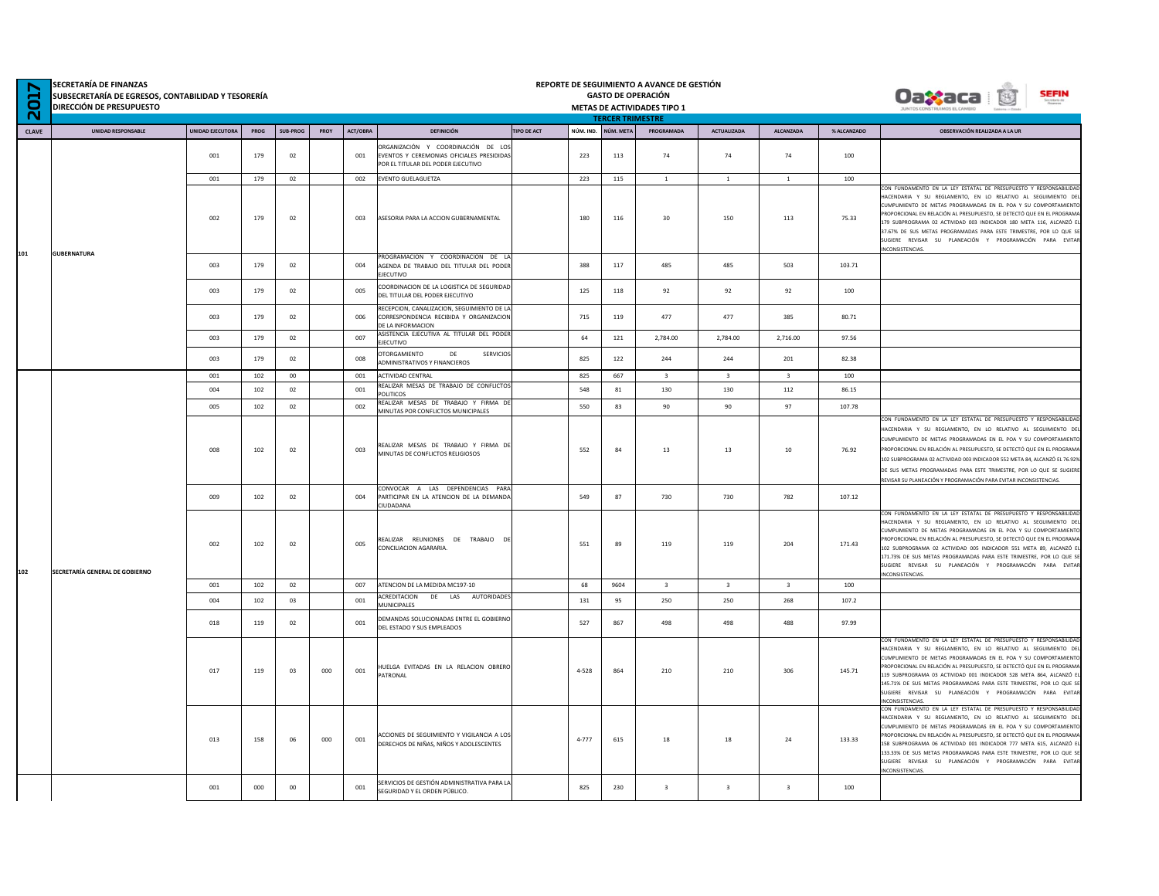| N<br>201 | SECRETARÍA DE FINANZAS<br>SUBSECRETARÍA DE EGRESOS, CONTABILIDAD Y TESORERÍA<br><b>DIRECCIÓN DE PRESUPUESTO</b> |                  |      |          |      |          |                                                                                                                       |                                 |           | REPORTE DE SEGUIMIENTO A AVANCE DE GESTIÓN<br><b>GASTO DE OPERACIÓN</b><br>METAS DE ACTIVIDADES TIPO 1<br><b>TERCER TRIMESTRE</b> |                         |                         |             | <b>SEFIN</b><br><b>Oaxaca</b>                                                                                                                                                                                                                                                                                                                                                                                                                                                                                |
|----------|-----------------------------------------------------------------------------------------------------------------|------------------|------|----------|------|----------|-----------------------------------------------------------------------------------------------------------------------|---------------------------------|-----------|-----------------------------------------------------------------------------------------------------------------------------------|-------------------------|-------------------------|-------------|--------------------------------------------------------------------------------------------------------------------------------------------------------------------------------------------------------------------------------------------------------------------------------------------------------------------------------------------------------------------------------------------------------------------------------------------------------------------------------------------------------------|
| CLAVE    | <b>UNIDAD RESPONSABLE</b>                                                                                       | UNIDAD EJECUTORA | PROG | SUB-PROG | PROY | ACT/OBRA | <b>DEFINICIÓN</b>                                                                                                     | <b>TIPO DE ACT</b><br>NÚM. IND. | NÚM, META | PROGRAMADA                                                                                                                        | <b>ACTUALIZADA</b>      | <b>ALCANZADA</b>        | % ALCANZADO | OBSERVACIÓN REALIZADA A LA UR                                                                                                                                                                                                                                                                                                                                                                                                                                                                                |
|          |                                                                                                                 | 001              | 179  | 02       |      | 001      | ORGANIZACIÓN Y COORDINACIÓN DE LOS<br>EVENTOS Y CEREMONIAS OFICIALES PRESIDIDAS<br>POR EL TITULAR DEL PODER EJECUTIVO | 223                             | 113       | 74                                                                                                                                | 74                      | 74                      | 100         |                                                                                                                                                                                                                                                                                                                                                                                                                                                                                                              |
|          |                                                                                                                 | 001              | 179  | 02       |      | 002      | EVENTO GUELAGUETZA                                                                                                    | 223                             | 115       | $\,$ 1 $\,$                                                                                                                       | $\mathbf{1}$            | $\mathbf{1}$            | 100         |                                                                                                                                                                                                                                                                                                                                                                                                                                                                                                              |
| 101      | <b>GUBERNATURA</b>                                                                                              | 002              | 179  | 02       |      | 003      | ASESORIA PARA LA ACCION GUBERNAMENTAL                                                                                 | 180                             | 116       | 30                                                                                                                                | 150                     | 113                     | 75.33       | CON FUNDAMENTO EN LA LEY ESTATAL DE PRESUPUESTO Y RESPONSABILIDA<br>HACENDARIA Y SU REGLAMENTO, EN LO RELATIVO AL SEGUIMIENTO DE<br>CUMPLIMIENTO DE METAS PROGRAMADAS EN EL POA Y SU COMPORTAMIENT<br>PROPORCIONAL EN RELACIÓN AL PRESUPUESTO. SE DETECTÓ QUE EN EL PROGRAM<br>179 SUBPROGRAMA 02 ACTIVIDAD 003 INDICADOR 180 META 116, ALCANZÓ E<br>37.67% DE SUS METAS PROGRAMADAS PARA ESTE TRIMESTRE, POR LO QUE S<br>SUGIERE REVISAR SU PLANEACIÓN Y PROGRAMACIÓN PARA EVITAR<br>NCONSISTENCIAS.        |
|          |                                                                                                                 | 003              | 179  | 02       |      | 004      | PROGRAMACION Y COORDINACION DE LA<br>AGENDA DE TRABAJO DEL TITULAR DEL PODER<br><b>EJECUTIVO</b>                      | 388                             | 117       | 485                                                                                                                               | 485                     | 503                     | 103.71      |                                                                                                                                                                                                                                                                                                                                                                                                                                                                                                              |
|          |                                                                                                                 | 003              | 179  | 02       |      | 005      | COORDINACION DE LA LOGISTICA DE SEGURIDAD<br>DEL TITULAR DEL PODER EJECUTIVO                                          | 125                             | 118       | 92                                                                                                                                | 92                      | 92                      | 100         |                                                                                                                                                                                                                                                                                                                                                                                                                                                                                                              |
|          |                                                                                                                 | 003              | 179  | 02       |      | 006      | RECEPCION, CANALIZACION, SEGUIMIENTO DE LA<br>CORRESPONDENCIA RECIBIDA Y ORGANIZACION<br>DE LA INFORMACION            | 715                             | 119       | 477                                                                                                                               | 477                     | 385                     | 80.71       |                                                                                                                                                                                                                                                                                                                                                                                                                                                                                                              |
|          |                                                                                                                 | 003              | 179  | 02       |      | 007      | ASISTENCIA EJECUTIVA AL TITULAR DEL PODER<br><b>EJECUTIVO</b>                                                         | 64                              | 121       | 2,784.00                                                                                                                          | 2,784.00                | 2,716.00                | 97.56       |                                                                                                                                                                                                                                                                                                                                                                                                                                                                                                              |
|          |                                                                                                                 | 003              | 179  | 02       |      | 008      | <b>OTORGAMIENTO</b><br>DE<br><b>SERVICIOS</b><br><b>ADMINISTRATIVOS Y FINANCIEROS</b>                                 | 825                             | 122       | 244                                                                                                                               | 244                     | 201                     | 82.38       |                                                                                                                                                                                                                                                                                                                                                                                                                                                                                                              |
|          |                                                                                                                 | 001              | 102  | $00\,$   |      | 001      | <b>ACTIVIDAD CENTRAL</b><br>REALIZAR MESAS DE TRABAJO DE CONFLICTOS                                                   | 825                             | 667       | $\overline{3}$                                                                                                                    | $\overline{\mathbf{3}}$ | $\overline{3}$          | 100         |                                                                                                                                                                                                                                                                                                                                                                                                                                                                                                              |
|          |                                                                                                                 | 004              | 102  | 02       |      | 001      | POLITICOS                                                                                                             | 548                             | 81        | 130                                                                                                                               | 130                     | 112                     | 86.15       |                                                                                                                                                                                                                                                                                                                                                                                                                                                                                                              |
|          |                                                                                                                 | 005              | 102  | 02       |      | 002      | REALIZAR MESAS DE TRABAJO Y FIRMA DE<br>MINUTAS POR CONFLICTOS MUNICIPALES                                            | 550                             | 83        | 90                                                                                                                                | 90                      | 97                      | 107.78      |                                                                                                                                                                                                                                                                                                                                                                                                                                                                                                              |
|          |                                                                                                                 | 008              | 102  | 02       |      | 003      | REALIZAR MESAS DE TRABAJO Y FIRMA DE<br>MINUTAS DE CONFLICTOS RELIGIOSOS                                              | 552                             | 84        | 13                                                                                                                                | 13                      | 10                      | 76.92       | CON FUNDAMENTO EN LA LEY ESTATAL DE PRESUPUESTO Y RESPONSABILIDA<br>HACENDARIA Y SU REGLAMENTO. EN LO RELATIVO AL SEGUIMIENTO DE<br>CUMPLIMIENTO DE METAS PROGRAMADAS EN EL POA Y SU COMPORTAMIENT<br>PROPORCIONAL EN RELACIÓN AL PRESUPUESTO, SE DETECTÓ QUE EN EL PROGRAM/<br>102 SUBPROGRAMA 02 ACTIVIDAD 003 INDICADOR 552 META 84, ALCANZÓ EL 76.92%<br>DE SUS METAS PROGRAMADAS PARA ESTE TRIMESTRE, POR LO QUE SE SUGIERE<br>REVISAR SU PLANEACIÓN Y PROGRAMACIÓN PARA EVITAR INCONSISTENCIAS.        |
|          |                                                                                                                 | 009              | 102  | 02       |      | 004      | CONVOCAR A LAS DEPENDENCIAS PARA<br>PARTICIPAR EN LA ATENCION DE LA DEMANDA<br>CIUDADANA                              | 549                             | 87        | 730                                                                                                                               | 730                     | 782                     | 107.12      |                                                                                                                                                                                                                                                                                                                                                                                                                                                                                                              |
| 102      | SECRETARÍA GENERAL DE GOBIERNO                                                                                  | 002              | 102  | 02       |      | 005      | REALIZAR REUNIONES DE TRABAJO DE<br>CONCILIACION AGARARIA.                                                            | 551                             | 89        | 119                                                                                                                               | 119                     | 204                     | 171.43      | CON FUNDAMENTO EN LA LEY ESTATAL DE PRESUPUESTO Y RESPONSABILIDA<br>HACENDARIA Y SU REGLAMENTO, EN LO RELATIVO AL SEGUIMIENTO DE<br>CUMPLIMIENTO DE METAS PROGRAMADAS EN EL POA Y SU COMPORTAMIENTO<br>ROPORCIONAL EN RELACIÓN AL PRESUPUESTO, SE DETECTÓ QUE EN EL PROGRAM<br>102 SUBPROGRAMA 02 ACTIVIDAD 005 INDICADOR 551 META 89. ALCANZÓ E<br>171.73% DE SUS METAS PROGRAMADAS PARA ESTE TRIMESTRE, POR LO QUE S<br>SUGIERE REVISAR SU PLANEACIÓN Y PROGRAMACIÓN PARA EVITAR<br>NCONSISTENCIAS.        |
|          |                                                                                                                 | 001              | 102  | 02       |      | 007      | ATENCION DE LA MEDIDA MC197-10                                                                                        | 68                              | 9604      | $\overline{\mathbf{3}}$                                                                                                           | $\overline{\mathbf{3}}$ | $\overline{\mathbf{3}}$ | 100         |                                                                                                                                                                                                                                                                                                                                                                                                                                                                                                              |
|          |                                                                                                                 | 004              | 102  | 03       |      | 001      | ACREDITACION DE LAS AUTORIDADES<br>MUNICIPALES                                                                        | 131                             | 95        | 250                                                                                                                               | 250                     | 268                     | 107.2       |                                                                                                                                                                                                                                                                                                                                                                                                                                                                                                              |
|          |                                                                                                                 | 018              | 119  | 02       |      | 001      | DEMANDAS SOLUCIONADAS ENTRE EL GOBIERNO<br>DEL ESTADO Y SUS EMPLEADOS                                                 | 527                             | 867       | 498                                                                                                                               | 498                     | 488                     | 97.99       |                                                                                                                                                                                                                                                                                                                                                                                                                                                                                                              |
|          |                                                                                                                 | 017              | 119  | 03       | 000  | 001      | HUELGA EVITADAS EN LA RELACION OBRERO<br>PATRONAL                                                                     | 4-528                           | 864       | 210                                                                                                                               | 210                     | 306                     | 145.71      | CON FUNDAMENTO EN LA LEY ESTATAL DE PRESUPUESTO Y RESPONSABILIDA<br>HACENDARIA Y SU REGLAMENTO, EN LO RELATIVO AL SEGUIMIENTO DE<br>CUMPLIMIENTO DE METAS PROGRAMADAS EN EL POA Y SU COMPORTAMIENT<br>PROPORCIONAL EN RELACIÓN AL PRESUPUESTO, SE DETECTÓ QUE EN EL PROGRAMA<br>119 SUBPROGRAMA 03 ACTIVIDAD 001 INDICADOR 528 META 864, ALCANZÓ<br>145,71% DE SUS METAS PROGRAMADAS PARA ESTE TRIMESTRE, POR LO QUE S<br>SUGIERE REVISAR SU PLANEACIÓN Y PROGRAMACIÓN PARA EVITAR<br><b>INCONSISTENCIAS</b> |
|          |                                                                                                                 | 013              | 158  | 06       | 000  | 001      | ACCIONES DE SEGUIMIENTO Y VIGILANCIA A LOS<br>DERECHOS DE NIÑAS, NIÑOS Y ADOLESCENTES                                 | $4 - 777$                       | 615       | 18                                                                                                                                | 18                      | 24                      | 133.33      | CON FUNDAMENTO EN LA LEY ESTATAL DE PRESUPUESTO Y RESPONSABILIDA<br>HACENDARIA Y SU REGLAMENTO. EN LO RELATIVO AL SEGUIMIENTO DE<br>CUMPLIMIENTO DE METAS PROGRAMADAS EN EL POA Y SU COMPORTAMIENT<br>PROPORCIONAL EN RELACIÓN AL PRESUPUESTO, SE DETECTÓ QUE EN EL PROGRAM<br>158 SUBPROGRAMA 06 ACTIVIDAD 001 INDICADOR 777 META 615, ALCANZÓ E<br>133.33% DE SUS METAS PROGRAMADAS PARA ESTE TRIMESTRE, POR LO QUE S<br>SUGIERE REVISAR SU PLANEACIÓN Y PROGRAMACIÓN PARA EVITAI<br><b>CONSISTENCIAS.</b> |
|          |                                                                                                                 | 001              | 000  | $00 -$   |      | 001      | SERVICIOS DE GESTIÓN ADMINISTRATIVA PARA LA<br>SEGURIDAD Y EL ORDEN PÚBLICO.                                          | 825                             | 230       | $\overline{\mathbf{3}}$                                                                                                           | $\overline{\mathbf{3}}$ | $\overline{\mathbf{3}}$ | 100         |                                                                                                                                                                                                                                                                                                                                                                                                                                                                                                              |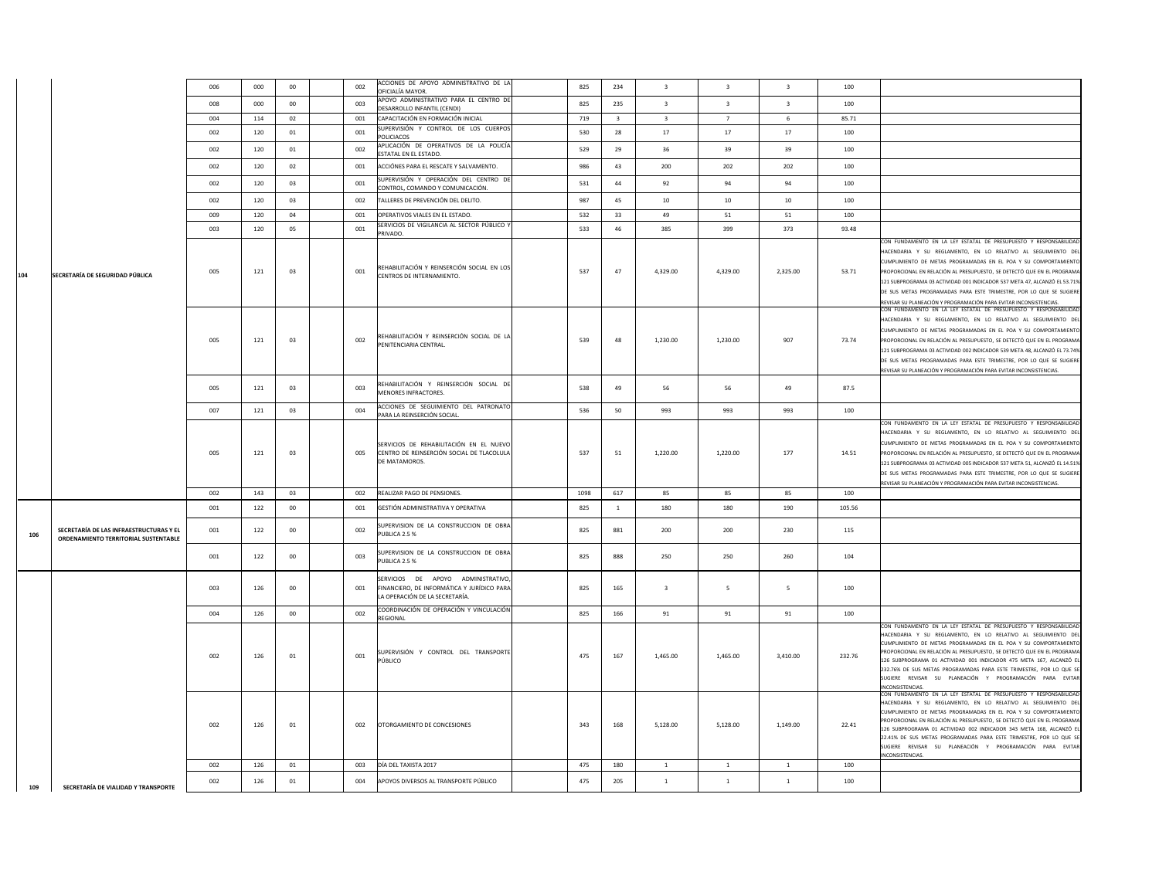|     |                                                                                 | 006 | 000 | $00\,$ | 002 | ACCIONES DE APOYO ADMINISTRATIVO DE LA<br>OFICIALÍA MAYOR                                                          | 825  | 234                     | $\overline{\mathbf{3}}$ | $\overline{\mathbf{3}}$ | $\overline{\mathbf{3}}$ | 100    |                                                                                                                                                                                                                                                                                                                                                                                                                                                                                                         |
|-----|---------------------------------------------------------------------------------|-----|-----|--------|-----|--------------------------------------------------------------------------------------------------------------------|------|-------------------------|-------------------------|-------------------------|-------------------------|--------|---------------------------------------------------------------------------------------------------------------------------------------------------------------------------------------------------------------------------------------------------------------------------------------------------------------------------------------------------------------------------------------------------------------------------------------------------------------------------------------------------------|
|     |                                                                                 | 008 | 000 | $00\,$ | 003 | APOYO ADMINISTRATIVO PARA EL CENTRO DE<br>DESARROLLO INFANTIL (CENDI)                                              | 825  | 235                     | $\overline{\mathbf{3}}$ | $\overline{\mathbf{3}}$ | $\overline{\mathbf{3}}$ | 100    |                                                                                                                                                                                                                                                                                                                                                                                                                                                                                                         |
|     |                                                                                 | 004 | 114 | 02     | 001 | CAPACITACIÓN EN FORMACIÓN INICIAL                                                                                  | 719  | $\overline{\mathbf{3}}$ | $\overline{\mathbf{3}}$ | 7                       | 6                       | 85.71  |                                                                                                                                                                                                                                                                                                                                                                                                                                                                                                         |
|     |                                                                                 | 002 | 120 | 01     | 001 | SUPERVISIÓN Y CONTROL DE LOS CUERPOS<br>POLICIACOS                                                                 | 530  | 28                      | 17                      | 17                      | 17                      | 100    |                                                                                                                                                                                                                                                                                                                                                                                                                                                                                                         |
|     |                                                                                 | 002 | 120 | 01     | 002 | APLICACIÓN DE OPERATIVOS DE LA POLICÍA<br>ESTATAL EN EL ESTADO.                                                    | 529  | 29                      | 36                      | 39                      | 39                      | 100    |                                                                                                                                                                                                                                                                                                                                                                                                                                                                                                         |
|     |                                                                                 | 002 | 120 | 02     | 001 | ACCIÓNES PARA EL RESCATE Y SALVAMENTO.                                                                             | 986  | 43                      | 200                     | 202                     | 202                     | 100    |                                                                                                                                                                                                                                                                                                                                                                                                                                                                                                         |
|     |                                                                                 | 002 | 120 | 03     | 001 | SUPERVISIÓN Y OPERACIÓN DEL CENTRO DE<br>CONTROL, COMANDO Y COMUNICACIÓN.                                          | 531  | 44                      | 92                      | 94                      | 94                      | 100    |                                                                                                                                                                                                                                                                                                                                                                                                                                                                                                         |
|     |                                                                                 | 002 | 120 | 03     | 002 | TALLERES DE PREVENCIÓN DEL DELITO.                                                                                 | 987  | 45                      | $10\,$                  | $10\,$                  | $10\,$                  | 100    |                                                                                                                                                                                                                                                                                                                                                                                                                                                                                                         |
|     |                                                                                 | 009 | 120 | 04     | 001 | OPERATIVOS VIALES EN EL ESTADO.                                                                                    | 532  | 33                      | 49                      | 51                      | 51                      | 100    |                                                                                                                                                                                                                                                                                                                                                                                                                                                                                                         |
|     |                                                                                 | 003 | 120 | 05     | 001 | SERVICIOS DE VIGILANCIA AL SECTOR PÚBLICO Y<br>PRIVADO.                                                            | 533  | 46                      | 385                     | 399                     | 373                     | 93.48  |                                                                                                                                                                                                                                                                                                                                                                                                                                                                                                         |
| 104 | SECRETARÍA DE SEGURIDAD PÚBLICA                                                 | 005 | 121 | 03     | 001 | REHABILITACIÓN Y REINSERCIÓN SOCIAL EN LOS<br>CENTROS DE INTERNAMIENTO.                                            | 537  | 47                      | 4,329.00                | 4,329.00                | 2,325.00                | 53.71  | CON FUNDAMENTO EN LA LEY ESTATAL DE PRESUPUESTO Y RESPONSABILIDAD<br>HACENDARIA Y SU REGLAMENTO, EN LO RELATIVO AL SEGUIMIENTO DE<br>CUMPLIMIENTO DE METAS PROGRAMADAS EN EL POA Y SU COMPORTAMIENTO<br>PROPORCIONAL EN RELACIÓN AL PRESUPUESTO, SE DETECTÓ QUE EN EL PROGRAM/<br>121 SUBPROGRAMA 03 ACTIVIDAD 001 INDICADOR 537 META 47, ALCANZÓ EL 53.71%<br>DE SUS METAS PROGRAMADAS PARA ESTE TRIMESTRE, POR LO QUE SE SUGIERE<br>REVISAR SU PLANEACIÓN Y PROGRAMACIÓN PARA EVITAR INCONSISTENCIAS. |
|     |                                                                                 | 005 | 121 | 03     | 002 | REHABILITACIÓN Y REINSERCIÓN SOCIAL DE LA<br>PENITENCIARIA CENTRAL.                                                | 539  | 48                      | 1,230.00                | 1.230.00                | 907                     | 73.74  | CON FUNDAMENTO EN LA LEY ESTATAL DE PRESUPUESTO Y RESPONSABILIDAD<br>HACENDARIA Y SU REGLAMENTO, EN LO RELATIVO AL SEGUIMIENTO DE<br>CUMPLIMIENTO DE METAS PROGRAMADAS EN EL POA Y SU COMPORTAMIENTO<br>PROPORCIONAL EN RELACIÓN AL PRESUPUESTO. SE DETECTÓ QUE EN EL PROGRAM<br>121 SUBPROGRAMA 03 ACTIVIDAD 002 INDICADOR 539 META 48, ALCANZÓ EL 73.749<br>DE SUS METAS PROGRAMADAS PARA ESTE TRIMESTRE, POR LO QUE SE SUGIERE<br>REVISAR SU PLANEACIÓN Y PROGRAMACIÓN PARA EVITAR INCONSISTENCIAS.  |
|     |                                                                                 | 005 | 121 | 03     | 003 | REHABILITACIÓN Y REINSERCIÓN SOCIAL DE<br>MENORES INFRACTORES.                                                     | 538  | 49                      | 56                      | 56                      | 49                      | 87.5   |                                                                                                                                                                                                                                                                                                                                                                                                                                                                                                         |
|     |                                                                                 | 007 | 121 | 03     | 004 | ACCIONES DE SEGUIMIENTO DEL PATRONATO<br>PARA LA REINSERCIÓN SOCIAL                                                | 536  | 50                      | 993                     | 993                     | 993                     | 100    |                                                                                                                                                                                                                                                                                                                                                                                                                                                                                                         |
|     |                                                                                 | 005 | 121 | 03     | 005 | SERVICIOS DE REHABILITACIÓN EN EL NUEVO<br>CENTRO DE REINSERCIÓN SOCIAL DE TLACOLULA<br>DE MATAMOROS.              | 537  | 51                      | 1,220.00                | 1.220.00                | 177                     | 14.51  | CON FUNDAMENTO EN LA LEY ESTATAL DE PRESUPUESTO Y RESPONSABILIDAD<br>HACENDARIA Y SU REGLAMENTO, EN LO RELATIVO AL SEGUIMIENTO DE<br>CUMPLIMIENTO DE METAS PROGRAMADAS EN EL POA Y SU COMPORTAMIENTO<br>PROPORCIONAL EN RELACIÓN AL PRESUPUESTO, SE DETECTÓ QUE EN EL PROGRAM/<br>121 SUBPROGRAMA 03 ACTIVIDAD 005 INDICADOR 537 META 51, ALCANZÓ EL 14.519<br>DE SUS METAS PROGRAMADAS PARA ESTE TRIMESTRE, POR LO QUE SE SUGIERE<br>REVISAR SU PLANEACIÓN Y PROGRAMACIÓN PARA EVITAR INCONSISTENCIAS. |
|     |                                                                                 | 002 | 143 | 03     | 002 | REALIZAR PAGO DE PENSIONES.                                                                                        | 1098 | 617                     | 85                      | 85                      | 85                      | 100    |                                                                                                                                                                                                                                                                                                                                                                                                                                                                                                         |
|     |                                                                                 | 001 | 122 | $00\,$ | 001 | GESTIÓN ADMINISTRATIVA Y OPERATIVA                                                                                 | 825  | <sup>1</sup>            | 180                     | 180                     | 190                     | 105.56 |                                                                                                                                                                                                                                                                                                                                                                                                                                                                                                         |
| 106 | SECRETARÍA DE LAS INFRAESTRUCTURAS Y EL<br>ORDENAMIENTO TERRITORIAL SUSTENTABLE | 001 | 122 | 00     | 002 | SUPERVISION DE LA CONSTRUCCION DE OBRA<br>PUBLICA 2.5 %                                                            | 825  | 881                     | 200                     | 200                     | 230                     | 115    |                                                                                                                                                                                                                                                                                                                                                                                                                                                                                                         |
|     |                                                                                 | 001 | 122 | 00     | 003 | SUPERVISION DE LA CONSTRUCCION DE OBRA<br>PUBLICA 2.5 %                                                            | 825  | 888                     | 250                     | 250                     | 260                     | 104    |                                                                                                                                                                                                                                                                                                                                                                                                                                                                                                         |
|     |                                                                                 | 003 | 126 | 00     | 001 | SERVICIOS DE APOYO ADMINISTRATIVO,<br>FINANCIERO. DE INFORMÁTICA Y JURÍDICO PARA<br>LA OPERACIÓN DE LA SECRETARÍA. | 825  | 165                     | $\overline{\mathbf{3}}$ | 5                       | 5                       | 100    |                                                                                                                                                                                                                                                                                                                                                                                                                                                                                                         |
|     |                                                                                 | 004 | 126 | $00\,$ | 002 | COORDINACIÓN DE OPERACIÓN Y VINCULACIÓN<br>REGIONAL                                                                | 825  | 166                     | 91                      | 91                      | 91                      | 100    |                                                                                                                                                                                                                                                                                                                                                                                                                                                                                                         |
|     |                                                                                 | 002 | 126 | 01     | 001 | SUPERVISIÓN Y CONTROL DEL TRANSPORTE<br>PÚBLICO                                                                    | 475  | 167                     | 1,465.00                | 1,465.00                | 3,410.00                | 232.76 | CON FUNDAMENTO EN LA LEY ESTATAL DE PRESUPUESTO Y RESPONSABILIDA<br>HACENDARIA Y SU REGLAMENTO, EN LO RELATIVO AL SEGUIMIENTO DE<br>CUMPLIMIENTO DE METAS PROGRAMADAS EN EL POA Y SU COMPORTAMIENT<br>PROPORCIONAL EN RELACIÓN AL PRESUPUESTO, SE DETECTÓ QUE EN EL PROGRAM<br>126 SUBPROGRAMA 01 ACTIVIDAD 001 INDICADOR 475 META 167, ALCANZÓ E<br>232.76% DE SUS METAS PROGRAMADAS PARA ESTE TRIMESTRE, POR LO QUE S<br>SUGIERE REVISAR SU PLANEACIÓN Y PROGRAMACIÓN PARA EVITAF<br>INCONSISTENCIAS  |
|     |                                                                                 | 002 | 126 | $01\,$ | 002 | OTORGAMIENTO DE CONCESIONES                                                                                        | 343  | 168                     | 5,128.00                | 5,128.00                | 1,149.00                | 22.41  | CON FUNDAMENTO EN LA LEY ESTATAL DE PRESUPUESTO Y RESPONSABILIDAD<br>HACENDARIA Y SU REGLAMENTO, EN LO RELATIVO AL SEGUIMIENTO DE<br>CUMPLIMIENTO DE METAS PROGRAMADAS EN EL POA Y SU COMPORTAMIENT<br>PROPORCIONAL EN RELACIÓN AL PRESUPUESTO, SE DETECTÓ QUE EN EL PROGRAM<br>126 SUBPROGRAMA 01 ACTIVIDAD 002 INDICADOR 343 META 168, ALCANZÓ E<br>22.41% DE SUS METAS PROGRAMADAS PARA ESTE TRIMESTRE, POR LO QUE S<br>SUGIERE REVISAR SU PLANEACIÓN Y PROGRAMACIÓN PARA EVITAR<br>INCONSISTENCIAS. |
|     |                                                                                 | 002 | 126 | 01     | CO0 | DÍA DEL TAXISTA 2017                                                                                               | 475  | 180                     | 1                       | $\mathbf{1}$            | <sup>1</sup>            | 100    |                                                                                                                                                                                                                                                                                                                                                                                                                                                                                                         |
| 109 | SECRETARÍA DE VIALIDAD Y TRANSPORTE                                             | 002 | 126 | 01     | 004 | APOYOS DIVERSOS AL TRANSPORTE PÚBLICO                                                                              | 475  | 205                     | $\overline{1}$          | $\mathbf{1}$            | $\mathbf{1}$            | 100    |                                                                                                                                                                                                                                                                                                                                                                                                                                                                                                         |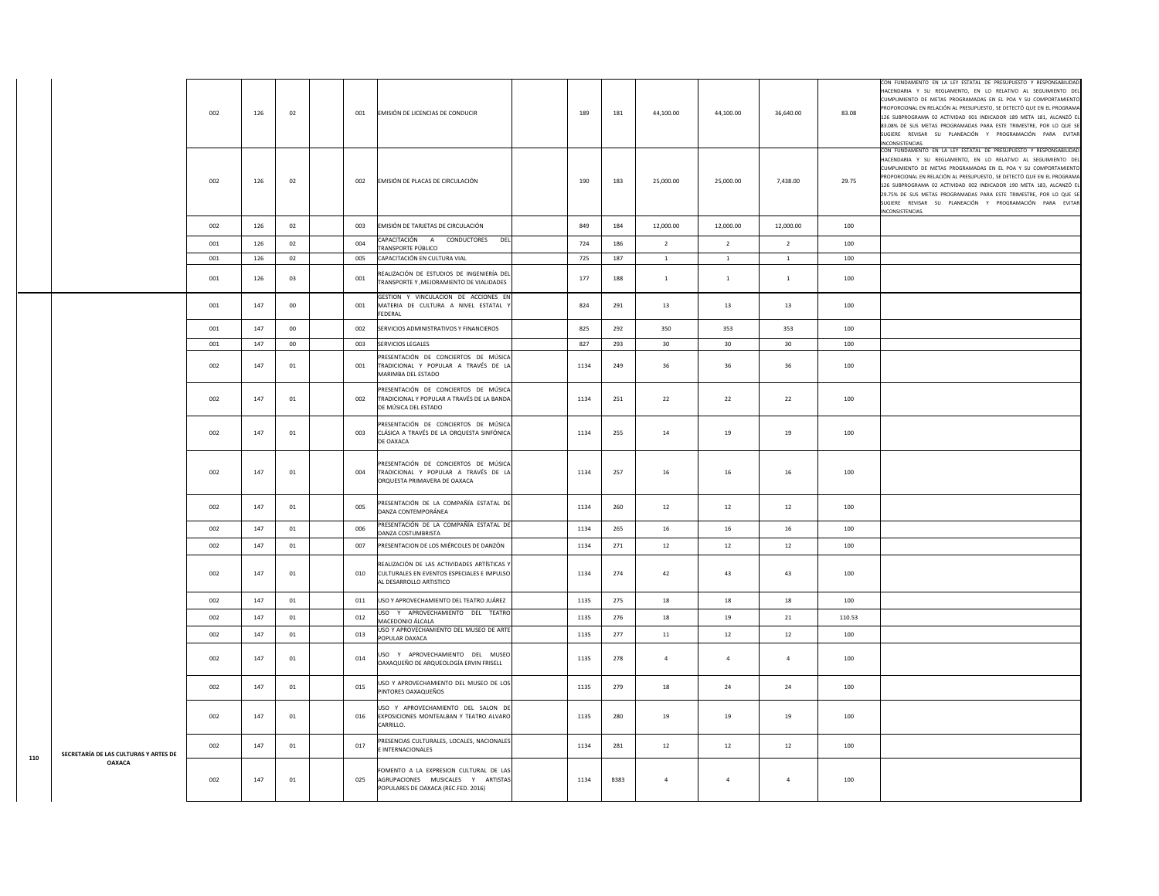|     |                                       | 002 | 126 | 02     | 001<br>EMISIÓN DE LICENCIAS DE CONDUCIR                                                                                     | 189  | 181  | 44,100.00      | 44,100.00      | 36,640.00      | 83.08  | CON FUNDAMENTO EN LA LEY ESTATAL DE PRESUPUESTO Y RESPONSABILIDAD<br>HACENDARIA Y SU REGLAMENTO, EN LO RELATIVO AL SEGUIMIENTO DEL<br>CUMPLIMIENTO DE METAS PROGRAMADAS EN EL POA Y SU COMPORTAMIENTO<br>PROPORCIONAL EN RELACIÓN AL PRESUPUESTO, SE DETECTÓ QUE EN EL PROGRAMA<br>126 SUBPROGRAMA 02 ACTIVIDAD 001 INDICADOR 189 META 181. ALCANZÓ E<br>83.08% DE SUS METAS PROGRAMADAS PARA ESTE TRIMESTRE, POR LO QUE SI<br>SUGIERE REVISAR SU PLANEACIÓN Y PROGRAMACIÓN PARA EVITAR<br>INCONSISTENCIAS.  |
|-----|---------------------------------------|-----|-----|--------|-----------------------------------------------------------------------------------------------------------------------------|------|------|----------------|----------------|----------------|--------|--------------------------------------------------------------------------------------------------------------------------------------------------------------------------------------------------------------------------------------------------------------------------------------------------------------------------------------------------------------------------------------------------------------------------------------------------------------------------------------------------------------|
|     |                                       | 002 | 126 | 02     | 002<br>EMISIÓN DE PLACAS DE CIRCULACIÓN                                                                                     | 190  | 183  | 25,000.00      | 25,000.00      | 7,438.00       | 29.75  | CON FUNDAMENTO EN LA LEY ESTATAL DE PRESUPUESTO Y RESPONSABILIDAD<br>HACENDARIA Y SU REGLAMENTO, EN LO RELATIVO AL SEGUIMIENTO DEL<br>CUMPLIMIENTO DE METAS PROGRAMADAS EN EL POA Y SU COMPORTAMIENTO<br>PROPORCIONAL EN RELACIÓN AL PRESUPUESTO, SE DETECTÓ QUE EN EL PROGRAMA<br>126 SUBPROGRAMA 02 ACTIVIDAD 002 INDICADOR 190 META 183, ALCANZÓ EL<br>29.75% DE SUS METAS PROGRAMADAS PARA ESTE TRIMESTRE, POR LO QUE SE<br>SUGIERE REVISAR SU PLANEACIÓN Y PROGRAMACIÓN PARA EVITAR<br>INCONSISTENCIAS. |
|     |                                       | 002 | 126 | 02     | 003<br>EMISIÓN DE TARJETAS DE CIRCULACIÓN                                                                                   | 849  | 184  | 12,000.00      | 12,000.00      | 12,000.00      | 100    |                                                                                                                                                                                                                                                                                                                                                                                                                                                                                                              |
|     |                                       | 001 | 126 | 02     | CAPACITACIÓN A CONDUCTORES DEL<br>004<br>TRANSPORTE PÚBLICO                                                                 | 724  | 186  | $\overline{2}$ | $\overline{2}$ | $\overline{2}$ | 100    |                                                                                                                                                                                                                                                                                                                                                                                                                                                                                                              |
|     |                                       | 001 | 126 | 02     | CAPACITACIÓN EN CULTURA VIAL<br>005                                                                                         | 725  | 187  | <sup>1</sup>   | $\mathbf{1}$   | <sup>1</sup>   | 100    |                                                                                                                                                                                                                                                                                                                                                                                                                                                                                                              |
|     |                                       | 001 | 126 | 03     | REALIZACIÓN DE ESTUDIOS DE INGENIERÍA DEL<br>001<br>TRANSPORTE Y , MEJORAMIENTO DE VIALIDADES                               | 177  | 188  | $\mathbf{1}$   | $\,1\,$        | $\,$ 1 $\,$    | 100    |                                                                                                                                                                                                                                                                                                                                                                                                                                                                                                              |
|     |                                       | 001 | 147 | $00\,$ | GESTION Y VINCULACION DE ACCIONES EN<br>001<br>MATERIA DE CULTURA A NIVEL ESTATAL<br><b>FFDFRAI</b>                         | 824  | 291  | 13             | 13             | 13             | 100    |                                                                                                                                                                                                                                                                                                                                                                                                                                                                                                              |
|     |                                       | 001 | 147 | 00     | SERVICIOS ADMINISTRATIVOS Y FINANCIEROS<br>002                                                                              | 825  | 292  | 350            | 353            | 353            | 100    |                                                                                                                                                                                                                                                                                                                                                                                                                                                                                                              |
|     |                                       | 001 | 147 | $00\,$ | SERVICIOS LEGALES<br>003                                                                                                    | 827  | 293  | 30             | 30             | 30             | 100    |                                                                                                                                                                                                                                                                                                                                                                                                                                                                                                              |
|     |                                       | 002 | 147 | 01     | PRESENTACIÓN DE CONCIERTOS DE MÚSICA<br>001<br>TRADICIONAL Y POPULAR A TRAVÉS DE LA<br>MARIMBA DEL ESTADO                   | 1134 | 249  | 36             | 36             | 36             | 100    |                                                                                                                                                                                                                                                                                                                                                                                                                                                                                                              |
|     |                                       | 002 | 147 | 01     | PRESENTACIÓN DE CONCIERTOS DE MÚSICA<br>TRADICIONAL Y POPULAR A TRAVÉS DE LA BANDA<br>002<br>DE MÚSICA DEL ESTADO           | 1134 | 251  | 22             | 22             | 22             | 100    |                                                                                                                                                                                                                                                                                                                                                                                                                                                                                                              |
|     |                                       | 002 | 147 | 01     | PRESENTACIÓN DE CONCIERTOS DE MÚSICA<br>003<br>CLÁSICA A TRAVÉS DE LA ORQUESTA SINFÓNICA<br>DE OAXACA                       | 1134 | 255  | 14             | 19             | 19             | 100    |                                                                                                                                                                                                                                                                                                                                                                                                                                                                                                              |
|     |                                       | 002 | 147 | 01     | PRESENTACIÓN DE CONCIERTOS DE MÚSICA<br>TRADICIONAL Y POPULAR A TRAVÉS DE LA<br>004<br>ORQUESTA PRIMAVERA DE OAXACA         | 1134 | 257  | 16             | 16             | 16             | 100    |                                                                                                                                                                                                                                                                                                                                                                                                                                                                                                              |
|     |                                       | 002 | 147 | 01     | PRESENTACIÓN DE LA COMPAÑÍA ESTATAL DE<br>005<br>DANZA CONTEMPORÁNEA                                                        | 1134 | 260  | 12             | 12             | 12             | 100    |                                                                                                                                                                                                                                                                                                                                                                                                                                                                                                              |
|     |                                       | 002 | 147 | 01     | PRESENTACIÓN DE LA COMPAÑÍA ESTATAL DE<br>006<br>DANZA COSTUMBRISTA                                                         | 1134 | 265  | 16             | 16             | 16             | 100    |                                                                                                                                                                                                                                                                                                                                                                                                                                                                                                              |
|     |                                       | 002 | 147 | 01     | 007<br>PRESENTACION DE LOS MIÉRCOLES DE DANZÓN                                                                              | 1134 | 271  | 12             | 12             | 12             | 100    |                                                                                                                                                                                                                                                                                                                                                                                                                                                                                                              |
|     |                                       | 002 | 147 | 01     | REALIZACIÓN DE LAS ACTIVIDADES ARTÍSTICAS Y<br>010<br>CULTURALES EN EVENTOS ESPECIALES E IMPULSO<br>AL DESARROLLO ARTISTICO | 1134 | 274  | 42             | 43             | 43             | 100    |                                                                                                                                                                                                                                                                                                                                                                                                                                                                                                              |
|     |                                       | 002 | 147 | 01     | 011<br>USO Y APROVECHAMIENTO DEL TEATRO JUÁREZ                                                                              | 1135 | 275  | 18             | 18             | 18             | 100    |                                                                                                                                                                                                                                                                                                                                                                                                                                                                                                              |
|     |                                       | 002 | 147 | 01     | USO Y APROVECHAMIENTO DEL TEATRO<br>012<br>MACEDONIO ÁLCALA                                                                 | 1135 | 276  | 18             | 19             | 21             | 110.53 |                                                                                                                                                                                                                                                                                                                                                                                                                                                                                                              |
|     |                                       | 002 | 147 | 01     | USO Y APROVECHAMIENTO DEL MUSEO DE ARTE<br>013<br>POPULAR OAXACA                                                            | 1135 | 277  | $11\,$         | 12             | 12             | 100    |                                                                                                                                                                                                                                                                                                                                                                                                                                                                                                              |
|     |                                       | 002 | 147 | 01     | USO Y APROVECHAMIENTO DEL MUSEO<br>014<br>OAXAQUEÑO DE ARQUEOLOGÍA ERVIN FRISELL                                            | 1135 | 278  | $\overline{4}$ | $\overline{4}$ | $\overline{4}$ | 100    |                                                                                                                                                                                                                                                                                                                                                                                                                                                                                                              |
|     |                                       | 002 | 147 | 01     | USO Y APROVECHAMIENTO DEL MUSEO DE LOS<br>015<br>PINTORES OAXAQUEÑOS                                                        | 1135 | 279  | 18             | 24             | 24             | 100    |                                                                                                                                                                                                                                                                                                                                                                                                                                                                                                              |
|     |                                       | 002 | 147 | 01     | USO Y APROVECHAMIENTO DEL SALON DE<br>016<br>EXPOSICIONES MONTEALBAN Y TEATRO ALVARO<br>CARRILLO.                           | 1135 | 280  | 19             | 19             | 19             | 100    |                                                                                                                                                                                                                                                                                                                                                                                                                                                                                                              |
| 110 | SECRETARÍA DE LAS CULTURAS Y ARTES DE | 002 | 147 | 01     | PRESENCIAS CULTURALES, LOCALES, NACIONALES<br>017<br>E INTERNACIONALES                                                      | 1134 | 281  | 12             | 12             | 12             | 100    |                                                                                                                                                                                                                                                                                                                                                                                                                                                                                                              |
|     | <b>OAXACA</b>                         | 002 | 147 | 01     | FOMENTO A LA EXPRESION CULTURAL DE LAS<br>AGRUPACIONES MUSICALES Y ARTISTAS<br>025<br>POPULARES DE OAXACA (REC.FED. 2016)   | 1134 | 8383 | $\overline{4}$ | $\overline{4}$ | $\overline{4}$ | 100    |                                                                                                                                                                                                                                                                                                                                                                                                                                                                                                              |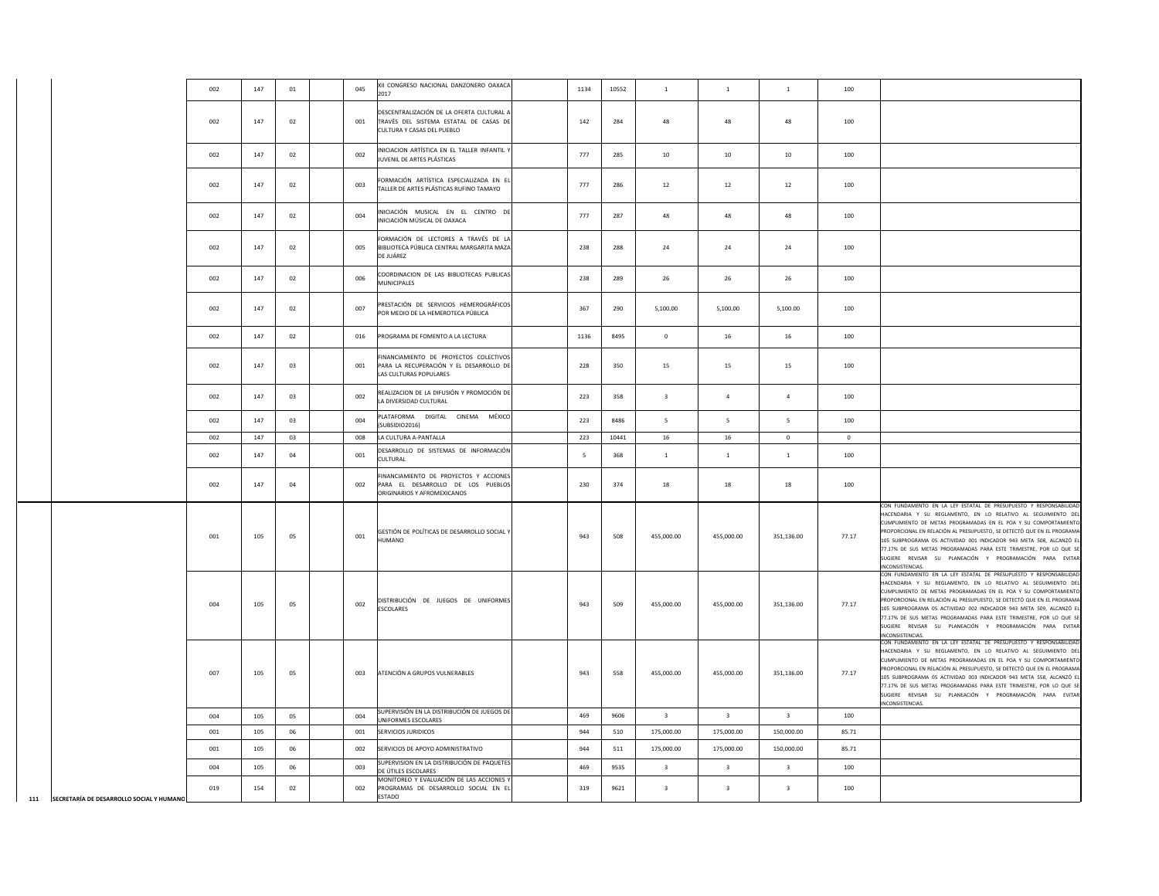|                                          | 002 | 147     | $01\,$ | 045 | XII CONGRESO NACIONAL DANZONERO OAXACA<br>2017                                                                    | 1134 | 10552 | $\mathbf{1}$            | $\,1\,$                 | $\overline{1}$          | 100          |                                                                                                                                                                                                                                                                                                                                                                                                                                                                                                                 |
|------------------------------------------|-----|---------|--------|-----|-------------------------------------------------------------------------------------------------------------------|------|-------|-------------------------|-------------------------|-------------------------|--------------|-----------------------------------------------------------------------------------------------------------------------------------------------------------------------------------------------------------------------------------------------------------------------------------------------------------------------------------------------------------------------------------------------------------------------------------------------------------------------------------------------------------------|
|                                          | 002 | 147     | 02     | 001 | DESCENTRALIZACIÓN DE LA OFERTA CULTURAL A<br>TRAVÉS DEL SISTEMA ESTATAL DE CASAS DE<br>CULTURA Y CASAS DEL PUEBLO | 142  | 284   | 48                      | 48                      | 48                      | 100          |                                                                                                                                                                                                                                                                                                                                                                                                                                                                                                                 |
|                                          | 002 | 147     | 02     | 002 | NICIACION ARTÍSTICA EN EL TALLER INFANTIL Y<br>JUVENIL DE ARTES PLÁSTICAS                                         | 777  | 285   | 10                      | 10                      | 10                      | 100          |                                                                                                                                                                                                                                                                                                                                                                                                                                                                                                                 |
|                                          | 002 | $147\,$ | $02\,$ | 003 | FORMACIÓN ARTÍSTICA ESPECIALIZADA EN EL<br>TALLER DE ARTES PLÁSTICAS RUFINO TAMAYO                                | 777  | 286   | $12\,$                  | $12\,$                  | $12\,$                  | 100          |                                                                                                                                                                                                                                                                                                                                                                                                                                                                                                                 |
|                                          | 002 | 147     | 02     | 004 | NICIACIÓN MUSICAL EN EL CENTRO DE<br>NICIACIÓN MÚSICAL DE OAXACA                                                  | 777  | 287   | 48                      | 48                      | 48                      | 100          |                                                                                                                                                                                                                                                                                                                                                                                                                                                                                                                 |
|                                          | 002 | 147     | 02     | 005 | FORMACIÓN DE LECTORES A TRAVÉS DE LA<br>BIBLIOTECA PÚBLICA CENTRAL MARGARITA MAZA<br>DE JUÁREZ                    | 238  | 288   | 24                      | 24                      | 24                      | 100          |                                                                                                                                                                                                                                                                                                                                                                                                                                                                                                                 |
|                                          | 002 | 147     | 02     | 006 | COORDINACION DE LAS BIBLIOTECAS PUBLICAS<br><b>MUNICIPALES</b>                                                    | 238  | 289   | 26                      | 26                      | 26                      | 100          |                                                                                                                                                                                                                                                                                                                                                                                                                                                                                                                 |
|                                          | 002 | 147     | 02     | 007 | PRESTACIÓN DE SERVICIOS HEMEROGRÁFICOS<br>POR MEDIO DE LA HEMEROTECA PÚBLICA                                      | 367  | 290   | 5,100.00                | 5,100.00                | 5,100.00                | 100          |                                                                                                                                                                                                                                                                                                                                                                                                                                                                                                                 |
|                                          | 002 | 147     | 02     | 016 | PROGRAMA DE FOMENTO A LA LECTURA                                                                                  | 1136 | 8495  | $\bf{0}$                | 16                      | 16                      | 100          |                                                                                                                                                                                                                                                                                                                                                                                                                                                                                                                 |
|                                          | 002 | 147     | 03     | 001 | INANCIAMIENTO DE PROYECTOS COLECTIVOS<br>PARA LA RECUPERACIÓN Y EL DESARROLLO DE<br>LAS CULTURAS POPULARES        | 228  | 350   | 15                      | 15                      | 15                      | 100          |                                                                                                                                                                                                                                                                                                                                                                                                                                                                                                                 |
|                                          | 002 | 147     | 03     | 002 | REALIZACION DE LA DIFUSIÓN Y PROMOCIÓN DE<br>LA DIVERSIDAD CULTURAL                                               | 223  | 358   | $\overline{\mathbf{3}}$ | $\overline{a}$          | $\mathfrak{a}$          | 100          |                                                                                                                                                                                                                                                                                                                                                                                                                                                                                                                 |
|                                          | 002 | 147     | 03     | 004 | PLATAFORMA DIGITAL CINEMA MÉXICO<br>(SUBSIDIO2016)                                                                | 223  | 8486  | 5                       | 5                       | 5                       | 100          |                                                                                                                                                                                                                                                                                                                                                                                                                                                                                                                 |
|                                          | 002 | 147     | 03     | 008 | LA CULTURA A-PANTALLA                                                                                             | 223  | 10441 | 16                      | 16                      | $\circ$                 | $\mathbf{0}$ |                                                                                                                                                                                                                                                                                                                                                                                                                                                                                                                 |
|                                          | 002 | 147     | 04     | 001 | DESARROLLO DE SISTEMAS DE INFORMACIÓN<br>CULTURAL                                                                 | - 5  | 368   | $\mathbf{1}$            | $\mathbf{1}$            | <sup>1</sup>            | 100          |                                                                                                                                                                                                                                                                                                                                                                                                                                                                                                                 |
|                                          | 002 | 147     | 04     | 002 | FINANCIAMIENTO DE PROYECTOS Y ACCIONES<br>PARA EL DESARROLLO DE LOS PUEBLOS<br>ORIGINARIOS Y AFROMEXICANOS        | 230  | 374   | 18                      | 18                      | 18                      | 100          |                                                                                                                                                                                                                                                                                                                                                                                                                                                                                                                 |
|                                          | 001 | 105     | 05     | 001 | GESTIÓN DE POLÍTICAS DE DESARROLLO SOCIAL Y<br><b>IUMANO</b>                                                      | 943  | 508   | 455,000.00              | 455,000.00              | 351,136.00              | 77.17        | CON FUNDAMENTO EN LA LEY ESTATAL DE PRESUPUESTO Y RESPONSABILIDA<br>HACENDARIA Y SU REGLAMENTO, EN LO RELATIVO AL SEGUIMIENTO DE<br>CUMPLIMIENTO DE METAS PROGRAMADAS EN EL POA Y SU COMPORTAMIENTO<br>PROPORCIONAL EN RELACIÓN AL PRESUPUESTO, SE DETECTÓ QUE EN EL PROGRAM<br>105 SUBPROGRAMA 05 ACTIVIDAD 001 INDICADOR 943 META 508, ALCANZÓ E<br>77.17% DE SUS METAS PROGRAMADAS PARA ESTE TRIMESTRE, POR LO QUE SI<br>SUGIERE REVISAR SU PLANEACIÓN Y PROGRAMACIÓN PARA EVITAR<br>INCONSISTENCIAS         |
|                                          | 004 | 105     | 05     | 002 | DISTRIBUCIÓN DE JUEGOS DE UNIFORMES<br>ESCOLARES                                                                  | 943  | 509   | 455,000.00              | 455,000.00              | 351,136.00              | 77.17        | CON FUNDAMENTO EN LA LEY ESTATAL DE PRESUPUESTO Y RESPONSABILIDAD<br>HACENDARIA Y SU REGLAMENTO. EN LO RELATIVO AL SEGUIMIENTO DE<br>CUMPLIMIENTO DE METAS PROGRAMADAS EN EL POA Y SU COMPORTAMIENTO<br>PROPORCIONAL EN RELACIÓN AL PRESUPUESTO, SE DETECTÓ QUE EN EL PROGRAM<br>105 SUBPROGRAMA 05 ACTIVIDAD 002 INDICADOR 943 META 509, ALCANZÓ E<br>77.17% DE SUS METAS PROGRAMADAS PARA ESTE TRIMESTRE, POR LO QUE SI<br>SUGIERE REVISAR SU PLANEACIÓN Y PROGRAMACIÓN PARA EVITAR<br><b>INCONSISTENCIAS</b> |
|                                          | 007 | 105     | 05     | 003 | ATENCIÓN A GRUPOS VULNERABLES                                                                                     | 943  | 558   | 455,000.00              | 455,000.00              | 351,136.00              | 77.17        | CON FUNDAMENTO EN LA LEY ESTATAL DE PRESUPUESTO Y RESPONSABILIDAD<br>HACENDARIA Y SU REGLAMENTO, EN LO RELATIVO AL SEGUIMIENTO DE<br>CUMPLIMIENTO DE METAS PROGRAMADAS EN EL POA Y SU COMPORTAMIENTO<br>PROPORCIONAL EN RELACIÓN AL PRESUPUESTO, SE DETECTÓ QUE EN EL PROGRAMA<br>105 SUBPROGRAMA 05 ACTIVIDAD 003 INDICADOR 943 META 558, ALCANZÓ EL<br>77.17% DE SUS METAS PROGRAMADAS PARA ESTE TRIMESTRE, POR LO QUE SE<br>SUGIERE REVISAR SU PLANEACIÓN Y PROGRAMACIÓN PARA EVITAR<br>INCONSISTENCIAS.     |
|                                          | 004 | 105     | 05     | 004 | SUPERVISIÓN EN LA DISTRIBUCIÓN DE JUEGOS DE                                                                       | 469  | 9606  | $\overline{3}$          | $\overline{3}$          | $\overline{3}$          | 100          |                                                                                                                                                                                                                                                                                                                                                                                                                                                                                                                 |
|                                          | 001 | 105     | 06     | 001 | UNIFORMES ESCOLARES<br>SERVICIOS JURIDICOS                                                                        | 944  | 510   | 175,000.00              | 175,000.00              | 150,000.00              | 85.71        |                                                                                                                                                                                                                                                                                                                                                                                                                                                                                                                 |
|                                          | 001 | 105     | 06     | 002 | SERVICIOS DE APOYO ADMINISTRATIVO                                                                                 | 944  | 511   | 175,000.00              | 175,000.00              | 150,000.00              | 85.71        |                                                                                                                                                                                                                                                                                                                                                                                                                                                                                                                 |
|                                          | 004 | 105     | 06     | 003 | SUPERVISION EN LA DISTRIBUCIÓN DE PAQUETES                                                                        | 469  | 9535  | $\overline{\mathbf{3}}$ | $\overline{\mathbf{3}}$ | $\overline{\mathbf{3}}$ | 100          |                                                                                                                                                                                                                                                                                                                                                                                                                                                                                                                 |
|                                          | 019 | 154     | 02     | 002 | DE ÚTILES ESCOLARES<br>MONITOREO Y EVALUACIÓN DE LAS ACCIONES Y<br>PROGRAMAS DE DESARROLLO SOCIAL EN EL           | 319  | 9621  | $\overline{\mathbf{3}}$ | $\overline{\mathbf{3}}$ | $\overline{a}$          | 100          |                                                                                                                                                                                                                                                                                                                                                                                                                                                                                                                 |
| SECRETARÍA DE DESARROLLO SOCIAL Y HUMANO |     |         |        |     | ESTADO                                                                                                            |      |       |                         |                         |                         |              |                                                                                                                                                                                                                                                                                                                                                                                                                                                                                                                 |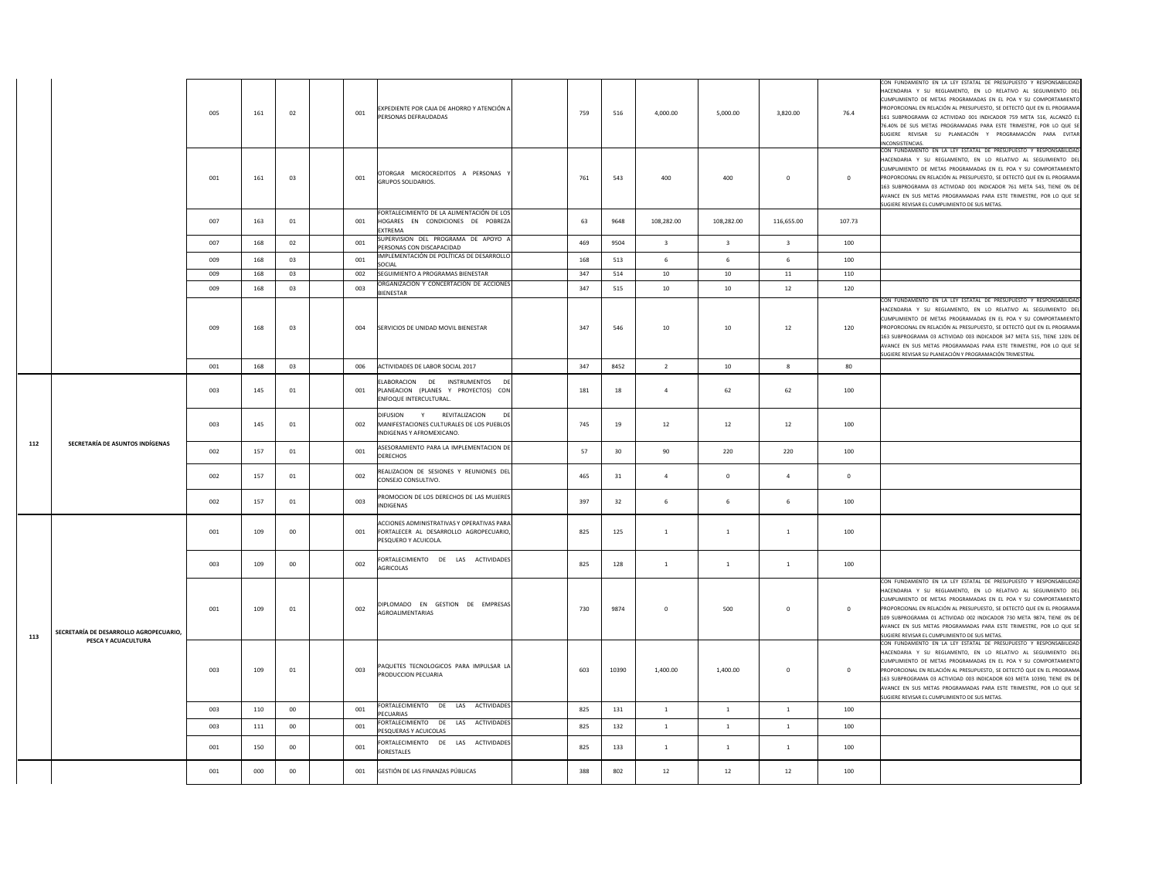|     |                                        | 005 | 161 | 02             | 001 | EXPEDIENTE POR CAJA DE AHORRO Y ATENCIÓN A<br>PERSONAS DEFRAUDADAS                                             | 759 | 516   | 4.000.00                | 5.000.00         | 3,820.00                | 76.4         | CON FUNDAMENTO EN LA LEY ESTATAL DE PRESUPUESTO Y RESPONSABILIDAD<br>HACENDARIA Y SU REGLAMENTO, EN LO RELATIVO AL SEGUIMIENTO DEL<br>CUMPLIMIENTO DE METAS PROGRAMADAS EN EL POA Y SU COMPORTAMIENTO<br>PROPORCIONAL EN RELACIÓN AL PRESUPUESTO, SE DETECTÓ QUE EN EL PROGRAMA<br>161 SUBPROGRAMA 02 ACTIVIDAD 001 INDICADOR 759 META 516, ALCANZÓ E<br>76.40% DE SUS METAS PROGRAMADAS PARA ESTE TRIMESTRE, POR LO QUE SI<br>SUGIERE REVISAR SU PLANEACIÓN Y PROGRAMACIÓN PARA EVITAR<br>INCONSISTENCIAS. |
|-----|----------------------------------------|-----|-----|----------------|-----|----------------------------------------------------------------------------------------------------------------|-----|-------|-------------------------|------------------|-------------------------|--------------|-------------------------------------------------------------------------------------------------------------------------------------------------------------------------------------------------------------------------------------------------------------------------------------------------------------------------------------------------------------------------------------------------------------------------------------------------------------------------------------------------------------|
|     |                                        | 001 | 161 | 03             | 001 | OTORGAR MICROCREDITOS A PERSONAS<br><b>GRUPOS SOLIDARIOS</b>                                                   | 761 | 543   | 400                     | 400              | $\mathbf 0$             | $\mathbf 0$  | CON FUNDAMENTO EN LA LEY ESTATAL DE PRESUPUESTO Y RESPONSABILIDAD<br>HACENDARIA Y SU REGLAMENTO, EN LO RELATIVO AL SEGUIMIENTO DEL<br>UMPLIMIENTO DE METAS PROGRAMADAS EN EL POA Y SU COMPORTAMIENTO<br>ROPORCIONAL EN RELACIÓN AL PRESUPUESTO, SE DETECTÓ QUE EN EL PROGRAMA<br>163 SUBPROGRAMA 03 ACTIVIDAD 001 INDICADOR 761 META 543, TIENE 0% DE<br>AVANCE EN SUS METAS PROGRAMADAS PARA ESTE TRIMESTRE, POR LO QUE SE<br>SUGIERE REVISAR EL CUMPLIMIENTO DE SUS METAS.                                |
|     |                                        | 007 | 163 | $_{01}$        | 001 | FORTALECIMIENTO DE LA ALIMENTACIÓN DE LOS<br>HOGARES EN CONDICIONES DE POBREZA<br>EXTREMA                      | 63  | 9648  | 108,282.00              | 108,282.00       | 116,655.00              | 107.73       |                                                                                                                                                                                                                                                                                                                                                                                                                                                                                                             |
|     |                                        | 007 | 168 | 02             | 001 | SUPERVISION DEL PROGRAMA DE APOYO A<br>PERSONAS CON DISCAPACIDAD                                               | 469 | 9504  | $\overline{\mathbf{3}}$ | $\overline{3}$   | $\overline{\mathbf{3}}$ | 100          |                                                                                                                                                                                                                                                                                                                                                                                                                                                                                                             |
|     |                                        | 009 | 168 | 03             | 001 | IMPLEMENTACIÓN DE POLÍTICAS DE DESARROLLO<br>SOCIAL                                                            | 168 | 513   | - 6                     | 6                | 6                       | 100          |                                                                                                                                                                                                                                                                                                                                                                                                                                                                                                             |
|     |                                        | 009 | 168 | 0 <sup>3</sup> | 002 | SEGUIMIENTO A PROGRAMAS BIENESTAR                                                                              | 347 | 514   | 10                      | 10               | 11                      | 110          |                                                                                                                                                                                                                                                                                                                                                                                                                                                                                                             |
|     |                                        | 009 | 168 | 0 <sup>3</sup> | 003 | ORGANIZACIÓN Y CONCERTACIÓN DE ACCIONES<br>BIENESTAR                                                           | 347 | 515   | 10                      | 10               | 12                      | 120          |                                                                                                                                                                                                                                                                                                                                                                                                                                                                                                             |
|     |                                        | 009 | 168 | 03             | 004 | SERVICIOS DE UNIDAD MOVIL BIENESTAR                                                                            | 347 | 546   | 10                      | 10               | $12\,$                  | 120          | CON FUNDAMENTO EN LA LEY ESTATAL DE PRESUPUESTO Y RESPONSABILIDAD<br>HACENDARIA Y SU REGLAMENTO. EN LO RELATIVO AL SEGUIMIENTO DE<br>CUMPLIMIENTO DE METAS PROGRAMADAS EN EL POA Y SU COMPORTAMIENTO<br>PROPORCIONAL EN RELACIÓN AL PRESUPUESTO, SE DETECTÓ QUE EN EL PROGRAMA<br>163 SUBPROGRAMA 03 ACTIVIDAD 003 INDICADOR 347 META 515, TIENE 120% DE<br>AVANCE EN SUS METAS PROGRAMADAS PARA ESTE TRIMESTRE, POR LO QUE SE<br>SUGIERE REVISAR SU PLANEACIÓN Y PROGRAMACIÓN TRIMESTRAL                   |
|     |                                        | 001 | 168 | 03             | 006 | ACTIVIDADES DE LABOR SOCIAL 2017                                                                               | 347 | 8452  | $\overline{2}$          | 10 <sub>10</sub> | $\boldsymbol{8}$        | 80           |                                                                                                                                                                                                                                                                                                                                                                                                                                                                                                             |
|     |                                        | 003 | 145 | 01             | 001 | ELABORACION DE INSTRUMENTOS<br>PLANEACION (PLANES Y PROYECTOS) CON<br>ENFOQUE INTERCULTURAL.                   | 181 | 18    | $\overline{a}$          | 62               | 62                      | 100          |                                                                                                                                                                                                                                                                                                                                                                                                                                                                                                             |
|     |                                        | 003 | 145 | 01             | 002 | DIFUSION<br>Y<br>REVITALIZACION<br>DE<br>MANIFESTACIONES CULTURALES DE LOS PUEBLOS<br>NDIGENAS Y AFROMEXICANO. | 745 | 19    | 12                      | 12               | 12                      | 100          |                                                                                                                                                                                                                                                                                                                                                                                                                                                                                                             |
| 112 | SECRETARÍA DE ASUNTOS INDÍGENAS        | 002 | 157 | $_{01}$        | 001 | ASESORAMIENTO PARA LA IMPLEMENTACION DE<br><b>DERECHOS</b>                                                     | 57  | 30    | 90                      | 220              | 220                     | 100          |                                                                                                                                                                                                                                                                                                                                                                                                                                                                                                             |
|     |                                        | 002 | 157 | 01             | 002 | REALIZACION DE SESIONES Y REUNIONES DEL<br>CONSEJO CONSULTIVO.                                                 | 465 | 31    | $\overline{a}$          | $\mathbf 0$      | $\overline{a}$          | $\mathbf 0$  |                                                                                                                                                                                                                                                                                                                                                                                                                                                                                                             |
|     |                                        | 002 | 157 | 01             | 003 | PROMOCION DE LOS DERECHOS DE LAS MUJERES<br>INDIGENAS                                                          | 397 | 32    | 6                       | 6                | 6                       | 100          |                                                                                                                                                                                                                                                                                                                                                                                                                                                                                                             |
|     |                                        | 001 | 109 | 00             | 001 | ACCIONES ADMINISTRATIVAS Y OPERATIVAS PARA<br>FORTALECER AL DESARROLLO AGROPECUARIO,<br>PESQUERO Y ACUICOLA.   | 825 | 125   | $\mathbf 1$             | $\mathbf{1}$     | $\,1\,$                 | 100          |                                                                                                                                                                                                                                                                                                                                                                                                                                                                                                             |
|     |                                        | 003 | 109 | 00             | 002 | FORTALECIMIENTO DE LAS ACTIVIDADES<br>AGRICOLAS                                                                | 825 | 128   | <sup>1</sup>            | $\mathbf{1}$     | <sup>1</sup>            | 100          |                                                                                                                                                                                                                                                                                                                                                                                                                                                                                                             |
| 113 | SECRETARÍA DE DESARROLLO AGROPECUARIO, | 001 | 109 | 01             | 002 | DIPLOMADO EN GESTION DE EMPRESAS<br>AGROALIMENTARIAS                                                           | 730 | 9874  | $\Omega$                | 500              | $\mathbf{0}$            | $\mathbf{0}$ | CON FUNDAMENTO EN LA LEY ESTATAL DE PRESUPUESTO Y RESPONSABILIDAD<br>HACENDARIA Y SU REGLAMENTO, EN LO RELATIVO AL SEGUIMIENTO DEL<br>CUMPLIMIENTO DE METAS PROGRAMADAS EN EL POA Y SU COMPORTAMIENTO<br>PROPORCIONAL EN RELACIÓN AL PRESUPUESTO. SE DETECTÓ QUE EN EL PROGRAMA<br>109 SUBPROGRAMA 01 ACTIVIDAD 002 INDICADOR 730 META 9874, TIENE 0% DE<br>AVANCE EN SUS METAS PROGRAMADAS PARA ESTE TRIMESTRE, POR LO QUE SE<br>SUGIERE REVISAR EL CUMPLIMIENTO DE SUS METAS                              |
|     | PESCA Y ACUACULTURA                    | 003 | 109 | 01             | 003 | PAQUETES TECNOLOGICOS PARA IMPULSAR LA<br>PRODUCCION PECUARIA                                                  | 603 | 10390 | 1,400.00                | 1,400.00         | $\mathbf{0}$            | $\mathbf 0$  | CON FUNDAMENTO EN LA LEY ESTATAL DE PRESUPUESTO Y RESPONSABILIDAD<br>HACENDARIA Y SU REGLAMENTO, EN LO RELATIVO AL SEGUIMIENTO DEL<br>CUMPLIMIENTO DE METAS PROGRAMADAS EN EL POA Y SU COMPORTAMIENTO<br>PROPORCIONAL EN RELACIÓN AL PRESUPUESTO, SE DETECTÓ QUE EN EL PROGRAMA<br>163 SUBPROGRAMA 03 ACTIVIDAD 003 INDICADOR 603 META 10390, TIENE 0% DE<br>AVANCE EN SUS METAS PROGRAMADAS PARA ESTE TRIMESTRE, POR LO QUE SE<br>SUGIERE REVISAR EL CUMPLIMIENTO DE SUS METAS.                            |
|     |                                        | 003 | 110 | 00             | 001 | FORTALECIMIENTO DE LAS ACTIVIDADES<br>PECUARIAS                                                                | 825 | 131   | $\mathbf{1}$            | $\mathbf{1}$     | $\mathbf{1}$            | 100          |                                                                                                                                                                                                                                                                                                                                                                                                                                                                                                             |
|     |                                        | 003 | 111 | $00\,$         | 001 | FORTALECIMIENTO DE LAS ACTIVIDADES<br>PESQUERAS Y ACUICOLAS                                                    | 825 | 132   | $\mathbf{1}$            | 1                | $\mathbf{1}$            | 100          |                                                                                                                                                                                                                                                                                                                                                                                                                                                                                                             |
|     |                                        | 001 | 150 | $00\,$         | 001 | ORTALECIMIENTO DE LAS ACTIVIDADES<br>FORESTALES                                                                | 825 | 133   | $\,1\,$                 | $\mathbf{1}$     | $\mathbf{1}$            | 100          |                                                                                                                                                                                                                                                                                                                                                                                                                                                                                                             |
|     |                                        | 001 | 000 | $00\,$         | 001 | GESTIÓN DE LAS FINANZAS PÚBLICAS                                                                               | 388 | 802   | 12                      | 12               | 12                      | 100          |                                                                                                                                                                                                                                                                                                                                                                                                                                                                                                             |
|     |                                        |     |     |                |     |                                                                                                                |     |       |                         |                  |                         |              |                                                                                                                                                                                                                                                                                                                                                                                                                                                                                                             |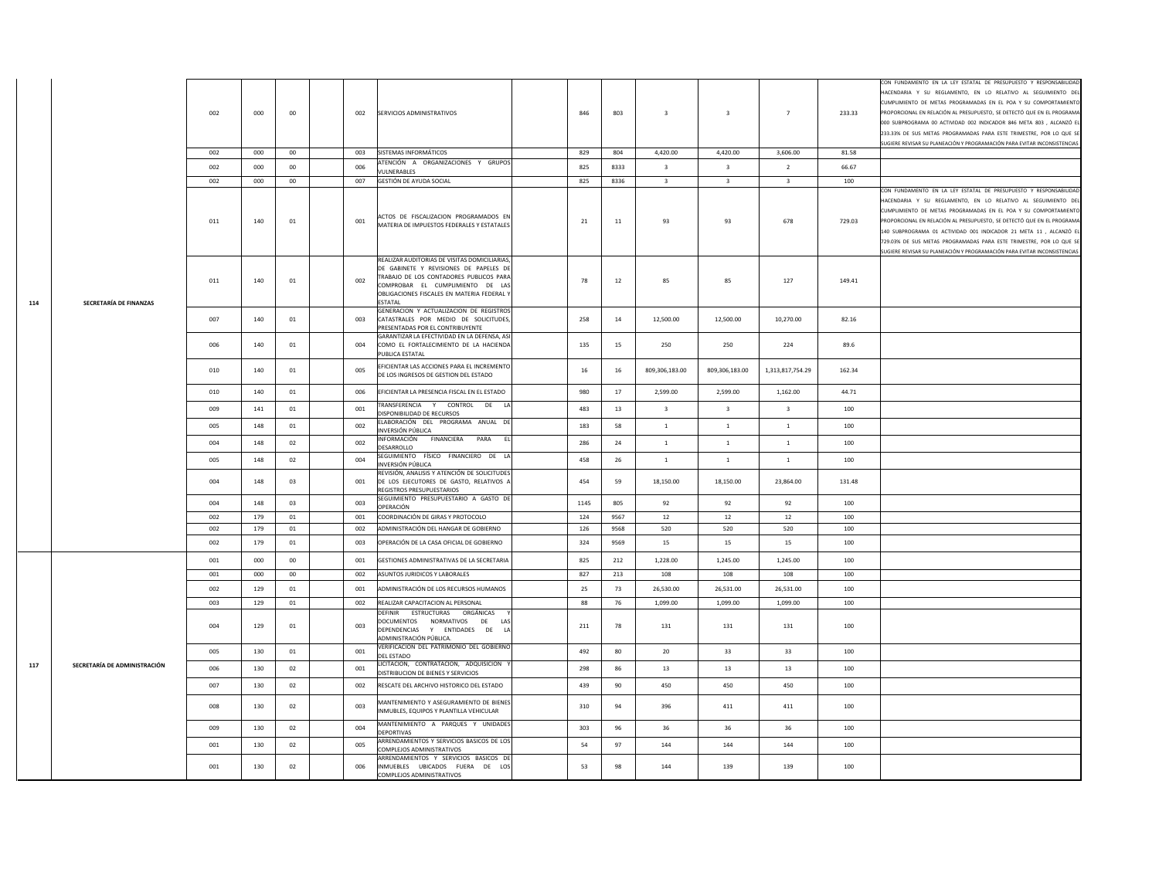|     |                              | 002<br>002<br>002<br>002 | 000<br>000<br>000<br>000 | 00<br>00<br>00<br>$00\,$ | 002<br>003<br>006<br>007 | SERVICIOS ADMINISTRATIVOS<br>SISTEMAS INFORMÁTICOS<br>ATENCIÓN A ORGANIZACIONES Y GRUPOS<br><b>VUI NERABLES</b><br>GESTIÓN DE AYUDA SOCIAL                                                                                            | 846<br>829<br>825<br>825 | 803<br>804<br>8333<br>8336 | $\overline{\mathbf{3}}$<br>4.420.00<br>$\overline{\mathbf{3}}$<br>$\overline{\mathbf{3}}$ | $\overline{\mathbf{3}}$<br>4.420.00<br>$\mathbf{R}$<br>$\mathbf{R}$ | $\overline{7}$<br>3.606.00<br>$\overline{2}$<br>$\mathbf{R}$ | 233.33<br>81.58<br>66.67<br>100 | CON FUNDAMENTO EN LA LEY ESTATAL DE PRESUPUESTO Y RESPONSABILIDAD<br>HACENDARIA Y SU REGLAMENTO, EN LO RELATIVO AL SEGUIMIENTO DEL<br>CUMPLIMIENTO DE METAS PROGRAMADAS EN EL POA Y SU COMPORTAMIENTO<br>PROPORCIONAL EN RELACIÓN AL PRESUPUESTO, SE DETECTÓ QUE EN EL PROGRAMA<br>000 SUBPROGRAMA 00 ACTIVIDAD 002 INDICADOR 846 META 803, ALCANZÓ EL<br>233.33% DE SUS METAS PROGRAMADAS PARA ESTE TRIMESTRE, POR LO QUE SE<br>SUGIERE REVISAR SU PLANEACIÓN Y PROGRAMACIÓN PARA EVITAR INCONSISTENCIAS<br>CON FUNDAMENTO EN LA LEY ESTATAL DE PRESUPUESTO Y RESPONSABILIDAD<br>HACENDARIA Y SU REGLAMENTO, EN LO RELATIVO AL SEGUIMIENTO DEL |
|-----|------------------------------|--------------------------|--------------------------|--------------------------|--------------------------|---------------------------------------------------------------------------------------------------------------------------------------------------------------------------------------------------------------------------------------|--------------------------|----------------------------|-------------------------------------------------------------------------------------------|---------------------------------------------------------------------|--------------------------------------------------------------|---------------------------------|-------------------------------------------------------------------------------------------------------------------------------------------------------------------------------------------------------------------------------------------------------------------------------------------------------------------------------------------------------------------------------------------------------------------------------------------------------------------------------------------------------------------------------------------------------------------------------------------------------------------------------------------------|
|     |                              | 011                      | 140                      | 01                       | 001                      | ACTOS DE FISCALIZACION PROGRAMADOS EN<br>MATERIA DE IMPUESTOS FEDERALES Y ESTATALES                                                                                                                                                   | 21                       | 11                         | 93                                                                                        | 93                                                                  | 678                                                          | 729.03                          | CUMPLIMIENTO DE METAS PROGRAMADAS EN EL POA Y SU COMPORTAMIENTO<br>PROPORCIONAL EN RELACIÓN AL PRESUPUESTO, SE DETECTÓ QUE EN EL PROGRAMA<br>140 SUBPROGRAMA 01 ACTIVIDAD 001 INDICADOR 21 META 11 , ALCANZÓ EL<br>729.03% DE SUS METAS PROGRAMADAS PARA ESTE TRIMESTRE, POR LO QUE SE<br>SUGIERE REVISAR SU PLANEACIÓN Y PROGRAMACIÓN PARA EVITAR INCONSISTENCIAS                                                                                                                                                                                                                                                                              |
| 114 | SECRETARÍA DE FINANZAS       | 011                      | 140                      | $_{01}$                  | 002                      | REALIZAR AUDITORIAS DE VISITAS DOMICILIARIAS<br>DE GABINETE Y REVISIONES DE PAPELES DE<br>TRABAJO DE LOS CONTADORES PUBLICOS PARA<br>COMPROBAR EL CUMPLIMIENTO DE LAS<br>OBLIGACIONES FISCALES EN MATERIA FEDERAL Y<br><b>FSTATAI</b> | 78                       | $12\,$                     | 85                                                                                        | 85                                                                  | 127                                                          | 149.41                          |                                                                                                                                                                                                                                                                                                                                                                                                                                                                                                                                                                                                                                                 |
|     |                              | 007                      | 140                      | 01                       | 003                      | GENERACION Y ACTUALIZACION DE REGISTROS<br>CATASTRALES POR MEDIO DE SOLICITUDES,<br>PRESENTADAS POR EL CONTRIBUYENTE<br>GARANTIZAR LA EFECTIVIDAD EN LA DEFENSA, ASI                                                                  | 258                      | 14                         | 12,500.00                                                                                 | 12,500.00                                                           | 10,270.00                                                    | 82.16                           |                                                                                                                                                                                                                                                                                                                                                                                                                                                                                                                                                                                                                                                 |
|     |                              | 006                      | 140                      | $_{01}$                  | 004                      | COMO EL FORTALECIMIENTO DE LA HACIENDA<br>PUBLICA ESTATAL                                                                                                                                                                             | 135                      | 15                         | 250                                                                                       | 250                                                                 | 224                                                          | 89.6                            |                                                                                                                                                                                                                                                                                                                                                                                                                                                                                                                                                                                                                                                 |
|     |                              | 010                      | 140                      | 01                       | 005                      | EFICIENTAR LAS ACCIONES PARA EL INCREMENTO<br>DE LOS INGRESOS DE GESTION DEL ESTADO                                                                                                                                                   | $16\,$                   | 16                         | 809,306,183.00                                                                            | 809,306,183.00                                                      | 1,313,817,754.29                                             | 162.34                          |                                                                                                                                                                                                                                                                                                                                                                                                                                                                                                                                                                                                                                                 |
|     |                              | 010                      | 140                      | 01                       | 006                      | EFICIENTAR LA PRESENCIA FISCAL EN EL ESTADO                                                                                                                                                                                           | 980                      | 17                         | 2,599.00                                                                                  | 2,599.00                                                            | 1,162.00                                                     | 44.71                           |                                                                                                                                                                                                                                                                                                                                                                                                                                                                                                                                                                                                                                                 |
|     |                              | 009                      | 141                      | 01                       | 001                      | TRANSFERENCIA Y CONTROL DE LA<br>DISPONIBILIDAD DE RECURSOS                                                                                                                                                                           | 483                      | 13                         | $\overline{\mathbf{3}}$                                                                   | $\overline{\mathbf{3}}$                                             | $\overline{\mathbf{3}}$                                      | 100                             |                                                                                                                                                                                                                                                                                                                                                                                                                                                                                                                                                                                                                                                 |
|     |                              | 005                      | 148                      | 01                       | 002                      | ELABORACIÓN DEL PROGRAMA ANUAL DE<br>INVERSIÓN PÚBLICA                                                                                                                                                                                | 183                      | 58                         | <sup>1</sup>                                                                              | $\mathbf{1}$                                                        | <sup>1</sup>                                                 | 100                             |                                                                                                                                                                                                                                                                                                                                                                                                                                                                                                                                                                                                                                                 |
|     |                              | 004                      | 148                      | 02                       | 002                      | INFORMACIÓN FINANCIERA PARA<br>- EL<br>DESARROLLO                                                                                                                                                                                     | 286                      | 24                         | $\,$ 1 $\,$                                                                               | $\mathbf{1}$                                                        | $\mathbf{1}$                                                 | 100                             |                                                                                                                                                                                                                                                                                                                                                                                                                                                                                                                                                                                                                                                 |
|     |                              | 005                      | 148                      | 02                       | 004                      | SEGUIMIENTO FÍSICO FINANCIERO DE LA<br>INVERSIÓN PÚBLICA                                                                                                                                                                              | 458                      | 26                         | $\mathbf{1}$                                                                              | $\mathbf{1}$                                                        | $\mathbf{1}$                                                 | 100                             |                                                                                                                                                                                                                                                                                                                                                                                                                                                                                                                                                                                                                                                 |
|     |                              | 004                      | 148                      | 03                       | 001                      | REVISIÓN, ANALISIS Y ATENCIÓN DE SOLICITUDES<br>DE LOS EJECUTORES DE GASTO, RELATIVOS A<br>REGISTROS PRESUPUESTARIOS                                                                                                                  | 454                      | 59                         | 18,150.00                                                                                 | 18,150.00                                                           | 23,864.00                                                    | 131.48                          |                                                                                                                                                                                                                                                                                                                                                                                                                                                                                                                                                                                                                                                 |
|     |                              | 004                      | 148                      | 03                       | 003                      | SEGUIMIENTO PRESUPUESTARIO A GASTO DE<br>OPERACIÓN                                                                                                                                                                                    | 1145                     | 805                        | 92                                                                                        | 92                                                                  | 92                                                           | 100                             |                                                                                                                                                                                                                                                                                                                                                                                                                                                                                                                                                                                                                                                 |
|     |                              | 002                      | 179                      | 01                       | 001                      | COORDINACIÓN DE GIRAS Y PROTOCOLO                                                                                                                                                                                                     | 124                      | 9567                       | 12                                                                                        | $12\,$                                                              | $12\,$                                                       | 100                             |                                                                                                                                                                                                                                                                                                                                                                                                                                                                                                                                                                                                                                                 |
|     |                              | 002<br>002               | 179<br>179               | 01<br>01                 | 002<br>003               | ADMINISTRACIÓN DEL HANGAR DE GOBIERNO<br>OPERACIÓN DE LA CASA OFICIAL DE GOBIERNO                                                                                                                                                     | 126<br>324               | 9568<br>9569               | 520<br>15                                                                                 | 520<br>15                                                           | 520<br>15                                                    | 100<br>100                      |                                                                                                                                                                                                                                                                                                                                                                                                                                                                                                                                                                                                                                                 |
|     |                              | 001                      | 000                      | $00\,$                   | 001                      | GESTIONES ADMINISTRATIVAS DE LA SECRETARIA                                                                                                                                                                                            | 825                      | 212                        | 1,228.00                                                                                  | 1.245.00                                                            | 1,245.00                                                     | 100                             |                                                                                                                                                                                                                                                                                                                                                                                                                                                                                                                                                                                                                                                 |
|     |                              | 001                      | 000                      | $00\,$                   | 002                      | ASUNTOS JURIDICOS Y LABORALES                                                                                                                                                                                                         | 827                      | 213                        | 108                                                                                       | 108                                                                 | 108                                                          | 100                             |                                                                                                                                                                                                                                                                                                                                                                                                                                                                                                                                                                                                                                                 |
|     |                              | 002                      | 129                      | 01                       | 001                      | ADMINISTRACIÓN DE LOS RECURSOS HUMANOS                                                                                                                                                                                                | 25                       | 73                         | 26,530.00                                                                                 | 26,531.00                                                           | 26,531.00                                                    | 100                             |                                                                                                                                                                                                                                                                                                                                                                                                                                                                                                                                                                                                                                                 |
|     |                              | 003                      | 129                      | 01                       | 002                      | REALIZAR CAPACITACION AL PERSONAL                                                                                                                                                                                                     | 88                       | 76                         | 1,099.00                                                                                  | 1,099.00                                                            | 1,099.00                                                     | 100                             |                                                                                                                                                                                                                                                                                                                                                                                                                                                                                                                                                                                                                                                 |
|     |                              | 004                      | 129                      | 01                       | 003                      | DEFINIR ESTRUCTURAS ORGÁNICAS<br>DOCUMENTOS NORMATIVOS DE LAS<br>DEPENDENCIAS Y ENTIDADES DE LA<br>ADMINISTRACIÓN PÚBLICA.                                                                                                            | 211                      | 78                         | 131                                                                                       | 131                                                                 | 131                                                          | 100                             |                                                                                                                                                                                                                                                                                                                                                                                                                                                                                                                                                                                                                                                 |
|     |                              | 005                      | 130                      | 01                       | 001                      | VERIFICACION DEL PATRIMONIO DEL GOBIERNO<br>DEL ESTADO                                                                                                                                                                                | 492                      | 80                         | 20                                                                                        | 33                                                                  | 33                                                           | 100                             |                                                                                                                                                                                                                                                                                                                                                                                                                                                                                                                                                                                                                                                 |
| 117 | SECRETARÍA DE ADMINISTRACIÓN | 006                      | 130                      | 02                       | 001                      | LICITACION, CONTRATACION, ADQUISICION \<br>DISTRIBUCION DE BIENES Y SERVICIOS                                                                                                                                                         | 298                      | 86                         | 13                                                                                        | 13                                                                  | 13                                                           | 100                             |                                                                                                                                                                                                                                                                                                                                                                                                                                                                                                                                                                                                                                                 |
|     |                              | 007                      | 130                      | 02                       | 002                      | RESCATE DEL ARCHIVO HISTORICO DEL ESTADO                                                                                                                                                                                              | 439                      | 90                         | 450                                                                                       | 450                                                                 | 450                                                          | 100                             |                                                                                                                                                                                                                                                                                                                                                                                                                                                                                                                                                                                                                                                 |
|     |                              | 008                      | 130                      | 02                       | 003                      | MANTENIMIENTO Y ASEGURAMIENTO DE BIENES<br>INMUBLES, EQUIPOS Y PLANTILLA VEHICULAR                                                                                                                                                    | 310                      | 94                         | 396                                                                                       | 411                                                                 | 411                                                          | 100                             |                                                                                                                                                                                                                                                                                                                                                                                                                                                                                                                                                                                                                                                 |
|     |                              | 009                      | 130                      | 02                       | 004                      | MANTENIMIENTO A PARQUES Y UNIDADES<br>DEPORTIVAS                                                                                                                                                                                      | 303                      | 96                         | 36                                                                                        | 36                                                                  | 36                                                           | 100                             |                                                                                                                                                                                                                                                                                                                                                                                                                                                                                                                                                                                                                                                 |
|     |                              | 001                      | 130                      | 02                       | 005                      | ARRENDAMIENTOS Y SERVICIOS BASICOS DE LOS<br>COMPLEJOS ADMINISTRATIVOS                                                                                                                                                                | 54                       | 97                         | 144                                                                                       | 144                                                                 | 144                                                          | 100                             |                                                                                                                                                                                                                                                                                                                                                                                                                                                                                                                                                                                                                                                 |
|     |                              | 001                      | 130                      | 02                       | 006                      | ARRENDAMIENTOS Y SERVICIOS BASICOS DE<br>INMUEBLES UBICADOS FUERA DE LOS<br>COMPLEJOS ADMINISTRATIVOS                                                                                                                                 | 53                       | 98                         | 144                                                                                       | 139                                                                 | 139                                                          | 100                             |                                                                                                                                                                                                                                                                                                                                                                                                                                                                                                                                                                                                                                                 |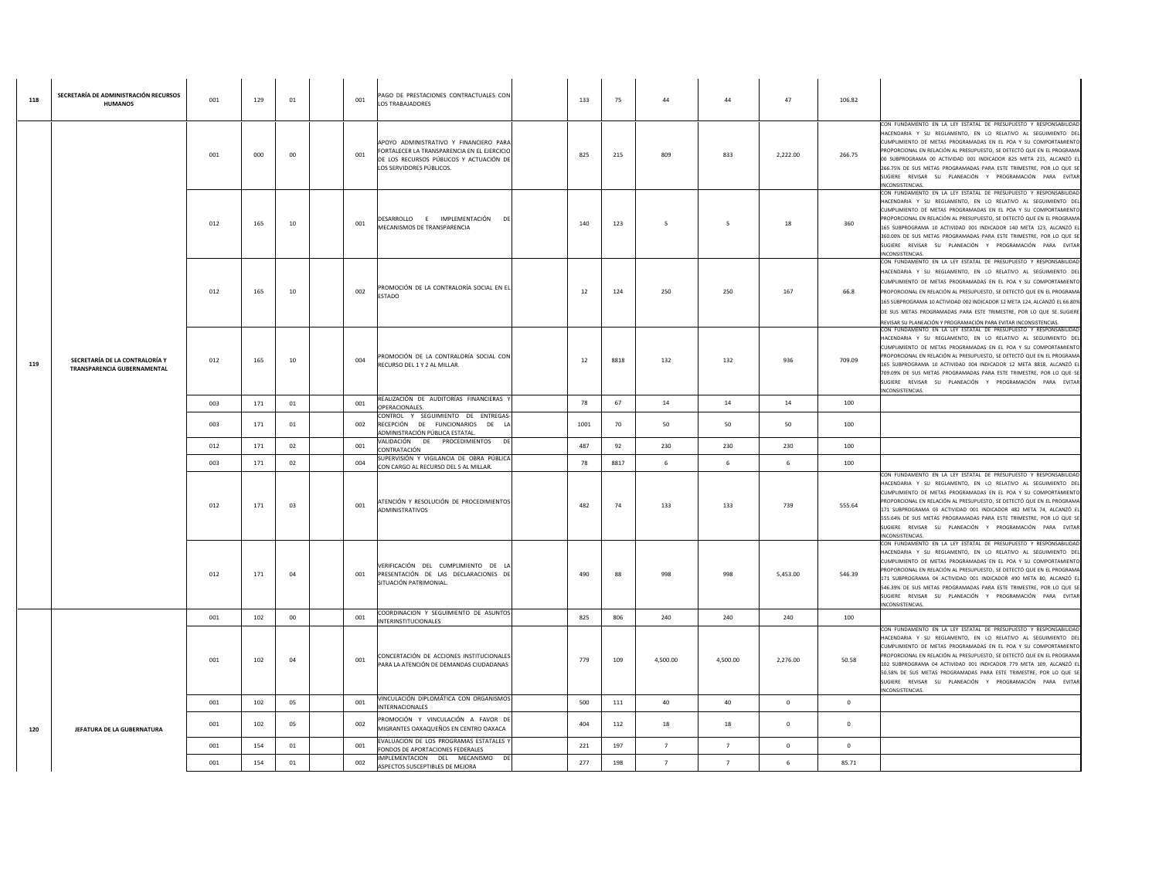| 118 | SECRETARÍA DE ADMINISTRACIÓN RECURSOS<br><b>HUMANOS</b>       | 001 | 129 | 01 | 001 | PAGO DE PRESTACIONES CONTRACTUALES CON<br>LOS TRABAJADORES                                                                                                   | 133  | 75   | 44             | 44             | 47             | 106.82         |                                                                                                                                                                                                                                                                                                                                                                                                                                                                                                               |
|-----|---------------------------------------------------------------|-----|-----|----|-----|--------------------------------------------------------------------------------------------------------------------------------------------------------------|------|------|----------------|----------------|----------------|----------------|---------------------------------------------------------------------------------------------------------------------------------------------------------------------------------------------------------------------------------------------------------------------------------------------------------------------------------------------------------------------------------------------------------------------------------------------------------------------------------------------------------------|
|     |                                                               | 001 | 000 | 00 | 001 | APOYO ADMINISTRATIVO Y FINANCIERO PARA<br>FORTALECER LA TRANSPARENCIA EN EL EJERCICIO<br>DE LOS RECURSOS PÚBLICOS Y ACTUACIÓN DE<br>LOS SERVIDORES PÚBLICOS. | 825  | 215  | 809            | 833            | 2,222.00       | 266.75         | CON FUNDAMENTO EN LA LEY ESTATAL DE PRESUPUESTO Y RESPONSABILIDA<br>HACENDARIA Y SU REGLAMENTO, EN LO RELATIVO AL SEGUIMIENTO DE<br>CUMPLIMIENTO DE METAS PROGRAMADAS EN EL POA Y SU COMPORTAMIENTI<br>PROPORCIONAL EN RELACIÓN AL PRESUPUESTO, SE DETECTÓ QUE EN EL PROGRAM<br>00 SUBPROGRAMA 00 ACTIVIDAD 001 INDICADOR 825 META 215, ALCANZÓ E<br>266.75% DE SUS METAS PROGRAMADAS PARA ESTE TRIMESTRE, POR LO QUE SI<br>SUGIERE REVISAR SU PLANEACIÓN Y PROGRAMACIÓN PARA EVITAR<br>INCONSISTENCIAS.      |
|     |                                                               | 012 | 165 | 10 | 001 | DESARROLLO E IMPLEMENTACIÓN<br>D<br>MECANISMOS DE TRANSPARENCIA                                                                                              | 140  | 123  | - 5            | - 5            | 18             | 360            | CON FUNDAMENTO EN LA LEY ESTATAL DE PRESUPUESTO Y RESPONSABILIDAD<br>HACENDARIA Y SU REGLAMENTO, EN LO RELATIVO AL SEGUIMIENTO DE<br>CUMPLIMIENTO DE METAS PROGRAMADAS EN EL POA Y SU COMPORTAMIENTO<br>PROPORCIONAL EN RELACIÓN AL PRESUPUESTO, SE DETECTÓ QUE EN EL PROGRAM<br>165 SUBPROGRAMA 10 ACTIVIDAD 001 INDICADOR 140 META 123, ALCANZÓ E<br>360.00% DE SUS METAS PROGRAMADAS PARA ESTE TRIMESTRE, POR LO QUE S<br>SUGIERE REVISAR SU PLANEACIÓN Y PROGRAMACIÓN PARA EVITA<br>INCONSISTENCIAS.      |
|     |                                                               | 012 | 165 | 10 | 002 | PROMOCIÓN DE LA CONTRALORÍA SOCIAL EN EL<br><b>ESTADO</b>                                                                                                    | 12   | 124  | 250            | 250            | 167            | 66.8           | CON FUNDAMENTO EN LA LEY ESTATAL DE PRESUPUESTO Y RESPONSABILIDA<br>HACENDARIA Y SU REGLAMENTO, EN LO RELATIVO AL SEGUIMIENTO DE<br>CUMPLIMIENTO DE METAS PROGRAMADAS EN EL POA Y SU COMPORTAMIENTO<br>PROPORCIONAL EN RELACIÓN AL PRESUPUESTO. SE DETECTÓ QUE EN EL PROGRAM<br>165 SUBPROGRAMA 10 ACTIVIDAD 002 INDICADOR 12 META 124, ALCANZÓ EL 66.809<br>DE SUS METAS PROGRAMADAS PARA ESTE TRIMESTRE, POR LO QUE SE SUGIERI<br>REVISAR SU PLANEACIÓN Y PROGRAMACIÓN PARA EVITAR INCONSISTENCIAS.         |
| 119 | SECRETARÍA DE LA CONTRALORÍA Y<br>TRANSPARENCIA GUBERNAMENTAL | 012 | 165 | 10 | 004 | PROMOCIÓN DE LA CONTRALORÍA SOCIAL CON<br>RECURSO DEL 1 Y 2 AL MILLAR.                                                                                       | 12   | 8818 | 132            | 132            | 936            | 709.09         | CON FUNDAMENTO EN LA LEY ESTATAL DE PRESUPUESTO Y RESPONSABILIDA<br>HACENDARIA Y SU REGLAMENTO. EN LO RELATIVO AL SEGUIMIENTO DE<br>CUMPLIMIENTO DE METAS PROGRAMADAS EN EL POA Y SU COMPORTAMIENTO<br>PROPORCIONAL EN RELACIÓN AL PRESUPUESTO, SE DETECTÓ QUE EN EL PROGRAM/<br>165 SUBPROGRAMA 10 ACTIVIDAD 004 INDICADOR 12 META 8818, ALCANZÓ E<br>709.09% DE SUS METAS PROGRAMADAS PARA ESTE TRIMESTRE, POR LO QUE S<br>SUGIERE REVISAR SU PLANEACIÓN Y PROGRAMACIÓN PARA EVITAR<br>INCONSISTENCIAS.     |
|     |                                                               | 003 | 171 | 01 | 001 | REALIZACIÓN DE AUDITORÍAS FINANCIERAS<br>OPERACIONALES.                                                                                                      | 78   | 67   | 14             | 14             | 14             | 100            |                                                                                                                                                                                                                                                                                                                                                                                                                                                                                                               |
|     |                                                               | 003 | 171 | 01 | 002 | CONTROL Y SEGUIMIENTO DE ENTREGAS<br>RECEPCIÓN DE FUNCIONARIOS DE LA<br>ADMINISTRACIÓN PÚBLICA ESTATAL                                                       | 1001 | 70   | 50             | 50             | 50             | 100            |                                                                                                                                                                                                                                                                                                                                                                                                                                                                                                               |
|     |                                                               | 012 | 171 | 02 | 001 | VALIDACIÓN DE PROCEDIMIENTOS DE<br>CONTRATACIÓN                                                                                                              | 487  | 92   | 230            | 230            | 230            | 100            |                                                                                                                                                                                                                                                                                                                                                                                                                                                                                                               |
|     |                                                               | 003 | 171 | 02 | 004 | SUPERVISIÓN Y VIGILANCIA DE OBRA PÚBLICA<br>CON CARGO AL RECURSO DEL 5 AL MILLAR.                                                                            | 78   | 8817 | -6             | 6              | -6             | 100            |                                                                                                                                                                                                                                                                                                                                                                                                                                                                                                               |
|     |                                                               | 012 | 171 | 03 | 001 | ATENCIÓN Y RESOLUCIÓN DE PROCEDIMIENTOS<br>ADMINISTRATIVOS                                                                                                   | 482  | 74   | 133            | 133            | 739            | 555.64         | CON FUNDAMENTO EN LA LEY ESTATAL DE PRESUPUESTO Y RESPONSABILIDAD<br>HACENDARIA Y SU REGLAMENTO, EN LO RELATIVO AL SEGUIMIENTO DI<br>CUMPLIMIENTO DE METAS PROGRAMADAS EN EL POA Y SU COMPORTAMIENTO<br>PROPORCIONAL EN RELACIÓN AL PRESUPUESTO, SE DETECTÓ QUE EN EL PROGRAM<br>171 SUBPROGRAMA 03 ACTIVIDAD 001 INDICADOR 482 META 74, ALCANZÓ E<br>555.64% DE SUS METAS PROGRAMADAS PARA ESTE TRIMESTRE, POR LO QUE S<br>SUGIERE REVISAR SU PLANEACIÓN Y PROGRAMACIÓN PARA EVITA<br><b>INCONSISTENCIAS</b> |
|     |                                                               | 012 | 171 | 04 | 001 | VERIFICACIÓN DEL CUMPLIMIENTO DE L<br>PRESENTACIÓN DE LAS DECLARACIONES DE<br>SITUACIÓN PATRIMONIAL.                                                         | 490  | 88   | 998            | 998            | 5,453.00       | 546.39         | CON FUNDAMENTO EN LA LEY ESTATAL DE PRESUPUESTO Y RESPONSABILIDA<br>HACENDARIA Y SU REGLAMENTO, EN LO RELATIVO AL SEGUIMIENTO DE<br>CUMPLIMIENTO DE METAS PROGRAMADAS EN EL POA Y SU COMPORTAMIENT<br>PROPORCIONAL EN RELACIÓN AL PRESUPUESTO, SE DETECTÓ QUE EN EL PROGRAM<br>171 SUBPROGRAMA 04 ACTIVIDAD 001 INDICADOR 490 META 80, ALCANZÓ E<br>546.39% DE SUS METAS PROGRAMADAS PARA ESTE TRIMESTRE, POR LO QUE S<br>SUGIERE REVISAR SU PLANEACIÓN Y PROGRAMACIÓN PARA EVITAR<br>INCONSISTENCIAS.        |
|     |                                                               | 001 | 102 | 00 | 001 | COORDINACION Y SEGUIMIENTO DE ASUNTOS<br><b>INTERINSTITUCIONALES</b>                                                                                         | 825  | 806  | 240            | 240            | 240            | 100            |                                                                                                                                                                                                                                                                                                                                                                                                                                                                                                               |
|     |                                                               | 001 | 102 | 04 | 001 | CONCERTACIÓN DE ACCIONES INSTITUCIONALES<br>PARA LA ATENCIÓN DE DEMANDAS CIUDADANAS                                                                          | 779  | 109  | 4.500.00       | 4.500.00       | 2.276.00       | 50.58          | CON FUNDAMENTO EN LA LEY ESTATAL DE PRESUPUESTO Y RESPONSABILIDA<br>HACENDARIA Y SU REGLAMENTO, EN LO RELATIVO AL SEGUIMIENTO DE<br>CUMPLIMIENTO DE METAS PROGRAMADAS EN EL POA Y SU COMPORTAMIENTO<br>PROPORCIONAL EN RELACIÓN AL PRESUPUESTO. SE DETECTÓ QUE EN EL PROGRAM<br>102 SUBPROGRAMA 04 ACTIVIDAD 001 INDICADOR 779 META 109, ALCANZÓ E<br>50.58% DE SUS METAS PROGRAMADAS PARA ESTE TRIMESTRE, POR LO QUE S<br>SUGIERE REVISAR SU PLANEACIÓN Y PROGRAMACIÓN PARA EVITAR<br>INCONSISTENCIAS.       |
|     |                                                               | 001 | 102 | 05 | 001 | VINCULACIÓN DIPLOMÁTICA CON ORGANISMOS<br><b>INTERNACIONALES</b>                                                                                             | 500  | 111  | 40             | 40             | $\overline{0}$ | $\overline{0}$ |                                                                                                                                                                                                                                                                                                                                                                                                                                                                                                               |
| 120 | JEFATURA DE LA GUBERNATURA                                    | 001 | 102 | 05 | 002 | PROMOCIÓN Y VINCULACIÓN A FAVOR DI<br>MIGRANTES OAXAQUEÑOS EN CENTRO OAXACA                                                                                  | 404  | 112  | 18             | 18             | $\overline{0}$ | $\Omega$       |                                                                                                                                                                                                                                                                                                                                                                                                                                                                                                               |
|     |                                                               | 001 | 154 | 01 | 001 | EVALUACION DE LOS PROGRAMAS ESTATALES Y<br>FONDOS DE APORTACIONES FEDERALES                                                                                  | 221  | 197  | $\overline{7}$ | $\overline{7}$ | $\overline{0}$ | $\overline{0}$ |                                                                                                                                                                                                                                                                                                                                                                                                                                                                                                               |
|     |                                                               | 001 | 154 | 01 | 002 | IMPLEMENTACION DEL MECANISMO DE<br>ASPECTOS SUSCEPTIBLES DE MEJORA                                                                                           | 277  | 198  | $\overline{7}$ | $\overline{7}$ |                | 85.71          |                                                                                                                                                                                                                                                                                                                                                                                                                                                                                                               |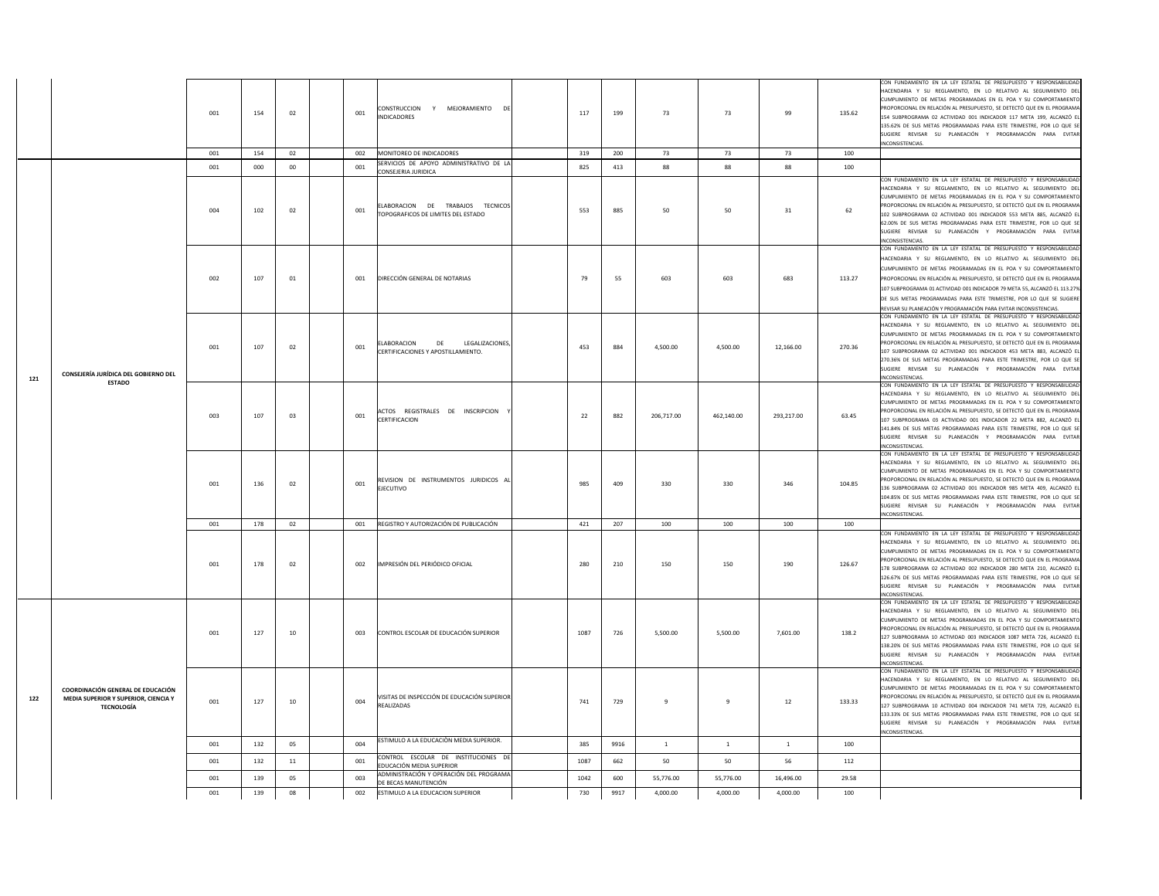|     |                                                                                                | 001 | 154 | 02     | 001 | CONSTRUCCION Y MEJORAMIENTO DE<br><b>INDICADORES</b>                                          | 117  | 199  | 73           | 73           | 99           | 135.62 | CON FUNDAMENTO EN LA LEY ESTATAL DE PRESUPUESTO Y RESPONSABILIDAD<br>HACENDARIA Y SU REGLAMENTO. EN LO RELATIVO AL SEGUIMIENTO DEL<br>CUMPLIMIENTO DE METAS PROGRAMADAS EN EL POA Y SU COMPORTAMIENTO<br>PROPORCIONAL EN RELACIÓN AL PRESUPUESTO, SE DETECTÓ QUE EN EL PROGRAMA<br>154 SUBPROGRAMA 02 ACTIVIDAD 001 INDICADOR 117 META 199, ALCANZÓ E<br>135.62% DE SUS METAS PROGRAMADAS PARA ESTE TRIMESTRE, POR LO QUE SE<br>SUGIERE REVISAR SU PLANEACIÓN Y PROGRAMACIÓN PARA EVITAR<br>INCONSISTENCIAS.       |
|-----|------------------------------------------------------------------------------------------------|-----|-----|--------|-----|-----------------------------------------------------------------------------------------------|------|------|--------------|--------------|--------------|--------|--------------------------------------------------------------------------------------------------------------------------------------------------------------------------------------------------------------------------------------------------------------------------------------------------------------------------------------------------------------------------------------------------------------------------------------------------------------------------------------------------------------------|
|     |                                                                                                | 001 | 154 | 02     | 002 | MONITOREO DE INDICADORES                                                                      | 319  | 200  | 73           | 73           | 73           | 100    |                                                                                                                                                                                                                                                                                                                                                                                                                                                                                                                    |
|     |                                                                                                | 001 | 000 | $00\,$ | 001 | SERVICIOS DE APOYO ADMINISTRATIVO DE LA                                                       | 825  | 413  | 88           | 88           | 88           | 100    |                                                                                                                                                                                                                                                                                                                                                                                                                                                                                                                    |
|     |                                                                                                | 004 | 102 | 02     | 001 | CONSEJERIA JURIDICA<br>ELABORACION DE TRABAJOS TECNICOS<br>TOPOGRAFICOS DE LIMITES DEL ESTADO | 553  | 885  | 50           | 50           | 31           | 62     | CON FUNDAMENTO EN LA LEY ESTATAL DE PRESUPUESTO Y RESPONSABILIDAD<br>HACENDARIA Y SU REGLAMENTO. EN LO RELATIVO AL SEGUIMIENTO DEL<br>CUMPLIMIENTO DE METAS PROGRAMADAS EN EL POA Y SU COMPORTAMIENTO<br>PROPORCIONAL EN RELACIÓN AL PRESUPUESTO, SE DETECTÓ QUE EN EL PROGRAMA<br>102 SUBPROGRAMA 02 ACTIVIDAD 001 INDICADOR 553 META 885, ALCANZÓ EL<br>62.00% DE SUS METAS PROGRAMADAS PARA ESTE TRIMESTRE, POR LO QUE SE<br>SUGIERE REVISAR SU PLANEACIÓN Y PROGRAMACIÓN PARA EVITAR<br>INCONSISTENCIAS.       |
|     |                                                                                                | 002 | 107 | 01     | 001 | DIRECCIÓN GENERAL DE NOTARIAS                                                                 | 79   | 55   | 603          | 603          | 683          | 113.27 | ON FUNDAMENTO EN LA LEY ESTATAL DE PRESUPUESTO Y RESPONSABILIDAD<br>HACENDARIA Y SU REGLAMENTO, EN LO RELATIVO AL SEGUIMIENTO DEL<br>CUMPLIMIENTO DE METAS PROGRAMADAS EN EL POA Y SU COMPORTAMIENTO<br>PROPORCIONAL EN RELACIÓN AL PRESUPUESTO, SE DETECTÓ QUE EN EL PROGRAMA<br>107 SUBPROGRAMA 01 ACTIVIDAD 001 INDICADOR 79 META 55, ALCANZÓ EL 113.27%<br>DE SUS METAS PROGRAMADAS PARA ESTE TRIMESTRE, POR LO QUE SE SUGIERE<br>REVISAR SU PLANEACIÓN Y PROGRAMACIÓN PARA EVITAR INCONSISTENCIAS.            |
| 121 | CONSEJERÍA JURÍDICA DEL GOBIERNO DEL                                                           | 001 | 107 | 02     | 001 | DE<br>LEGALIZACIONES<br>ELABORACION<br>CERTIFICACIONES Y APOSTILLAMIENTO.                     | 453  | 884  | 4,500.00     | 4,500.00     | 12,166.00    | 270.36 | CON FUNDAMENTO EN LA LEY ESTATAL DE PRESUPUESTO Y RESPONSABILIDAD<br>HACENDARIA Y SU REGLAMENTO, EN LO RELATIVO AL SEGUIMIENTO DEL<br>CUMPLIMIENTO DE METAS PROGRAMADAS EN EL POA Y SU COMPORTAMIENTO<br>PROPORCIONAL EN RELACIÓN AL PRESUPUESTO, SE DETECTÓ QUE EN EL PROGRAMA<br>107 SUBPROGRAMA 02 ACTIVIDAD 001 INDICADOR 453 META 883, ALCANZÓ EL<br>270.36% DE SUS METAS PROGRAMADAS PARA ESTE TRIMESTRE. POR LO QUE SE<br>SUGIERE REVISAR SU PLANEACIÓN Y PROGRAMACIÓN PARA EVITAR<br>INCONSISTENCIAS.      |
|     | <b>ESTADO</b>                                                                                  | 003 | 107 | 03     | 001 | ACTOS REGISTRALES DE INSCRIPCION<br>CERTIFICACION                                             | 22   | 882  | 206.717.00   | 462.140.00   | 293.217.00   | 63.45  | CON FUNDAMENTO EN LA LEY ESTATAL DE PRESUPUESTO Y RESPONSABILIDAD<br>HACENDARIA Y SU REGLAMENTO, EN LO RELATIVO AL SEGUIMIENTO DEL<br>CUMPLIMIENTO DE METAS PROGRAMADAS EN EL POA Y SU COMPORTAMIENTO<br>PROPORCIONAL EN RELACIÓN AL PRESUPUESTO, SE DETECTÓ QUE EN EL PROGRAMA<br>107 SUBPROGRAMA 03 ACTIVIDAD 001 INDICADOR 22 META 882, ALCANZÓ EL<br>141.84% DE SUS METAS PROGRAMADAS PARA ESTE TRIMESTRE, POR LO QUE SE<br>SUGIERE REVISAR SU PLANEACIÓN Y PROGRAMACIÓN PARA EVITAR<br>NCONSISTENCIAS.        |
|     |                                                                                                | 001 | 136 | 02     | 001 | REVISION DE INSTRUMENTOS JURIDICOS AL<br><b>EJECUTIVO</b>                                     | 985  | 409  | 330          | 330          | 346          | 104.85 | CON FUNDAMENTO EN LA LEY ESTATAL DE PRESUPUESTO Y RESPONSABILIDAD<br>HACENDARIA Y SU REGLAMENTO, EN LO RELATIVO AL SEGUIMIENTO DEL<br>CUMPLIMIENTO DE METAS PROGRAMADAS EN EL POA Y SU COMPORTAMIENTO<br>OPORCIONAL EN RELACIÓN AL PRESUPUESTO, SE DETECTÓ QUE EN EL PROGRAMA<br>136 SUBPROGRAMA 02 ACTIVIDAD 001 INDICADOR 985 META 409, ALCANZÓ EL<br>104.85% DE SUS METAS PROGRAMADAS PARA ESTE TRIMESTRE, POR LO QUE SE<br>SUGIERE REVISAR SU PLANEACIÓN Y PROGRAMACIÓN PARA EVITAR<br>INCONSISTENCIAS.        |
|     |                                                                                                | 001 | 178 | 02     | 001 | REGISTRO Y AUTORIZACIÓN DE PUBLICACIÓN                                                        | 421  | 207  | 100          | 100          | 100          | 100    |                                                                                                                                                                                                                                                                                                                                                                                                                                                                                                                    |
|     |                                                                                                | 001 | 178 | 02     | 002 | IMPRESIÓN DEL PERIÓDICO OFICIAL                                                               | 280  | 210  | 150          | 150          | 190          | 126.67 | CON FUNDAMENTO EN LA LEY ESTATAL DE PRESUPUESTO Y RESPONSABILIDAD<br>HACENDARIA Y SU REGLAMENTO, EN LO RELATIVO AL SEGUIMIENTO DEL<br>CUMPLIMIENTO DE METAS PROGRAMADAS EN EL POA Y SU COMPORTAMIENTO<br>PROPORCIONAL EN RELACIÓN AL PRESUPUESTO, SE DETECTÓ QUE EN EL PROGRAMA<br>178 SUBPROGRAMA 02 ACTIVIDAD 002 INDICADOR 280 META 210, ALCANZÓ EL<br>126.67% DE SUS METAS PROGRAMADAS PARA ESTE TRIMESTRE, POR LO QUE SE<br>SUGIERE REVISAR SU PLANEACIÓN Y PROGRAMACIÓN PARA EVITAR<br><b>NCONSISTENCIAS</b> |
|     |                                                                                                | 001 | 127 | 10     | 003 | CONTROL ESCOLAR DE EDUCACIÓN SUPERIOR                                                         | 1087 | 726  | 5.500.00     | 5.500.00     | 7,601.00     | 138.2  | CON FUNDAMENTO EN LA LEY ESTATAL DE PRESUPUESTO Y RESPONSABILIDAD<br>HACENDARIA Y SU REGLAMENTO. EN LO RELATIVO AL SEGUIMIENTO DEL<br>CUMPLIMIENTO DE METAS PROGRAMADAS EN EL POA Y SU COMPORTAMIENTO<br>PROPORCIONAL EN RELACIÓN AL PRESUPUESTO. SE DETECTÓ QUE EN EL PROGRAMA<br>127 SUBPROGRAMA 10 ACTIVIDAD 003 INDICADOR 1087 META 726, ALCANZÓ EL<br>138.20% DE SUS METAS PROGRAMADAS PARA ESTE TRIMESTRE, POR LO QUE SE<br>SUGIERE REVISAR SU PLANEACIÓN Y PROGRAMACIÓN PARA EVITAR<br>NCONSISTENCIAS.      |
| 122 | COORDINACIÓN GENERAL DE EDUCACIÓN<br>MEDIA SUPERIOR Y SUPERIOR, CIENCIA Y<br><b>TECNOLOGÍA</b> | 001 | 127 | 10     | 004 | VISITAS DE INSPECCIÓN DE EDUCACIÓN SUPERIOR<br>REALIZADAS                                     | 741  | 729  | 9            | 9            | $12\,$       | 133.33 | CON FUNDAMENTO EN LA LEY ESTATAL DE PRESUPUESTO Y RESPONSABILIDAD<br>HACENDARIA Y SU REGLAMENTO, EN LO RELATIVO AL SEGUIMIENTO DEL<br>CUMPLIMIENTO DE METAS PROGRAMADAS EN EL POA Y SU COMPORTAMIENTO<br>PROPORCIONAL EN RELACIÓN AL PRESUPUESTO, SE DETECTÓ QUE EN EL PROGRAMA<br>127 SUBPROGRAMA 10 ACTIVIDAD 004 INDICADOR 741 META 729, ALCANZÓ EL<br>133.33% DE SUS METAS PROGRAMADAS PARA ESTE TRIMESTRE, POR LO QUE SE<br>SUGIERE REVISAR SU PLANEACIÓN Y PROGRAMACIÓN PARA EVITAR<br>INCONSISTENCIAS.      |
|     |                                                                                                | 001 | 132 | 05     | 004 | ESTIMULO A LA EDUCACIÓN MEDIA SUPERIOR.                                                       | 385  | 9916 | <sup>1</sup> | $\mathbf{1}$ | <sup>1</sup> | 100    |                                                                                                                                                                                                                                                                                                                                                                                                                                                                                                                    |
|     |                                                                                                | 001 | 132 | 11     | 001 | CONTROL ESCOLAR DE INSTITUCIONES DE<br><b>DUCACIÓN MEDIA SUPERIOR</b>                         | 1087 | 662  | 50           | 50           | 56           | 112    |                                                                                                                                                                                                                                                                                                                                                                                                                                                                                                                    |
|     |                                                                                                | 001 | 139 | 05     | 003 | ADMINISTRACIÓN Y OPERACIÓN DEL PROGRAMA<br>DE BECAS MANUTENCIÓN                               | 1042 | 600  | 55,776.00    | 55,776.00    | 16.496.00    | 29.58  |                                                                                                                                                                                                                                                                                                                                                                                                                                                                                                                    |
|     |                                                                                                | 001 | 139 | $08\,$ | 002 | ESTIMULO A LA EDUCACION SUPERIOR                                                              | 730  | 9917 | 4,000.00     | 4,000.00     | 4,000.00     | 100    |                                                                                                                                                                                                                                                                                                                                                                                                                                                                                                                    |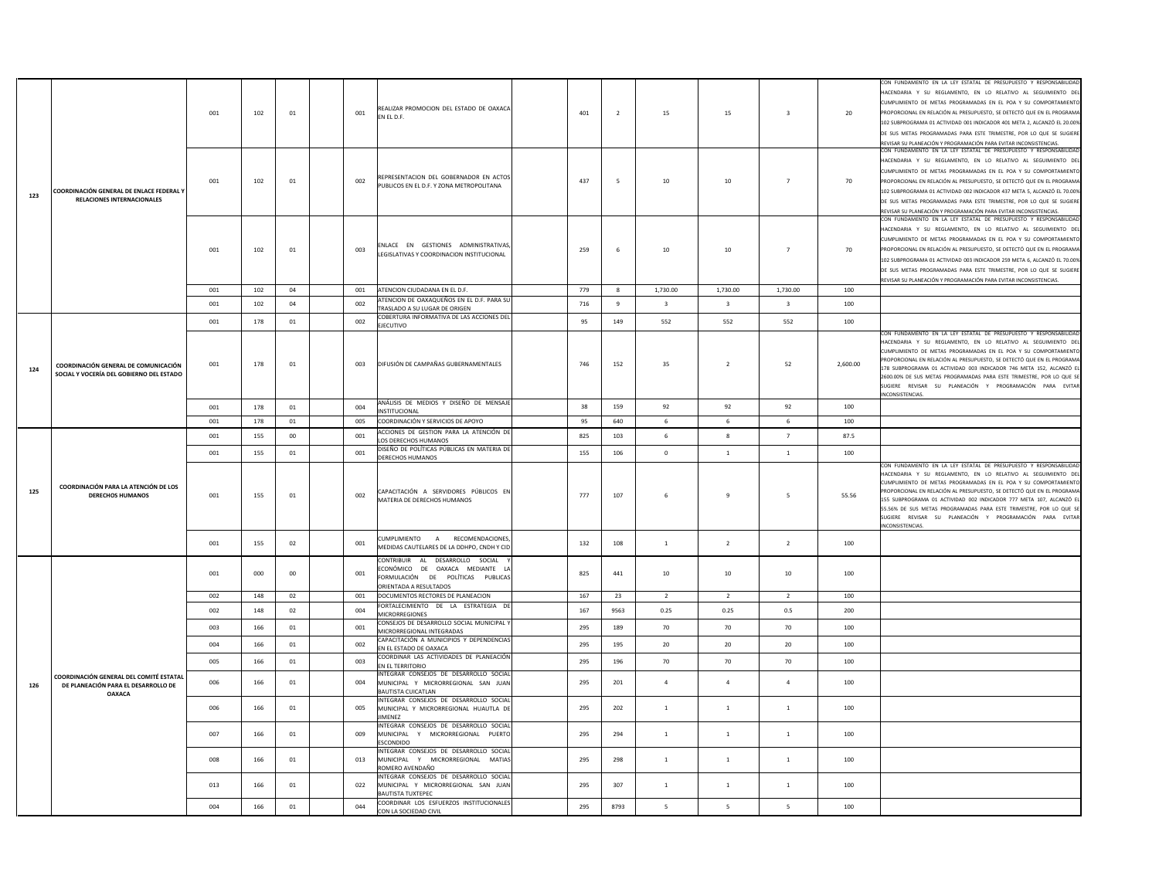|     |                                                                                  |     |     |            |     |                                                                                                                                                      |     |                |                         |                 |                         |          | CON FUNDAMENTO EN LA LEY ESTATAL DE PRESUPUESTO Y RESPONSABILIDAD                                                                                                                                                                                                                                                                                                                                                                                                                                             |
|-----|----------------------------------------------------------------------------------|-----|-----|------------|-----|------------------------------------------------------------------------------------------------------------------------------------------------------|-----|----------------|-------------------------|-----------------|-------------------------|----------|---------------------------------------------------------------------------------------------------------------------------------------------------------------------------------------------------------------------------------------------------------------------------------------------------------------------------------------------------------------------------------------------------------------------------------------------------------------------------------------------------------------|
|     |                                                                                  | 001 | 102 | 01         | 001 | REALIZAR PROMOCION DEL ESTADO DE OAXACA<br>EN EL D.F.                                                                                                | 401 | $\overline{2}$ | 15                      | 15              | $\overline{\mathbf{3}}$ | 20       | HACENDARIA Y SU REGLAMENTO, EN LO RELATIVO AL SEGUIMIENTO DEL<br>CUMPLIMIENTO DE METAS PROGRAMADAS EN EL POA Y SU COMPORTAMIENTO<br>PROPORCIONAL EN RELACIÓN AL PRESUPUESTO, SE DETECTÓ QUE EN EL PROGRAMA<br>102 SUBPROGRAMA 01 ACTIVIDAD 001 INDICADOR 401 META 2, ALCANZÓ EL 20.00%<br>DE SUS METAS PROGRAMADAS PARA ESTE TRIMESTRE, POR LO QUE SE SUGIERE<br>REVISAR SU PLANEACIÓN Y PROGRAMACIÓN PARA EVITAR INCONSISTENCIAS.                                                                            |
| 123 | COORDINACIÓN GENERAL DE ENLACE FEDERAL Y<br>RELACIONES INTERNACIONALES           | 001 | 102 | 01         | 002 | REPRESENTACION DEL GOBERNADOR EN ACTO:<br>PUBLICOS EN EL D.F. Y ZONA METROPOLITANA                                                                   | 437 | 5              | $10\,$                  | 10              | $\overline{7}$          | 70       | CON FUNDAMENTO EN LA LEY ESTATAL DE PRESUPUESTO Y RESPONSABILIDAD<br>HACENDARIA Y SU REGLAMENTO, EN LO RELATIVO AL SEGUIMIENTO DEL<br>CUMPLIMIENTO DE METAS PROGRAMADAS EN EL POA Y SU COMPORTAMIENTO<br>PROPORCIONAL EN RELACIÓN AL PRESUPUESTO, SE DETECTÓ QUE EN EL PROGRAMA<br>102 SUBPROGRAMA 01 ACTIVIDAD 002 INDICADOR 437 META 5, ALCANZÓ EL 70.00%<br>DE SUS METAS PROGRAMADAS PARA ESTE TRIMESTRE, POR LO QUE SE SUGIERE<br>REVISAR SU PLANEACIÓN Y PROGRAMACIÓN PARA EVITAR INCONSISTENCIAS.       |
|     |                                                                                  | 001 | 102 | 01         | 003 | ENLACE EN GESTIONES ADMINISTRATIVAS<br>LEGISLATIVAS Y COORDINACION INSTITUCIONAL                                                                     | 259 | 6              | $10\,$                  | 10              | $\overline{7}$          | 70       | CON FUNDAMENTO EN LA LEY ESTATAL DE PRESUPUESTO Y RESPONSABILIDAD<br>HACENDARIA Y SU REGLAMENTO, EN LO RELATIVO AL SEGUIMIENTO DEL<br>CUMPLIMIENTO DE METAS PROGRAMADAS EN EL POA Y SU COMPORTAMIENTO<br>PROPORCIONAL EN RELACIÓN AL PRESUPUESTO, SE DETECTÓ QUE EN EL PROGRAMA<br>102 SUBPROGRAMA 01 ACTIVIDAD 003 INDICADOR 259 META 6, ALCANZÓ EL 70.00%<br>DE SUS METAS PROGRAMADAS PARA ESTE TRIMESTRE, POR LO QUE SE SUGIERE<br>REVISAR SU PLANEACIÓN Y PROGRAMACIÓN PARA EVITAR INCONSISTENCIAS.       |
|     |                                                                                  | 001 | 102 | 04         | 001 | ATENCION CIUDADANA EN EL D.F.                                                                                                                        | 779 | 8              | 1,730.00                | 1,730.00        | 1,730.00                | 100      |                                                                                                                                                                                                                                                                                                                                                                                                                                                                                                               |
|     |                                                                                  | 001 | 102 | 04         | 002 | ATENCION DE OAXAQUEÑOS EN EL D.F. PARA SU<br>TRASLADO A SU LUGAR DE ORIGEN                                                                           | 716 | 9              | $\overline{\mathbf{3}}$ | $\overline{3}$  | $\overline{\mathbf{3}}$ | 100      |                                                                                                                                                                                                                                                                                                                                                                                                                                                                                                               |
|     |                                                                                  | 001 | 178 | 01         | 002 | COBERTURA INFORMATIVA DE LAS ACCIONES DEL<br><b>EJECUTIVO</b>                                                                                        | 95  | 149            | 552                     | 552             | 552                     | 100      |                                                                                                                                                                                                                                                                                                                                                                                                                                                                                                               |
| 124 | COORDINACIÓN GENERAL DE COMUNICACIÓN<br>SOCIAL Y VOCERÍA DEL GOBIERNO DEL ESTADO | 001 | 178 | 01         | 003 | DIFUSIÓN DE CAMPAÑAS GUBERNAMENTALES                                                                                                                 | 746 | 152            | 35                      | $\overline{2}$  | 52                      | 2,600.00 | CON FUNDAMENTO EN LA LEY ESTATAL DE PRESUPUESTO Y RESPONSABILIDA<br>HACENDARIA Y SU REGLAMENTO, EN LO RELATIVO AL SEGUIMIENTO DEL<br>CUMPLIMIENTO DE METAS PROGRAMADAS EN EL POA Y SU COMPORTAMIENTO<br>PROPORCIONAL EN RELACIÓN AL PRESUPUESTO, SE DETECTÓ QUE EN EL PROGRAMA<br>178 SUBPROGRAMA 01 ACTIVIDAD 003 INDICADOR 746 META 152, ALCANZÓ EL<br>2600.00% DE SUS METAS PROGRAMADAS PARA ESTE TRIMESTRE, POR LO QUE SE<br>SUGIERE REVISAR SU PLANEACIÓN Y PROGRAMACIÓN PARA EVITAR<br>INCONSISTENCIAS. |
|     |                                                                                  | 001 | 178 | 01         | 004 | ANÁLISIS DE MEDIOS Y DISEÑO DE MENSAJE<br><b>NSTITUCIONAL</b>                                                                                        | 38  | 159            | 92                      | 92              | 92                      | 100      |                                                                                                                                                                                                                                                                                                                                                                                                                                                                                                               |
|     |                                                                                  | 001 | 178 | ${\bf 01}$ | 005 | COORDINACIÓN Y SERVICIOS DE APOYO                                                                                                                    | 95  | 640            | 6                       | 6               | $\,$ 6 $\,$             | 100      |                                                                                                                                                                                                                                                                                                                                                                                                                                                                                                               |
|     |                                                                                  | 001 | 155 | ${\bf 00}$ | 001 | ACCIONES DE GESTION PARA LA ATENCIÓN DE                                                                                                              | 825 | 103            | 6                       | 8               | $7\overline{ }$         | 87.5     |                                                                                                                                                                                                                                                                                                                                                                                                                                                                                                               |
|     |                                                                                  |     |     | 01         |     | LOS DERECHOS HUMANOS<br>DISEÑO DE POLÍTICAS PÚBLICAS EN MATERIA DE                                                                                   | 155 |                | $\mathbf 0$             | $\mathbf{1}$    | $\mathbf{1}$            |          |                                                                                                                                                                                                                                                                                                                                                                                                                                                                                                               |
|     |                                                                                  | 001 | 155 |            | 001 |                                                                                                                                                      |     | 106            |                         |                 |                         | 100      |                                                                                                                                                                                                                                                                                                                                                                                                                                                                                                               |
| 125 | COORDINACIÓN PARA LA ATENCIÓN DE LOS<br><b>DERECHOS HUMANOS</b>                  | 001 | 155 | 01         | 002 | DERECHOS HUMANOS<br>CAPACITACIÓN A SERVIDORES PÚBLICOS EN<br>MATERIA DE DERECHOS HUMANOS                                                             | 777 | 107            | 6                       | $\overline{9}$  | 5                       | 55.56    | CON FUNDAMENTO EN LA LEY ESTATAL DE PRESUPUESTO Y RESPONSABILIDAD<br>HACENDARIA Y SU REGLAMENTO. EN LO RELATIVO AL SEGUIMIENTO DEL<br>CUMPLIMIENTO DE METAS PROGRAMADAS EN EL POA Y SU COMPORTAMIENTO<br>PROPORCIONAL EN RELACIÓN AL PRESUPUESTO, SE DETECTÓ QUE EN EL PROGRAMA<br>155 SUBPROGRAMA 01 ACTIVIDAD 002 INDICADOR 777 META 107, ALCANZÓ EL<br>55.56% DE SUS METAS PROGRAMADAS PARA ESTE TRIMESTRE, POR LO QUE SE<br>SUGIERE REVISAR SU PLANEACIÓN Y PROGRAMACIÓN PARA EVITAR<br>INCONSISTENCIAS.  |
|     |                                                                                  | 001 | 155 | 02         | 001 | CUMPLIMIENTO A RECOMENDACIONES<br>MEDIDAS CAUTELARES DE LA DDHPO, CNDH Y CID                                                                         | 132 | 108            | $\mathbf{1}$            | $\overline{2}$  | $\overline{2}$          | 100      |                                                                                                                                                                                                                                                                                                                                                                                                                                                                                                               |
|     |                                                                                  | 001 | 000 | 00         | 001 | CONTRIBUIR AL DESARROLLO SOCIAL<br>ECONÓMICO DE OAXACA MEDIANTE L<br>FORMULACIÓN DE POLÍTICAS PUBLICAS<br>ORIENTADA A RESULTADOS                     | 825 | 441            | 10                      | 10              | 10                      | 100      |                                                                                                                                                                                                                                                                                                                                                                                                                                                                                                               |
|     |                                                                                  | 002 | 148 | 02         | 001 | DOCUMENTOS RECTORES DE PLANEACION                                                                                                                    | 167 | 23             | $\overline{2}$          | $\overline{2}$  | $\overline{2}$          | 100      |                                                                                                                                                                                                                                                                                                                                                                                                                                                                                                               |
|     |                                                                                  | 002 | 148 | 02         | 004 | FORTALECIMIENTO DE LA ESTRATEGIA DE<br>MICRORREGIONES                                                                                                | 167 | 9563           | 0.25                    | 0.25            | 0.5                     | 200      |                                                                                                                                                                                                                                                                                                                                                                                                                                                                                                               |
|     |                                                                                  | 003 | 166 | 01         | 001 | CONSEJOS DE DESARROLLO SOCIAL MUNICIPAL Y<br>MICRORREGIONAL INTEGRADAS                                                                               | 295 | 189            | 70                      | 70              | 70                      | 100      |                                                                                                                                                                                                                                                                                                                                                                                                                                                                                                               |
|     |                                                                                  | 004 | 166 | 01         | 002 | CAPACITACIÓN A MUNICIPIOS Y DEPENDENCIAS<br>N EL ESTADO DE OAXACA                                                                                    | 295 | 195            | $20\,$                  | 20 <sub>2</sub> | $20\degree$             | 100      |                                                                                                                                                                                                                                                                                                                                                                                                                                                                                                               |
|     |                                                                                  | 005 | 166 | 01         | 003 | COORDINAR LAS ACTIVIDADES DE PLANEACIÓN<br>EN EL TERRITORIO                                                                                          | 295 | 196            | 70                      | 70              | 70                      | 100      |                                                                                                                                                                                                                                                                                                                                                                                                                                                                                                               |
| 126 | COORDINACIÓN GENERAL DEL COMITÉ ESTATAL<br>DE PLANEACIÓN PARA EL DESARROLLO DE   | 006 | 166 | 01         | 004 | NTEGRAR CONSEJOS DE DESARROLLO SOCIAL<br>MUNICIPAL Y MICRORREGIONAL SAN JUAN                                                                         | 295 | 201            | $\overline{4}$          | $\overline{a}$  | $\overline{4}$          | 100      |                                                                                                                                                                                                                                                                                                                                                                                                                                                                                                               |
|     | <b>OAXACA</b>                                                                    | 006 | 166 | 01         | 005 | <b>BAUTISTA CUICATLAN</b><br>INTEGRAR CONSEJOS DE DESARROLLO SOCIAL<br>MUNICIPAL Y MICRORREGIONAL HUAUTLA DE<br><b>IIMENEZ</b>                       | 295 | 202            | $\,$ 1 $\,$             | $\,$ 1          | $\,$ 1                  | $100\,$  |                                                                                                                                                                                                                                                                                                                                                                                                                                                                                                               |
|     |                                                                                  | 007 | 166 | 01         | 009 | INTEGRAR CONSEJOS DE DESARROLLO SOCIAL<br>MUNICIPAL Y MICRORREGIONAL PUERTC<br>SCONDIDO                                                              | 295 | 294            | <sup>1</sup>            | <sup>1</sup>    | <sup>1</sup>            | 100      |                                                                                                                                                                                                                                                                                                                                                                                                                                                                                                               |
|     |                                                                                  | 008 | 166 | 01         | 013 | INTEGRAR CONSEJOS DE DESARROLLO SOCIAL<br>MUNICIPAL Y MICRORREGIONAL MATIAS<br>ROMERO AVENDAÑO                                                       | 295 | 298            | $\mathbf{1}$            | $\,$ 1          | $\mathbf{1}$            | 100      |                                                                                                                                                                                                                                                                                                                                                                                                                                                                                                               |
|     |                                                                                  | 013 | 166 | 01         | 022 | INTEGRAR CONSEJOS DE DESARROLLO SOCIAL<br>MUNICIPAL Y MICRORREGIONAL SAN JUAN<br><b>BAUTISTA TUXTEPEC</b><br>COORDINAR LOS ESFUERZOS INSTITUCIONALES | 295 | 307            | $\mathbf{1}$            | $\overline{1}$  | $\mathbf{1}$            | 100      |                                                                                                                                                                                                                                                                                                                                                                                                                                                                                                               |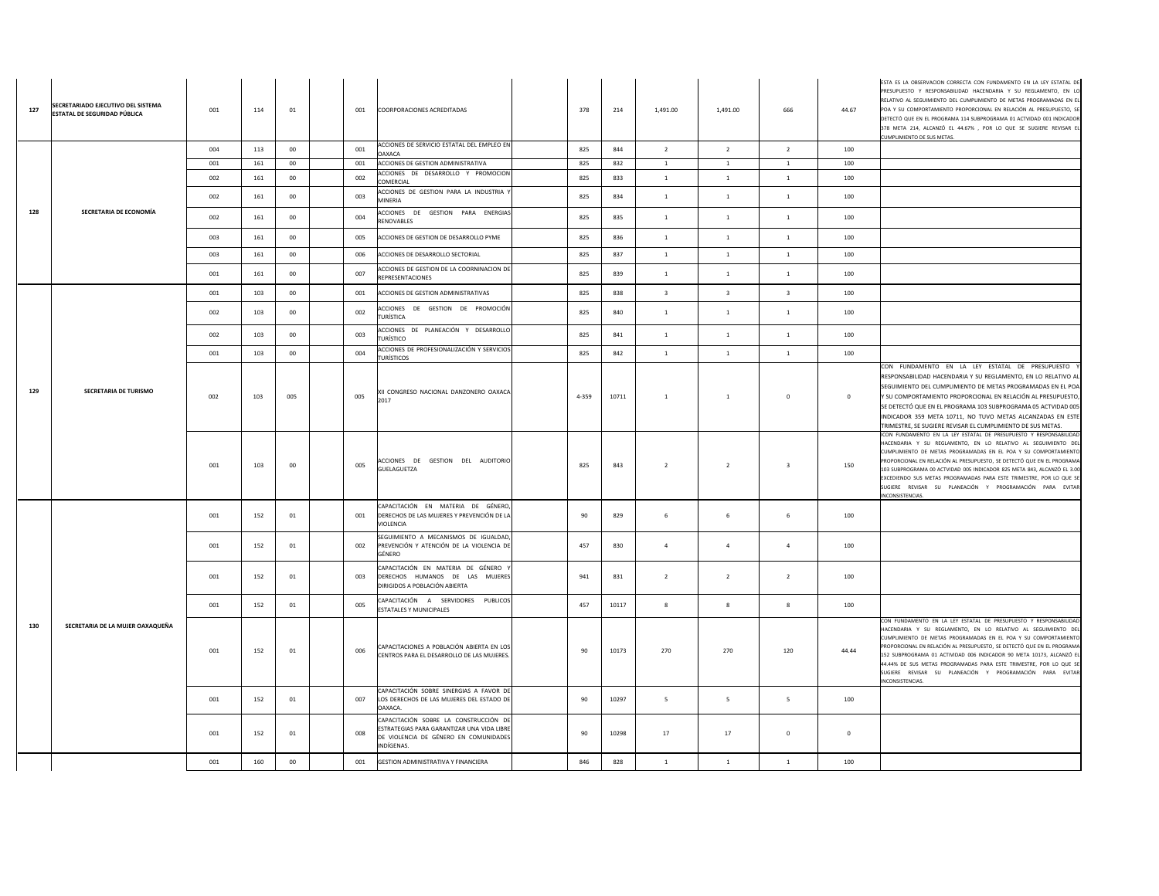| 127 | SECRETARIADO EJECUTIVO DEL SISTEMA<br>ESTATAL DE SEGURIDAD PÚBLICA | 001 | 114 | 01     | 001 | COORPORACIONES ACREDITADAS                                                                                                                 | 378   | 214   | 1,491.00                | 1,491.00                | 666                     | 44.67        | ESTA ES LA OBSERVACION CORRECTA CON FUNDAMENTO EN LA LEY ESTATAL I<br>PRESUPUESTO Y RESPONSABILIDAD HACENDARIA Y SU REGLAMENTO, EN L<br>RELATIVO AL SEGUIMIENTO DEL CUMPLIMIENTO DE METAS PROGRAMADAS EN E<br>POA Y SU COMPORTAMIENTO PROPORCIONAL EN RELACIÓN AL PRESUPUESTO, S<br>DETECTÓ QUE EN EL PROGRAMA 114 SUBPROGRAMA 01 ACTVIDAD 001 INDICADOR<br>378 META 214, ALCANZÓ EL 44.67% , POR LO QUE SE SUGIERE REVISAR E<br>CUMPLIMIENTO DE SUS METAS.                                                            |
|-----|--------------------------------------------------------------------|-----|-----|--------|-----|--------------------------------------------------------------------------------------------------------------------------------------------|-------|-------|-------------------------|-------------------------|-------------------------|--------------|------------------------------------------------------------------------------------------------------------------------------------------------------------------------------------------------------------------------------------------------------------------------------------------------------------------------------------------------------------------------------------------------------------------------------------------------------------------------------------------------------------------------|
|     |                                                                    | 004 | 113 | 00     | 001 | ACCIONES DE SERVICIO ESTATAL DEL EMPLEO EN<br><b>OAXACA</b>                                                                                | 825   | 844   | $\overline{2}$          | $\overline{2}$          | $\overline{2}$          | 100          |                                                                                                                                                                                                                                                                                                                                                                                                                                                                                                                        |
|     |                                                                    | 001 | 161 | $00\,$ | 001 | ACCIONES DE GESTION ADMINISTRATIVA                                                                                                         | 825   | 832   | $\,$ 1 $\,$             | 1                       | $\mathbf{1}$            | 100          |                                                                                                                                                                                                                                                                                                                                                                                                                                                                                                                        |
|     |                                                                    | 002 | 161 | 00     | 002 | ACCIONES DE DESARROLLO Y PROMOCION<br>COMERCIAL                                                                                            | 825   | 833   | $\overline{1}$          | $\overline{1}$          | 1                       | 100          |                                                                                                                                                                                                                                                                                                                                                                                                                                                                                                                        |
|     |                                                                    | 002 | 161 | $00\,$ | 003 | ACCIONES DE GESTION PARA LA INDUSTRIA Y<br>MINERIA                                                                                         | 825   | 834   | <sup>1</sup>            | 1                       | $\mathbf{1}$            | 100          |                                                                                                                                                                                                                                                                                                                                                                                                                                                                                                                        |
| 128 | SECRETARIA DE ECONOMÍA                                             | 002 | 161 | $00\,$ | 004 | ACCIONES DE GESTION PARA ENERGIAS<br>RENOVABLES                                                                                            | 825   | 835   | $\overline{1}$          | 1                       | $\mathbf{1}$            | 100          |                                                                                                                                                                                                                                                                                                                                                                                                                                                                                                                        |
|     |                                                                    | 003 | 161 | $00\,$ | 005 | ACCIONES DE GESTION DE DESARROLLO PYME                                                                                                     | 825   | 836   | $\,$ 1 $\,$             | 1                       | $\mathbf{1}$            | 100          |                                                                                                                                                                                                                                                                                                                                                                                                                                                                                                                        |
|     |                                                                    | 003 | 161 | $00\,$ | 006 | ACCIONES DE DESARROLLO SECTORIAL                                                                                                           | 825   | 837   | <sup>1</sup>            | $\overline{1}$          | $\mathbf{1}$            | 100          |                                                                                                                                                                                                                                                                                                                                                                                                                                                                                                                        |
|     |                                                                    | 001 | 161 | $00\,$ | 007 | ACCIONES DE GESTION DE LA COORNINACION DE<br><b>REPRESENTACIONES</b>                                                                       | 825   | 839   | $\mathbf{1}$            | $\mathbf{1}$            | $\mathbf{1}$            | 100          |                                                                                                                                                                                                                                                                                                                                                                                                                                                                                                                        |
|     |                                                                    | 001 | 103 | $00\,$ | 001 | ACCIONES DE GESTION ADMINISTRATIVAS                                                                                                        | 825   | 838   | $\overline{\mathbf{3}}$ | $\overline{\mathbf{3}}$ | $\overline{\mathbf{3}}$ | 100          |                                                                                                                                                                                                                                                                                                                                                                                                                                                                                                                        |
|     |                                                                    | 002 | 103 | 00     | 002 | ACCIONES DE GESTION DE PROMOCIÓN<br><b>TURÍSTICA</b>                                                                                       | 825   | 840   | $\overline{1}$          | $1\,$                   | $\mathbf{1}$            | 100          |                                                                                                                                                                                                                                                                                                                                                                                                                                                                                                                        |
|     |                                                                    | 002 | 103 | $00\,$ | 003 | ACCIONES DE PLANEACIÓN Y DESARROLLO<br><b>TURÍSTICO</b>                                                                                    | 825   | 841   | $\mathbf{1}$            | 1                       | 1                       | 100          |                                                                                                                                                                                                                                                                                                                                                                                                                                                                                                                        |
|     |                                                                    | 001 | 103 | 00     | 004 | ACCIONES DE PROFESIONALIZACIÓN Y SERVICIOS<br><b>TURÍSTICOS</b>                                                                            | 825   | 842   | $\overline{1}$          | $\mathbf{1}$            | 1                       | 100          |                                                                                                                                                                                                                                                                                                                                                                                                                                                                                                                        |
| 129 | SECRETARIA DE TURISMO                                              | 002 | 103 | 005    | 005 | XII CONGRESO NACIONAL DANZONERO OAXACA<br>2017                                                                                             | 4-359 | 10711 | <sup>1</sup>            | $\mathbf{1}$            | $\mathbf 0$             | $\mathbf{0}$ | CON FUNDAMENTO EN LA LEY ESTATAL DE PRESUPUESTO<br>RESPONSABILIDAD HACENDARIA Y SU REGLAMENTO, EN LO RELATIVO AI<br>SEGUIMIENTO DEL CUMPLIMIENTO DE METAS PROGRAMADAS EN EL POA<br>Y SU COMPORTAMIENTO PROPORCIONAL EN RELACIÓN AL PRESUPUESTO,<br>SE DETECTÓ QUE EN EL PROGRAMA 103 SUBPROGRAMA 05 ACTVIDAD 005<br>INDICADOR 359 META 10711, NO TUVO METAS ALCANZADAS EN ESTE<br>TRIMESTRE, SE SUGIERE REVISAR EL CUMPLIMIENTO DE SUS METAS.                                                                          |
|     |                                                                    | 001 | 103 | $00\,$ | 005 | ACCIONES DE GESTION DEL AUDITORIO<br>GUELAGUETZA                                                                                           | 825   | 843   | $\overline{2}$          | $\overline{2}$          | $\overline{\mathbf{3}}$ | 150          | ICON FUNDAMENTO EN LA LEY ESTATAL DE PRESUPUESTO Y RESPONSABILIDAI<br>HACENDARIA Y SU REGLAMENTO. EN LO RELATIVO AL SEGUIMIENTO DE<br>CUMPLIMIENTO DE METAS PROGRAMADAS EN EL POA Y SU COMPORTAMIENTO<br>PROPORCIONAL EN RELACIÓN AL PRESUPUESTO, SE DETECTÓ QUE EN EL PROGRAM/<br>103 SUBPROGRAMA 00 ACTVIDAD 005 INDICADOR 825 META 843, ALCANZÓ EL 3.00<br>EXCEDIENDO SUS METAS PROGRAMADAS PARA ESTE TRIMESTRE, POR LO QUE S<br>SUGIERE REVISAR SU PLANEACIÓN Y PROGRAMACIÓN PARA EVITAR<br><b>VCONSISTENCIAS.</b> |
|     |                                                                    | 001 | 152 | 01     | 001 | CAPACITACIÓN EN MATERIA DE GÉNERO,<br>DERECHOS DE LAS MUJERES Y PREVENCIÓN DE LA<br>VIOLENCIA                                              | 90    | 829   | $\,$ 6 $\,$             | 6                       | 6                       | 100          |                                                                                                                                                                                                                                                                                                                                                                                                                                                                                                                        |
|     |                                                                    | 001 | 152 | 01     | 002 | SEGUIMIENTO A MECANISMOS DE IGUALDAD,<br>PREVENCIÓN Y ATENCIÓN DE LA VIOLENCIA DE<br>GÉNERO                                                | 457   | 830   | $\overline{4}$          | $\overline{4}$          | $\overline{a}$          | 100          |                                                                                                                                                                                                                                                                                                                                                                                                                                                                                                                        |
|     |                                                                    | 001 | 152 | 01     | 003 | CAPACITACIÓN EN MATERIA DE GÉNERO<br>DERECHOS HUMANOS DE LAS MUJERES<br>DIRIGIDOS A POBLACIÓN ABIERTA                                      | 941   | 831   | $\overline{2}$          | $\overline{2}$          | $\overline{2}$          | 100          |                                                                                                                                                                                                                                                                                                                                                                                                                                                                                                                        |
|     |                                                                    | 001 | 152 | 01     | 005 | CAPACITACIÓN A SERVIDORES PUBLICOS<br>ESTATALES Y MUNICIPALES                                                                              | 457   | 10117 | $\bf{8}$                | $\bf 8$                 | 8                       | 100          |                                                                                                                                                                                                                                                                                                                                                                                                                                                                                                                        |
| 130 | SECRETARIA DE LA MUJER OAXAQUEÑA                                   | 001 | 152 | 01     | 006 | CAPACITACIONES A POBLACIÓN ABIERTA EN LOS<br>CENTROS PARA EL DESARROLLO DE LAS MUJERES.                                                    | 90    | 10173 | 270                     | 270                     | 120                     | 44.44        | CON FUNDAMENTO EN LA LEY ESTATAL DE PRESUPUESTO Y RESPONSABILIDAD<br>HACENDARIA Y SU REGLAMENTO, EN LO RELATIVO AL SEGUIMIENTO DE<br>CUMPLIMIENTO DE METAS PROGRAMADAS EN EL POA Y SU COMPORTAMIENTO<br>PROPORCIONAL EN RELACIÓN AL PRESUPUESTO. SE DETECTÓ QUE EN EL PROGRAMA<br>152 SUBPROGRAMA 01 ACTIVIDAD 006 INDICADOR 90 META 10173, ALCANZÓ E<br>44.44% DE SUS METAS PROGRAMADAS PARA ESTE TRIMESTRE, POR LO QUE S<br>SUGIERE REVISAR SU PLANEACIÓN Y PROGRAMACIÓN PARA EVITAR<br><b>NCONSISTENCIAS</b>        |
|     |                                                                    | 001 | 152 | 01     | 007 | CAPACITACIÓN SOBRE SINERGIAS A FAVOR DE<br>LOS DERECHOS DE LAS MUJERES DEL ESTADO DE<br>OAXACA.                                            | 90    | 10297 | 5                       | 5                       | 5                       | 100          |                                                                                                                                                                                                                                                                                                                                                                                                                                                                                                                        |
|     |                                                                    | 001 | 152 | 01     | 008 | CAPACITACIÓN SOBRE LA CONSTRUCCIÓN DE<br>ESTRATEGIAS PARA GARANTIZAR UNA VIDA LIBRE<br>DE VIOLENCIA DE GÉNERO EN COMUNIDADES<br>INDÍGENAS. | 90    | 10298 | 17                      | 17                      | $\mathbf 0$             | $\mathbf{0}$ |                                                                                                                                                                                                                                                                                                                                                                                                                                                                                                                        |
|     |                                                                    | 001 | 160 | $00\,$ | 001 | GESTION ADMINISTRATIVA Y FINANCIERA                                                                                                        | 846   | 828   | $\mathbf{1}$            | 1                       | 1                       | 100          |                                                                                                                                                                                                                                                                                                                                                                                                                                                                                                                        |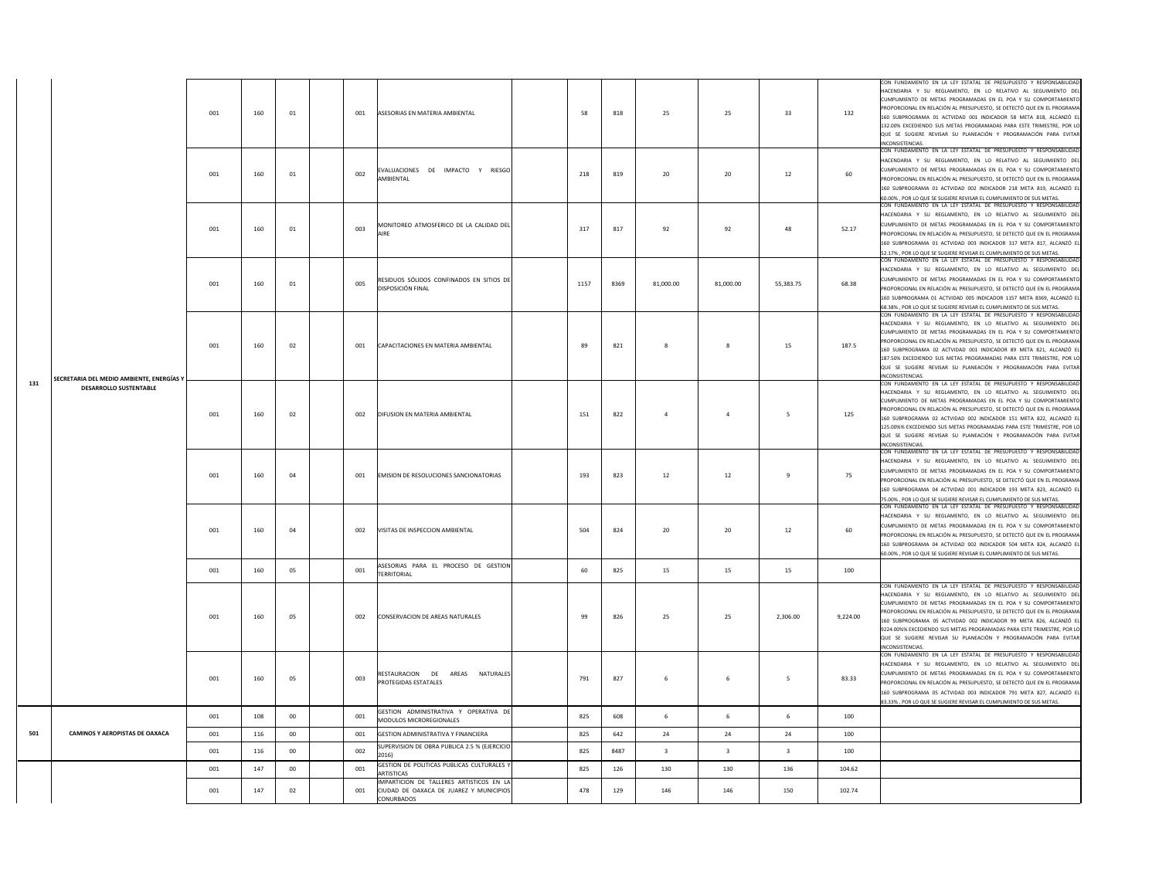|     |                                           | 001 | 160 | 01     | 001 | ASESORIAS EN MATERIA AMBIENTAL                                                                      | 58   | 818  | 25                      | 25             | 33             | 132      | CON FUNDAMENTO EN LA LEY ESTATAL DE PRESUPUESTO Y RESPONSABILIDAD<br>HACENDARIA Y SU REGLAMENTO. EN LO RELATIVO AL SEGUIMIENTO DEL<br>CUMPLIMIENTO DE METAS PROGRAMADAS EN EL POA Y SU COMPORTAMIENTO<br>PROPORCIONAL EN RELACIÓN AL PRESUPUESTO. SE DETECTÓ QUE EN EL PROGRAMA<br>160 SUBPROGRAMA 01 ACTVIDAD 001 INDICADOR 58 META 818, ALCANZÓ E<br>132.00% EXCEDIENDO SUS METAS PROGRAMADAS PARA ESTE TRIMESTRE, POR LO<br>QUE SE SUGIERE REVISAR SU PLANEACIÓN Y PROGRAMACIÓN PARA EVITAR<br>INCONSISTENCIAS           |
|-----|-------------------------------------------|-----|-----|--------|-----|-----------------------------------------------------------------------------------------------------|------|------|-------------------------|----------------|----------------|----------|-----------------------------------------------------------------------------------------------------------------------------------------------------------------------------------------------------------------------------------------------------------------------------------------------------------------------------------------------------------------------------------------------------------------------------------------------------------------------------------------------------------------------------|
|     |                                           | 001 | 160 | 01     | 002 | EVALUACIONES DE IMPACTO Y RIESGO<br>AMBIENTAL                                                       | 218  | 819  | 20                      | 20             | 12             | 60       | CON FUNDAMENTO EN LA LEY ESTATAL DE PRESUPUESTO Y RESPONSABILIDAD<br>HACENDARIA Y SU REGLAMENTO, EN LO RELATIVO AL SEGUIMIENTO DEL<br>CUMPLIMIENTO DE METAS PROGRAMADAS EN EL POA Y SU COMPORTAMIENTO<br>PROPORCIONAL EN RELACIÓN AL PRESUPUESTO, SE DETECTÓ QUE EN EL PROGRAMA<br>160 SUBPROGRAMA 01 ACTVIDAD 002 INDICADOR 218 META 819, ALCANZÓ EL<br>60,00% . POR LO QUE SE SUGIERE REVISAR EL CUMPLIMIENTO DE SUS METAS.                                                                                               |
|     |                                           | 001 | 160 | 01     | 003 | MONITOREO ATMOSFERICO DE LA CALIDAD DEL<br>AIRE                                                     | 317  | 817  | 92                      | 92             | 48             | 52.17    | CON FUNDAMENTO EN LA LEY ESTATAL DE PRESUPUESTO Y RESPONSABILIDAD<br>HACENDARIA Y SU REGLAMENTO, EN LO RELATIVO AL SEGUIMIENTO DEL<br>CUMPLIMIENTO DE METAS PROGRAMADAS EN EL POA Y SU COMPORTAMIENTO<br>PROPORCIONAL EN RELACIÓN AL PRESUPUESTO, SE DETECTÓ QUE EN EL PROGRAMA<br>160 SUBPROGRAMA 01 ACTVIDAD 003 INDICADOR 317 META 817, ALCANZÓ EI<br>52.17%, POR LO QUE SE SUGIERE REVISAR EL CUMPLIMIENTO DE SUS METAS.                                                                                                |
|     |                                           | 001 | 160 | 01     | 005 | RESIDUOS SÓLIDOS CONFINADOS EN SITIOS DE<br>DISPOSICIÓN FINAL                                       | 1157 | 8369 | 81,000.00               | 81,000.00      | 55,383.75      | 68.38    | CON FUNDAMENTO EN LA LEY ESTATAL DE PRESUPUESTO Y RESPONSABILIDAD<br>HACENDARIA Y SU REGLAMENTO, EN LO RELATIVO AL SEGUIMIENTO DEL<br>CUMPLIMIENTO DE METAS PROGRAMADAS EN EL POA Y SU COMPORTAMIENTO<br>PROPORCIONAL EN RELACIÓN AL PRESUPUESTO, SE DETECTÓ QUE EN EL PROGRAMA<br>160 SUBPROGRAMA 01 ACTVIDAD 005 INDICADOR 1157 META 8369, ALCANZÓ EL<br>68.38%, POR LO QUE SE SUGIERE REVISAR EL CUMPLIMIENTO DE SUS METAS.                                                                                              |
|     | SECRETARIA DEL MEDIO AMBIENTE, ENERGÍAS Y | 001 | 160 | 02     | 001 | CAPACITACIONES EN MATERIA AMBIENTAL                                                                 | 89   | 821  | 8                       | 8              | 15             | 187.5    | CON FUNDAMENTO EN LA LEY ESTATAL DE PRESUPUESTO Y RESPONSABILIDAD<br>HACENDARIA Y SU REGLAMENTO, EN LO RELATIVO AL SEGUIMIENTO DEL<br>CUMPLIMIENTO DE METAS PROGRAMADAS EN EL POA Y SU COMPORTAMIENTO<br>PROPORCIONAL EN RELACIÓN AL PRESUPUESTO, SE DETECTÓ QUE EN EL PROGRAMA<br>160 SUBPROGRAMA 02 ACTVIDAD 001 INDICADOR 89 META 821. ALCANZÓ EI<br>187.50% EXCEDIENDO SUS METAS PROGRAMADAS PARA ESTE TRIMESTRE, POR LO<br>QUE SE SUGIERE REVISAR SU PLANEACIÓN Y PROGRAMACIÓN PARA EVITAR<br>INCONSISTENCIAS.         |
| 131 | <b>DESARROLLO SUSTENTABLE</b>             | 001 | 160 | 02     | 002 | DIFUSION EN MATERIA AMBIENTAL                                                                       | 151  | 822  | $\sqrt{4}$              | $\overline{a}$ | 5              | 125      | CON FUNDAMENTO EN LA LEY ESTATAL DE PRESUPUESTO Y RESPONSABILIDAD<br>HACENDARIA Y SU REGLAMENTO, EN LO RELATIVO AL SEGUIMIENTO DEL<br>CUMPLIMIENTO DE METAS PROGRAMADAS EN EL POA Y SU COMPORTAMIENTO<br>ROPORCIONAL EN RELACIÓN AL PRESUPUESTO, SE DETECTÓ QUE EN EL PROGRAMA<br>160 SUBPROGRAMA 02 ACTVIDAD 002 INDICADOR 151 META 822, ALCANZÓ EI<br>125.00%% EXCEDIENDO SUS METAS PROGRAMADAS PARA ESTE TRIMESTRE, POR LO<br>QUE SE SUGIERE REVISAR SU PLANEACIÓN Y PROGRAMACIÓN PARA EVITAR<br>INCONSISTENCIAS.        |
|     |                                           | 001 | 160 | 04     | 001 | EMISION DE RESOLUCIONES SANCIONATORIAS                                                              | 193  | 823  | 12                      | $12\,$         | $9\,$          | 75       | CON FUNDAMENTO EN LA LEY ESTATAL DE PRESUPUESTO Y RESPONSABILIDAD<br>HACENDARIA Y SU REGLAMENTO. EN LO RELATIVO AL SEGUIMIENTO DEL<br>CUMPLIMIENTO DE METAS PROGRAMADAS EN EL POA Y SU COMPORTAMIENTO<br>PROPORCIONAL EN RELACIÓN AL PRESUPUESTO, SE DETECTÓ QUE EN EL PROGRAMA<br>160 SUBPROGRAMA 04 ACTVIDAD 001 INDICADOR 193 META 823, ALCANZÓ EL<br>75.00%, POR LO QUE SE SUGIERE REVISAR EL CUMPLIMIENTO DE SUS METAS.                                                                                                |
|     |                                           | 001 | 160 | 04     | 002 | VISITAS DE INSPECCION AMBIENTAL                                                                     | 504  | 824  | 20                      | 20             | 12             | 60       | CON FUNDAMENTO EN LA LEY ESTATAL DE PRESUPUESTO Y RESPONSABILIDAD<br>HACENDARIA Y SU REGLAMENTO, EN LO RELATIVO AL SEGUIMIENTO DEL<br>CUMPLIMIENTO DE METAS PROGRAMADAS EN EL POA Y SU COMPORTAMIENTO<br>PROPORCIONAL EN RELACIÓN AL PRESUPUESTO, SE DETECTÓ QUE EN EL PROGRAMA<br>160 SUBPROGRAMA 04 ACTVIDAD 002 INDICADOR 504 META 824. ALCANZÓ EL<br>60.00%, POR LO QUE SE SUGIERE REVISAR EL CUMPLIMIENTO DE SUS METAS.                                                                                                |
|     |                                           | 001 | 160 | 05     | 001 | ASESORIAS PARA EL PROCESO DE GESTION<br><b>TERRITORIAL</b>                                          | 60   | 825  | 15                      | 15             | 15             | 100      |                                                                                                                                                                                                                                                                                                                                                                                                                                                                                                                             |
|     |                                           | 001 | 160 | 05     | 002 | CONSERVACION DE AREAS NATURALES                                                                     | 99   | 826  | 25                      | 25             | 2,306.00       | 9.224.00 | CON FUNDAMENTO EN LA LEY ESTATAL DE PRESUPUESTO Y RESPONSABILIDAD<br>HACENDARIA Y SU REGLAMENTO, EN LO RELATIVO AL SEGUIMIENTO DEL<br>CUMPLIMIENTO DE METAS PROGRAMADAS EN EL POA Y SU COMPORTAMIENTO<br>PROPORCIONAL EN RELACIÓN AL PRESUPUESTO, SE DETECTÓ QUE EN EL PROGRAMA<br>160 SUBPROGRAMA 05 ACTVIDAD 002 INDICADOR 99 META 826, ALCANZÓ EL<br>9224.00%% EXCEDIENDO SUS METAS PROGRAMADAS PARA ESTE TRIMESTRE, POR LO<br>QUE SE SUGIERE REVISAR SU PLANEACIÓN Y PROGRAMACIÓN PARA EVITAR<br><b>INCONSISTENCIAS</b> |
|     |                                           | 001 | 160 | 05     | 003 | RESTAURACION DE AREAS NATURALES<br>PROTEGIDAS ESTATALES                                             | 791  | 827  | 6                       | -6             | -5             | 83.33    | CON FUNDAMENTO EN LA LEY ESTATAL DE PRESUPUESTO Y RESPONSABILIDAD<br>HACENDARIA Y SU REGLAMENTO, EN LO RELATIVO AL SEGUIMIENTO DEL<br>CUMPLIMIENTO DE METAS PROGRAMADAS EN EL POA Y SU COMPORTAMIENTO<br>PROPORCIONAL EN RELACIÓN AL PRESUPUESTO, SE DETECTÓ QUE EN EL PROGRAMA<br>160 SUBPROGRAMA OS ACTVIDAD 003 INDICADOR 791 META 827, ALCANZÓ EL<br>33.33%, POR LO QUE SE SUGIERE REVISAR EL CUMPLIMIENTO DE SUS METAS.                                                                                                |
|     |                                           | 001 | 108 | 00     | 001 | GESTION ADMINISTRATIVA Y OPERATIVA DE<br>MODULOS MICROREGIONALES                                    | 825  | 608  | 6                       | 6              | 6              | 100      |                                                                                                                                                                                                                                                                                                                                                                                                                                                                                                                             |
| 501 | CAMINOS Y AEROPISTAS DE OAXACA            | 001 | 116 | 00     | 001 | <b>GESTION ADMINISTRATIVA Y FINANCIERA</b>                                                          | 825  | 642  | 24                      | 24             | 24             | 100      |                                                                                                                                                                                                                                                                                                                                                                                                                                                                                                                             |
|     |                                           | 001 | 116 | $00\,$ | 002 | SUPERVISION DE OBRA PUBLICA 2.5 % (EJERCICIO<br>2016)<br>GESTION DE POLITICAS PUBLICAS CULTURALES Y | 825  | 8487 | $\overline{\mathbf{3}}$ | $\overline{3}$ | $\overline{3}$ | 100      |                                                                                                                                                                                                                                                                                                                                                                                                                                                                                                                             |
|     |                                           | 001 | 147 | 00     | 001 | <b>ARTISTICAS</b><br>IMPARTICION DE TALLERES ARTISTICOS EN LA                                       | 825  | 126  | 130                     | 130            | 136            | 104.62   |                                                                                                                                                                                                                                                                                                                                                                                                                                                                                                                             |
|     |                                           | 001 | 147 | 02     | 001 | CIUDAD DE OAXACA DE JUAREZ Y MUNICIPIOS<br>CONURBADOS                                               | 478  | 129  | 146                     | 146            | 150            | 102.74   |                                                                                                                                                                                                                                                                                                                                                                                                                                                                                                                             |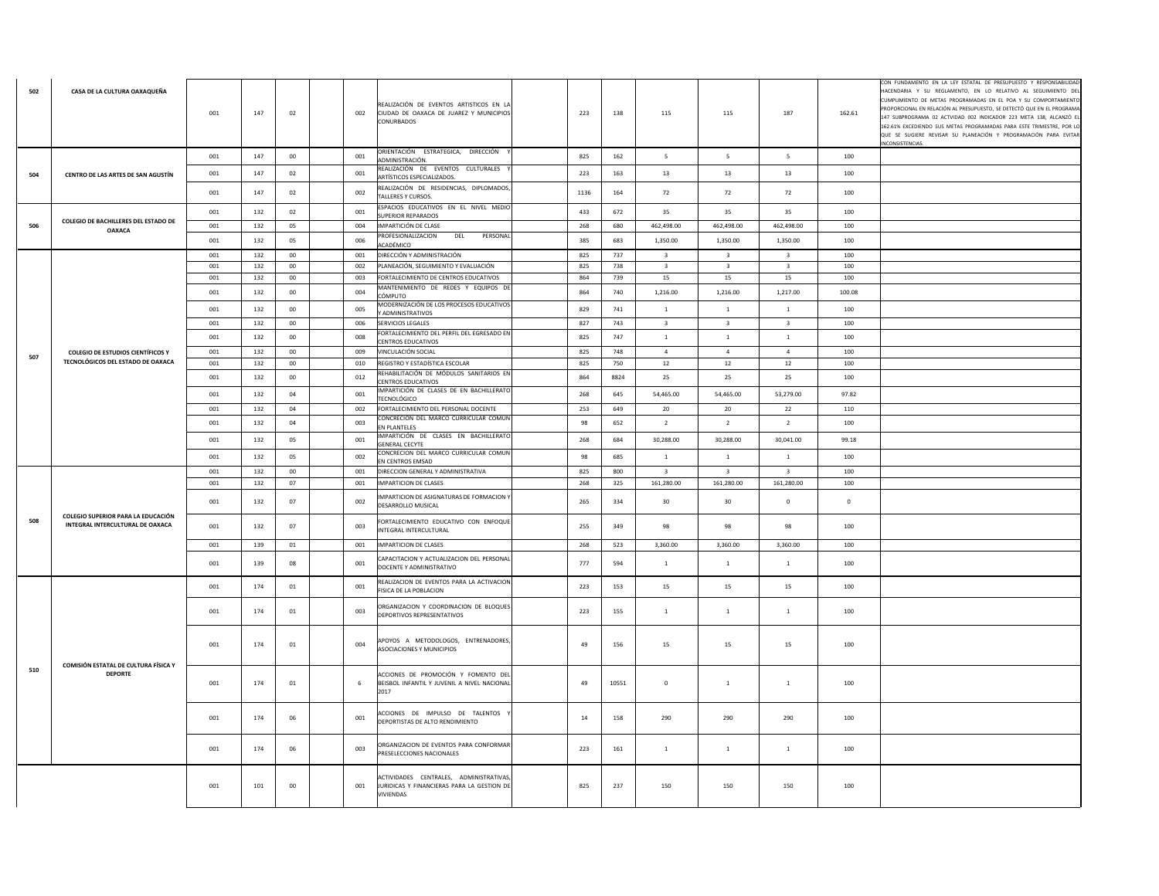| 502 | CASA DE LA CULTURA OAXAQUEÑA                           | 001 | 147     | 02     | 002 | REALIZACIÓN DE EVENTOS ARTISTICOS EN LA<br>CIUDAD DE OAXACA DE JUAREZ Y MUNICIPIOS<br>CONURBADOS   | 223  | 138   | 115                      | 115                     | 187                     | 162.61      | CON FUNDAMENTO EN LA LEY ESTATAL DE PRESUPUESTO Y RESPONSABILIDAD<br>HACENDARIA Y SU REGLAMENTO, EN LO RELATIVO AL SEGUIMIENTO DEL<br>CUMPLIMIENTO DE METAS PROGRAMADAS EN EL POA Y SU COMPORTAMIENTO<br>PROPORCIONAL EN RELACIÓN AL PRESUPUESTO, SE DETECTÓ QUE EN EL PROGRAMA<br>147 SUBPROGRAMA 02 ACTVIDAD 002 INDICADOR 223 META 138, ALCANZÓ EL<br>162.61% EXCEDIENDO SUS METAS PROGRAMADAS PARA ESTE TRIMESTRE, POR LO<br>QUE SE SUGIERE REVISAR SU PLANEACIÓN Y PROGRAMACIÓN PARA EVITAR<br>NCONSISTENCIAS. |
|-----|--------------------------------------------------------|-----|---------|--------|-----|----------------------------------------------------------------------------------------------------|------|-------|--------------------------|-------------------------|-------------------------|-------------|---------------------------------------------------------------------------------------------------------------------------------------------------------------------------------------------------------------------------------------------------------------------------------------------------------------------------------------------------------------------------------------------------------------------------------------------------------------------------------------------------------------------|
|     |                                                        | 001 | 147     | $00\,$ | 001 | ORIENTACIÓN ESTRATEGICA, DIRECCIÓN<br>ADMINISTRACIÓN.                                              | 825  | 162   | $\overline{\phantom{a}}$ | 5                       | $5\overline{5}$         | 100         |                                                                                                                                                                                                                                                                                                                                                                                                                                                                                                                     |
| 504 | CENTRO DE LAS ARTES DE SAN AGUSTÍN                     | 001 | $147\,$ | 02     | 001 | REALIZACIÓN DE EVENTOS CULTURALES<br>ARTÍSTICOS ESPECIALIZADOS                                     | 223  | 163   | 13                       | $13\,$                  | 13                      | $100\,$     |                                                                                                                                                                                                                                                                                                                                                                                                                                                                                                                     |
|     |                                                        | 001 | 147     | 02     | 002 | REALIZACIÓN DE RESIDENCIAS, DIPLOMADOS,<br><b>TALLERES Y CURSOS</b>                                | 1136 | 164   | 72                       | 72                      | 72                      | 100         |                                                                                                                                                                                                                                                                                                                                                                                                                                                                                                                     |
|     |                                                        | 001 | 132     | 02     | 001 | SPACIOS EDUCATIVOS EN EL NIVEL MEDIO<br><b>SUPERIOR REPARADOS</b>                                  | 433  | 672   | 35                       | 35                      | 35                      | 100         |                                                                                                                                                                                                                                                                                                                                                                                                                                                                                                                     |
| 506 | COLEGIO DE BACHILLERES DEL ESTADO DE<br><b>OAXACA</b>  | 001 | 132     | 05     | 004 | IMPARTICIÓN DE CLASE                                                                               | 268  | 680   | 462,498.00               | 462,498.00              | 462,498.00              | 100         |                                                                                                                                                                                                                                                                                                                                                                                                                                                                                                                     |
|     |                                                        | 001 | 132     | 05     | 006 | PROFESIONALIZACION<br>DEL<br>PERSONAL<br>ACADÉMICO                                                 | 385  | 683   | 1,350.00                 | 1,350.00                | 1,350.00                | 100         |                                                                                                                                                                                                                                                                                                                                                                                                                                                                                                                     |
|     |                                                        | 001 | 132     | $00\,$ | 001 | DIRECCIÓN Y ADMINISTRACIÓN                                                                         | 825  | 737   | $\overline{\mathbf{3}}$  | $\overline{3}$          | $\overline{3}$          | 100         |                                                                                                                                                                                                                                                                                                                                                                                                                                                                                                                     |
|     |                                                        | 001 | 132     | $00\,$ | 002 | PLANEACIÓN, SEGUIMIENTO Y EVALUACIÓN                                                               | 825  | 738   | $\overline{\mathbf{3}}$  | $\overline{\mathbf{3}}$ | $\overline{\mathbf{3}}$ | 100         |                                                                                                                                                                                                                                                                                                                                                                                                                                                                                                                     |
|     |                                                        | 001 | 132     | $00\,$ | 003 | FORTALECIMIENTO DE CENTROS EDUCATIVOS                                                              | 864  | 739   | 15                       | 15                      | 15                      | 100         |                                                                                                                                                                                                                                                                                                                                                                                                                                                                                                                     |
|     |                                                        | 001 | 132     | $00\,$ | 004 | MANTENIMIENTO DE REDES Y EQUIPOS DE<br>CÓMPUTO                                                     | 864  | 740   | 1,216.00                 | 1,216.00                | 1,217.00                | 100.08      |                                                                                                                                                                                                                                                                                                                                                                                                                                                                                                                     |
|     |                                                        | 001 | 132     | 00     | 005 | MODERNIZACIÓN DE LOS PROCESOS EDUCATIVOS<br>Y ADMINISTRATIVOS                                      | 829  | 741   | <sup>1</sup>             | $\mathbf{1}$            | <sup>1</sup>            | 100         |                                                                                                                                                                                                                                                                                                                                                                                                                                                                                                                     |
|     |                                                        | 001 | 132     | 00     | 006 | SERVICIOS LEGALES                                                                                  | 827  | 743   | $\overline{\mathbf{3}}$  | $\overline{3}$          | $\overline{3}$          | 100         |                                                                                                                                                                                                                                                                                                                                                                                                                                                                                                                     |
|     |                                                        | 001 | 132     | $00\,$ | 008 | FORTALECIMIENTO DEL PERFIL DEL EGRESADO EN<br><b>CENTROS EDUCATIVOS</b>                            | 825  | 747   | $\mathbf{1}$             | 1                       | $\overline{1}$          | 100         |                                                                                                                                                                                                                                                                                                                                                                                                                                                                                                                     |
|     | <b>COLEGIO DE ESTUDIOS CIENTÍFICOS Y</b>               | 001 | 132     | $00\,$ | 009 | VINCULACIÓN SOCIAL                                                                                 | 825  | 748   | $\overline{4}$           | $\overline{4}$          | $\overline{4}$          | 100         |                                                                                                                                                                                                                                                                                                                                                                                                                                                                                                                     |
| 507 | TECNOLÓGICOS DEL ESTADO DE OAXACA                      | 001 | 132     | $00\,$ | 010 | REGISTRO Y ESTADÍSTICA ESCOLAR                                                                     | 825  | 750   | 12                       | $12\,$                  | 12                      | 100         |                                                                                                                                                                                                                                                                                                                                                                                                                                                                                                                     |
|     |                                                        | 001 | 132     | $00\,$ | 012 | REHABILITACIÓN DE MÓDULOS SANITARIOS EN<br><b>CENTROS EDUCATIVOS</b>                               | 864  | 8824  | 25                       | 25                      | 25                      | 100         |                                                                                                                                                                                                                                                                                                                                                                                                                                                                                                                     |
|     |                                                        | 001 | 132     | 04     | 001 | IMPARTICIÓN DE CLASES DE EN BACHILLERATO<br><b>TECNOLÓGICO</b>                                     | 268  | 645   | 54,465.00                | 54,465.00               | 53,279.00               | 97.82       |                                                                                                                                                                                                                                                                                                                                                                                                                                                                                                                     |
|     |                                                        | 001 | 132     | 04     | 002 | FORTALECIMIENTO DEL PERSONAL DOCENTE                                                               | 253  | 649   | 20                       | 20                      | 22                      | 110         |                                                                                                                                                                                                                                                                                                                                                                                                                                                                                                                     |
|     |                                                        | 001 | 132     | 04     | 003 | CONCRECIÓN DEL MARCO CURRICULAR COMÚN                                                              | 98   | 652   | $\overline{2}$           | $\overline{2}$          | $\overline{2}$          | 100         |                                                                                                                                                                                                                                                                                                                                                                                                                                                                                                                     |
|     |                                                        | 001 | 132     | 05     | 001 | EN PLANTELES<br>IMPARTICIÓN DE CLASES EN BACHILLERATO                                              | 268  | 684   | 30,288.00                | 30,288.00               | 30,041.00               | 99.18       |                                                                                                                                                                                                                                                                                                                                                                                                                                                                                                                     |
|     |                                                        |     |         |        |     | <b>GENERAL CECYTE</b><br>CONCRECION DEL MARCO CURRICULAR COMUN                                     |      |       |                          |                         |                         |             |                                                                                                                                                                                                                                                                                                                                                                                                                                                                                                                     |
|     |                                                        | 001 | 132     | 05     | 002 | <b>FN CENTROS EMSAD</b>                                                                            | 98   | 685   | $\mathbf{1}$             | $\mathbf{1}$            | $\mathbf{1}$            | 100         |                                                                                                                                                                                                                                                                                                                                                                                                                                                                                                                     |
|     |                                                        | 001 | $132\,$ | $00\,$ | 001 | DIRECCION GENERAL Y ADMINISTRATIVA                                                                 | 825  | 800   | $\overline{\mathbf{3}}$  | $\overline{\mathbf{3}}$ | $\overline{a}$          | 100         |                                                                                                                                                                                                                                                                                                                                                                                                                                                                                                                     |
|     |                                                        | 001 | 132     | 07     | 001 | <b>IMPARTICION DE CLASES</b>                                                                       | 268  | 325   | 161,280.00               | 161,280.00              | 161,280.00              | 100         |                                                                                                                                                                                                                                                                                                                                                                                                                                                                                                                     |
|     | COLEGIO SUPERIOR PARA LA EDUCACIÓN                     | 001 | 132     | 07     | 002 | IMPARTICION DE ASIGNATURAS DE FORMACION Y<br>DESARROLLO MUSICAL                                    | 265  | 334   | 30                       | 30 <sub>o</sub>         | $\mathbf 0$             | $\mathbf 0$ |                                                                                                                                                                                                                                                                                                                                                                                                                                                                                                                     |
| 508 | INTEGRAL INTERCULTURAL DE OAXACA                       | 001 | 132     | 07     | 003 | FORTALECIMIENTO EDUCATIVO CON ENFOQUE<br>INTEGRAL INTERCULTURAL                                    | 255  | 349   | 98                       | 98                      | 98                      | 100         |                                                                                                                                                                                                                                                                                                                                                                                                                                                                                                                     |
|     |                                                        | 001 | 139     | 01     | 001 | <b>IMPARTICION DE CLASES</b>                                                                       | 268  | 523   | 3,360.00                 | 3,360.00                | 3,360.00                | 100         |                                                                                                                                                                                                                                                                                                                                                                                                                                                                                                                     |
|     |                                                        | 001 | 139     | 08     | 001 | CAPACITACION Y ACTUALIZACION DEL PERSONAL<br>DOCENTE Y ADMINISTRATIVO                              | 777  | 594   | <sup>1</sup>             | $\mathbf{1}$            | $\mathbf{1}$            | 100         |                                                                                                                                                                                                                                                                                                                                                                                                                                                                                                                     |
|     |                                                        | 001 | 174     | 01     | 001 | REALIZACION DE EVENTOS PARA LA ACTIVACION<br>FISICA DE LA POBLACION                                | 223  | 153   | 15                       | 15                      | 15                      | 100         |                                                                                                                                                                                                                                                                                                                                                                                                                                                                                                                     |
|     |                                                        | 001 | 174     | 01     | 003 | ORGANIZACION Y COORDINACION DE BLOQUES<br>DEPORTIVOS REPRESENTATIVOS                               | 223  | 155   | $\overline{1}$           | $\mathbf{1}$            | $\,1\,$                 | 100         |                                                                                                                                                                                                                                                                                                                                                                                                                                                                                                                     |
|     |                                                        | 001 | 174     | 01     | 004 | APOYOS A METODOLOGOS, ENTRENADORES,<br>ASOCIACIONES Y MUNICIPIOS                                   | 49   | 156   | 15                       | 15                      | 15                      | 100         |                                                                                                                                                                                                                                                                                                                                                                                                                                                                                                                     |
| 510 | COMISIÓN ESTATAL DE CULTURA FÍSICA Y<br><b>DEPORTE</b> | 001 | 174     | 01     | 6   | ACCIONES DE PROMOCIÓN Y FOMENTO DEL<br>BEISBOL INFANTIL Y JUVENIL A NIVEL NACIONAL<br>2017         | 49   | 10551 | $\overline{0}$           | $\mathbf{1}$            | $\,$ 1 $\,$             | 100         |                                                                                                                                                                                                                                                                                                                                                                                                                                                                                                                     |
|     |                                                        | 001 | 174     | 06     | 001 | ACCIONES DE IMPULSO DE TALENTOS<br>DEPORTISTAS DE ALTO RENDIMIENTO                                 | 14   | 158   | 290                      | 290                     | 290                     | 100         |                                                                                                                                                                                                                                                                                                                                                                                                                                                                                                                     |
|     |                                                        | 001 | 174     | 06     | 003 | ORGANIZACION DE EVENTOS PARA CONFORMAR<br>PRESELECCIONES NACIONALES                                | 223  | 161   | 1                        | $\mathbf{1}$            | <sup>1</sup>            | 100         |                                                                                                                                                                                                                                                                                                                                                                                                                                                                                                                     |
|     |                                                        | 001 | 101     | 00     | 001 | ACTIVIDADES CENTRALES, ADMINISTRATIVAS,<br>JURIDICAS Y FINANCIERAS PARA LA GESTION DE<br>VIVIENDAS | 825  | 237   | 150                      | 150                     | 150                     | 100         |                                                                                                                                                                                                                                                                                                                                                                                                                                                                                                                     |
|     |                                                        |     |         |        |     |                                                                                                    |      |       |                          |                         |                         |             |                                                                                                                                                                                                                                                                                                                                                                                                                                                                                                                     |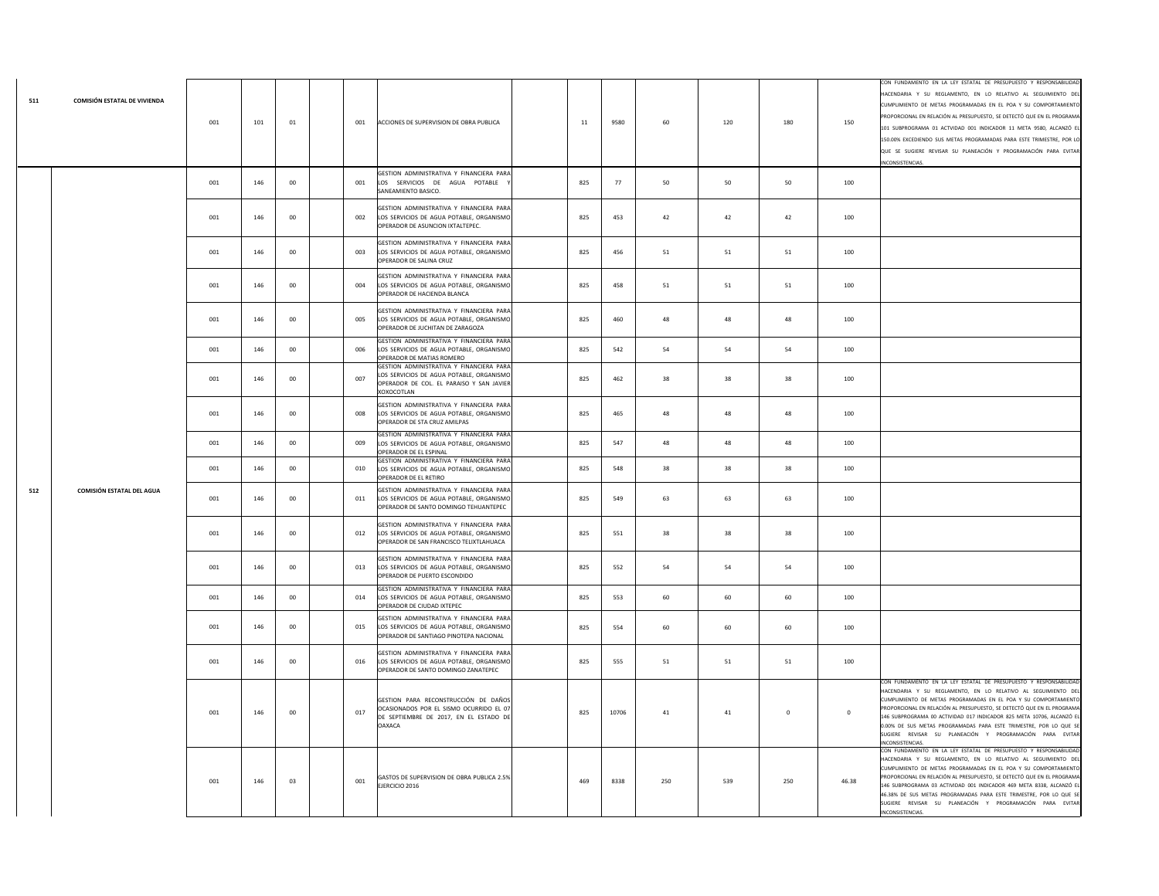| 511 | COMISIÓN ESTATAL DE VIVIENDA | 001 | 101 | 01     | 001 | ACCIONES DE SUPERVISION DE OBRA PUBLICA                                                                                                        | 11  | 9580  | 60  | 120        | 180         | 150         | CON FUNDAMENTO EN LA LEY ESTATAL DE PRESUPUESTO Y RESPONSABILIDAD<br>HACENDARIA Y SU REGLAMENTO, EN LO RELATIVO AL SEGUIMIENTO DEL<br>CUMPLIMIENTO DE METAS PROGRAMADAS EN EL POA Y SU COMPORTAMIENTO<br>PROPORCIONAL EN RELACIÓN AL PRESUPUESTO. SE DETECTÓ QUE EN EL PROGRAMA<br>101 SUBPROGRAMA 01 ACTVIDAD 001 INDICADOR 11 META 9580, ALCANZÓ EL<br>150.00% EXCEDIENDO SUS METAS PROGRAMADAS PARA ESTE TRIMESTRE, POR LO<br>QUE SE SUGIERE REVISAR SU PLANEACIÓN Y PROGRAMACIÓN PARA EVITAR<br>INCONSISTENCIAS. |
|-----|------------------------------|-----|-----|--------|-----|------------------------------------------------------------------------------------------------------------------------------------------------|-----|-------|-----|------------|-------------|-------------|----------------------------------------------------------------------------------------------------------------------------------------------------------------------------------------------------------------------------------------------------------------------------------------------------------------------------------------------------------------------------------------------------------------------------------------------------------------------------------------------------------------------|
|     |                              | 001 | 146 | 00     | 001 | GESTION ADMINISTRATIVA Y FINANCIERA PARA<br>LOS SERVICIOS DE AGUA POTABLE<br>SANEAMIENTO BASICO.                                               | 825 | 77    | 50  | 50         | 50          | 100         |                                                                                                                                                                                                                                                                                                                                                                                                                                                                                                                      |
|     |                              | 001 | 146 | 00     | 002 | GESTION ADMINISTRATIVA Y FINANCIERA PARA<br>LOS SERVICIOS DE AGUA POTABLE, ORGANISMO<br>OPERADOR DE ASUNCION IXTALTEPEC.                       | 825 | 453   | 42  | 42         | 42          | 100         |                                                                                                                                                                                                                                                                                                                                                                                                                                                                                                                      |
|     |                              | 001 | 146 | $00\,$ | 003 | GESTION ADMINISTRATIVA Y FINANCIERA PARA<br>LOS SERVICIOS DE AGUA POTABLE, ORGANISMO<br>OPERADOR DE SALINA CRUZ                                | 825 | 456   | 51  | ${\bf 51}$ | 51          | 100         |                                                                                                                                                                                                                                                                                                                                                                                                                                                                                                                      |
|     |                              | 001 | 146 | 00     | 004 | GESTION ADMINISTRATIVA Y FINANCIERA PARA<br>LOS SERVICIOS DE AGUA POTABLE, ORGANISMO<br>OPERADOR DE HACIENDA BLANCA                            | 825 | 458   | 51  | 51         | 51          | 100         |                                                                                                                                                                                                                                                                                                                                                                                                                                                                                                                      |
|     |                              | 001 | 146 | $00\,$ | 005 | GESTION ADMINISTRATIVA Y FINANCIERA PARA<br>LOS SERVICIOS DE AGUA POTABLE, ORGANISMO<br>OPERADOR DE JUCHITAN DE ZARAGOZA                       | 825 | 460   | 48  | 48         | 48          | 100         |                                                                                                                                                                                                                                                                                                                                                                                                                                                                                                                      |
|     |                              | 001 | 146 | $00\,$ | 006 | GESTION ADMINISTRATIVA Y FINANCIERA PARA<br>LOS SERVICIOS DE AGUA POTABLE, ORGANISMO<br>OPERADOR DE MATIAS ROMERO                              | 825 | 542   | 54  | 54         | 54          | 100         |                                                                                                                                                                                                                                                                                                                                                                                                                                                                                                                      |
|     |                              | 001 | 146 | $00\,$ | 007 | GESTION ADMINISTRATIVA Y FINANCIERA PARA<br>LOS SERVICIOS DE AGUA POTABLE, ORGANISMO<br>OPERADOR DE COL. EL PARAISO Y SAN JAVIER<br>XOXOCOTLAN | 825 | 462   | 38  | 38         | 38          | 100         |                                                                                                                                                                                                                                                                                                                                                                                                                                                                                                                      |
|     |                              | 001 | 146 | 00     | 008 | GESTION ADMINISTRATIVA Y FINANCIERA PARA<br>LOS SERVICIOS DE AGUA POTABLE, ORGANISMO<br>OPERADOR DE STA CRUZ AMILPAS                           | 825 | 465   | 48  | 48         | 48          | 100         |                                                                                                                                                                                                                                                                                                                                                                                                                                                                                                                      |
|     |                              | 001 | 146 | 00     | 009 | GESTION ADMINISTRATIVA Y FINANCIERA PARA<br>LOS SERVICIOS DE AGUA POTABLE, ORGANISMO<br>OPERADOR DE EL ESPINAL                                 | 825 | 547   | 48  | 48         | 48          | 100         |                                                                                                                                                                                                                                                                                                                                                                                                                                                                                                                      |
|     |                              | 001 | 146 | $00\,$ | 010 | GESTION ADMINISTRATIVA Y FINANCIERA PARA<br>LOS SERVICIOS DE AGUA POTABLE, ORGANISMO<br>OPERADOR DE EL RETIRO                                  | 825 | 548   | 38  | 38         | 38          | 100         |                                                                                                                                                                                                                                                                                                                                                                                                                                                                                                                      |
| 512 | COMISIÓN ESTATAL DEL AGUA    | 001 | 146 | $00\,$ | 011 | GESTION ADMINISTRATIVA Y FINANCIERA PARA<br>LOS SERVICIOS DE AGUA POTABLE, ORGANISMO<br>OPERADOR DE SANTO DOMINGO TEHUANTEPEC                  | 825 | 549   | 63  | 63         | 63          | 100         |                                                                                                                                                                                                                                                                                                                                                                                                                                                                                                                      |
|     |                              | 001 | 146 | 00     | 012 | GESTION ADMINISTRATIVA Y FINANCIERA PARA<br>LOS SERVICIOS DE AGUA POTABLE, ORGANISMO<br>OPERADOR DE SAN FRANCISCO TELIXTLAHUACA                | 825 | 551   | 38  | 38         | 38          | 100         |                                                                                                                                                                                                                                                                                                                                                                                                                                                                                                                      |
|     |                              | 001 | 146 | 00     | 013 | GESTION ADMINISTRATIVA Y FINANCIERA PARA<br>LOS SERVICIOS DE AGUA POTABLE, ORGANISMO<br>OPERADOR DE PUERTO ESCONDIDO                           | 825 | 552   | 54  | 54         | 54          | 100         |                                                                                                                                                                                                                                                                                                                                                                                                                                                                                                                      |
|     |                              | 001 | 146 | 00     | 014 | GESTION ADMINISTRATIVA Y FINANCIERA PARA<br>LOS SERVICIOS DE AGUA POTABLE, ORGANISMO<br>OPERADOR DE CIUDAD IXTEPEC                             | 825 | 553   | 60  | 60         | 60          | 100         |                                                                                                                                                                                                                                                                                                                                                                                                                                                                                                                      |
|     |                              | 001 | 146 | $00\,$ | 015 | GESTION ADMINISTRATIVA Y FINANCIERA PARA<br>LOS SERVICIOS DE AGUA POTABLE, ORGANISMO<br>OPERADOR DE SANTIAGO PINOTEPA NACIONAL                 | 825 | 554   | 60  | 60         | 60          | 100         |                                                                                                                                                                                                                                                                                                                                                                                                                                                                                                                      |
|     |                              | 001 | 146 | 00     | 016 | GESTION ADMINISTRATIVA Y FINANCIERA PARA<br>LOS SERVICIOS DE AGUA POTABLE, ORGANISMO<br>OPERADOR DE SANTO DOMINGO ZANATEPEC                    | 825 | 555   | 51  | 51         | 51          | 100         |                                                                                                                                                                                                                                                                                                                                                                                                                                                                                                                      |
|     |                              | 001 | 146 | $00\,$ | 017 | GESTION PARA RECONSTRUCCIÓN DE DAÑOS<br>OCASIONADOS POR EL SISMO OCURRIDO EL 07<br>DE SEPTIEMBRE DE 2017, EN EL ESTADO DE<br>OAXACA            | 825 | 10706 | 41  | 41         | $\mathbf 0$ | $\mathbf 0$ | CON FUNDAMENTO EN LA LEY ESTATAL DE PRESUPUESTO Y RESPONSABILIDA<br>HACENDARIA Y SU REGLAMENTO. EN LO RELATIVO AL SEGUIMIENTO DEL<br>CUMPLIMIENTO DE METAS PROGRAMADAS EN EL POA Y SU COMPORTAMIENTO<br>PROPORCIONAL EN RELACIÓN AL PRESUPUESTO, SE DETECTÓ QUE EN EL PROGRAMA<br>146 SUBPROGRAMA 00 ACTIVIDAD 017 INDICADOR 825 META 10706, ALCANZÓ EL<br>0.00% DE SUS METAS PROGRAMADAS PARA ESTE TRIMESTRE, POR LO QUE SE<br>SUGIERE REVISAR SU PLANEACIÓN Y PROGRAMACIÓN PARA EVITAR<br>INCONSISTENCIAS.         |
|     |                              | 001 | 146 | 03     | 001 | GASTOS DE SUPERVISION DE OBRA PUBLICA 2.5%<br>EJERCICIO 2016                                                                                   | 469 | 8338  | 250 | 539        | 250         | 46.38       | CON FUNDAMENTO EN LA LEY ESTATAL DE PRESUPUESTO Y RESPONSABILIDAD<br>ACENDARIA Y SU REGLAMENTO, EN LO RELATIVO AL SEGUIMIENTO DEL<br>CUMPLIMIENTO DE METAS PROGRAMADAS EN EL POA Y SU COMPORTAMIENTO<br>PROPORCIONAL EN RELACIÓN AL PRESUPUESTO, SE DETECTÓ QUE EN EL PROGRAMA<br>146 SUBPROGRAMA 03 ACTIVIDAD 001 INDICADOR 469 META 8338, ALCANZÓ EL<br>46.38% DE SUS METAS PROGRAMADAS PARA ESTE TRIMESTRE, POR LO QUE SE<br>SUGIERE REVISAR SU PLANEACIÓN Y PROGRAMACIÓN PARA EVITAR<br>INCONSISTENCIAS.         |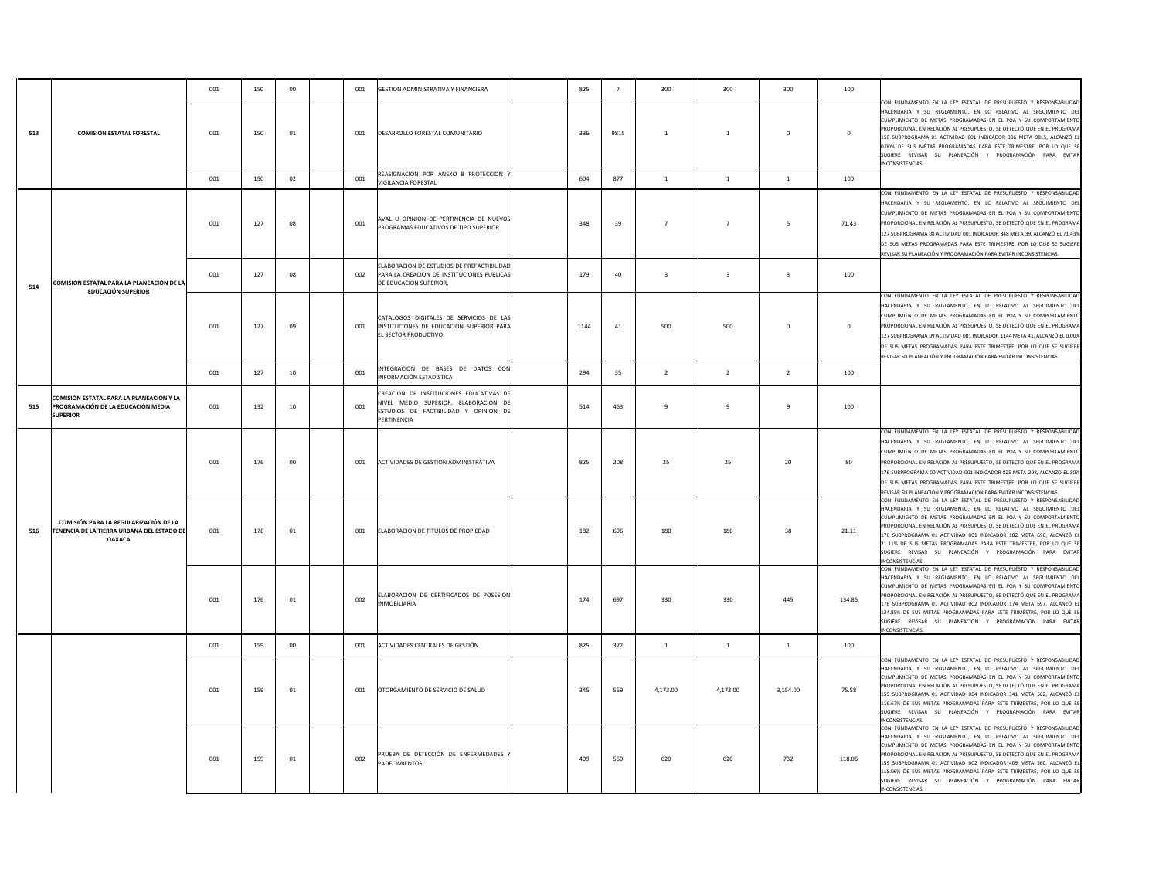|     |                                                                                                      | 001 | 150 | $00\,$ | GESTION ADMINISTRATIVA Y FINANCIERA<br>001                                                                                                     | 825  | $\overline{7}$ | 300                     | 300                     | 300                     | 100          |                                                                                                                                                                                                                                                                                                                                                                                                                                                                                                                    |
|-----|------------------------------------------------------------------------------------------------------|-----|-----|--------|------------------------------------------------------------------------------------------------------------------------------------------------|------|----------------|-------------------------|-------------------------|-------------------------|--------------|--------------------------------------------------------------------------------------------------------------------------------------------------------------------------------------------------------------------------------------------------------------------------------------------------------------------------------------------------------------------------------------------------------------------------------------------------------------------------------------------------------------------|
| 513 | <b>COMISIÓN ESTATAL FORESTAL</b>                                                                     | 001 | 150 | 01     | DESARROLLO FORESTAL COMUNITARIO<br>001                                                                                                         | 336  | 9815           | $\overline{1}$          | $1\,$                   | $\mathbf 0$             | $\mathbf 0$  | CON FUNDAMENTO EN LA LEY ESTATAL DE PRESUPUESTO Y RESPONSABILIDAD<br>HACENDARIA Y SU REGLAMENTO, EN LO RELATIVO AL SEGUIMIENTO DEL<br>CUMPLIMIENTO DE METAS PROGRAMADAS EN EL POA Y SU COMPORTAMIENTO<br>PROPORCIONAL EN RELACIÓN AL PRESUPUESTO, SE DETECTÓ QUE EN EL PROGRAMA<br>150 SUBPROGRAMA 01 ACTIVIDAD 001 INDICADOR 336 META 9815, ALCANZÓ EL<br>0.00% DE SUS METAS PROGRAMADAS PARA ESTE TRIMESTRE, POR LO QUE SE<br>SUGIERE REVISAR SU PLANEACIÓN Y PROGRAMACIÓN PARA EVITAR<br>INCONSISTENCIAS.       |
|     |                                                                                                      | 001 | 150 | 02     | REASIGNACION POR ANEXO 8 PROTECCION<br>001<br>VIGILANCIA FORESTAL                                                                              | 604  | 877            | $\mathbf{1}$            | $\mathbf{1}$            | $1$ $\,$                | 100          |                                                                                                                                                                                                                                                                                                                                                                                                                                                                                                                    |
|     |                                                                                                      | 001 | 127 | 08     | AVAL U OPINION DE PERTINENCIA DE NUEVOS<br>001<br>PROGRAMAS EDUCATIVOS DE TIPO SUPERIOR                                                        | 348  | 39             | $\overline{7}$          | $\overline{7}$          | 5                       | 71.43        | CON FUNDAMENTO EN LA LEY ESTATAL DE PRESUPUESTO Y RESPONSABILIDAD<br>HACENDARIA Y SU REGLAMENTO, EN LO RELATIVO AL SEGUIMIENTO DEL<br>CUMPLIMIENTO DE METAS PROGRAMADAS EN EL POA Y SU COMPORTAMIENTO<br>PROPORCIONAL EN RELACIÓN AL PRESUPUESTO. SE DETECTÓ QUE EN EL PROGRAMA<br>127 SUBPROGRAMA 08 ACTIVIDAD 001 INDICADOR 348 META 39, ALCANZÓ EL 71.43%<br>DE SUS METAS PROGRAMADAS PARA ESTE TRIMESTRE, POR LO QUE SE SUGIERE<br>REVISAR SU PLANEACIÓN Y PROGRAMACIÓN PARA EVITAR INCONSISTENCIAS.           |
| 514 | COMISIÓN ESTATAL PARA LA PLANEACIÓN DE LA                                                            | 001 | 127 | 08     | ELABORACION DE ESTUDIOS DE PREFACTIBILIDAD<br>002<br>PARA LA CREACION DE INSTITUCIONES PUBLICAS<br>DE EDUCACION SUPERIOR.                      | 179  | 40             | $\overline{\mathbf{3}}$ | $\overline{\mathbf{3}}$ | $\overline{\mathbf{3}}$ | 100          |                                                                                                                                                                                                                                                                                                                                                                                                                                                                                                                    |
|     | <b>EDUCACIÓN SUPERIOR</b>                                                                            | 001 | 127 | 09     | CATALOGOS DIGITALES DE SERVICIOS DE LAS<br>INSTITUCIONES DE EDUCACION SUPERIOR PARA<br>001<br>EL SECTOR PRODUCTIVO.                            | 1144 | 41             | 500                     | 500                     | $\mathbf{0}$            | $\mathbf{0}$ | CON FUNDAMENTO EN LA LEY ESTATAL DE PRESUPUESTO Y RESPONSABILIDAD<br>HACENDARIA Y SU REGLAMENTO, EN LO RELATIVO AL SEGUIMIENTO DEL<br>CUMPLIMIENTO DE METAS PROGRAMADAS EN EL POA Y SU COMPORTAMIENTO<br>ROPORCIONAL EN RELACIÓN AL PRESUPUESTO, SE DETECTÓ QUE EN EL PROGRAMA<br>127 SUBPROGRAMA 09 ACTIVIDAD 001 INDICADOR 1144 META 41, ALCANZÓ EL 0.00%<br>DE SUS METAS PROGRAMADAS PARA ESTE TRIMESTRE, POR LO QUE SE SUGIERE<br>REVISAR SU PLANEACIÓN Y PROGRAMACIÓN PARA EVITAR INCONSISTENCIAS.            |
|     |                                                                                                      | 001 | 127 | 10     | INTEGRACION DE BASES DE DATOS CON<br>001<br>INFORMACIÓN ESTADISTICA                                                                            | 294  | 35             | $\overline{2}$          | $\overline{2}$          | $\overline{2}$          | 100          |                                                                                                                                                                                                                                                                                                                                                                                                                                                                                                                    |
| 515 | COMISIÓN ESTATAL PARA LA PLANEACIÓN Y LA<br>PROGRAMACIÓN DE LA EDUCACIÓN MEDIA<br><b>SUPERIOR</b>    | 001 | 132 | 10     | CREACIÓN DE INSTITUCIONES EDUCATIVAS DE<br>NIVEL MEDIO SUPERIOR. ELABORACIÓN DE<br>001<br>ESTUDIOS DE FACTIBILIDAD Y OPINION DE<br>PERTINENCIA | 514  | 463            | $\overline{9}$          | 9                       | $\overline{9}$          | 100          |                                                                                                                                                                                                                                                                                                                                                                                                                                                                                                                    |
|     |                                                                                                      | 001 | 176 | 00     | ACTIVIDADES DE GESTION ADMINISTRATIVA<br>001                                                                                                   | 825  | 208            | 25                      | 25                      | 20                      | 80           | CON FUNDAMENTO EN LA LEY ESTATAL DE PRESUPUESTO Y RESPONSABILIDAD<br>HACENDARIA Y SU REGLAMENTO. EN LO RELATIVO AL SEGUIMIENTO DEL<br>CUMPLIMIENTO DE METAS PROGRAMADAS EN EL POA Y SU COMPORTAMIENTO<br>PROPORCIONAL EN RELACIÓN AL PRESUPUESTO, SE DETECTÓ QUE EN EL PROGRAMA<br>176 SUBPROGRAMA 00 ACTIVIDAD 001 INDICADOR 825 META 208, ALCANZÓ EL 80%<br>DE SUS METAS PROGRAMADAS PARA ESTE TRIMESTRE, POR LO QUE SE SUGIERE<br>REVISAR SU PLANEACIÓN Y PROGRAMACIÓN PARA EVITAR INCONSISTENCIAS.             |
| 516 | COMISIÓN PARA LA REGULARIZACIÓN DE LA<br>TENENCIA DE LA TIERRA URBANA DEL ESTADO DE<br><b>OAXACA</b> | 001 | 176 | 01     | 001<br>ELABORACION DE TITULOS DE PROPIEDAD                                                                                                     | 182  | 696            | 180                     | 180                     | 38                      | 21.11        | CON FUNDAMENTO EN LA LEY ESTATAL DE PRESUPUESTO Y RESPONSABILIDAD<br>HACENDARIA Y SU REGLAMENTO, EN LO RELATIVO AL SEGUIMIENTO DEL<br>CUMPLIMIENTO DE METAS PROGRAMADAS EN EL POA Y SU COMPORTAMIENTO<br>PROPORCIONAL EN RELACIÓN AL PRESUPUESTO, SE DETECTÓ QUE EN EL PROGRAMA<br>176 SUBPROGRAMA 01 ACTIVIDAD 001 INDICADOR 182 META 696, ALCANZÓ EL<br>21.11% DE SUS METAS PROGRAMADAS PARA ESTE TRIMESTRE, POR LO QUE SE<br>SUGIERE REVISAR SU PLANEACIÓN Y PROGRAMACIÓN PARA EVITAR<br>INCONSISTENCIAS.       |
|     |                                                                                                      | 001 | 176 | 01     | ELABORACION DE CERTIFICADOS DE POSESION<br>002<br>NMOBILIARIA                                                                                  | 174  | 697            | 330                     | 330                     | 445                     | 134.85       | CON FUNDAMENTO EN LA LEY ESTATAL DE PRESUPUESTO Y RESPONSABILIDAD<br>HACENDARIA Y SU REGLAMENTO, EN LO RELATIVO AL SEGUIMIENTO DEL<br>CUMPLIMIENTO DE METAS PROGRAMADAS EN EL POA Y SU COMPORTAMIENTO<br>PROPORCIONAL EN RELACIÓN AL PRESUPUESTO. SE DETECTÓ QUE EN EL PROGRAMA<br>176 SUBPROGRAMA 01 ACTIVIDAD 002 INDICADOR 174 META 697, ALCANZÓ EI<br>134.85% DE SUS METAS PROGRAMADAS PARA ESTE TRIMESTRE, POR LO QUE SE<br>SUGIERE REVISAR SU PLANEACIÓN Y PROGRAMACIÓN PARA EVITAR<br>INCONSISTENCIAS.      |
|     |                                                                                                      | 001 | 159 | $00\,$ | 001<br>ACTIVIDADES CENTRALES DE GESTIÓN                                                                                                        | 825  | 372            | <sup>1</sup>            | 1                       | 1                       | 100          |                                                                                                                                                                                                                                                                                                                                                                                                                                                                                                                    |
|     |                                                                                                      | 001 | 159 | 01     | 001<br>OTORGAMIENTO DE SERVICIO DE SALUD                                                                                                       | 345  | 559            | 4,173.00                | 4.173.00                | 3,154.00                | 75.58        | CON FUNDAMENTO EN LA LEY ESTATAL DE PRESUPUESTO Y RESPONSABILIDAD<br>HACENDARIA Y SU REGLAMENTO, EN LO RELATIVO AL SEGUIMIENTO DEL<br>CUMPLIMIENTO DE METAS PROGRAMADAS EN EL POA Y SU COMPORTAMIENTO<br>ROPORCIONAL EN RELACIÓN AL PRESUPUESTO, SE DETECTÓ QUE EN EL PROGRAMA<br>159 SUBPROGRAMA 01 ACTIVIDAD 004 INDICADOR 341 META 562, ALCANZÓ EL<br>116,67% DE SUS METAS PROGRAMADAS PARA ESTE TRIMESTRE. POR LO QUE SE<br>SUGIERE REVISAR SU PLANEACIÓN Y PROGRAMACIÓN PARA EVITAR<br><b>INCONSISTENCIAS</b> |
|     |                                                                                                      | 001 | 159 | 01     | PRUEBA DE DETECCIÓN DE ENFERMEDADES<br>002<br>PADECIMIENTOS                                                                                    | 409  | 560            | 620                     | 620                     | 732                     | 118.06       | CON FUNDAMENTO EN LA LEY ESTATAL DE PRESUPUESTO Y RESPONSABILIDAD<br>HACENDARIA Y SU REGLAMENTO, EN LO RELATIVO AL SEGUIMIENTO DEL<br>CUMPLIMIENTO DE METAS PROGRAMADAS EN EL POA Y SU COMPORTAMIENTO<br>PROPORCIONAL EN RELACIÓN AL PRESUPUESTO, SE DETECTÓ QUE EN EL PROGRAMA<br>159 SUBPROGRAMA 01 ACTIVIDAD 002 INDICADOR 409 META 560, ALCANZÓ EL<br>118.06% DE SUS METAS PROGRAMADAS PARA ESTE TRIMESTRE, POR LO QUE SE<br>SUGIERE REVISAR SU PLANEACIÓN Y PROGRAMACIÓN PARA EVITAR<br>INCONSISTENCIAS.      |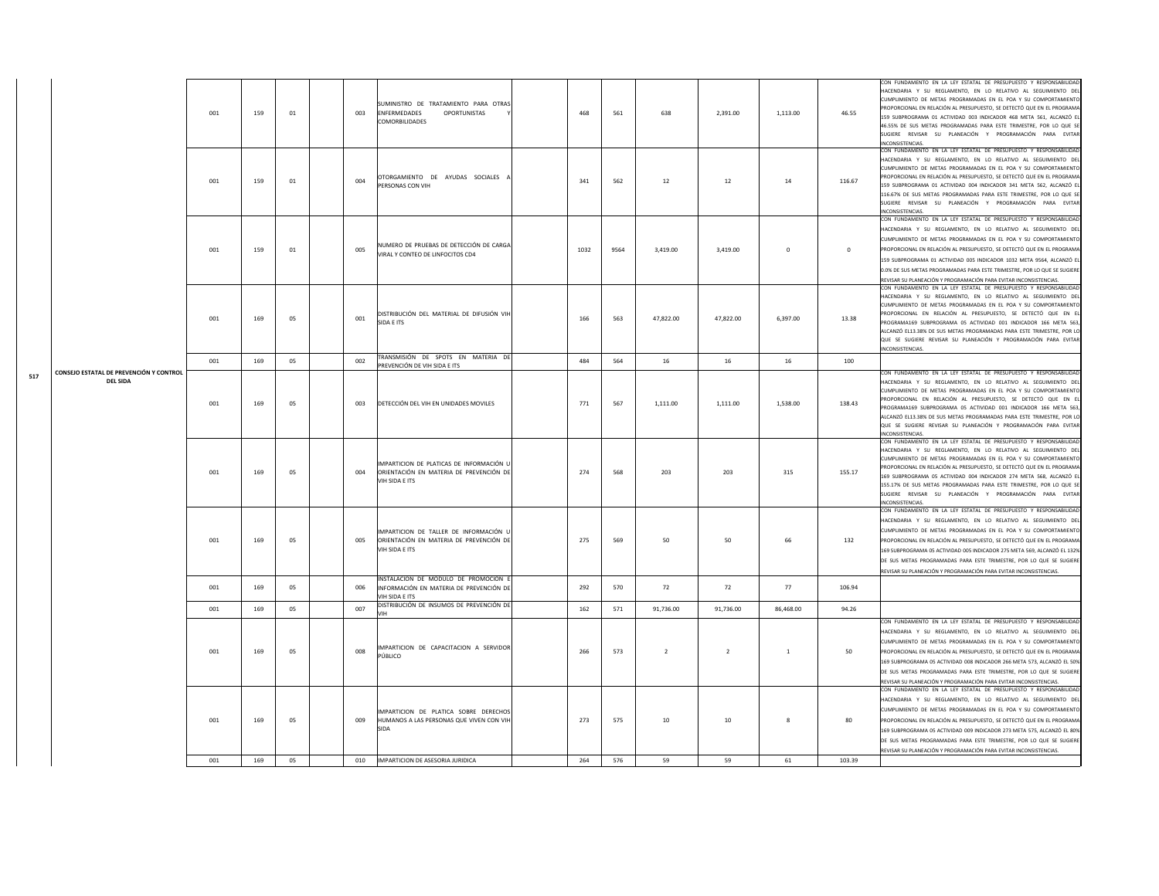|     |                                                            | 001 | 159 | 01 | 003 | SUMINISTRO DE TRATAMIENTO PARA OTRAS<br>ENFERMEDADES<br>OPORTUNISTAS<br>COMORBILIDADES               | 468  | 561  | 638            | 2,391.00       | 1,113.00     | 46.55      | CON FUNDAMENTO EN LA LEY ESTATAL DE PRESUPUESTO Y RESPONSABILIDAD<br>ACENDARIA Y SU REGLAMENTO, EN LO RELATIVO AL SEGUIMIENTO DEL<br>CUMPLIMIENTO DE METAS PROGRAMADAS EN EL POA Y SU COMPORTAMIENTO<br>PROPORCIONAL EN RELACIÓN AL PRESUPUESTO, SE DETECTÓ QUE EN EL PROGRAMA<br>159 SUBPROGRAMA 01 ACTIVIDAD 003 INDICADOR 468 META 561, ALCANZÓ EL<br>46.55% DE SUS METAS PROGRAMADAS PARA ESTE TRIMESTRE, POR LO QUE SE<br>SUGIERE REVISAR SU PLANEACIÓN Y PROGRAMACIÓN PARA EVITAR<br>INCONSISTENCIAS.      |
|-----|------------------------------------------------------------|-----|-----|----|-----|------------------------------------------------------------------------------------------------------|------|------|----------------|----------------|--------------|------------|------------------------------------------------------------------------------------------------------------------------------------------------------------------------------------------------------------------------------------------------------------------------------------------------------------------------------------------------------------------------------------------------------------------------------------------------------------------------------------------------------------------|
|     |                                                            | 001 | 159 | 01 | 004 | OTORGAMIENTO DE AYUDAS SOCIALES A<br>PERSONAS CON VIH                                                | 341  | 562  | 12             | 12             | 14           | 116.67     | CON FUNDAMENTO EN LA LEY ESTATAL DE PRESUPUESTO Y RESPONSABILIDAD<br>HACENDARIA Y SU REGLAMENTO, EN LO RELATIVO AL SEGUIMIENTO DEL<br>CUMPLIMIENTO DE METAS PROGRAMADAS EN EL POA Y SU COMPORTAMIENTO<br>PROPORCIONAL EN RELACIÓN AL PRESUPUESTO, SE DETECTÓ QUE EN EL PROGRAMA<br>159 SUBPROGRAMA 01 ACTIVIDAD 004 INDICADOR 341 META 562, ALCANZÓ EL<br>116.67% DE SUS METAS PROGRAMADAS PARA ESTE TRIMESTRE, POR LO QUE SE<br>SUGIERE REVISAR SU PLANEACIÓN Y PROGRAMACIÓN PARA EVITAR<br>NCONSISTENCIAS      |
|     |                                                            | 001 | 159 | 01 | 005 | NUMERO DE PRUEBAS DE DETECCIÓN DE CARGA<br>VIRAL Y CONTEO DE LINFOCITOS CD4                          | 1032 | 9564 | 3,419.00       | 3,419.00       | $\mathbf{0}$ | $^{\circ}$ | CON FUNDAMENTO EN LA LEY ESTATAL DE PRESUPUESTO Y RESPONSABILIDAD<br>HACENDARIA Y SU REGLAMENTO, EN LO RELATIVO AL SEGUIMIENTO DEL<br>CUMPLIMIENTO DE METAS PROGRAMADAS EN EL POA Y SU COMPORTAMIENTO<br>PROPORCIONAL EN RELACIÓN AL PRESUPUESTO, SE DETECTÓ QUE EN EL PROGRAMA<br>159 SUBPROGRAMA 01 ACTIVIDAD 005 INDICADOR 1032 META 9564, ALCANZÓ EL<br>0.0% DE SUS METAS PROGRAMADAS PARA ESTE TRIMESTRE, POR LO QUE SE SUGIERE<br>REVISAR SU PLANEACIÓN Y PROGRAMACIÓN PARA EVITAR INCONSISTENCIAS.        |
|     |                                                            | 001 | 169 | 05 | 001 | DISTRIBUCIÓN DEL MATERIAL DE DIFUSIÓN VIH<br>SIDA E ITS                                              | 166  | 563  | 47,822.00      | 47,822.00      | 6,397.00     | 13.38      | CON FUNDAMENTO EN LA LEY ESTATAL DE PRESUPUESTO Y RESPONSABILIDAD<br>HACENDARIA Y SU REGLAMENTO, EN LO RELATIVO AL SEGUIMIENTO DEL<br>CUMPLIMIENTO DE METAS PROGRAMADAS EN EL POA Y SU COMPORTAMIENTO<br>ROPORCIONAL EN RELACIÓN AL PRESUPUESTO, SE DETECTÓ QUE EN EL<br>PROGRAMA169 SUBPROGRAMA 05 ACTIVIDAD 001 INDICADOR 166 META 563,<br>ALCANZÓ EL13.38% DE SUS METAS PROGRAMADAS PARA ESTE TRIMESTRE, POR LO<br>QUE SE SUGIERE REVISAR SU PLANEACIÓN Y PROGRAMACIÓN PARA EVITAR<br>INCONSISTENCIAS.        |
|     |                                                            | 001 | 169 | 05 | 002 | TRANSMISIÓN DE SPOTS EN MATERIA DE<br>PREVENCIÓN DE VIH SIDA E ITS                                   | 484  | 564  | 16             | 16             | 16           | 100        |                                                                                                                                                                                                                                                                                                                                                                                                                                                                                                                  |
| 517 | CONSEJO ESTATAL DE PREVENCIÓN Y CONTROL<br><b>DEL SIDA</b> | 001 | 169 | 05 | 003 | DETECCIÓN DEL VIH EN UNIDADES MOVILES                                                                | 771  | 567  | 1,111.00       | 1,111.00       | 1.538.00     | 138.43     | CON FUNDAMENTO EN LA LEY ESTATAL DE PRESUPUESTO Y RESPONSABILIDAD<br>HACENDARIA Y SU REGLAMENTO, EN LO RELATIVO AL SEGUIMIENTO DEL<br>CUMPLIMIENTO DE METAS PROGRAMADAS EN EL POA Y SU COMPORTAMIENTO<br>PROPORCIONAL EN RELACIÓN AL PRESUPUESTO, SE DETECTÓ QUE EN EL<br>PROGRAMA169 SUBPROGRAMA 05 ACTIVIDAD 001 INDICADOR 166 META 563,<br>ALCANZÓ EL13.38% DE SUS METAS PROGRAMADAS PARA ESTE TRIMESTRE, POR LO<br>QUE SE SUGIERE REVISAR SU PLANEACIÓN Y PROGRAMACIÓN PARA EVITAR<br><b>INCONSISTENCIAS</b> |
|     |                                                            | 001 | 169 | 05 | 004 | MPARTICION DE PLATICAS DE INFORMACIÓN I<br>ORIENTACIÓN EN MATERIA DE PREVENCIÓN DE<br>VIH SIDA E ITS | 274  | 568  | 203            | 203            | 315          | 155.17     | CON FUNDAMENTO EN LA LEY ESTATAL DE PRESUPUESTO Y RESPONSABILIDAD<br>HACENDARIA Y SU REGLAMENTO, EN LO RELATIVO AL SEGUIMIENTO DEL<br>CUMPLIMIENTO DE METAS PROGRAMADAS EN EL POA Y SU COMPORTAMIENTO<br>PROPORCIONAL EN RELACIÓN AL PRESUPUESTO, SE DETECTÓ QUE EN EL PROGRAMA<br>169 SUBPROGRAMA 05 ACTIVIDAD 004 INDICADOR 274 META 568, ALCANZÓ EL<br>155.17% DE SUS METAS PROGRAMADAS PARA ESTE TRIMESTRE, POR LO QUE SE<br>SUGIERE REVISAR SU PLANEACIÓN Y PROGRAMACIÓN PARA EVITAR<br>NCONSISTENCIAS      |
|     |                                                            | 001 | 169 | 05 | 005 | MPARTICION DE TALLER DE INFORMACIÓN L<br>ORIENTACIÓN EN MATERIA DE PREVENCIÓN DE<br>VIH SIDA E ITS   | 275  | 569  | 50             | 50             | 66           | 132        | CON FUNDAMENTO EN LA LEY ESTATAL DE PRESUPUESTO Y RESPONSABILIDAD<br>HACENDARIA Y SU REGLAMENTO, EN LO RELATIVO AL SEGUIMIENTO DEL<br>CUMPLIMIENTO DE METAS PROGRAMADAS EN EL POA Y SU COMPORTAMIENTO<br>PROPORCIONAL EN RELACIÓN AL PRESUPUESTO, SE DETECTÓ QUE EN EL PROGRAMA<br>169 SUBPROGRAMA 05 ACTIVIDAD 005 INDICADOR 275 META 569, ALCANZÓ EL 132%<br>DE SUS METAS PROGRAMADAS PARA ESTE TRIMESTRE, POR LO QUE SE SUGIERE<br>REVISAR SU PLANEACIÓN Y PROGRAMACIÓN PARA EVITAR INCONSISTENCIAS           |
|     |                                                            | 001 | 169 | 05 | 006 | INSTALACION DE MÓDULO DE PROMOCIÓN I<br>INFORMACIÓN EN MATERIA DE PREVENCIÓN DE<br>VIH SIDA E ITS    | 292  | 570  | 72             | 72             | 77           | 106.94     |                                                                                                                                                                                                                                                                                                                                                                                                                                                                                                                  |
|     |                                                            | 001 | 169 | 05 | 007 | DISTRIBUCIÓN DE INSUMOS DE PREVENCIÓN DE                                                             | 162  | 571  | 91,736.00      | 91,736.00      | 86,468,00    | 94.26      |                                                                                                                                                                                                                                                                                                                                                                                                                                                                                                                  |
|     |                                                            | 001 | 169 | 05 | 008 | IMPARTICION DE CAPACITACION A SERVIDOR<br>PÚBLICO                                                    | 266  | 573  | $\overline{2}$ | $\overline{2}$ | 1            | 50         | CON FUNDAMENTO EN LA LEY ESTATAL DE PRESUPUESTO Y RESPONSABILIDAD<br>HACENDARIA Y SU REGLAMENTO, EN LO RELATIVO AL SEGUIMIENTO DEL<br>CUMPLIMIENTO DE METAS PROGRAMADAS EN EL POA Y SU COMPORTAMIENTO<br>PROPORCIONAL EN RELACIÓN AL PRESUPUESTO, SE DETECTÓ QUE EN EL PROGRAMA<br>169 SUBPROGRAMA 05 ACTIVIDAD 008 INDICADOR 266 META 573, ALCANZÓ EL 50%<br>DE SUS METAS PROGRAMADAS PARA ESTE TRIMESTRE, POR LO QUE SE SUGIERE<br>REVISAR SU PLANEACIÓN Y PROGRAMACIÓN PARA EVITAR INCONSISTENCIAS.           |
|     |                                                            | 001 | 169 | 05 | 009 | MPARTICION DE PLATICA SOBRE DERECHOS<br>HUMANOS A LAS PERSONAS QUE VIVEN CON VIH                     | 273  | 575  | 10             | 10             | 8            | 80         | CON FUNDAMENTO EN LA LEY ESTATAL DE PRESUPUESTO Y RESPONSABILIDAD<br>HACENDARIA Y SU REGLAMENTO, EN LO RELATIVO AL SEGUIMIENTO DEL<br>CUMPLIMIENTO DE METAS PROGRAMADAS EN EL POA Y SU COMPORTAMIENTO<br>ROPORCIONAL EN RELACIÓN AL PRESUPUESTO, SE DETECTÓ QUE EN EL PROGRAMA<br>169 SUBPROGRAMA 05 ACTIVIDAD 009 INDICADOR 273 META 575, ALCANZÓ EL 80%<br>DE SUS METAS PROGRAMADAS PARA ESTE TRIMESTRE, POR LO QUE SE SUGIERE<br>REVISAR SU PLANEACIÓN Y PROGRAMACIÓN PARA EVITAR INCONSISTENCIAS.            |
|     |                                                            | 001 | 169 | 05 | 010 | IMPARTICION DE ASESORIA JURIDICA                                                                     | 264  | 576  | 59             | 59             | 61           | 103.39     |                                                                                                                                                                                                                                                                                                                                                                                                                                                                                                                  |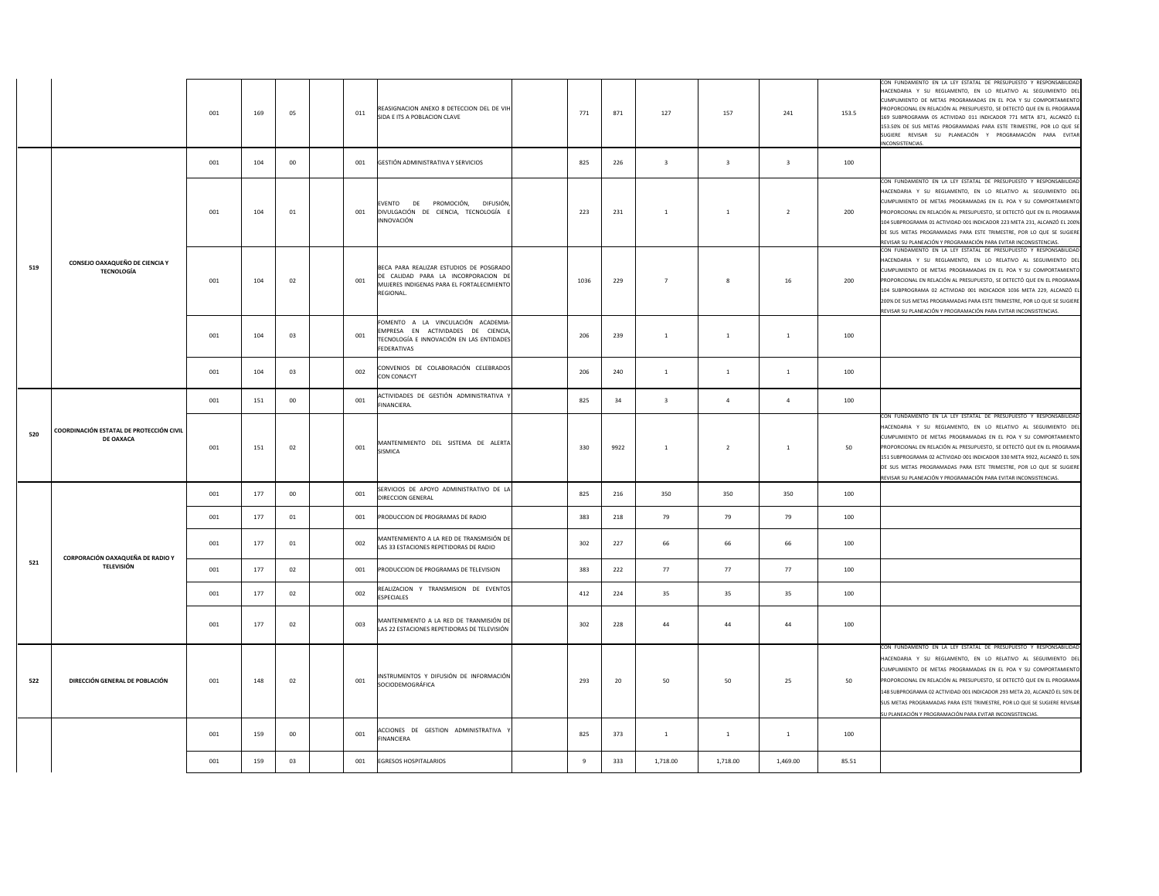|     |                                                       | 001 | 169 | 05              | REASIGNACION ANEXO 8 DETECCION DEL DE VIH<br>011<br>SIDA E ITS A POBLACION CLAVE                                                                      | 771  | 871  | 127                     | 157                     | 241                     | 153.5 | CON FUNDAMENTO EN LA LEY ESTATAL DE PRESUPUESTO Y RESPONSABILIDAD<br>HACENDARIA Y SU REGLAMENTO, EN LO RELATIVO AL SEGUIMIENTO DEL<br>CUMPLIMIENTO DE METAS PROGRAMADAS EN EL POA Y SU COMPORTAMIENTO<br>PROPORCIONAL EN RELACIÓN AL PRESUPUESTO, SE DETECTÓ QUE EN EL PROGRAMA<br>169 SUBPROGRAMA 05 ACTIVIDAD 011 INDICADOR 771 META 871, ALCANZÓ EL<br>153.50% DE SUS METAS PROGRAMADAS PARA ESTE TRIMESTRE, POR LO QUE SE<br>SUGIERE REVISAR SU PLANEACIÓN Y PROGRAMACIÓN PARA EVITAR<br>NCONSISTENCIAS. |
|-----|-------------------------------------------------------|-----|-----|-----------------|-------------------------------------------------------------------------------------------------------------------------------------------------------|------|------|-------------------------|-------------------------|-------------------------|-------|--------------------------------------------------------------------------------------------------------------------------------------------------------------------------------------------------------------------------------------------------------------------------------------------------------------------------------------------------------------------------------------------------------------------------------------------------------------------------------------------------------------|
|     |                                                       | 001 | 104 | 00              | GESTIÓN ADMINISTRATIVA Y SERVICIOS<br>001                                                                                                             | 825  | 226  | $\overline{\mathbf{3}}$ | $\overline{\mathbf{3}}$ | $\overline{\mathbf{3}}$ | 100   |                                                                                                                                                                                                                                                                                                                                                                                                                                                                                                              |
|     |                                                       | 001 | 104 | 01              | <b>EVENTO</b><br>DE PROMOCIÓN, DIFUSIÓN,<br>DIVULGACIÓN DE CIENCIA, TECNOLOGÍA I<br>001<br><b>INNOVACIÓN</b>                                          | 223  | 231  | <sup>1</sup>            | $\mathbf{1}$            | $\overline{2}$          | 200   | CON FUNDAMENTO EN LA LEY ESTATAL DE PRESUPUESTO Y RESPONSABILIDAD<br>HACENDARIA Y SU REGLAMENTO, EN LO RELATIVO AL SEGUIMIENTO DEL<br>CUMPLIMIENTO DE METAS PROGRAMADAS EN EL POA Y SU COMPORTAMIENTO<br>PROPORCIONAL EN RELACIÓN AL PRESUPUESTO, SE DETECTÓ QUE EN EL PROGRAMA<br>104 SUBPROGRAMA 01 ACTIVIDAD 001 INDICADOR 223 META 231, ALCANZÓ EL 200%<br>DE SUS METAS PROGRAMADAS PARA ESTE TRIMESTRE, POR LO QUE SE SUGIERE<br>REVISAR SU PLANEACIÓN Y PROGRAMACIÓN PARA EVITAR INCONSISTENCIAS.      |
| 519 | CONSEJO OAXAQUEÑO DE CIENCIA Y<br><b>TECNOLOGÍA</b>   | 001 | 104 | 02              | BECA PARA REALIZAR ESTUDIOS DE POSGRADO<br>DE CALIDAD PARA LA INCORPORACION DE<br>001<br>MUJERES INDIGENAS PARA EL FORTALECIMIENTO<br><b>REGIONAL</b> | 1036 | 229  | $\overline{7}$          | 8                       | 16                      | 200   | CON FUNDAMENTO EN LA LEY ESTATAL DE PRESUPUESTO Y RESPONSABILIDAD<br>HACENDARIA Y SU REGLAMENTO, EN LO RELATIVO AL SEGUIMIENTO DEL<br>CUMPLIMIENTO DE METAS PROGRAMADAS EN EL POA Y SU COMPORTAMIENTO<br>PROPORCIONAL EN RELACIÓN AL PRESUPUESTO, SE DETECTÓ QUE EN EL PROGRAMA<br>104 SUBPROGRAMA 02 ACTIVIDAD 001 INDICADOR 1036 META 229, ALCANZÓ EL<br>200% DE SUS METAS PROGRAMADAS PARA ESTE TRIMESTRE, POR LO QUE SE SUGIERE<br>REVISAR SU PLANEACIÓN Y PROGRAMACIÓN PARA EVITAR INCONSISTENCIAS.     |
|     |                                                       | 001 | 104 | 03              | FOMENTO A LA VINCULACIÓN ACADEMIA<br>EMPRESA EN ACTIVIDADES DE CIENCIA,<br>001<br>TECNOLOGÍA E INNOVACIÓN EN LAS ENTIDADES<br>FEDERATIVAS             | 206  | 239  | $\overline{1}$          | $\mathbf{1}$            | $1\,$                   | 100   |                                                                                                                                                                                                                                                                                                                                                                                                                                                                                                              |
|     |                                                       | 001 | 104 | 03              | CONVENIOS DE COLABORACIÓN CELEBRADOS<br>002<br>CON CONACYT                                                                                            | 206  | 240  | <sup>1</sup>            | $\mathbf{1}$            | $\mathbf{1}$            | 100   |                                                                                                                                                                                                                                                                                                                                                                                                                                                                                                              |
|     |                                                       | 001 | 151 | 00 <sup>°</sup> | ACTIVIDADES DE GESTIÓN ADMINISTRATIVA Y<br>001<br>FINANCIERA.                                                                                         | 825  | 34   | $\overline{\mathbf{3}}$ | $\overline{4}$          | $\overline{4}$          | 100   |                                                                                                                                                                                                                                                                                                                                                                                                                                                                                                              |
| 520 | COORDINACIÓN ESTATAL DE PROTECCIÓN CIVIL<br>DE OAXACA | 001 | 151 | 02              | MANTENIMIENTO DEL SISTEMA DE ALERTA<br>001<br>SISMICA                                                                                                 | 330  | 9922 | <sup>1</sup>            | $\overline{2}$          | $\mathbf{1}$            | 50    | CON FUNDAMENTO EN LA LEY ESTATAL DE PRESUPUESTO Y RESPONSABILIDAD<br>HACENDARIA Y SU REGLAMENTO, EN LO RELATIVO AL SEGUIMIENTO DEL<br>CUMPLIMIENTO DE METAS PROGRAMADAS EN EL POA Y SU COMPORTAMIENTO<br>PROPORCIONAL EN RELACIÓN AL PRESUPUESTO, SE DETECTÓ QUE EN EL PROGRAMA<br>151 SUBPROGRAMA 02 ACTIVIDAD 001 INDICADOR 330 META 9922, ALCANZÓ EL 50%<br>DE SUS METAS PROGRAMADAS PARA ESTE TRIMESTRE, POR LO QUE SE SUGIERE<br>REVISAR SU PLANEACIÓN Y PROGRAMACIÓN PARA EVITAR INCONSISTENCIAS.      |
|     |                                                       | 001 | 177 | 00              | SERVICIOS DE APOYO ADMINISTRATIVO DE LA<br>001<br>DIRECCION GENERAL                                                                                   | 825  | 216  | 350                     | 350                     | 350                     | 100   |                                                                                                                                                                                                                                                                                                                                                                                                                                                                                                              |
|     |                                                       | 001 | 177 | 01              | 001<br>PRODUCCION DE PROGRAMAS DE RADIO                                                                                                               | 383  | 218  | 79                      | 79                      | 79                      | 100   |                                                                                                                                                                                                                                                                                                                                                                                                                                                                                                              |
|     | CORPORACIÓN OAXAQUEÑA DE RADIO Y                      | 001 | 177 | 01              | MANTENIMIENTO A LA RED DE TRANSMISIÓN DE<br>002<br>LAS 33 ESTACIONES REPETIDORAS DE RADIO                                                             | 302  | 227  | 66                      | 66                      | 66                      | 100   |                                                                                                                                                                                                                                                                                                                                                                                                                                                                                                              |
| 521 | <b>TELEVISIÓN</b>                                     | 001 | 177 | 02              | 001<br>PRODUCCION DE PROGRAMAS DE TELEVISION                                                                                                          | 383  | 222  | 77                      | 77                      | 77                      | 100   |                                                                                                                                                                                                                                                                                                                                                                                                                                                                                                              |
|     |                                                       | 001 | 177 | 02              | REALIZACION Y TRANSMISION DE EVENTOS<br>002<br><b>ESPECIALES</b>                                                                                      | 412  | 224  | 35                      | 35                      | 35                      | 100   |                                                                                                                                                                                                                                                                                                                                                                                                                                                                                                              |
|     |                                                       | 001 | 177 | 02              | MANTENIMIENTO A LA RED DE TRANMISIÓN DE<br>003<br>LAS 22 ESTACIONES REPETIDORAS DE TELEVISIÓN                                                         | 302  | 228  | 44                      | 44                      | 44                      | 100   |                                                                                                                                                                                                                                                                                                                                                                                                                                                                                                              |
| 522 | DIRECCIÓN GENERAL DE POBLACIÓN                        | 001 | 148 | 02              | INSTRUMENTOS Y DIFUSIÓN DE INFORMACIÓN<br>001<br>SOCIODEMOGRÁFICA                                                                                     | 293  | 20   | 50                      | 50                      | 25                      | 50    | CON FUNDAMENTO EN LA LEY ESTATAL DE PRESUPUESTO Y RESPONSABILIDAD<br>HACENDARIA Y SU REGLAMENTO, EN LO RELATIVO AL SEGUIMIENTO DEL<br>CUMPLIMIENTO DE METAS PROGRAMADAS EN EL POA Y SU COMPORTAMIENTO<br>PROPORCIONAL EN RELACIÓN AL PRESUPUESTO, SE DETECTÓ QUE EN EL PROGRAMA<br>148 SUBPROGRAMA 02 ACTIVIDAD 001 INDICADOR 293 META 20, ALCANZÓ EL 50% DE<br>SUS METAS PROGRAMADAS PARA ESTE TRIMESTRE, POR LO QUE SE SUGIERE REVISAR<br>JU PLANEACIÓN Y PROGRAMACIÓN PARA EVITAR INCONSISTENCIAS.        |
|     |                                                       | 001 | 159 | 00              | ACCIONES DE GESTION ADMINISTRATIVA<br>001<br>FINANCIERA                                                                                               | 825  | 373  | $\mathbf{1}$            | 1                       | 1                       | 100   |                                                                                                                                                                                                                                                                                                                                                                                                                                                                                                              |
|     |                                                       | 001 | 159 | 03              | <b>EGRESOS HOSPITALARIOS</b><br>001                                                                                                                   | 9    | 333  | 1,718.00                | 1.718.00                | 1,469.00                | 85.51 |                                                                                                                                                                                                                                                                                                                                                                                                                                                                                                              |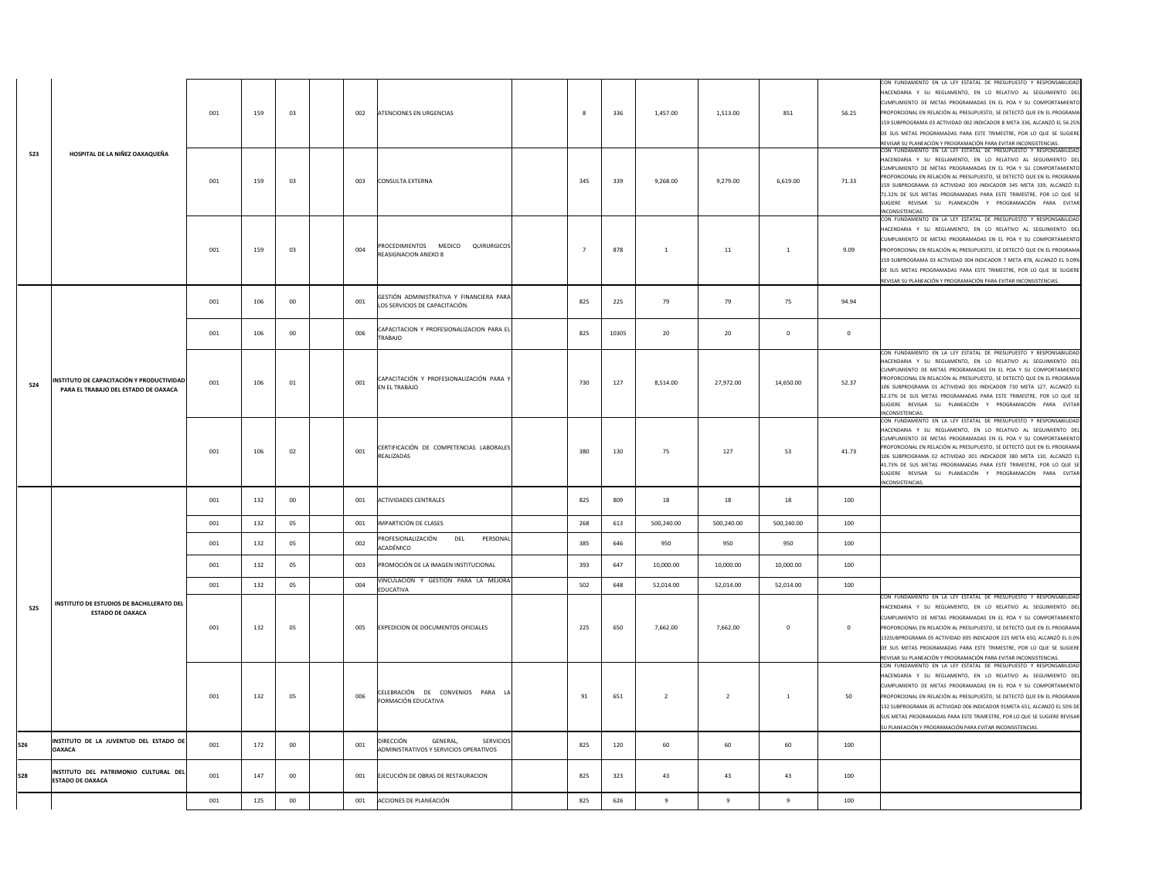|     |                                                                                   | 001 | 159 | 03     | 002 | ATENCIONES EN URGENCIAS                                                      | 8              | 336   | 1,457.00       | 1,513.00       | 851          | 56.25        | CON FUNDAMENTO EN LA LEY ESTATAL DE PRESUPUESTO Y RESPONSABILIDAD<br>HACENDARIA Y SU REGLAMENTO, EN LO RELATIVO AL SEGUIMIENTO DEL<br>CUMPLIMIENTO DE METAS PROGRAMADAS EN EL POA Y SU COMPORTAMIENTO<br>PROPORCIONAL EN RELACIÓN AL PRESUPUESTO, SE DETECTÓ QUE EN EL PROGRAMA<br>159 SUBPROGRAMA 03 ACTIVIDAD 002 INDICADOR 8 META 336, ALCANZÓ EL 56.25%<br>DE SUS METAS PROGRAMADAS PARA ESTE TRIMESTRE, POR LO QUE SE SUGIERE<br>REVISAR SU PLANEACIÓN Y PROGRAMACIÓN PARA EVITAR INCONSISTENCIAS.            |
|-----|-----------------------------------------------------------------------------------|-----|-----|--------|-----|------------------------------------------------------------------------------|----------------|-------|----------------|----------------|--------------|--------------|--------------------------------------------------------------------------------------------------------------------------------------------------------------------------------------------------------------------------------------------------------------------------------------------------------------------------------------------------------------------------------------------------------------------------------------------------------------------------------------------------------------------|
| 523 | HOSPITAL DE LA NIÑEZ OAXAQUEÑA                                                    | 001 | 159 | 03     | 003 | <b>CONSULTA EXTERNA</b>                                                      | 345            | 339   | 9,268.00       | 9,279.00       | 6,619.00     | 71.33        | CON FUNDAMENTO EN LA LEY ESTATAL DE PRESUPUESTO Y RESPONSABILIDAD<br>HACENDARIA Y SU REGLAMENTO, EN LO RELATIVO AL SEGUIMIENTO DEL<br>CUMPLIMIENTO DE METAS PROGRAMADAS EN EL POA Y SU COMPORTAMIENTO<br>PROPORCIONAL EN RELACIÓN AL PRESUPUESTO, SE DETECTÓ QUE EN EL PROGRAMA<br>159 SUBPROGRAMA 03 ACTIVIDAD 003 INDICADOR 345 META 339, ALCANZÓ EL<br>71.32% DE SUS METAS PROGRAMADAS PARA ESTE TRIMESTRE. POR LO QUE SE<br>SUGIERE REVISAR SU PLANEACIÓN Y PROGRAMACIÓN PARA EVITAR<br><b>INCONSISTENCIAS</b> |
|     |                                                                                   | 001 | 159 | 03     | 004 | PROCEDIMIENTOS MEDICO QUIRURGICOS<br>REASIGNACION ANEXO 8                    | $\overline{7}$ | 878   | 1              | $11\,$         | $1\,$        | 9.09         | CON FUNDAMENTO EN LA LEY ESTATAL DE PRESUPUESTO Y RESPONSABILIDAD<br>HACENDARIA Y SU REGLAMENTO, EN LO RELATIVO AL SEGUIMIENTO DEL<br>CUMPLIMIENTO DE METAS PROGRAMADAS EN EL POA Y SU COMPORTAMIENTO<br>PROPORCIONAL EN RELACIÓN AL PRESUPUESTO, SE DETECTÓ QUE EN EL PROGRAMA<br>159 SUBPROGRAMA 03 ACTIVIDAD 004 INDICADOR 7 META 878, ALCANZÓ EL 9.09%<br>DE SUS METAS PROGRAMADAS PARA ESTE TRIMESTRE, POR LO QUE SE SUGIERE<br>EVISAR SU PLANEACIÓN Y PROGRAMACIÓN PARA EVITAR INCONSISTENCIAS               |
|     |                                                                                   | 001 | 106 | 00     | 001 | GESTIÓN ADMINISTRATIVA Y FINANCIERA PARA<br>LOS SERVICIOS DE CAPACITACIÓN.   | 825            | 225   | 79             | 79             | 75           | 94.94        |                                                                                                                                                                                                                                                                                                                                                                                                                                                                                                                    |
|     |                                                                                   | 001 | 106 | 00     | 006 | CAPACITACION Y PROFESIONALIZACION PARA EL<br>TRABAJO                         | 825            | 10305 | 20             | 20             | $\circ$      | $\mathbf{0}$ |                                                                                                                                                                                                                                                                                                                                                                                                                                                                                                                    |
| 524 | INSTITUTO DE CAPACITACIÓN Y PRODUCTIVIDAD<br>PARA EL TRABAJO DEL ESTADO DE OAXACA | 001 | 106 | 01     | 001 | CAPACITACIÓN Y PROFESIONALIZACIÓN PARA Y<br>EN EL TRABAJO                    | 730            | 127   | 8,514.00       | 27,972.00      | 14,650.00    | 52.37        | CON FUNDAMENTO EN LA LEY ESTATAL DE PRESUPUESTO Y RESPONSABILIDAD<br>HACENDARIA Y SU REGLAMENTO, EN LO RELATIVO AL SEGUIMIENTO DEL<br>CUMPLIMIENTO DE METAS PROGRAMADAS EN EL POA Y SU COMPORTAMIENTO<br>PROPORCIONAL EN RELACIÓN AL PRESUPUESTO, SE DETECTÓ QUE EN EL PROGRAMA<br>106 SUBPROGRAMA 01 ACTIVIDAD 001 INDICADOR 730 META 127, ALCANZÓ EL<br>52.37% DE SUS METAS PROGRAMADAS PARA ESTE TRIMESTRE, POR LO QUE SE<br>SUGIERE REVISAR SU PLANEACIÓN Y PROGRAMACIÓN PARA EVITAR<br>INCONSISTENCIAS        |
|     |                                                                                   | 001 | 106 | 02     | 001 | CERTIFICACIÓN DE COMPETENCIAS LABORALES<br>REALIZADAS                        | 380            | 130   | 75             | 127            | 53           | 41.73        | CON FUNDAMENTO EN LA LEY ESTATAL DE PRESUPUESTO Y RESPONSABILIDAD<br>HACENDARIA Y SU REGLAMENTO, EN LO RELATIVO AL SEGUIMIENTO DEL<br>CUMPLIMIENTO DE METAS PROGRAMADAS EN EL POA Y SU COMPORTAMIENTO<br>PROPORCIONAL EN RELACIÓN AL PRESUPUESTO, SE DETECTÓ QUE EN EL PROGRAMA<br>106 SUBPROGRAMA 02 ACTIVIDAD 001 INDICADOR 380 META 130. ALCANZÓ EL<br>41.73% DE SUS METAS PROGRAMADAS PARA ESTE TRIMESTRE, POR LO QUE SE<br>SUGIERE REVISAR SU PLANEACIÓN Y PROGRAMACIÓN PARA EVITAR<br><b>INCONSISTENCIAS</b> |
|     |                                                                                   | 001 | 132 | 00     | 001 | <b>ACTIVIDADES CENTRALES</b>                                                 | 825            | 809   | 18             | 18             | 18           | 100          |                                                                                                                                                                                                                                                                                                                                                                                                                                                                                                                    |
|     |                                                                                   | 001 | 132 | 05     | 001 | IMPARTICIÓN DE CLASES                                                        | 268            | 613   | 500,240.00     | 500,240.00     | 500,240.00   | 100          |                                                                                                                                                                                                                                                                                                                                                                                                                                                                                                                    |
|     |                                                                                   | 001 | 132 | 05     | 002 | DEL<br>PERSONAL<br>PROFESIONALIZACIÓN<br>ACADÉMICO                           | 385            | 646   | 950            | 950            | 950          | 100          |                                                                                                                                                                                                                                                                                                                                                                                                                                                                                                                    |
|     |                                                                                   | 001 | 132 | 05     | 003 | PROMOCIÓN DE LA IMAGEN INSTITUCIONAL                                         | 393            | 647   | 10,000.00      | 10,000.00      | 10,000.00    | 100          |                                                                                                                                                                                                                                                                                                                                                                                                                                                                                                                    |
|     |                                                                                   | 001 | 132 | 05     | 004 | VINCULACIÓN Y GESTIÓN PARA LA MEJORA<br>EDUCATIVA                            | 502            | 648   | 52,014.00      | 52,014.00      | 52,014.00    | 100          |                                                                                                                                                                                                                                                                                                                                                                                                                                                                                                                    |
| 525 | INSTITUTO DE ESTUDIOS DE BACHILLERATO DEL<br><b>ESTADO DE OAXACA</b>              | 001 | 132 | 05     | 005 | EXPEDICION DE DOCUMENTOS OFICIALES                                           | 225            | 650   | 7,662.00       | 7,662.00       | $\mathbf{0}$ | $\mathbf{0}$ | CON FUNDAMENTO EN LA LEY ESTATAL DE PRESUPUESTO Y RESPONSABILIDAD<br>HACENDARIA Y SU REGLAMENTO, EN LO RELATIVO AL SEGUIMIENTO DEL<br>CUMPLIMIENTO DE METAS PROGRAMADAS EN EL POA Y SU COMPORTAMIENTO<br>PROPORCIONAL EN RELACIÓN AL PRESUPUESTO, SE DETECTÓ QUE EN EL PROGRAMA<br>132SUBPROGRAMA 05 ACTIVIDAD 005 INDICADOR 225 META 650, ALCANZÓ EL 0.0%<br>DE SUS METAS PROGRAMADAS PARA ESTE TRIMESTRE, POR LO QUE SE SUGIERE<br>REVISAR SU PLANEACIÓN Y PROGRAMACIÓN PARA EVITAR INCONSISTENCIAS.             |
|     |                                                                                   | 001 | 132 | 05     | 006 | CELEBRACIÓN DE CONVENIOS PARA LA<br>FORMACIÓN EDUCATIVA                      | 91             | 651   | $\overline{2}$ | $\overline{2}$ | $\mathbf{1}$ | 50           | CON FUNDAMENTO EN LA LEY ESTATAL DE PRESUPUESTO Y RESPONSABILIDAD<br>HACENDARIA Y SU REGLAMENTO, EN LO RELATIVO AL SEGUIMIENTO DEL<br>CUMPLIMIENTO DE METAS PROGRAMADAS EN EL POA Y SU COMPORTAMIENTO<br>PROPORCIONAL EN RELACIÓN AL PRESUPUESTO, SE DETECTÓ QUE EN EL PROGRAMA<br>132 SUBPROGRAMA 05 ACTIVIDAD 006 INDICADOR 91META 651, ALCANZÓ EL 50% DE<br>SUS METAS PROGRAMADAS PARA ESTE TRIMESTRE, POR LO QUE SE SUGIERE REVISAR<br>SU PLANEACIÓN Y PROGRAMACIÓN PARA EVITAR INCONSISTENCIAS.               |
| 526 | INSTITUTO DE LA JUVENTUD DEL ESTADO DE<br><b>OAXACA</b>                           | 001 | 172 | 00     | 001 | DIRECCIÓN<br>GENERAL,<br>SERVICIOS<br>ADMINISTRATIVOS Y SERVICIOS OPERATIVOS | 825            | 120   | 60             | 60             | 60           | 100          |                                                                                                                                                                                                                                                                                                                                                                                                                                                                                                                    |
| 528 | INSTITUTO DEL PATRIMONIO CULTURAL DEL<br><b>ESTADO DE OAXACA</b>                  | 001 | 147 | $00\,$ | 001 | EJECUCIÓN DE OBRAS DE RESTAURACION                                           | 825            | 323   | 43             | 43             | 43           | 100          |                                                                                                                                                                                                                                                                                                                                                                                                                                                                                                                    |
|     |                                                                                   | 001 | 125 | $00\,$ | 001 | ACCIONES DE PLANEACIÓN                                                       | 825            | 626   | $\overline{9}$ | 9              | 9            | 100          |                                                                                                                                                                                                                                                                                                                                                                                                                                                                                                                    |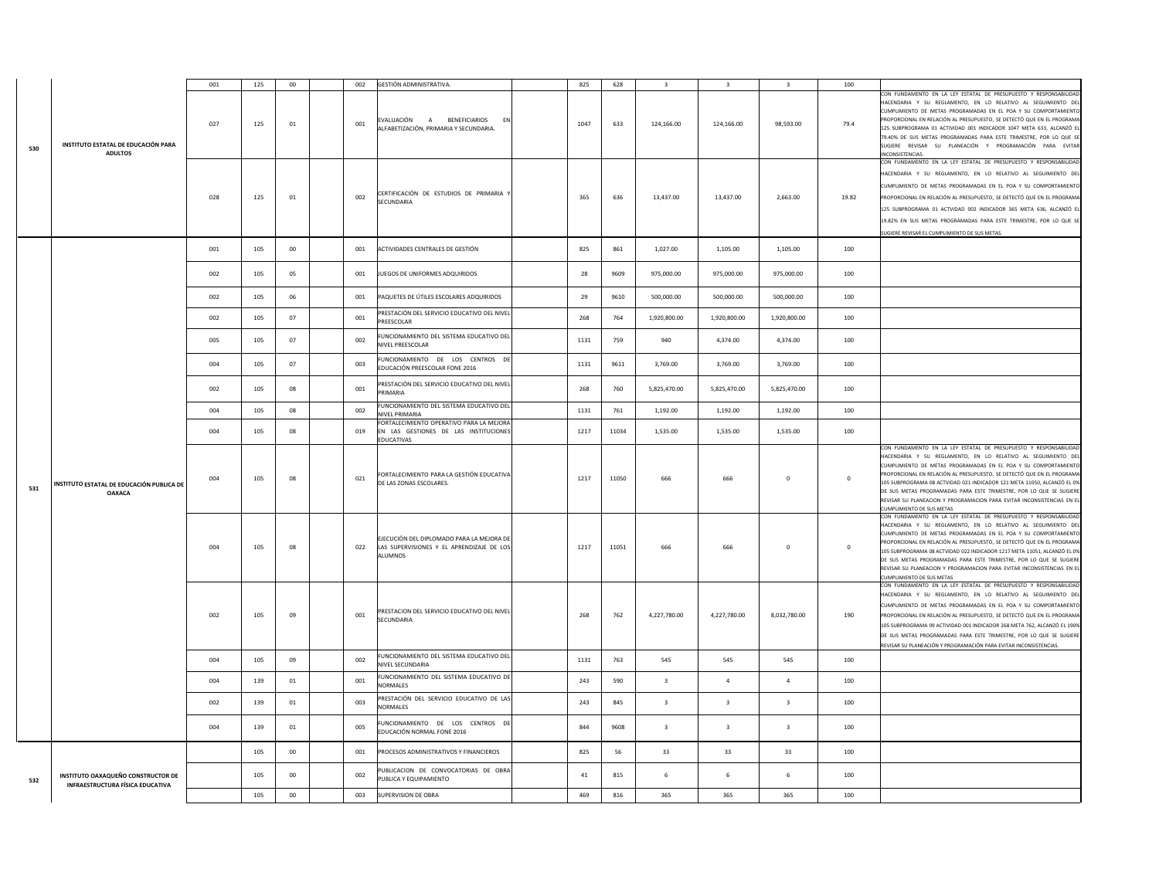|     |                                                                               | 001 | 125 | 00      | 002 | <b>GESTIÓN ADMINISTRATIVA</b>                                                                     | 825  | 628   | $\mathbf{R}$            | $\mathbf{R}$            | $\overline{\mathbf{3}}$ | 100          |                                                                                                                                                                                                                                                                                                                                                                                                                                                                                                                                              |
|-----|-------------------------------------------------------------------------------|-----|-----|---------|-----|---------------------------------------------------------------------------------------------------|------|-------|-------------------------|-------------------------|-------------------------|--------------|----------------------------------------------------------------------------------------------------------------------------------------------------------------------------------------------------------------------------------------------------------------------------------------------------------------------------------------------------------------------------------------------------------------------------------------------------------------------------------------------------------------------------------------------|
| 530 | INSTITUTO ESTATAL DE EDUCACIÓN PARA<br><b>ADULTOS</b>                         | 027 | 125 | 01      | 001 | EVALUACIÓN A BENEFICIARIOS<br>EN<br>ALFABETIZACIÓN, PRIMARIA Y SECUNDARIA.                        | 1047 | 633   | 124,166.00              | 124,166.00              | 98,593.00               | 79.4         | CON FUNDAMENTO EN LA LEY ESTATAL DE PRESUPUESTO Y RESPONSABILIDAD<br>HACENDARIA Y SU REGLAMENTO, EN LO RELATIVO AL SEGUIMIENTO DE<br>CUMPLIMIENTO DE METAS PROGRAMADAS EN EL POA Y SU COMPORTAMIENTO<br>PROPORCIONAL EN RELACIÓN AL PRESUPUESTO, SE DETECTÓ QUE EN EL PROGRAMA<br>125 SUBPROGRAMA 01 ACTIVIDAD 001 INDICADOR 1047 META 633, ALCANZÓ E<br>79.40% DE SUS METAS PROGRAMADAS PARA ESTE TRIMESTRE, POR LO QUE SI<br>SUGIERE REVISAR SU PLANEACIÓN Y PROGRAMACIÓN PARA EVITAR<br>INCONSISTENCIAS                                   |
|     |                                                                               | 028 | 125 | 01      | 002 | CERTIFICACIÓN DE ESTUDIOS DE PRIMARIA Y<br>SECUNDARIA                                             | 365  | 636   | 13,437.00               | 13,437.00               | 2,663.00                | 19.82        | CON FUNDAMENTO EN LA LEY ESTATAL DE PRESUPUESTO Y RESPONSABILIDAD<br>HACENDARIA Y SU REGLAMENTO, EN LO RELATIVO AL SEGUIMIENTO DEL<br>CUMPLIMIENTO DE METAS PROGRAMADAS EN EL POA Y SU COMPORTAMIENTO<br>PROPORCIONAL EN RELACIÓN AL PRESUPUESTO, SE DETECTÓ QUE EN EL PROGRAMA<br>125 SUBPROGRAMA 01 ACTVIDAD 002 INDICADOR 365 META 636, ALCANZÓ EL<br>19.82% EN SUS METAS PROGRAMADAS PARA ESTE TRIMESTRE, POR LO QUE SE<br>JUGIERE REVISAR EL CUMPLIMIENTO DE SUS METAS.                                                                 |
|     |                                                                               | 001 | 105 | $00\,$  | 001 | ACTIVIDADES CENTRALES DE GESTIÓN                                                                  | 825  | 861   | 1,027.00                | 1,105.00                | 1,105.00                | 100          |                                                                                                                                                                                                                                                                                                                                                                                                                                                                                                                                              |
|     |                                                                               | 002 | 105 | 05      | 001 | JUEGOS DE UNIFORMES ADQUIRIDOS                                                                    | 28   | 9609  | 975,000.00              | 975,000.00              | 975,000.00              | 100          |                                                                                                                                                                                                                                                                                                                                                                                                                                                                                                                                              |
|     |                                                                               | 002 | 105 | 06      | 001 | PAQUETES DE ÚTILES ESCOLARES ADQUIRIDOS                                                           | 29   | 9610  | 500,000.00              | 500,000.00              | 500,000.00              | 100          |                                                                                                                                                                                                                                                                                                                                                                                                                                                                                                                                              |
|     |                                                                               | 002 | 105 | 07      | 001 | PRESTACIÓN DEL SERVICIO EDUCATIVO DEL NIVEL<br>PREESCOLAR                                         | 268  | 764   | 1,920,800.00            | 1,920,800.00            | 1,920,800.00            | 100          |                                                                                                                                                                                                                                                                                                                                                                                                                                                                                                                                              |
|     |                                                                               | 005 | 105 | 07      | 002 | FUNCIONAMIENTO DEL SISTEMA EDUCATIVO DEL<br>NIVEL PREESCOLAR                                      | 1131 | 759   | 940                     | 4,374.00                | 4,374.00                | 100          |                                                                                                                                                                                                                                                                                                                                                                                                                                                                                                                                              |
|     |                                                                               | 004 | 105 | 07      | 003 | FUNCIONAMIENTO DE LOS CENTROS DE<br>EDUCACIÓN PREESCOLAR FONE 2016                                | 1131 | 9611  | 3,769.00                | 3,769.00                | 3,769.00                | 100          |                                                                                                                                                                                                                                                                                                                                                                                                                                                                                                                                              |
|     |                                                                               | 002 | 105 | 08      | 001 | PRESTACIÓN DEL SERVICIO EDUCATIVO DEL NIVEL<br>PRIMARIA                                           | 268  | 760   | 5,825,470.00            | 5,825,470.00            | 5,825,470.00            | 100          |                                                                                                                                                                                                                                                                                                                                                                                                                                                                                                                                              |
|     |                                                                               | 004 | 105 | 08      | 002 | FUNCIONAMIENTO DEL SISTEMA EDUCATIVO DEL<br>NIVEL PRIMARIA                                        | 1131 | 761   | 1,192.00                | 1,192.00                | 1,192.00                | 100          |                                                                                                                                                                                                                                                                                                                                                                                                                                                                                                                                              |
|     |                                                                               | 004 | 105 | 08      | 019 | FORTALECIMIENTO OPERATIVO PARA LA MEJORA<br>EN LAS GESTIONES DE LAS INSTITUCIONES<br>EDUCATIVAS   | 1217 | 11034 | 1,535.00                | 1,535.00                | 1,535.00                | 100          |                                                                                                                                                                                                                                                                                                                                                                                                                                                                                                                                              |
| 531 | INSTITUTO ESTATAL DE EDUCACIÓN PUBLICA DE<br><b>OAXACA</b>                    | 004 | 105 | 08      | 021 | FORTALECIMIENTO PARA LA GESTIÓN EDUCATIVA<br>DE LAS ZONAS ESCOLARES.                              | 1217 | 11050 | 666                     | 666                     | $\overline{0}$          | $\mathbf{0}$ | CON FUNDAMENTO EN LA LEY ESTATAL DE PRESUPUESTO Y RESPONSABILIDA<br>HACENDARIA Y SU REGLAMENTO, EN LO RELATIVO AL SEGUIMIENTO DE<br>CUMPLIMIENTO DE METAS PROGRAMADAS EN EL POA Y SU COMPORTAMIENTO<br>ROPORCIONAL EN RELACIÓN AL PRESUPUESTO, SE DETECTÓ QUE EN EL PROGRAM.<br>105 SUBPROGRAMA 08 ACTVIDAD 021 INDICADOR 121 META 11050, ALCANZÓ EL 09<br>DE SUS METAS PROGRAMADAS PARA ESTE TRIMESTRE, POR LO QUE SE SUGIERE<br>REVISAR SU PLANEACION Y PROGRAMACION PARA EVITAR INCONSISTENCIAS EN EL<br><b>CUMPLIMIENTO DE SUS METAS</b> |
|     |                                                                               | 004 | 105 | 08      | 022 | EJECUCIÓN DEL DIPLOMADO PARA LA MEJORA DE<br>LAS SUPERVISIONES Y EL APRENDIZAJE DE LOS<br>ALUMNOS | 1217 | 11051 | 666                     | 666                     | $\mathbf 0$             | $\mathbf 0$  | CON FUNDAMENTO EN LA LEY ESTATAL DE PRESUPUESTO Y RESPONSABILIDAD<br>HACENDARIA Y SU REGLAMENTO, EN LO RELATIVO AL SEGUIMIENTO DE<br>CUMPLIMIENTO DE METAS PROGRAMADAS EN EL POA Y SU COMPORTAMIENTO<br>PROPORCIONAL EN RELACIÓN AL PRESUPUESTO, SE DETECTÓ QUE EN EL PROGRAM.<br>105 SUBPROGRAMA 08 ACTVIDAD 022 INDICADOR 1217 META 11051. ALCANZÓ EL 09<br>DE SUS METAS PROGRAMADAS PARA ESTE TRIMESTRE, POR LO QUE SE SUGIERE<br>REVISAR SU PLANEACION Y PROGRAMACION PARA EVITAR INCONSISTENCIAS EN E<br>CUMPLIMIENTO DE SUS METAS      |
|     |                                                                               | 002 | 105 | 09      | 001 | PRESTACION DEL SERVICIO EDUCATIVO DEL NIVEL<br>SECUNDARIA                                         | 268  | 762   | 4,227,780.00            | 4,227,780.00            | 8,032,780.00            | 190          | CON FUNDAMENTO EN LA LEY ESTATAL DE PRESUPUESTO Y RESPONSABILIDAD<br>HACENDARIA Y SU REGLAMENTO, EN LO RELATIVO AL SEGUIMIENTO DE<br>CUMPLIMIENTO DE METAS PROGRAMADAS EN EL POA Y SU COMPORTAMIENTO<br>PROPORCIONAL EN RELACIÓN AL PRESUPUESTO, SE DETECTÓ QUE EN EL PROGRAMA<br>105 SUBPROGRAMA 09 ACTIVIDAD 001 INDICADOR 268 META 762, ALCANZÓ EL 190%<br>DE SUS METAS PROGRAMADAS PARA ESTE TRIMESTRE, POR LO QUE SE SUGIERE<br>REVISAR SU PLANEACIÓN Y PROGRAMACIÓN PARA EVITAR INCONSISTENCIAS                                        |
|     |                                                                               | 004 | 105 | 09      | 002 | FUNCIONAMIENTO DEL SISTEMA EDUCATIVO DEL<br>NIVEL SECUNDARIA                                      | 1131 | 763   | 545                     | 545                     | 545                     | 100          |                                                                                                                                                                                                                                                                                                                                                                                                                                                                                                                                              |
|     |                                                                               | 004 | 139 | 01      | 001 | FUNCIONAMIENTO DEL SISTEMA EDUCATIVO DE<br>NORMALES                                               | 243  | 590   | $\overline{\mathbf{3}}$ | $\overline{4}$          | $\sqrt{4}$              | 100          |                                                                                                                                                                                                                                                                                                                                                                                                                                                                                                                                              |
|     |                                                                               | 002 | 139 | 01      | 003 | PRESTACIÓN DEL SERVICIO EDUCATIVO DE LAS<br>NORMALES                                              | 243  | 845   | $\overline{\mathbf{3}}$ | $\overline{\mathbf{3}}$ | $\overline{\mathbf{3}}$ | 100          |                                                                                                                                                                                                                                                                                                                                                                                                                                                                                                                                              |
|     |                                                                               | 004 | 139 | 01      | 005 | UNCIONAMIENTO DE LOS CENTROS DE<br>EDUCACIÓN NORMAL FONE 2016                                     | 844  | 9608  | $\overline{\mathbf{3}}$ | $\overline{\mathbf{3}}$ | $\overline{\mathbf{3}}$ | 100          |                                                                                                                                                                                                                                                                                                                                                                                                                                                                                                                                              |
|     |                                                                               |     | 105 | $_{00}$ | 001 | PROCESOS ADMINISTRATIVOS Y FINANCIEROS                                                            | 825  | 56    | 33                      | 33                      | 33                      | 100          |                                                                                                                                                                                                                                                                                                                                                                                                                                                                                                                                              |
| 532 | <b>INSTITUTO OAXAQUEÑO CONSTRUCTOR DE</b><br>INFRAESTRUCTURA FÍSICA EDUCATIVA |     | 105 | 00      | 002 | PUBLICACION DE CONVOCATORIAS DE OBRA<br>PUBLICA Y EQUIPAMIENTO                                    | 41   | 815   | 6                       | 6                       | 6                       | 100          |                                                                                                                                                                                                                                                                                                                                                                                                                                                                                                                                              |
|     |                                                                               |     | 105 | $00\,$  | 003 | SUPERVISION DE OBRA                                                                               | 469  | 816   | 365                     | 365                     | 365                     | 100          |                                                                                                                                                                                                                                                                                                                                                                                                                                                                                                                                              |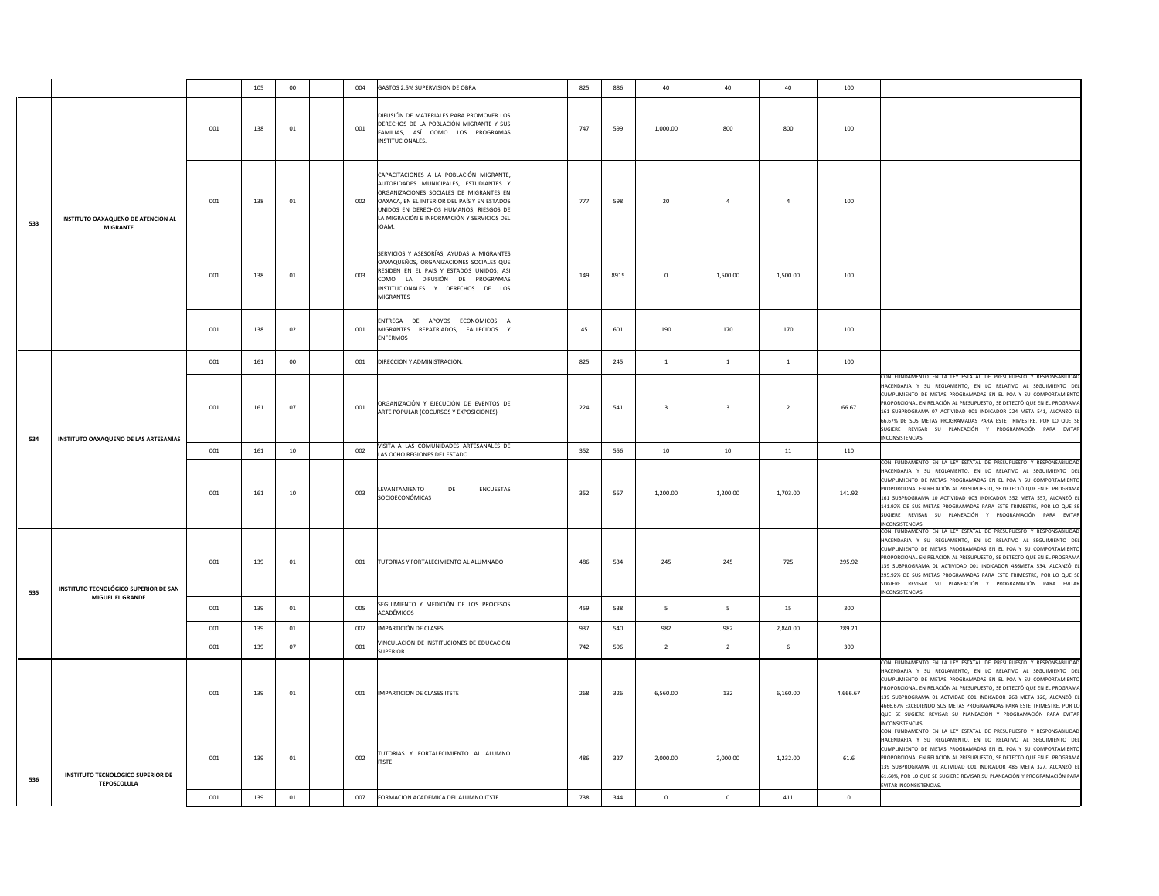|     |                                                           |     | 105 | $00\,$  | 004 | GASTOS 2.5% SUPERVISION DE OBRA                                                                                                                                                                                                                                               | 825 | 886  | 40                      | 40             | 40             | 100      |                                                                                                                                                                                                                                                                                                                                                                                                                                                                                                                            |
|-----|-----------------------------------------------------------|-----|-----|---------|-----|-------------------------------------------------------------------------------------------------------------------------------------------------------------------------------------------------------------------------------------------------------------------------------|-----|------|-------------------------|----------------|----------------|----------|----------------------------------------------------------------------------------------------------------------------------------------------------------------------------------------------------------------------------------------------------------------------------------------------------------------------------------------------------------------------------------------------------------------------------------------------------------------------------------------------------------------------------|
|     |                                                           | 001 | 138 | 01      | 001 | DIFUSIÓN DE MATERIALES PARA PROMOVER LOS<br>DERECHOS DE LA POBLACIÓN MIGRANTE Y SUS<br>FAMILIAS, ASÍ COMO LOS PROGRAMAS<br>INSTITUCIONALES.                                                                                                                                   | 747 | 599  | 1,000.00                | 800            | 800            | 100      |                                                                                                                                                                                                                                                                                                                                                                                                                                                                                                                            |
| 533 | INSTITUTO OAXAQUEÑO DE ATENCIÓN AL<br><b>MIGRANTE</b>     | 001 | 138 | $_{01}$ | 002 | CAPACITACIONES A LA POBLACIÓN MIGRANTE,<br>AUTORIDADES MUNICIPALES, ESTUDIANTES Y<br>ORGANIZACIONES SOCIALES DE MIGRANTES EN<br>OAXACA, EN EL INTERIOR DEL PAÍS Y EN ESTADOS<br>UNIDOS EN DERECHOS HUMANOS, RIESGOS DE<br>LA MIGRACIÓN E INFORMACIÓN Y SERVICIOS DEL<br>IOAM. | 777 | 598  | 20                      | $\overline{a}$ | $\overline{a}$ | 100      |                                                                                                                                                                                                                                                                                                                                                                                                                                                                                                                            |
|     |                                                           | 001 | 138 | 01      | 003 | SERVICIOS Y ASESORÍAS, AYUDAS A MIGRANTES<br>OAXAQUEÑOS, ORGANIZACIONES SOCIALES QUE<br>RESIDEN EN EL PAIS Y ESTADOS UNIDOS; ASI<br>COMO LA DIFUSIÓN DE PROGRAMAS<br>INSTITUCIONALES Y DERECHOS DE LOS<br>MIGRANTES                                                           | 149 | 8915 | $\mathbf 0$             | 1,500.00       | 1,500.00       | 100      |                                                                                                                                                                                                                                                                                                                                                                                                                                                                                                                            |
|     |                                                           | 001 | 138 | 02      | 001 | ENTREGA DE APOYOS ECONOMICOS<br>MIGRANTES REPATRIADOS, FALLECIDOS<br>ENFERMOS                                                                                                                                                                                                 | 45  | 601  | 190                     | 170            | 170            | 100      |                                                                                                                                                                                                                                                                                                                                                                                                                                                                                                                            |
|     |                                                           | 001 | 161 | $00\,$  | 001 | DIRECCION Y ADMINISTRACION.                                                                                                                                                                                                                                                   | 825 | 245  | $\overline{1}$          | $\mathbf{1}$   | $\mathbf{1}$   | 100      |                                                                                                                                                                                                                                                                                                                                                                                                                                                                                                                            |
| 534 | INSTITUTO OAXAQUEÑO DE LAS ARTESANÍAS                     | 001 | 161 | 07      | 001 | ORGANIZACIÓN Y EJECUCIÓN DE EVENTOS DE<br>ARTE POPULAR (COCURSOS Y EXPOSICIONES)                                                                                                                                                                                              | 224 | 541  | $\overline{\mathbf{3}}$ | $\overline{3}$ | $\overline{2}$ | 66.67    | CON FUNDAMENTO EN LA LEY ESTATAL DE PRESUPUESTO Y RESPONSABILIDAD<br>HACENDARIA Y SU REGLAMENTO, EN LO RELATIVO AL SEGUIMIENTO DEL<br>CUMPLIMIENTO DE METAS PROGRAMADAS EN EL POA Y SU COMPORTAMIENTO<br>PROPORCIONAL EN RELACIÓN AL PRESUPUESTO. SE DETECTÓ QUE EN EL PROGRAMA<br>161 SUBPROGRAMA 07 ACTIVIDAD 001 INDICADOR 224 META 541, ALCANZÓ EL<br>66.67% DE SUS METAS PROGRAMADAS PARA ESTE TRIMESTRE, POR LO QUE SE<br>SUGIERE REVISAR SU PLANEACIÓN Y PROGRAMACIÓN PARA EVITAR<br>INCONSISTENCIAS.               |
|     |                                                           | 001 | 161 | 10      | 002 | VISITA A LAS COMUNIDADES ARTESANALES DE<br>LAS OCHO REGIONES DEL ESTADO                                                                                                                                                                                                       | 352 | 556  | 10                      | $10\,$         | 11             | 110      |                                                                                                                                                                                                                                                                                                                                                                                                                                                                                                                            |
|     |                                                           | 001 | 161 | 10      | 003 | LEVANTAMIENTO<br>DE<br>ENCUESTAS<br>SOCIOECONÓMICAS                                                                                                                                                                                                                           | 352 | 557  | 1,200.00                | 1,200.00       | 1,703.00       | 141.92   | CON FUNDAMENTO EN LA LEY ESTATAL DE PRESUPUESTO Y RESPONSABILIDAD<br>HACENDARIA Y SU REGLAMENTO, EN LO RELATIVO AL SEGUIMIENTO DEL<br>CUMPLIMIENTO DE METAS PROGRAMADAS EN EL POA Y SU COMPORTAMIENTO<br>PROPORCIONAL EN RELACIÓN AL PRESUPUESTO, SE DETECTÓ QUE EN EL PROGRAMA<br>161 SUBPROGRAMA 10 ACTIVIDAD 003 INDICADOR 352 META 557, ALCANZÓ E<br>141.92% DE SUS METAS PROGRAMADAS PARA ESTE TRIMESTRE, POR LO QUE SE<br>SUGIERE REVISAR SU PLANEACIÓN Y PROGRAMACIÓN PARA EVITAR<br>INCONSISTENCIAS                |
| 535 | INSTITUTO TECNOLÓGICO SUPERIOR DE SAN<br>MIGUEL EL GRANDE | 001 | 139 | $_{01}$ | 001 | TUTORIAS Y FORTALECIMIENTO AL ALUMNADO                                                                                                                                                                                                                                        | 486 | 534  | 245                     | 245            | 725            | 295.92   | CON FUNDAMENTO EN LA LEY ESTATAL DE PRESUPUESTO Y RESPONSABILIDAD<br>HACENDARIA Y SU REGLAMENTO, EN LO RELATIVO AL SEGUIMIENTO DEL<br>CUMPLIMIENTO DE METAS PROGRAMADAS EN EL POA Y SU COMPORTAMIENTO<br>PROPORCIONAL EN RELACIÓN AL PRESUPUESTO, SE DETECTÓ QUE EN EL PROGRAMA<br>139 SUBPROGRAMA 01 ACTIVIDAD 001 INDICADOR 486META 534, ALCANZÓ E<br>295.92% DE SUS METAS PROGRAMADAS PARA ESTE TRIMESTRE. POR LO QUE SE<br>SUGIERE REVISAR SU PLANEACIÓN Y PROGRAMACIÓN PARA EVITAR<br>INCONSISTENCIAS.                |
|     |                                                           | 001 | 139 | 01      | 005 | SEGUIMIENTO Y MEDICIÓN DE LOS PROCESOS<br>ACADÉMICOS                                                                                                                                                                                                                          | 459 | 538  | $5\overline{ }$         | $\mathsf S$    | 15             | 300      |                                                                                                                                                                                                                                                                                                                                                                                                                                                                                                                            |
|     |                                                           | 001 | 139 | 01      | 007 | IMPARTICIÓN DE CLASES                                                                                                                                                                                                                                                         | 937 | 540  | 982                     | 982            | 2,840.00       | 289.21   |                                                                                                                                                                                                                                                                                                                                                                                                                                                                                                                            |
|     |                                                           | 001 | 139 | 07      | 001 | VINCULACIÓN DE INSTITUCIONES DE EDUCACIÓN<br><b>SUPERIOR</b>                                                                                                                                                                                                                  | 742 | 596  | $\overline{2}$          | $\overline{2}$ | 6              | 300      |                                                                                                                                                                                                                                                                                                                                                                                                                                                                                                                            |
|     |                                                           | 001 | 139 | 01      | 001 | IMPARTICION DE CLASES ITSTE                                                                                                                                                                                                                                                   | 268 | 326  | 6,560.00                | 132            | 6,160.00       | 4,666.67 | CON FUNDAMENTO EN LA LEY ESTATAL DE PRESUPUESTO Y RESPONSABILIDAD<br>HACENDARIA Y SU REGLAMENTO, EN LO RELATIVO AL SEGUIMIENTO DEL<br>CUMPLIMIENTO DE METAS PROGRAMADAS EN EL POA Y SU COMPORTAMIENTO<br>PROPORCIONAL EN RELACIÓN AL PRESUPUESTO, SE DETECTÓ QUE EN EL PROGRAMA<br>139 SUBPROGRAMA 01 ACTVIDAD 001 INDICADOR 268 META 326, ALCANZÓ E<br>4666.67% EXCEDIENDO SUS METAS PROGRAMADAS PARA ESTE TRIMESTRE, POR LO<br>QUE SE SUGIERE REVISAR SU PLANEACIÓN Y PROGRAMACIÓN PARA EVITAR<br><b>INCONSISTENCIAS</b> |
| 536 | INSTITUTO TECNOLÓGICO SUPERIOR DE<br><b>TEPOSCOLULA</b>   | 001 | 139 | 01      | 002 | TUTORIAS Y FORTALECIMIENTO AL ALUMNO<br><b>ITSTE</b>                                                                                                                                                                                                                          | 486 | 327  | 2.000.00                | 2.000.00       | 1,232.00       | 61.6     | CON FUNDAMENTO EN LA LEY ESTATAL DE PRESUPUESTO Y RESPONSABILIDAD<br>HACENDARIA Y SU REGLAMENTO, EN LO RELATIVO AL SEGUIMIENTO DEL<br>CUMPLIMIENTO DE METAS PROGRAMADAS EN EL POA Y SU COMPORTAMIENTO<br>PROPORCIONAL EN RELACIÓN AL PRESUPUESTO. SE DETECTÓ QUE EN EL PROGRAMA<br>139 SUBPROGRAMA 01 ACTVIDAD 001 INDICADOR 486 META 327, ALCANZÓ EL<br>61.60%, POR LO QUE SE SUGIERE REVISAR SU PLANEACIÓN Y PROGRAMACIÓN PARA<br>EVITAR INCONSISTENCIAS.                                                                |
|     |                                                           | 001 | 139 | 01      | 007 | FORMACION ACADEMICA DEL ALUMNO ITSTE                                                                                                                                                                                                                                          | 738 | 344  | $\Omega$                | $\Omega$       | 411            | $\Omega$ |                                                                                                                                                                                                                                                                                                                                                                                                                                                                                                                            |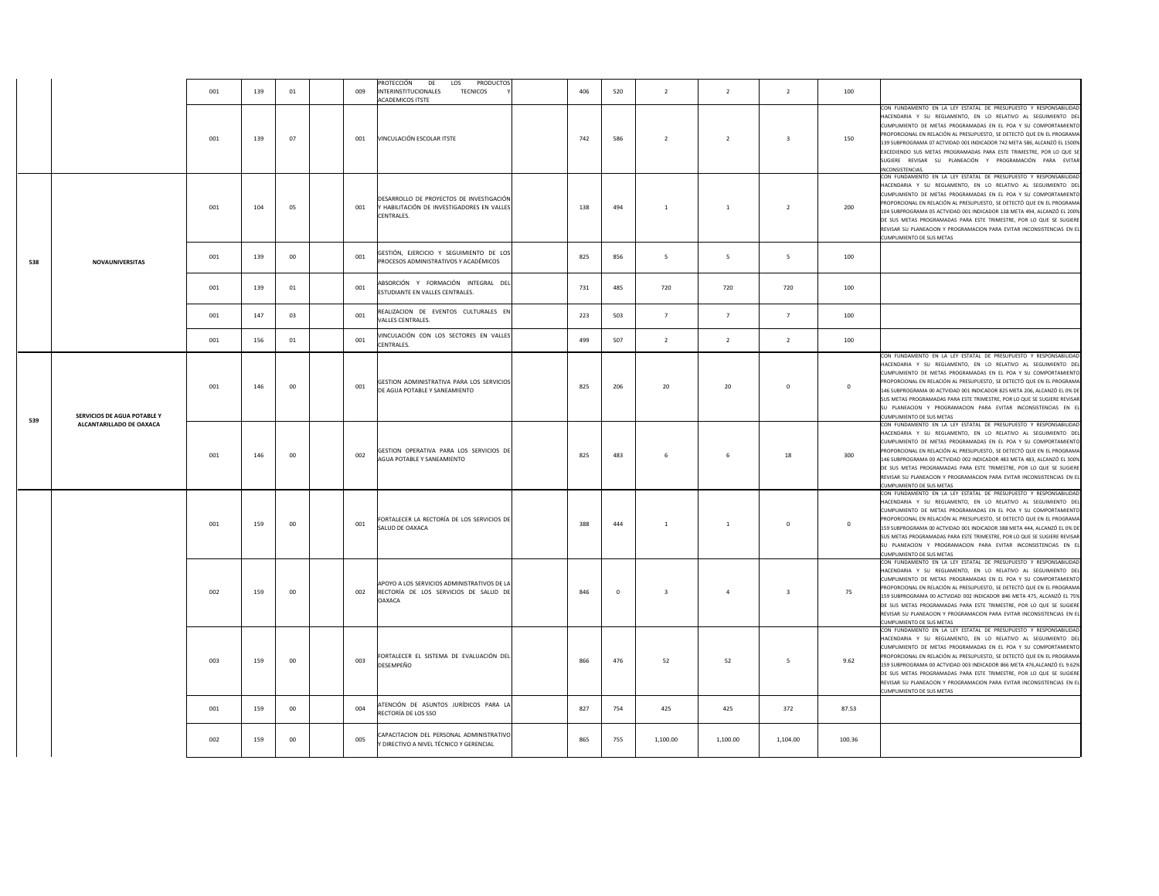|     |                             | 001 | 139 | 01     | 009 | PROTECCIÓN<br>DE<br>LOS<br>PRODUCTOS<br>INTERINSTITUCIONALES<br><b>TECNICOS</b><br>ACADEMICOS ITSTE   | 406 | 520      | $\overline{2}$          | $\overline{2}$ | $\overline{2}$          | 100         |                                                                                                                                                                                                                                                                                                                                                                                                                                                                                                                                               |
|-----|-----------------------------|-----|-----|--------|-----|-------------------------------------------------------------------------------------------------------|-----|----------|-------------------------|----------------|-------------------------|-------------|-----------------------------------------------------------------------------------------------------------------------------------------------------------------------------------------------------------------------------------------------------------------------------------------------------------------------------------------------------------------------------------------------------------------------------------------------------------------------------------------------------------------------------------------------|
|     |                             | 001 | 139 | 07     | 001 | VINCULACIÓN ESCOLAR ITSTE                                                                             | 742 | 586      | $\overline{2}$          | $\overline{2}$ | $\mathbf{a}$            | 150         | CON FUNDAMENTO EN LA LEY ESTATAL DE PRESUPUESTO Y RESPONSABILIDAD<br>HACENDARIA Y SU REGLAMENTO, EN LO RELATIVO AL SEGUIMIENTO DEL<br>CUMPLIMIENTO DE METAS PROGRAMADAS EN EL POA Y SU COMPORTAMIENTO<br>PROPORCIONAL EN RELACIÓN AL PRESUPUESTO, SE DETECTÓ QUE EN EL PROGRAMA<br>139 SUBPROGRAMA 07 ACTVIDAD 001 INDICADOR 742 META 586, ALCANZÓ EL 1500%<br>EXCEDIENDO SUS METAS PROGRAMADAS PARA ESTE TRIMESTRE, POR LO QUE SE<br>SUGIERE REVISAR SU PLANEACIÓN Y PROGRAMACIÓN PARA EVITAR<br>NCONSISTENCIAS                              |
|     |                             | 001 | 104 | 05     | 001 | DESARROLLO DE PROYECTOS DE INVESTIGACIÓN<br>Y HABILITACIÓN DE INVESTIGADORES EN VALLES<br>CENTRALES.  | 138 | 494      | $\mathbf{1}$            | $\overline{1}$ | $\overline{2}$          | 200         | CON FUNDAMENTO EN LA LEY ESTATAL DE PRESUPUESTO Y RESPONSABILIDAD<br>HACENDARIA Y SU REGLAMENTO, EN LO RELATIVO AL SEGUIMIENTO DEL<br>CUMPLIMIENTO DE METAS PROGRAMADAS EN EL POA Y SU COMPORTAMIENTO<br>PROPORCIONAL EN RELACIÓN AL PRESUPUESTO, SE DETECTÓ QUE EN EL PROGRAMA<br>104 SUBPROGRAMA 05 ACTVIDAD 001 INDICADOR 138 META 494, ALCANZÓ EL 200%<br>DE SUS METAS PROGRAMADAS PARA ESTE TRIMESTRE, POR LO QUE SE SUGIERE<br>REVISAR SU PLANEACION Y PROGRAMACION PARA EVITAR INCONSISTENCIAS EN EL<br>CUMPLIMIENTO DE SUS METAS      |
| 538 | NOVAUNIVERSITAS             | 001 | 139 | 00     | 001 | GESTIÓN, EJERCICIO Y SEGUIMIENTO DE LOS<br>PROCESOS ADMINISTRATIVOS Y ACADÉMICOS                      | 825 | 856      | - 5                     | -5             | - 5                     | 100         |                                                                                                                                                                                                                                                                                                                                                                                                                                                                                                                                               |
|     |                             | 001 | 139 | 01     | 001 | ABSORCIÓN Y FORMACIÓN INTEGRAL DEL<br>ESTUDIANTE EN VALLES CENTRALES.                                 | 731 | 485      | 720                     | 720            | 720                     | 100         |                                                                                                                                                                                                                                                                                                                                                                                                                                                                                                                                               |
|     |                             | 001 | 147 | 03     | 001 | REALIZACION DE EVENTOS CULTURALES EN<br>VALLES CENTRALES.                                             | 223 | 503      | $\overline{7}$          | $\overline{7}$ | $\overline{7}$          | 100         |                                                                                                                                                                                                                                                                                                                                                                                                                                                                                                                                               |
|     |                             | 001 | 156 | 01     | 001 | VINCULACIÓN CON LOS SECTORES EN VALLES<br>CENTRALES.                                                  | 499 | 507      | $\overline{2}$          | $\overline{2}$ | $\overline{2}$          | 100         |                                                                                                                                                                                                                                                                                                                                                                                                                                                                                                                                               |
|     | SERVICIOS DE AGUA POTABLE Y | 001 | 146 | 00     | 001 | GESTION ADMINISTRATIVA PARA LOS SERVICIOS<br>DE AGUA POTABLE Y SANEAMIENTO                            | 825 | 206      | 20                      | 20             | $\Omega$                | $\Omega$    | CON FUNDAMENTO EN LA LEY ESTATAL DE PRESUPUESTO Y RESPONSABILIDAD<br>HACENDARIA Y SU REGLAMENTO, EN LO RELATIVO AL SEGUIMIENTO DEL<br>CUMPLIMIENTO DE METAS PROGRAMADAS EN EL POA Y SU COMPORTAMIENTO<br>PROPORCIONAL EN RELACIÓN AL PRESUPUESTO, SE DETECTÓ QUE EN EL PROGRAMA<br>146 SUBPROGRAMA 00 ACTVIDAD 001 INDICADOR 825 META 206, ALCANZÓ EL 0% DE<br>SUS METAS PROGRAMADAS PARA ESTE TRIMESTRE. POR LO QUE SE SUGIERE REVISAR<br>SU PLANEACION Y PROGRAMACION PARA EVITAR INCONSISTENCIAS EN EL<br><b>CUMPLIMIENTO DE SUS METAS</b> |
| 539 | ALCANTARILLADO DE OAXACA    | 001 | 146 | 00     | 002 | GESTION OPERATIVA PARA LOS SERVICIOS DE<br>AGUA POTABLE Y SANEAMIENTO                                 | 825 | 483      | 6                       |                | 18                      | 300         | CON FUNDAMENTO EN LA LEY ESTATAL DE PRESUPUESTO Y RESPONSABILIDAD<br>HACENDARIA Y SU REGLAMENTO, EN LO RELATIVO AL SEGUIMIENTO DEL<br>CUMPLIMIENTO DE METAS PROGRAMADAS EN EL POA Y SU COMPORTAMIENTO<br>PROPORCIONAL EN RELACIÓN AL PRESUPUESTO, SE DETECTÓ QUE EN EL PROGRAMA<br>146 SUBPROGRAMA 00 ACTVIDAD 002 INDICADOR 483 META 483, ALCANZÓ EL 300%<br>DE SUS METAS PROGRAMADAS PARA ESTE TRIMESTRE, POR LO QUE SE SUGIERE<br>REVISAR SU PLANEACION Y PROGRAMACION PARA EVITAR INCONSISTENCIAS EN EL<br>CUMPLIMIENTO DE SUS METAS      |
|     |                             | 001 | 159 | $00\,$ | 001 | FORTALECER LA RECTORÍA DE LOS SERVICIOS DE<br>SALUD DE OAXACA                                         | 388 | 444      | $\,$ 1                  | $\mathbf{1}$   | $\mathbf 0$             | $\mathbf 0$ | CON FUNDAMENTO EN LA LEY ESTATAL DE PRESUPUESTO Y RESPONSABILIDAD<br>HACENDARIA Y SU REGLAMENTO, EN LO RELATIVO AL SEGUIMIENTO DEL<br>CUMPLIMIENTO DE METAS PROGRAMADAS EN EL POA Y SU COMPORTAMIENTO<br>OPORCIONAL EN RELACIÓN AL PRESUPUESTO, SE DETECTÓ QUE EN EL PROGRAMA<br>159 SUBPROGRAMA 00 ACTVIDAD 001 INDICADOR 388 META 444, ALCANZÓ EL 0% DE<br>SUS METAS PROGRAMADAS PARA ESTE TRIMESTRE, POR LO QUE SE SUGIERE REVISAR<br>SU PLANEACION Y PROGRAMACION PARA EVITAR INCONSISTENCIAS EN EL<br><b>CUMPLIMIENTO DE SUS METAS</b>   |
|     |                             | 002 | 159 | 00     | 002 | APOYO A LOS SERVICIOS ADMINISTRATIVOS DE LA<br>RECTORÍA DE LOS SERVICIOS DE SALUD DE<br><b>OAXACA</b> | 846 | $\Omega$ | $\overline{\mathbf{3}}$ | $\overline{4}$ | $\overline{\mathbf{3}}$ | 75          | CON FUNDAMENTO EN LA LEY ESTATAL DE PRESUPUESTO Y RESPONSABILIDAD<br>HACENDARIA Y SU REGLAMENTO, EN LO RELATIVO AL SEGUIMIENTO DEL<br>CUMPLIMIENTO DE METAS PROGRAMADAS EN EL POA Y SU COMPORTAMIENTO<br>PROPORCIONAL EN RELACIÓN AL PRESUPUESTO, SE DETECTÓ QUE EN EL PROGRAMA<br>159 SUBPROGRAMA 00 ACTVIDAD 002 INDICADOR 846 META 475, ALCANZÓ EL 75%<br>DE SUS METAS PROGRAMADAS PARA ESTE TRIMESTRE, POR LO QUE SE SUGIERE<br>REVISAR SU PLANEACION Y PROGRAMACION PARA EVITAR INCONSISTENCIAS EN EL<br>CUMPLIMIENTO DE SUS METAS       |
|     |                             | 003 | 159 | 00     | 003 | FORTALECER EL SISTEMA DE EVALUACIÓN DEL<br>DESEMPEÑO                                                  | 866 | 476      | 52                      | 52             | -5                      | 9.62        | CON FUNDAMENTO EN LA LEY ESTATAL DE PRESUPUESTO Y RESPONSABILIDAD<br>HACENDARIA Y SU REGLAMENTO, EN LO RELATIVO AL SEGUIMIENTO DEL<br>CUMPLIMIENTO DE METAS PROGRAMADAS EN EL POA Y SU COMPORTAMIENTO<br>PROPORCIONAL EN RELACIÓN AL PRESUPUESTO, SE DETECTÓ QUE EN EL PROGRAMA<br>159 SUBPROGRAMA 00 ACTVIDAD 003 INDICADOR 866 META 476,ALCANZÓ EL 9.62%<br>DE SUS METAS PROGRAMADAS PARA ESTE TRIMESTRE, POR LO QUE SE SUGIERE<br>REVISAR SU PLANEACION Y PROGRAMACION PARA EVITAR INCONSISTENCIAS EN EL<br>CUMPLIMIENTO DE SUS METAS      |
|     |                             | 001 | 159 | $00\,$ | 004 | ATENCIÓN DE ASUNTOS JURÍDICOS PARA LA<br>RECTORÍA DE LOS SSO                                          | 827 | 754      | 425                     | 425            | 372                     | 87.53       |                                                                                                                                                                                                                                                                                                                                                                                                                                                                                                                                               |
|     |                             | 002 | 159 | 00     | 005 | CAPACITACION DEL PERSONAL ADMINISTRATIVO<br>Y DIRECTIVO A NIVEL TÉCNICO Y GERENCIAL                   | 865 | 755      | 1,100.00                | 1,100.00       | 1,104.00                | 100.36      |                                                                                                                                                                                                                                                                                                                                                                                                                                                                                                                                               |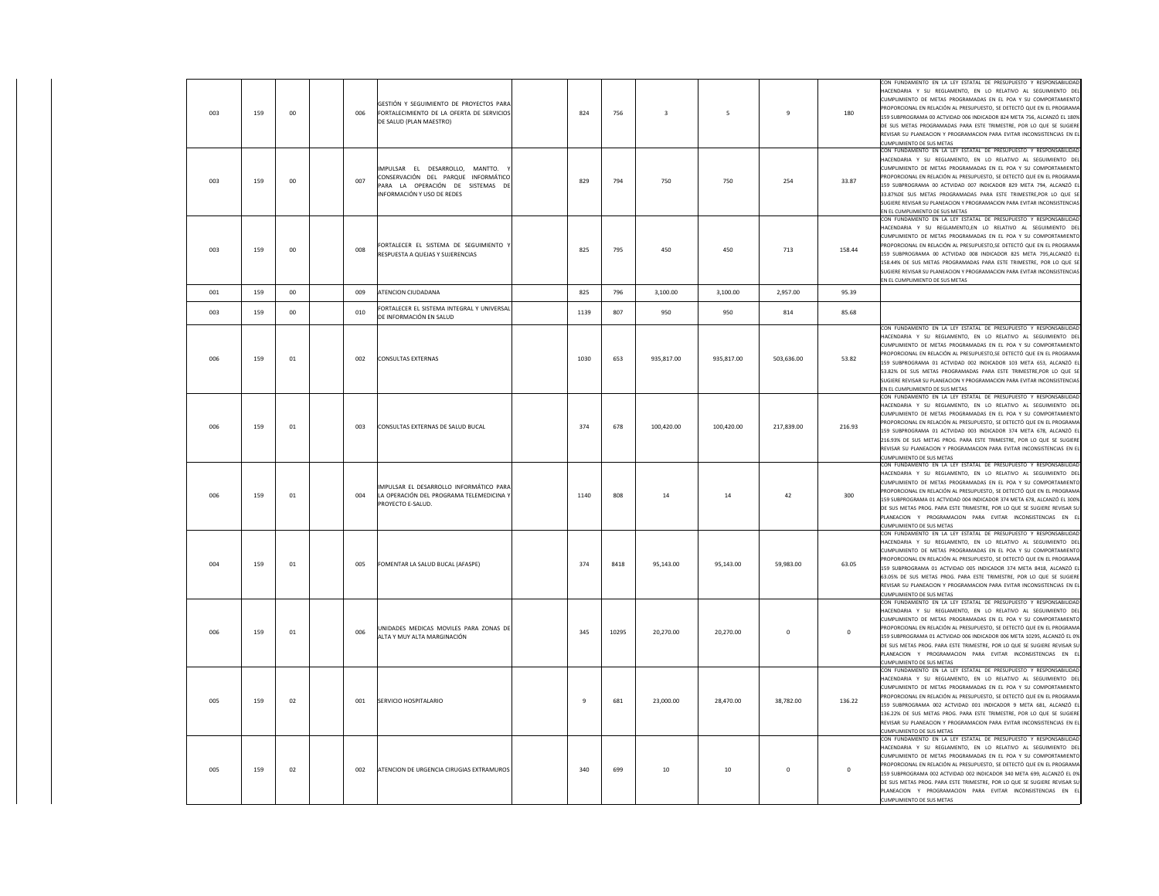| 003 | 159 | 00      | 006 | GESTIÓN Y SEGUIMIENTO DE PROYECTOS PARA<br>FORTALECIMIENTO DE LA OFERTA DE SERVICIOS<br>DE SALUD (PLAN MAESTRO)                          | 824  | 756   | $\overline{\mathbf{3}}$ | 5          | $\overline{9}$ | 180         | CON FUNDAMENTO EN LA LEY ESTATAL DE PRESUPUESTO Y RESPONSABILIDAD<br>HACENDARIA Y SU REGLAMENTO, EN LO RELATIVO AL SEGUIMIENTO DEL<br>CUMPLIMIENTO DE METAS PROGRAMADAS EN EL POA Y SU COMPORTAMIENTO<br>PROPORCIONAL EN RELACIÓN AL PRESUPUESTO, SE DETECTÓ QUE EN EL PROGRAMA<br>159 SUBPROGRAMA 00 ACTVIDAD 006 INDICADOR 824 META 756, ALCANZÓ EL 180%<br>DE SUS METAS PROGRAMADAS PARA ESTE TRIMESTRE, POR LO QUE SE SUGIERE<br>REVISAR SU PLANEACION Y PROGRAMACION PARA EVITAR INCONSISTENCIAS EN EL<br>CUMPLIMIENTO DE SUS METAS     |
|-----|-----|---------|-----|------------------------------------------------------------------------------------------------------------------------------------------|------|-------|-------------------------|------------|----------------|-------------|----------------------------------------------------------------------------------------------------------------------------------------------------------------------------------------------------------------------------------------------------------------------------------------------------------------------------------------------------------------------------------------------------------------------------------------------------------------------------------------------------------------------------------------------|
| 003 | 159 | $_{00}$ | 007 | IMPULSAR EL DESARROLLO, MANTTO,<br>CONSERVACIÓN DEL PARQUE INFORMÁTICO<br>PARA LA OPERACIÓN DE SISTEMAS DE<br>INFORMACIÓN Y USO DE REDES | 829  | 794   | 750                     | 750        | 254            | 33.87       | CON FUNDAMENTO EN LA LEY ESTATAL DE PRESUPUESTO Y RESPONSABILIDAD<br>HACENDARIA Y SU REGLAMENTO, EN LO RELATIVO AL SEGUIMIENTO DEL<br>CUMPLIMIENTO DE METAS PROGRAMADAS EN EL POA Y SU COMPORTAMIENTO<br>ROPORCIONAL EN RELACIÓN AL PRESUPUESTO, SE DETECTÓ QUE EN EL PROGRAMA<br>159 SUBPROGRAMA 00 ACTVIDAD 007 INDICADOR 829 META 794, ALCANZÓ EL<br>33.87%DE SUS METAS PROGRAMADAS PARA ESTE TRIMESTRE, POR LO QUE SE<br>SUGIERE REVISAR SU PLANEACION Y PROGRAMACION PARA EVITAR INCONSISTENCIAS<br>IN EL CUMPLIMIENTO DE SUS METAS     |
| 003 | 159 | $_{00}$ | 008 | FORTALECER EL SISTEMA DE SEGUIMIENTO Y<br>RESPUESTA A QUEJAS Y SUJERENCIAS                                                               | 825  | 795   | 450                     | 450        | 713            | 158.44      | CON FUNDAMENTO EN LA LEY ESTATAL DE PRESUPUESTO Y RESPONSABILIDAD<br>HACENDARIA Y SU REGLAMENTO,EN LO RELATIVO AL SEGUIMIENTO DEL<br>CUMPLIMIENTO DE METAS PROGRAMADAS EN EL POA Y SU COMPORTAMIENTO<br>PROPORCIONAL EN RELACIÓN AL PRESUPUESTO,SE DETECTÓ QUE EN EL PROGRAMA<br>159 SUBPROGRAMA 00 ACTVIDAD 008 INDICADOR 825 META 795,ALCANZÓ EL<br>158.44% DE SUS METAS PROGRAMADAS PARA ESTE TRIMESTRE, POR LO QUE SE<br>SUGIERE REVISAR SU PLANEACION Y PROGRAMACION PARA EVITAR INCONSISTENCIAS<br>EN EL CUMPLIMIENTO DE SUS METAS     |
| 001 | 159 | $_{00}$ | 009 | ATENCION CIUDADANA                                                                                                                       | 825  | 796   | 3,100.00                | 3,100.00   | 2,957.00       | 95.39       |                                                                                                                                                                                                                                                                                                                                                                                                                                                                                                                                              |
| 003 | 159 | $00\,$  | 010 | FORTALECER EL SISTEMA INTEGRAL Y UNIVERSAL<br>DE INFORMACIÓN EN SALUD                                                                    | 1139 | 807   | 950                     | 950        | 814            | 85.68       |                                                                                                                                                                                                                                                                                                                                                                                                                                                                                                                                              |
| 006 | 159 | 01      | 002 | <b>CONSULTAS EXTERNAS</b>                                                                                                                | 1030 | 653   | 935,817.00              | 935,817.00 | 503,636.00     | 53.82       | CON FUNDAMENTO EN LA LEY ESTATAL DE PRESUPUESTO Y RESPONSABILIDAD<br>HACENDARIA Y SU REGLAMENTO, EN LO RELATIVO AL SEGUIMIENTO DEI<br>CUMPLIMIENTO DE METAS PROGRAMADAS EN EL POA Y SU COMPORTAMIENTO<br>PROPORCIONAL EN RELACIÓN AL PRESUPUESTO,SE DETECTÓ QUE EN EL PROGRAMA<br>159 SUBPROGRAMA 01 ACTVIDAD 002 INDICADOR 103 META 653, ALCANZÓ EL<br>53.82% DE SUS METAS PROGRAMADAS PARA ESTE TRIMESTRE, POR LO QUE SE<br>SUGIERE REVISAR SU PLANEACION Y PROGRAMACION PARA EVITAR INCONSISTENCIAS<br>EN EL CUMPLIMIENTO DE SUS METAS    |
| 006 | 159 | 01      | 003 | CONSULTAS EXTERNAS DE SALUD BUCAL                                                                                                        | 374  | 678   | 100.420.00              | 100,420.00 | 217.839.00     | 216.93      | CON FUNDAMENTO EN LA LEY ESTATAL DE PRESUPUESTO Y RESPONSABILIDAD<br>HACENDARIA Y SU REGLAMENTO, EN LO RELATIVO AL SEGUIMIENTO DEI<br>CUMPLIMIENTO DE METAS PROGRAMADAS EN EL POA Y SU COMPORTAMIENTO<br>PROPORCIONAL EN RELACIÓN AL PRESUPUESTO, SE DETECTÓ QUE EN EL PROGRAMA<br>159 SUBPROGRAMA 01 ACTVIDAD 003 INDICADOR 374 META 678, ALCANZÓ EL<br>216.93% DE SUS METAS PROG. PARA ESTE TRIMESTRE, POR LO QUE SE SUGIERE<br>REVISAR SU PLANEACION Y PROGRAMACION PARA EVITAR INCONSISTENCIAS EN EL<br>CUMPLIMIENTO DE SUS METAS        |
| 006 | 159 | 01      | 004 | IMPULSAR EL DESARROLLO INFORMÁTICO PARA<br>LA OPERACIÓN DEL PROGRAMA TELEMEDICINA Y<br>PROYECTO E-SALUD.                                 | 1140 | 808   | 14                      | 14         | 42             | 300         | CON FUNDAMENTO EN LA LEY ESTATAL DE PRESUPUESTO Y RESPONSABILIDAD<br>ACENDARIA Y SU REGLAMENTO, EN LO RELATIVO AL SEGUIMIENTO DEL<br>CUMPLIMIENTO DE METAS PROGRAMADAS EN EL POA Y SU COMPORTAMIENTO<br>PROPORCIONAL EN RELACIÓN AL PRESUPUESTO, SE DETECTÓ QUE EN EL PROGRAMA<br>159 SUBPROGRAMA 01 ACTVIDAD 004 INDICADOR 374 META 678, ALCANZÓ EL 300%<br>DE SUS METAS PROG. PARA ESTE TRIMESTRE, POR LO QUE SE SUGIERE REVISAR SU<br>PLANEACION Y PROGRAMACION PARA EVITAR INCONSISTENCIAS EN EL<br>CUMPLIMIENTO DE SUS METAS            |
| 004 | 159 | 01      | 005 | FOMENTAR LA SALUD BUCAL (AFASPE)                                                                                                         | 374  | 8418  | 95.143.00               | 95.143.00  | 59,983.00      | 63.05       | CON FUNDAMENTO EN LA LEY ESTATAL DE PRESUPUESTO Y RESPONSABILIDAD<br>HACENDARIA Y SU REGLAMENTO, EN LO RELATIVO AL SEGUIMIENTO DEL<br>CUMPLIMIENTO DE METAS PROGRAMADAS EN EL POA Y SU COMPORTAMIENTO<br>PROPORCIONAL EN RELACIÓN AL PRESUPUESTO, SE DETECTÓ QUE EN EL PROGRAMA<br>159 SUBPROGRAMA 01 ACTVIDAD 005 INDICADOR 374 META 8418, ALCANZÓ EL<br>63.05% DE SUS METAS PROG. PARA ESTE TRIMESTRE, POR LO QUE SE SUGIERE<br>REVISAR SU PLANEACION Y PROGRAMACION PARA EVITAR INCONSISTENCIAS EN EL<br><b>CUMPLIMIENTO DE SUS METAS</b> |
| 006 | 159 | 01      | 006 | UNIDADES MEDICAS MOVILES PARA ZONAS DE<br>ALTA Y MUY ALTA MARGINACIÓN                                                                    | 345  | 10295 | 20.270.00               | 20.270.00  | $\mathbf{0}$   | $^{\circ}$  | CON FUNDAMENTO EN LA LEY ESTATAL DE PRESUPUESTO Y RESPONSABILIDAD<br>HACENDARIA Y SU REGLAMENTO, EN LO RELATIVO AL SEGUIMIENTO DEL<br>CUMPLIMIENTO DE METAS PROGRAMADAS EN EL POA Y SU COMPORTAMIENTO<br>PROPORCIONAL EN RELACIÓN AL PRESUPUESTO, SE DETECTÓ QUE EN EL PROGRAMA<br>159 SUBPROGRAMA 01 ACTVIDAD 006 INDICADOR 006 META 10295, ALCANZÓ EL 0%<br>DE SUS METAS PROG. PARA ESTE TRIMESTRE, POR LO QUE SE SUGIERE REVISAR SU<br>PLANEACION Y PROGRAMACION PARA EVITAR INCONSISTENCIAS EN EL<br>CUMPLIMIENTO DE SUS METAS           |
| 005 | 159 | 02      | 001 | SERVICIO HOSPITALARIO                                                                                                                    | 9    | 681   | 23,000.00               | 28,470.00  | 38,782.00      | 136.22      | CON FUNDAMENTO EN LA LEY ESTATAL DE PRESUPUESTO Y RESPONSABILIDAD<br>HACENDARIA Y SU REGLAMENTO, EN LO RELATIVO AL SEGUIMIENTO DEL<br>CUMPLIMIENTO DE METAS PROGRAMADAS EN EL POA Y SU COMPORTAMIENTO<br>PROPORCIONAL EN RELACIÓN AL PRESUPUESTO, SE DETECTÓ QUE EN EL PROGRAMA<br>159 SUBPROGRAMA 002 ACTVIDAD 001 INDICADOR 9 META 681, ALCANZÓ EL<br>136.22% DE SUS METAS PROG. PARA ESTE TRIMESTRE, POR LO QUE SE SUGIERE<br>REVISAR SU PLANEACION Y PROGRAMACION PARA EVITAR INCONSISTENCIAS EN EL<br>CUMPLIMIENTO DE SUS METAS         |
| 005 | 159 | 02      | 002 | ATENCION DE URGENCIA CIRUGIAS EXTRAMUROS                                                                                                 | 340  | 699   | 10                      | 10         | $\bf{0}$       | $\mathbf 0$ | CON FUNDAMENTO EN LA LEY ESTATAL DE PRESUPUESTO Y RESPONSABILIDAD<br>HACENDARIA Y SU REGLAMENTO, EN LO RELATIVO AL SEGUIMIENTO DEL<br>CUMPLIMIENTO DE METAS PROGRAMADAS EN EL POA Y SU COMPORTAMIENTO<br>ROPORCIONAL EN RELACIÓN AL PRESUPUESTO, SE DETECTÓ QUE EN EL PROGRAMA<br>159 SUBPROGRAMA 002 ACTVIDAD 002 INDICADOR 340 META 699, ALCANZÓ EL 0%<br>DE SUS METAS PROG. PARA ESTE TRIMESTRE, POR LO QUE SE SUGIERE REVISAR SU<br>PLANEACION Y PROGRAMACION PARA EVITAR INCONSISTENCIAS EN EL<br><b>CUMPLIMIENTO DE SUS METAS</b>      |

 $\blacksquare$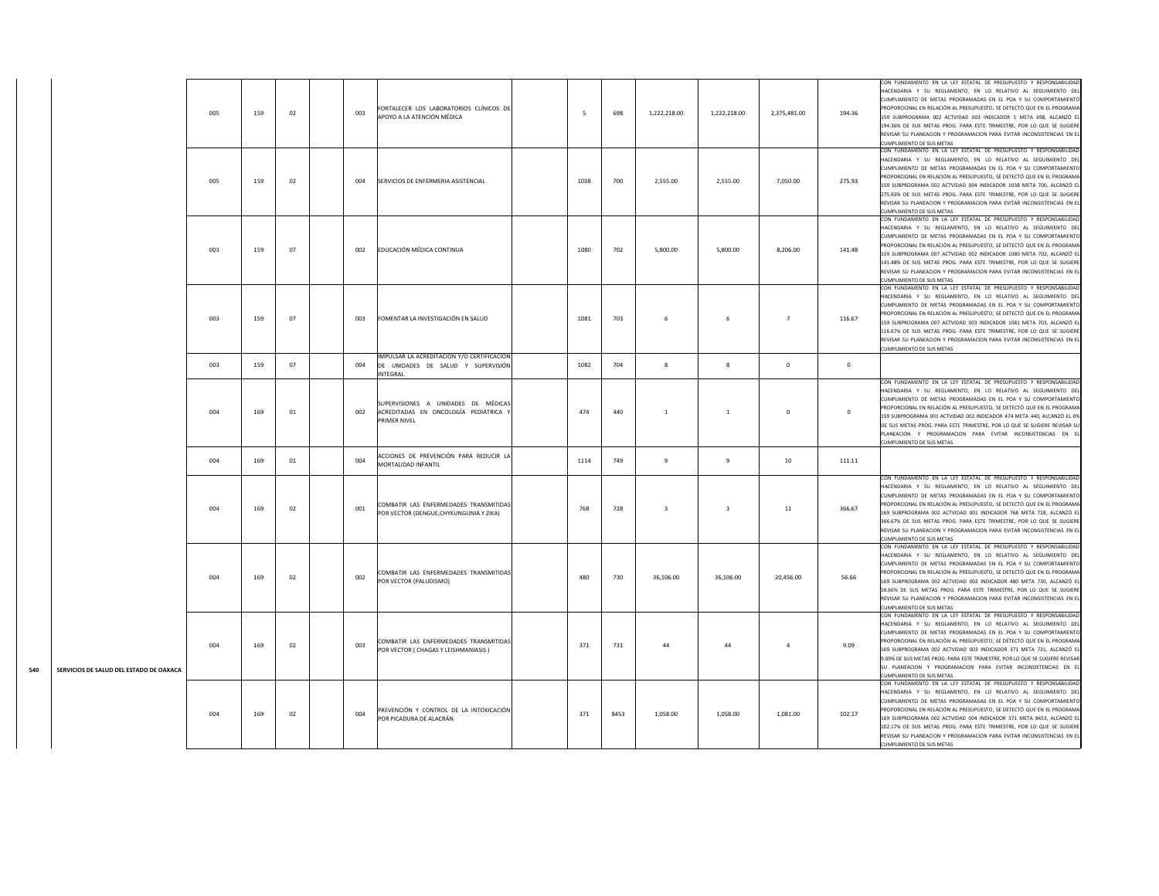|     |                                         | 005 | 159 | 02 | 003 | FORTALECER LOS LABORATORIOS CLÍNICOS DE<br>APOYO A LA ATENCIÓN MÉDICA                        | -5   | 698  | 1,222,218.00   | 1,222,218.00   | 2,375,481.00   | 194.36         | CON FUNDAMENTO EN LA LEY ESTATAL DE PRESUPUESTO Y RESPONSABILIDAD<br>HACENDARIA Y SU REGLAMENTO, EN LO RELATIVO AL SEGUIMIENTO DEL<br>CUMPLIMIENTO DE METAS PROGRAMADAS EN EL POA Y SU COMPORTAMIENTO<br>PROPORCIONAL EN RELACIÓN AL PRESUPUESTO, SE DETECTÓ QUE EN EL PROGRAMA<br>159 SUBPROGRAMA 002 ACTVIDAD 003 INDICADOR 5 META 698, ALCANZÓ EL<br>194.36% DE SUS METAS PROG. PARA ESTE TRIMESTRE, POR LO QUE SE SUGIERE<br>REVISAR SU PLANEACION Y PROGRAMACION PARA EVITAR INCONSISTENCIAS EN EL<br><b>CUMPLIMIENTO DE SUS METAS</b>   |
|-----|-----------------------------------------|-----|-----|----|-----|----------------------------------------------------------------------------------------------|------|------|----------------|----------------|----------------|----------------|-----------------------------------------------------------------------------------------------------------------------------------------------------------------------------------------------------------------------------------------------------------------------------------------------------------------------------------------------------------------------------------------------------------------------------------------------------------------------------------------------------------------------------------------------|
|     |                                         | 005 | 159 | 02 | 004 | SERVICIOS DE ENFERMERIA ASISTENCIAL                                                          | 1038 | 700  | 2,555.00       | 2,555.00       | 7,050.00       | 275.93         | CON FUNDAMENTO EN LA LEY ESTATAL DE PRESUPUESTO Y RESPONSABILIDAD<br>HACENDARIA Y SU REGLAMENTO, EN LO RELATIVO AL SEGUIMIENTO DEL<br>CUMPLIMIENTO DE METAS PROGRAMADAS EN EL POA Y SU COMPORTAMIENTO<br>PROPORCIONAL EN RELACIÓN AL PRESUPUESTO, SE DETECTÓ QUE EN EL PROGRAMA<br>159 SUBPROGRAMA 002 ACTVIDAD 004 INDICADOR 1038 META 700. ALCANZÓ EL<br>275.93% DE SUS METAS PROG. PARA ESTE TRIMESTRE, POR LO QUE SE SUGIERE<br>REVISAR SU PLANEACION Y PROGRAMACION PARA EVITAR INCONSISTENCIAS EN EL<br>CUMPLIMIENTO DE SUS METAS       |
|     |                                         | 003 | 159 | 07 | 002 | EDUCACIÓN MÉDICA CONTINUA                                                                    | 1080 | 702  | 5,800.00       | 5,800.00       | 8,206.00       | 141.48         | CON FUNDAMENTO EN LA LEY ESTATAL DE PRESUPUESTO Y RESPONSABILIDAD<br>HACENDARIA Y SU REGLAMENTO, EN LO RELATIVO AL SEGUIMIENTO DEL<br>CUMPLIMIENTO DE METAS PROGRAMADAS EN EL POA Y SU COMPORTAMIENTO<br>ROPORCIONAL EN RELACIÓN AL PRESUPUESTO, SE DETECTÓ QUE EN EL PROGRAMA<br>159 SUBPROGRAMA 007 ACTVIDAD 002 INDICADOR 1080 META 702, ALCANZÓ EL<br>141.48% DE SUS METAS PROG. PARA ESTE TRIMESTRE, POR LO QUE SE SUGIERE<br>REVISAR SU PLANEACION Y PROGRAMACION PARA EVITAR INCONSISTENCIAS EN EL<br>CUMPLIMIENTO DE SUS METAS        |
|     |                                         | 003 | 159 | 07 | 003 | FOMENTAR LA INVESTIGACIÓN EN SALUD                                                           | 1081 | 703  | -6             | - 6            | $\overline{7}$ | 116.67         | CON FUNDAMENTO EN LA LEY ESTATAL DE PRESUPUESTO Y RESPONSABILIDAD<br>HACENDARIA Y SU REGLAMENTO, EN LO RELATIVO AL SEGUIMIENTO DEL<br>CUMPLIMIENTO DE METAS PROGRAMADAS EN EL POA Y SU COMPORTAMIENTO<br>PROPORCIONAL EN RELACIÓN AL PRESUPUESTO, SE DETECTÓ QUE EN EL PROGRAMA<br>159 SUBPROGRAMA 007 ACTVIDAD 003 INDICADOR 1081 META 703, ALCANZÓ EL<br>116.67% DE SUS METAS PROG. PARA ESTE TRIMESTRE, POR LO QUE SE SUGIERE<br>REVISAR SU PLANEACION Y PROGRAMACION PARA EVITAR INCONSISTENCIAS EN EL<br>CUMPLIMIENTO DE SUS METAS       |
|     |                                         | 003 | 159 | 07 | 004 | IMPULSAR LA ACREDITACIÓN Y/O CERTIFICACIÓN<br>DE UNIDADES DE SALUD Y SUPERVISIÓN<br>INTEGRAL | 1082 | 704  | 8              | $\mathbf{R}$   | $\mathbf{0}$   | $\overline{0}$ |                                                                                                                                                                                                                                                                                                                                                                                                                                                                                                                                               |
|     |                                         | 004 | 169 | 01 | 002 | SUPERVISIONES A UNIDADES DE MÉDICAS<br>ACREDITADAS EN ONCOLOGÍA PEDIATRICA Y<br>PRIMER NIVEL | 474  | 440  | $\overline{1}$ | <sup>1</sup>   | $\mathbf{0}$   | $\mathbf{0}$   | CON FUNDAMENTO EN LA LEY ESTATAL DE PRESUPUESTO Y RESPONSABILIDAD<br>HACENDARIA Y SU REGLAMENTO, EN LO RELATIVO AL SEGUIMIENTO DEL<br>CUMPLIMIENTO DE METAS PROGRAMADAS EN EL POA Y SU COMPORTAMIENTO<br>PROPORCIONAL EN RELACIÓN AL PRESUPUESTO, SE DETECTÓ QUE EN EL PROGRAMA<br>159 SUBPROGRAMA 001 ACTVIDAD 002 INDICADOR 474 META 440, ALCANZÓ EL 0%<br>DE SUS METAS PROG. PARA ESTE TRIMESTRE. POR LO QUE SE SUGIERE REVISAR SU<br>PLANEACION Y PROGRAMACION PARA EVITAR INCONSISTENCIAS EN EL<br>UMPLIMIENTO DE SUS METAS              |
|     |                                         | 004 | 169 | 01 | 004 | ACCIONES DE PREVENCIÓN PARA REDUCIR LA<br>MORTALIDAD INFANTIL                                | 1114 | 749  | $\mathbf{q}$   | $\overline{9}$ | 10             | 111.11         |                                                                                                                                                                                                                                                                                                                                                                                                                                                                                                                                               |
|     |                                         | 004 | 169 | 02 | 001 | COMBATIR LAS ENFERMEDADES TRANSMITIDAS<br>POR VECTOR (DENGUE, CHYKUNGUNIA Y ZIKA)            | 768  | 728  | $\overline{3}$ | $\mathbf{3}$   | 11             | 366.67         | CON FUNDAMENTO EN LA LEY ESTATAL DE PRESUPUESTO Y RESPONSABILIDAD<br>HACENDARIA Y SU REGLAMENTO, EN LO RELATIVO AL SEGUIMIENTO DEL<br>CUMPLIMIENTO DE METAS PROGRAMADAS EN EL POA Y SU COMPORTAMIENTO<br>PROPORCIONAL EN RELACIÓN AL PRESUPUESTO, SE DETECTÓ QUE EN EL PROGRAMA<br>169 SUBPROGRAMA 002 ACTVIDAD 001 INDICADOR 768 META 728, ALCANZÓ EL<br>366.67% DE SUS METAS PROG. PARA ESTE TRIMESTRE, POR LO QUE SE SUGIERE<br>REVISAR SU PLANEACION Y PROGRAMACION PARA EVITAR INCONSISTENCIAS EN EL<br>CUMPLIMIENTO DE SUS METAS        |
|     |                                         | 004 | 169 | 02 | 002 | COMBATIR LAS ENFERMEDADES TRANSMITIDAS<br>POR VECTOR (PALUDISMO)                             | 480  | 730  | 36,106.00      | 36,106.00      | 20,456.00      | 56.66          | CON FUNDAMENTO EN LA LEY ESTATAL DE PRESUPUESTO Y RESPONSABILIDAD<br>HACENDARIA Y SU REGLAMENTO. EN LO RELATIVO AL SEGUIMIENTO DEL<br>CUMPLIMIENTO DE METAS PROGRAMADAS EN EL POA Y SU COMPORTAMIENTO<br>PROPORCIONAL EN RELACIÓN AL PRESUPUESTO, SE DETECTÓ QUE EN EL PROGRAMA<br>169 SUBPROGRAMA 002 ACTVIDAD 002 INDICADOR 480 META 730, ALCANZÓ EI<br>56.66% DE SUS METAS PROG. PARA ESTE TRIMESTRE, POR LO QUE SE SUGIERE<br>REVISAR SU PLANEACION Y PROGRAMACION PARA EVITAR INCONSISTENCIAS EN EL<br><b>CUMPLIMIENTO DE SUS METAS</b>  |
| 540 | SERVICIOS DE SALUD DEL ESTADO DE OAXACA | 004 | 169 | 02 | 003 | COMBATIR LAS ENFERMEDADES TRANSMITIDAS<br>POR VECTOR ( CHAGAS Y LEISHMANIASIS )              | 371  | 731  | 44             | 44             | $\overline{4}$ | 9.09           | CON FUNDAMENTO EN LA LEY ESTATAL DE PRESUPUESTO Y RESPONSABILIDAD<br>HACENDARIA Y SU REGLAMENTO, EN LO RELATIVO AL SEGUIMIENTO DEL<br>CUMPLIMIENTO DE METAS PROGRAMADAS EN EL POA Y SU COMPORTAMIENTO<br>PROPORCIONAL EN RELACIÓN AL PRESUPUESTO, SE DETECTÓ QUE EN EL PROGRAMA<br>169 SUBPROGRAMA 002 ACTVIDAD 003 INDICADOR 371 META 731, ALCANZÓ EL<br>9.09% DE SUS METAS PROG. PARA ESTE TRIMESTRE, POR LO QUE SE SUGIERE REVISAR<br>SU PLANEACION Y PROGRAMACION PARA EVITAR INCONSISTENCIAS EN EL<br>UMPLIMIENTO DE SUS METAS           |
|     |                                         | 004 | 169 | 02 | 004 | PREVENCIÓN Y CONTROL DE LA INTOXICACIÓN<br>POR PICADURA DE ALACRÁN                           | 371  | 8453 | 1,058.00       | 1,058.00       | 1,081.00       | 102.17         | CON FUNDAMENTO EN LA LEY ESTATAL DE PRESUPUESTO Y RESPONSABILIDAD<br>HACENDARIA Y SU REGLAMENTO. EN LO RELATIVO AL SEGUIMIENTO DEL<br>CUMPLIMIENTO DE METAS PROGRAMADAS EN EL POA Y SU COMPORTAMIENTO<br>ROPORCIONAL EN RELACIÓN AL PRESUPUESTO, SE DETECTÓ QUE EN EL PROGRAMA<br>169 SUBPROGRAMA 002 ACTVIDAD 004 INDICADOR 371 META 8453, ALCANZÓ EL<br>102.17% DE SUS METAS PROG. PARA ESTE TRIMESTRE, POR LO QUE SE SUGIERE<br>REVISAR SU PLANEACION Y PROGRAMACION PARA EVITAR INCONSISTENCIAS EN EL<br><b>CUMPLIMIENTO DE SUS METAS</b> |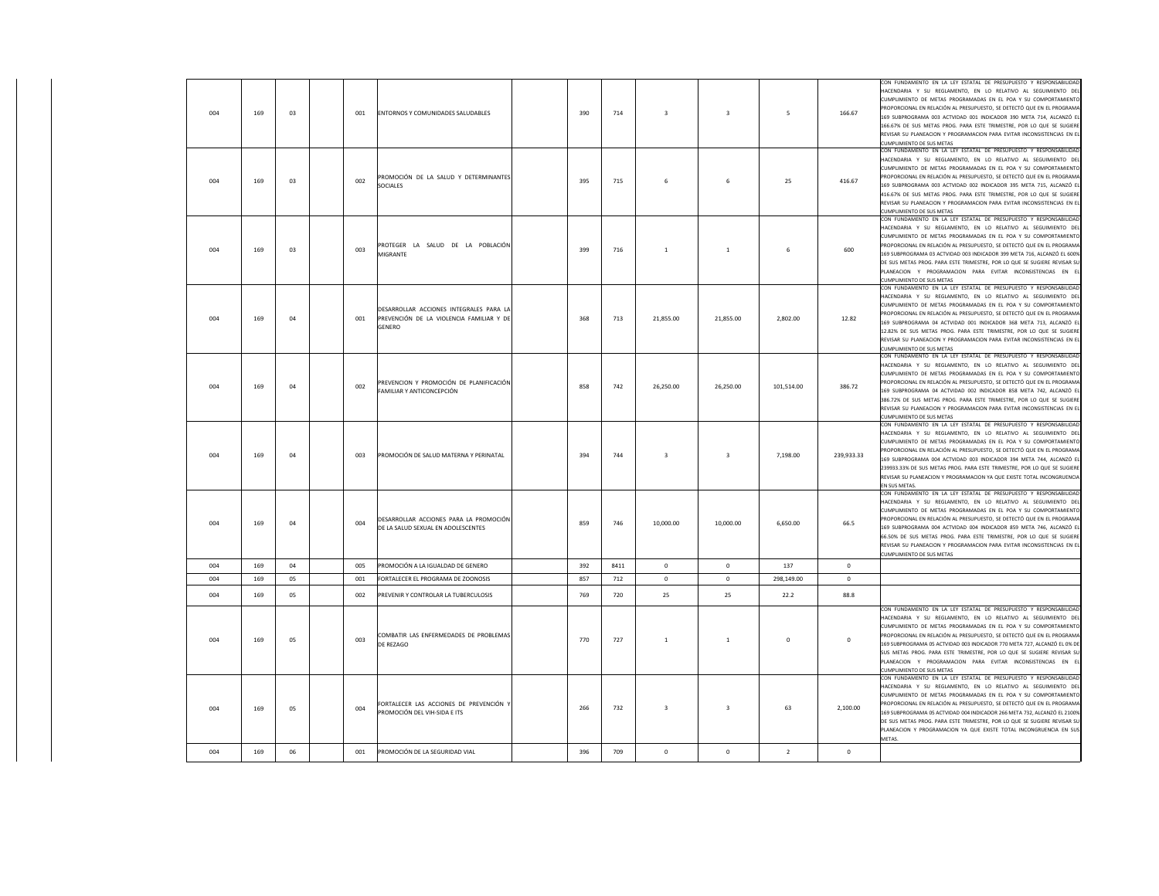| 004 | 169 | 03 | 001 | ENTORNOS Y COMUNIDADES SALUDABLES                                                             | 390 | 714  | $\overline{\mathbf{3}}$ | $\overline{3}$          | 5              | 166.67       | CON FUNDAMENTO EN LA LEY ESTATAL DE PRESUPUESTO Y RESPONSABILIDAD<br>HACENDARIA Y SU REGLAMENTO, EN LO RELATIVO AL SEGUIMIENTO DEL<br>CUMPLIMIENTO DE METAS PROGRAMADAS EN EL POA Y SU COMPORTAMIENTO<br>PROPORCIONAL EN RELACIÓN AL PRESUPUESTO, SE DETECTÓ QUE EN EL PROGRAMA<br>169 SUBPROGRAMA 003 ACTVIDAD 001 INDICADOR 390 META 714, ALCANZÓ EL<br>166.67% DE SUS METAS PROG. PARA ESTE TRIMESTRE, POR LO QUE SE SUGIERE<br>REVISAR SU PLANEACION Y PROGRAMACION PARA EVITAR INCONSISTENCIAS EN EL<br><b>CUMPLIMIENTO DE SUS METAS</b> |
|-----|-----|----|-----|-----------------------------------------------------------------------------------------------|-----|------|-------------------------|-------------------------|----------------|--------------|-----------------------------------------------------------------------------------------------------------------------------------------------------------------------------------------------------------------------------------------------------------------------------------------------------------------------------------------------------------------------------------------------------------------------------------------------------------------------------------------------------------------------------------------------|
| 004 | 169 | 03 | 002 | PROMOCIÓN DE LA SALUD Y DETERMINANTES<br>SOCIALES                                             | 395 | 715  | 6                       | -6                      | 25             | 416.67       | CON FUNDAMENTO EN LA LEY ESTATAL DE PRESUPUESTO Y RESPONSABILIDAD<br>HACENDARIA Y SU REGLAMENTO, EN LO RELATIVO AL SEGUIMIENTO DEL<br>CUMPLIMIENTO DE METAS PROGRAMADAS EN EL POA Y SU COMPORTAMIENTO<br>PROPORCIONAL EN RELACIÓN AL PRESUPUESTO, SE DETECTÓ QUE EN EL PROGRAMA<br>169 SUBPROGRAMA 003 ACTVIDAD 002 INDICADOR 395 META 715, ALCANZÓ EL<br>116.67% DE SUS METAS PROG. PARA ESTE TRIMESTRE, POR LO QUE SE SUGIERE<br>REVISAR SU PLANEACION Y PROGRAMACION PARA EVITAR INCONSISTENCIAS EN EL<br>UMPLIMIENTO DE SUS METAS         |
| 004 | 169 | 03 | 003 | PROTEGER LA SALUD DE LA POBLACIÓN<br>MIGRANTE                                                 | 399 | 716  | $\mathbf{1}$            | $\overline{1}$          | 6              | 600          | CON FUNDAMENTO EN LA LEY ESTATAL DE PRESUPUESTO Y RESPONSABILIDAD<br>HACENDARIA Y SU REGLAMENTO, EN LO RELATIVO AL SEGUIMIENTO DEL<br>CUMPLIMIENTO DE METAS PROGRAMADAS EN EL POA Y SU COMPORTAMIENTO<br>PROPORCIONAL EN RELACIÓN AL PRESUPUESTO, SE DETECTÓ QUE EN EL PROGRAMA<br>169 SUBPROGRAMA 03 ACTVIDAD 003 INDICADOR 399 META 716, ALCANZÓ EL 600%<br>DE SUS METAS PROG. PARA ESTE TRIMESTRE, POR LO QUE SE SUGIERE REVISAR SU<br>PLANEACION Y PROGRAMACION PARA EVITAR INCONSISTENCIAS EN EI<br>UMPLIMIENTO DE SUS METAS             |
| 004 | 169 | 04 | 001 | DESARROLLAR ACCIONES INTEGRALES PARA LA<br>PREVENCIÓN DE LA VIOLENCIA FAMILIAR Y DE<br>GENERO | 368 | 713  | 21,855.00               | 21,855.00               | 2,802.00       | 12.82        | CON FUNDAMENTO EN LA LEY ESTATAL DE PRESUPUESTO Y RESPONSABILIDAD<br>HACENDARIA Y SU REGLAMENTO, EN LO RELATIVO AL SEGUIMIENTO DEL<br>CUMPLIMIENTO DE METAS PROGRAMADAS EN EL POA Y SU COMPORTAMIENTO<br>ROPORCIONAL EN RELACIÓN AL PRESUPUESTO, SE DETECTÓ QUE EN EL PROGRAMA<br>169 SUBPROGRAMA 04 ACTVIDAD 001 INDICADOR 368 META 713, ALCANZÓ EL<br>12.82% DE SUS METAS PROG. PARA ESTE TRIMESTRE, POR LO QUE SE SUGIERE<br>REVISAR SU PLANEACION Y PROGRAMACION PARA EVITAR INCONSISTENCIAS EN EL<br><b>CUMPLIMIENTO DE SUS METAS</b>    |
| 004 | 169 | 04 | 002 | PREVENCION Y PROMOCIÓN DE PLANIFICACIÓN<br>FAMILIAR Y ANTICONCEPCIÓN                          | 858 | 742  | 26,250.00               | 26,250.00               | 101,514.00     | 386.72       | CON FUNDAMENTO EN LA LEY ESTATAL DE PRESUPUESTO Y RESPONSABILIDAD<br>HACENDARIA Y SU REGLAMENTO, EN LO RELATIVO AL SEGUIMIENTO DEL<br>CUMPLIMIENTO DE METAS PROGRAMADAS EN EL POA Y SU COMPORTAMIENTO<br>PROPORCIONAL EN RELACIÓN AL PRESUPUESTO, SE DETECTÓ QUE EN EL PROGRAMA<br>169 SUBPROGRAMA 04 ACTVIDAD 002 INDICADOR 858 META 742, ALCANZÓ EL<br>386.72% DE SUS METAS PROG. PARA ESTE TRIMESTRE, POR LO QUE SE SUGIERE<br>REVISAR SU PLANEACION Y PROGRAMACION PARA EVITAR INCONSISTENCIAS EN EL<br>UMPLIMIENTO DE SUS METAS          |
| 004 | 169 | 04 | 003 | PROMOCIÓN DE SALUD MATERNA Y PERINATAL                                                        | 394 | 744  | 3                       | $\overline{\mathbf{3}}$ | 7,198.00       | 239,933.33   | CON FUNDAMENTO EN LA LEY ESTATAL DE PRESUPUESTO Y RESPONSABILIDAD<br>HACENDARIA Y SU REGLAMENTO, EN LO RELATIVO AL SEGUIMIENTO DEL<br>CUMPLIMIENTO DE METAS PROGRAMADAS EN EL POA Y SU COMPORTAMIENTO<br>ROPORCIONAL EN RELACIÓN AL PRESUPUESTO, SE DETECTÓ QUE EN EL PROGRAMA<br>169 SUBPROGRAMA 004 ACTVIDAD 003 INDICADOR 394 META 744, ALCANZÓ EL<br>239933.33% DE SUS METAS PROG. PARA ESTE TRIMESTRE, POR LO QUE SE SUGIERE<br>REVISAR SU PLANEACION Y PROGRAMACION YA QUE EXISTE TOTAL INCONGRUENCIA<br>EN SUS METAS.                  |
| 004 | 169 | 04 | 004 | DESARROLLAR ACCIONES PARA LA PROMOCIÓN<br>DE LA SALUD SEXUAL EN ADOLESCENTES                  | 859 | 746  | 10,000.00               | 10,000.00               | 6,650.00       | 66.5         | CON FUNDAMENTO EN LA LEY ESTATAL DE PRESUPUESTO Y RESPONSABILIDAD<br>HACENDARIA Y SU REGLAMENTO, EN LO RELATIVO AL SEGUIMIENTO DEL<br>CUMPLIMIENTO DE METAS PROGRAMADAS EN EL POA Y SU COMPORTAMIENTO<br>PROPORCIONAL EN RELACIÓN AL PRESUPUESTO, SE DETECTÓ QUE EN EL PROGRAMA<br>169 SUBPROGRAMA 004 ACTVIDAD 004 INDICADOR 859 META 746, ALCANZÓ EL<br>66.50% DE SUS METAS PROG. PARA ESTE TRIMESTRE, POR LO QUE SE SUGIERE<br>REVISAR SU PLANEACION Y PROGRAMACION PARA EVITAR INCONSISTENCIAS EN EL<br>CUMPLIMIENTO DE SUS METAS         |
| 004 | 169 | 04 | 005 | PROMOCIÓN A LA IGUALDAD DE GENERO                                                             | 392 | 8411 | $\mathbf{0}$            | $^{\circ}$              | 137            | $\mathbf 0$  |                                                                                                                                                                                                                                                                                                                                                                                                                                                                                                                                               |
| 004 | 169 | 05 | 001 | FORTALECER EL PROGRAMA DE ZOONOSIS                                                            | 857 | 712  | $\,0\,$                 | $^{\circ}$              | 298,149.00     | $\mathbf{0}$ |                                                                                                                                                                                                                                                                                                                                                                                                                                                                                                                                               |
| 004 | 169 | 05 | 002 | PREVENIR Y CONTROLAR LA TUBERCULOSIS                                                          | 769 | 720  | 25                      | 25                      | 22.2           | 88.8         |                                                                                                                                                                                                                                                                                                                                                                                                                                                                                                                                               |
| 004 | 169 | 05 | 003 | COMBATIR LAS ENFERMEDADES DE PROBLEMAS<br>DE REZAGO                                           | 770 | 727  | $\mathbf{1}$            | -1                      | $\mathbf{0}$   | $\mathbf{0}$ | CON FUNDAMENTO EN LA LEY ESTATAL DE PRESUPUESTO Y RESPONSABILIDAD<br>HACENDARIA Y SU REGLAMENTO, EN LO RELATIVO AL SEGUIMIENTO DEL<br>CUMPLIMIENTO DE METAS PROGRAMADAS EN EL POA Y SU COMPORTAMIENTO<br>PROPORCIONAL EN RELACIÓN AL PRESUPUESTO, SE DETECTÓ QUE EN EL PROGRAMA<br>169 SUBPROGRAMA 05 ACTVIDAD 003 INDICADOR 770 META 727. ALCANZÓ EL 0% DE<br>SUS METAS PROG. PARA ESTE TRIMESTRE, POR LO QUE SE SUGIERE REVISAR SU<br>LANEACION Y PROGRAMACION PARA EVITAR INCONSISTENCIAS EN EL<br>UMPLIMIENTO DE SUS METAS                |
| 004 | 169 | 05 | 004 | FORTALECER LAS ACCIONES DE PREVENCIÓN<br>PROMOCIÓN DEL VIH-SIDA E ITS                         | 266 | 732  | $\overline{3}$          | $\overline{3}$          | 63             | 2,100.00     | CON FUNDAMENTO EN LA LEY ESTATAL DE PRESUPUESTO Y RESPONSABILIDAD<br>HACENDARIA Y SU REGLAMENTO, EN LO RELATIVO AL SEGUIMIENTO DEL<br>CUMPLIMIENTO DE METAS PROGRAMADAS EN EL POA Y SU COMPORTAMIENTO<br>PROPORCIONAL EN RELACIÓN AL PRESUPUESTO, SE DETECTÓ QUE EN EL PROGRAMA<br>69 SUBPROGRAMA 05 ACTVIDAD 004 INDICADOR 266 META 732, ALCANZÓ EL 2100%<br>DE SUS METAS PROG. PARA ESTE TRIMESTRE, POR LO QUE SE SUGIERE REVISAR SU<br>PLANEACION Y PROGRAMACION YA QUE EXISTE TOTAL INCONGRUENCIA EN SUS<br>METAS.                        |
| 004 | 169 | 06 | 001 | PROMOCIÓN DE LA SEGURIDAD VIAL                                                                | 396 | 709  | $\mathbf 0$             | $\mathbf 0$             | $\overline{2}$ | $\mathbf 0$  |                                                                                                                                                                                                                                                                                                                                                                                                                                                                                                                                               |
|     |     |    |     |                                                                                               |     |      |                         |                         |                |              |                                                                                                                                                                                                                                                                                                                                                                                                                                                                                                                                               |

 $\mathbf{I}$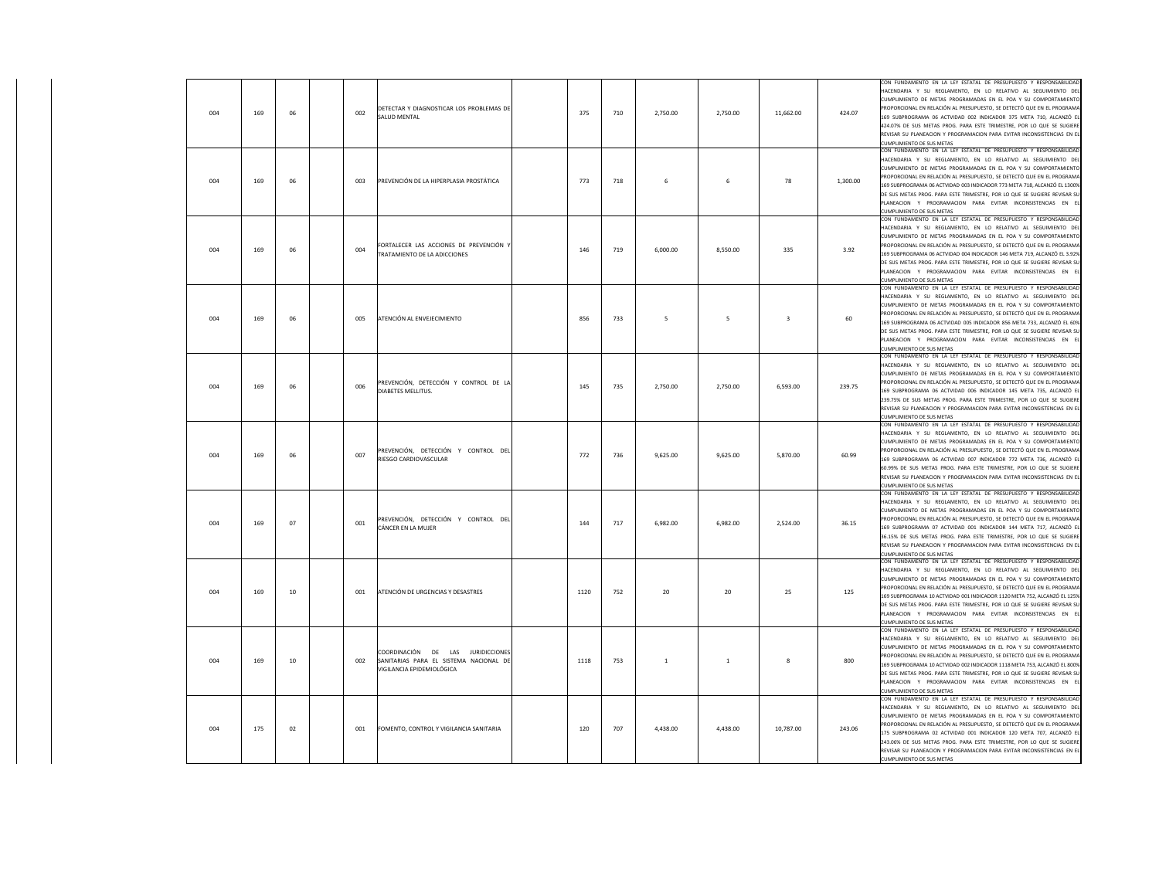| 004 | 169 | 06 | 002 | DETECTAR Y DIAGNOSTICAR LOS PROBLEMAS DE<br>SALUD MENTAL                                                 | 375  | 710 | 2.750.00       | 2.750.00       | 11.662.00               | 424.07   | CON FUNDAMENTO EN LA LEY ESTATAL DE PRESUPUESTO Y RESPONSABILIDAD<br>HACENDARIA Y SU REGLAMENTO, EN LO RELATIVO AL SEGUIMIENTO DEL<br>CUMPLIMIENTO DE METAS PROGRAMADAS EN EL POA Y SU COMPORTAMIENTO<br>PROPORCIONAL EN RELACIÓN AL PRESUPUESTO, SE DETECTÓ QUE EN EL PROGRAMA<br>169 SUBPROGRAMA 06 ACTVIDAD 002 INDICADOR 375 META 710, ALCANZÓ EL<br>424.07% DE SUS METAS PROG. PARA ESTE TRIMESTRE, POR LO QUE SE SUGIERE<br>REVISAR SU PLANEACION Y PROGRAMACION PARA EVITAR INCONSISTENCIAS EN EL<br>CUMPLIMIENTO DE SUS METAS        |
|-----|-----|----|-----|----------------------------------------------------------------------------------------------------------|------|-----|----------------|----------------|-------------------------|----------|----------------------------------------------------------------------------------------------------------------------------------------------------------------------------------------------------------------------------------------------------------------------------------------------------------------------------------------------------------------------------------------------------------------------------------------------------------------------------------------------------------------------------------------------|
| 004 | 169 | 06 | 003 | PREVENCIÓN DE LA HIPERPLASIA PROSTÁTICA                                                                  | 773  | 718 | 6              | 6              | 78                      | 1,300.00 | CON FUNDAMENTO EN LA LEY ESTATAL DE PRESUPUESTO Y RESPONSABILIDAD<br>HACENDARIA Y SU REGLAMENTO, EN LO RELATIVO AL SEGUIMIENTO DEL<br>CUMPLIMIENTO DE METAS PROGRAMADAS EN EL POA Y SU COMPORTAMIENTO<br>PROPORCIONAL EN RELACIÓN AL PRESUPUESTO. SE DETECTÓ QUE EN EL PROGRAMA<br>69 SUBPROGRAMA 06 ACTVIDAD 003 INDICADOR 773 META 718, ALCANZÓ EL 1300%<br>DE SUS METAS PROG. PARA ESTE TRIMESTRE, POR LO QUE SE SUGIERE REVISAR SU<br>PLANEACION Y PROGRAMACION PARA EVITAR INCONSISTENCIAS EN EL<br><b>CUMPLIMIENTO DE SUS METAS</b>    |
| 004 | 169 | 06 | 004 | FORTALECER LAS ACCIONES DE PREVENCIÓN Y<br>TRATAMIENTO DE LA ADICCIONES                                  | 146  | 719 | 6,000.00       | 8,550.00       | 335                     | 3.92     | CON FUNDAMENTO EN LA LEY ESTATAL DE PRESUPUESTO Y RESPONSABILIDAD<br>HACENDARIA Y SU REGLAMENTO, EN LO RELATIVO AL SEGUIMIENTO DEL<br>CUMPLIMIENTO DE METAS PROGRAMADAS EN EL POA Y SU COMPORTAMIENTO<br>PROPORCIONAL EN RELACIÓN AL PRESUPUESTO, SE DETECTÓ QUE EN EL PROGRAMA<br>169 SUBPROGRAMA 06 ACTVIDAD 004 INDICADOR 146 META 719, ALCANZÓ EL 3.92%<br>DE SUS METAS PROG. PARA ESTE TRIMESTRE, POR LO QUE SE SUGIERE REVISAR SU<br>PLANEACION Y PROGRAMACION PARA EVITAR INCONSISTENCIAS EN EL<br><b>CUMPLIMIENTO DE SUS METAS</b>   |
| 004 | 169 | 06 | 005 | ATENCIÓN AL ENVEJECIMIENTO                                                                               | 856  | 733 | 5              | 5              | $\overline{\mathbf{3}}$ | 60       | CON FUNDAMENTO EN LA LEY ESTATAL DE PRESUPUESTO Y RESPONSABILIDAD<br>HACENDARIA Y SU REGLAMENTO, EN LO RELATIVO AL SEGUIMIENTO DEL<br>CUMPLIMIENTO DE METAS PROGRAMADAS EN EL POA Y SU COMPORTAMIENTO<br>ROPORCIONAL EN RELACIÓN AL PRESUPUESTO, SE DETECTÓ QUE EN EL PROGRAMA<br>169 SUBPROGRAMA 06 ACTVIDAD 005 INDICADOR 856 META 733, ALCANZÓ EL 60%<br>DE SUS METAS PROG. PARA ESTE TRIMESTRE, POR LO QUE SE SUGIERE REVISAR SU<br>PLANEACION Y PROGRAMACION PARA EVITAR INCONSISTENCIAS EN EL<br>CUMPLIMIENTO DE SUS METAS             |
| 004 | 169 | 06 | 006 | PREVENCIÓN, DETECCIÓN Y CONTROL DE LA<br><b>DIABETES MELLITUS</b>                                        | 145  | 735 | 2,750.00       | 2,750.00       | 6,593.00                | 239.75   | CON FUNDAMENTO EN LA LEY ESTATAL DE PRESUPUESTO Y RESPONSABILIDAD<br>HACENDARIA Y SU REGLAMENTO, EN LO RELATIVO AL SEGUIMIENTO DEL<br>CUMPLIMIENTO DE METAS PROGRAMADAS EN EL POA Y SU COMPORTAMIENTO<br>PROPORCIONAL EN RELACIÓN AL PRESUPUESTO, SE DETECTÓ QUE EN EL PROGRAMA<br>169 SUBPROGRAMA 06 ACTVIDAD 006 INDICADOR 145 META 735, ALCANZÓ EL<br>239.75% DE SUS METAS PROG. PARA ESTE TRIMESTRE, POR LO QUE SE SUGIERE<br>REVISAR SU PLANEACION Y PROGRAMACION PARA EVITAR INCONSISTENCIAS EN EL<br><b>CUMPLIMIENTO DE SUS METAS</b> |
| 004 | 169 | 06 | 007 | PREVENCIÓN, DETECCIÓN Y CONTROL DEL<br>RIESGO CARDIOVASCULAR                                             | 772  | 736 | 9,625.00       | 9,625.00       | 5,870.00                | 60.99    | CON FUNDAMENTO EN LA LEY ESTATAL DE PRESUPUESTO Y RESPONSABILIDAD<br>HACENDARIA Y SU REGLAMENTO. EN LO RELATIVO AL SEGUIMIENTO DEL<br>CUMPLIMIENTO DE METAS PROGRAMADAS EN EL POA Y SU COMPORTAMIENTO<br>PROPORCIONAL EN RELACIÓN AL PRESUPUESTO, SE DETECTÓ QUE EN EL PROGRAMA<br>169 SUBPROGRAMA 06 ACTVIDAD 007 INDICADOR 772 META 736, ALCANZÓ EL<br>60.99% DE SUS METAS PROG. PARA ESTE TRIMESTRE, POR LO QUE SE SUGIERE<br>REVISAR SU PLANEACION Y PROGRAMACION PARA EVITAR INCONSISTENCIAS EN EL<br><b>CUMPLIMIENTO DE SUS METAS</b>  |
| 004 | 169 | 07 | 001 | PREVENCIÓN, DETECCIÓN Y CONTROL DEL<br>CÁNCER EN LA MUJER                                                | 144  | 717 | 6,982.00       | 6,982.00       | 2,524.00                | 36.15    | CON FUNDAMENTO EN LA LEY ESTATAL DE PRESUPUESTO Y RESPONSABILIDAD<br>HACENDARIA Y SU REGLAMENTO, EN LO RELATIVO AL SEGUIMIENTO DEL<br>CUMPLIMIENTO DE METAS PROGRAMADAS EN EL POA Y SU COMPORTAMIENTO<br>PROPORCIONAL EN RELACIÓN AL PRESUPUESTO, SE DETECTÓ QUE EN EL PROGRAMA<br>169 SUBPROGRAMA 07 ACTVIDAD 001 INDICADOR 144 META 717, ALCANZÓ EL<br>36.15% DE SUS METAS PROG. PARA ESTE TRIMESTRE, POR LO QUE SE SUGIERE<br>REVISAR SU PLANEACION Y PROGRAMACION PARA EVITAR INCONSISTENCIAS EN EL<br>CUMPLIMIENTO DE SUS METAS         |
| 004 | 169 | 10 | 001 | ATENCIÓN DE URGENCIAS Y DESASTRES                                                                        | 1120 | 752 | 20             | 20             | 25                      | 125      | CON FUNDAMENTO EN LA LEY ESTATAL DE PRESUPUESTO Y RESPONSABILIDAD<br>ACENDARIA Y SU REGLAMENTO, EN LO RELATIVO AL SEGUIMIENTO DEL<br>CUMPLIMIENTO DE METAS PROGRAMADAS EN EL POA Y SU COMPORTAMIENTO<br>PROPORCIONAL EN RELACIÓN AL PRESUPUESTO, SE DETECTÓ QUE EN EL PROGRAMA<br>169 SUBPROGRAMA 10 ACTVIDAD 001 INDICADOR 1120 META 752, ALCANZÓ EL 125%<br>DE SUS METAS PROG. PARA ESTE TRIMESTRE, POR LO QUE SE SUGIERE REVISAR SU<br>PLANEACION Y PROGRAMACION PARA EVITAR INCONSISTENCIAS EN EL<br>CUMPLIMIENTO DE SUS METAS           |
| 004 | 169 | 10 | 002 | COORDINACIÓN DE LAS JURIDICCIONES<br>SANITARIAS PARA EL SISTEMA NACIONAL DE<br>VIGILANCIA EPIDEMIOLÓGICA | 1118 | 753 | $\overline{1}$ | $\overline{1}$ | 8                       | 800      | CON FUNDAMENTO EN LA LEY ESTATAL DE PRESUPUESTO Y RESPONSABILIDAD<br>HACENDARIA Y SU REGLAMENTO, EN LO RELATIVO AL SEGUIMIENTO DEL<br>CUMPLIMIENTO DE METAS PROGRAMADAS EN EL POA Y SU COMPORTAMIENTO<br>PROPORCIONAL EN RELACIÓN AL PRESUPUESTO. SE DETECTÓ QUE EN EL PROGRAMA<br>169 SUBPROGRAMA 10 ACTVIDAD 002 INDICADOR 1118 META 753, ALCANZÓ EL 800%<br>DE SUS METAS PROG. PARA ESTE TRIMESTRE, POR LO QUE SE SUGIERE REVISAR SU<br>PLANEACION Y PROGRAMACION PARA EVITAR INCONSISTENCIAS EN EL<br>CUMPLIMIENTO DE SUS METAS          |
| 004 | 175 | 02 | 001 | FOMENTO, CONTROL Y VIGILANCIA SANITARIA                                                                  | 120  | 707 | 4.438.00       | 4.438.00       | 10,787.00               | 243.06   | CON FUNDAMENTO EN LA LEY ESTATAL DE PRESUPUESTO Y RESPONSABILIDAD<br>HACENDARIA Y SU REGLAMENTO, EN LO RELATIVO AL SEGUIMIENTO DEL<br>CUMPLIMIENTO DE METAS PROGRAMADAS EN EL POA Y SU COMPORTAMIENTO<br>PROPORCIONAL EN RELACIÓN AL PRESUPUESTO, SE DETECTÓ QUE EN EL PROGRAMA<br>175 SUBPROGRAMA 02 ACTVIDAD 001 INDICADOR 120 META 707, ALCANZÓ EL<br>243.06% DE SUS METAS PROG. PARA ESTE TRIMESTRE, POR LO QUE SE SUGIERE<br>REVISAR SU PLANEACION Y PROGRAMACION PARA EVITAR INCONSISTENCIAS EN EL<br><b>CUMPLIMIENTO DE SUS METAS</b> |

 $\mathbf{I}$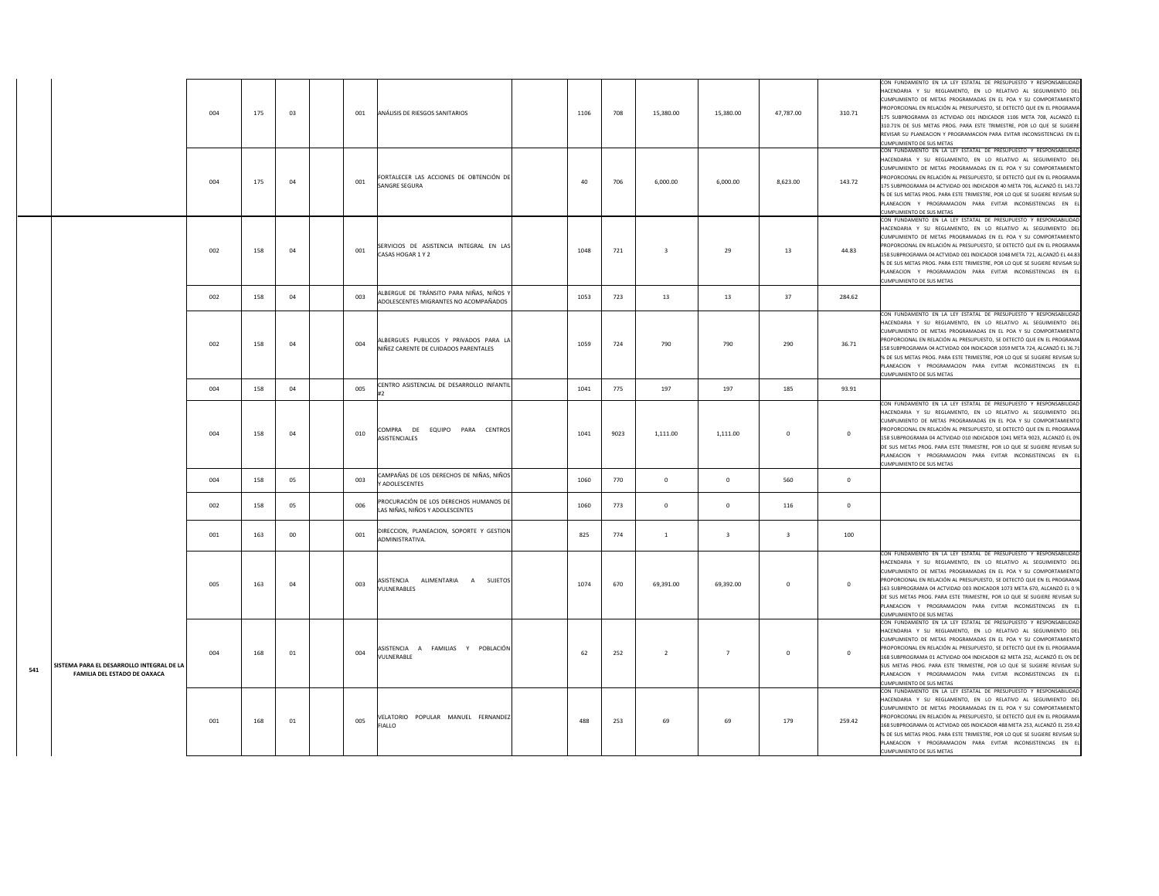|     |                                                                           | 004 | 175 | 03     | 001 | ANÁLISIS DE RIESGOS SANITARIOS                                                    | 1106 | 708  | 15,380.00               | 15,380.00               | 47,787.00               | 310.71       | CON FUNDAMENTO EN LA LEY ESTATAL DE PRESUPUESTO Y RESPONSABILIDAD<br>HACENDARIA Y SU REGLAMENTO, EN LO RELATIVO AL SEGUIMIENTO DEL<br>CUMPLIMIENTO DE METAS PROGRAMADAS EN EL POA Y SU COMPORTAMIENTO<br>PROPORCIONAL EN RELACIÓN AL PRESUPUESTO, SE DETECTÓ QUE EN EL PROGRAMA<br>175 SUBPROGRAMA 03 ACTVIDAD 001 INDICADOR 1106 META 708, ALCANZÓ EL<br>310.71% DE SUS METAS PROG. PARA ESTE TRIMESTRE, POR LO QUE SE SUGIERE<br>REVISAR SU PLANEACION Y PROGRAMACION PARA EVITAR INCONSISTENCIAS EN EL<br>CUMPLIMIENTO DE SUS METAS    |
|-----|---------------------------------------------------------------------------|-----|-----|--------|-----|-----------------------------------------------------------------------------------|------|------|-------------------------|-------------------------|-------------------------|--------------|-------------------------------------------------------------------------------------------------------------------------------------------------------------------------------------------------------------------------------------------------------------------------------------------------------------------------------------------------------------------------------------------------------------------------------------------------------------------------------------------------------------------------------------------|
|     |                                                                           | 004 | 175 | 04     | 001 | FORTALECER LAS ACCIONES DE OBTENCIÓN DE<br>SANGRE SEGURA                          | 40   | 706  | 6,000.00                | 6,000.00                | 8,623.00                | 143.72       | CON FUNDAMENTO EN LA LEY ESTATAL DE PRESUPUESTO Y RESPONSABILIDAD<br>HACENDARIA Y SU REGLAMENTO, EN LO RELATIVO AL SEGUIMIENTO DEL<br>CUMPLIMIENTO DE METAS PROGRAMADAS EN EL POA Y SU COMPORTAMIENTO<br>PROPORCIONAL EN RELACIÓN AL PRESUPUESTO, SE DETECTÓ QUE EN EL PROGRAMA<br>175 SUBPROGRAMA 04 ACTVIDAD 001 INDICADOR 40 META 706, ALCANZÓ EL 143.72<br>% DE SUS METAS PROG. PARA ESTE TRIMESTRE, POR LO QUE SE SUGIERE REVISAR SU<br>PLANEACION Y PROGRAMACION PARA EVITAR INCONSISTENCIAS EN EI<br>UMPLIMIENTO DE SUS METAS      |
|     |                                                                           | 002 | 158 | 04     | 001 | SERVICIOS DE ASISTENCIA INTEGRAL EN LAS<br>CASAS HOGAR 1 Y 2                      | 1048 | 721  | $\overline{\mathbf{3}}$ | 29                      | $13\,$                  | 44.83        | ON FUNDAMENTO EN LA LEY ESTATAL DE PRESUPUESTO Y RESPONSABILIDAD<br>ACENDARIA Y SU REGLAMENTO, EN LO RELATIVO AL SEGUIMIENTO DEL<br>UMPLIMIENTO DE METAS PROGRAMADAS EN EL POA Y SU COMPORTAMIENTO<br>ROPORCIONAL EN RELACIÓN AL PRESUPUESTO, SE DETECTÓ QUE EN EL PROGRAMA<br>158 SUBPROGRAMA 04 ACTVIDAD 001 INDICADOR 1048 META 721, ALCANZÓ EL 44.83<br>% DE SUS METAS PROG. PARA ESTE TRIMESTRE, POR LO QUE SE SUGIERE REVISAR SU<br>PLANEACION Y PROGRAMACION PARA EVITAR INCONSISTENCIAS EN EL<br>CUMPLIMIENTO DE SUS METAS        |
|     |                                                                           | 002 | 158 | 04     | 003 | ALBERGUE DE TRÁNSITO PARA NIÑAS, NIÑOS Y<br>ADOLESCENTES MIGRANTES NO ACOMPAÑADOS | 1053 | 723  | 13                      | 13                      | 37                      | 284.62       |                                                                                                                                                                                                                                                                                                                                                                                                                                                                                                                                           |
|     |                                                                           | 002 | 158 | 04     | 004 | ALBERGUES PUBLICOS Y PRIVADOS PARA LA<br>NIÑEZ CARENTE DE CUIDADOS PARENTALES     | 1059 | 724  | 790                     | 790                     | 290                     | 36.71        | CON FUNDAMENTO EN LA LEY ESTATAL DE PRESUPUESTO Y RESPONSABILIDAD<br>HACENDARIA Y SU REGLAMENTO. EN LO RELATIVO AL SEGUIMIENTO DEL<br>CUMPLIMIENTO DE METAS PROGRAMADAS EN EL POA Y SU COMPORTAMIENTO<br>PROPORCIONAL EN RELACIÓN AL PRESUPUESTO, SE DETECTÓ QUE EN EL PROGRAMA<br>158 SUBPROGRAMA 04 ACTVIDAD 004 INDICADOR 1059 META 724, ALCANZÓ EL 36.71<br>% DE SUS METAS PROG. PARA ESTE TRIMESTRE, POR LO QUE SE SUGIERE REVISAR SU<br>PLANEACION Y PROGRAMACION PARA EVITAR INCONSISTENCIAS EN EL<br>CUMPLIMIENTO DE SUS METAS    |
|     |                                                                           | 004 | 158 | 04     | 005 | CENTRO ASISTENCIAL DE DESARROLLO INFANTIL                                         | 1041 | 775  | 197                     | 197                     | 185                     | 93.91        |                                                                                                                                                                                                                                                                                                                                                                                                                                                                                                                                           |
|     |                                                                           | 004 | 158 | 04     | 010 | COMPRA DE EQUIPO PARA CENTROS<br><b>ASISTENCIALES</b>                             | 1041 | 9023 | 1,111.00                | 1.111.00                | $\mathbf{0}$            | $\mathbf{0}$ | CON FUNDAMENTO EN LA LEY ESTATAL DE PRESUPUESTO Y RESPONSABILIDAD<br>HACENDARIA Y SU REGLAMENTO, EN LO RELATIVO AL SEGUIMIENTO DEL<br>CUMPLIMIENTO DE METAS PROGRAMADAS EN EL POA Y SU COMPORTAMIENTO<br>ROPORCIONAL EN RELACIÓN AL PRESUPUESTO, SE DETECTÓ QUE EN EL PROGRAMA<br>58 SUBPROGRAMA 04 ACTVIDAD 010 INDICADOR 1041 META 9023, ALCANZÓ EL 0%<br>DE SUS METAS PROG. PARA ESTE TRIMESTRE, POR LO QUE SE SUGIERE REVISAR SU<br>PLANEACION Y PROGRAMACION PARA EVITAR INCONSISTENCIAS EN EL<br>CUMPLIMIENTO DE SUS METAS          |
|     |                                                                           | 004 | 158 | 05     | 003 | CAMPAÑAS DE LOS DERECHOS DE NIÑAS, NIÑOS<br>Y ADOLESCENTES                        | 1060 | 770  | $\overline{0}$          | $\mathbf{0}$            | 560                     | $\mathbf{0}$ |                                                                                                                                                                                                                                                                                                                                                                                                                                                                                                                                           |
|     |                                                                           | 002 | 158 | 05     | 006 | PROCURACIÓN DE LOS DERECHOS HUMANOS DE<br>LAS NIÑAS, NIÑOS Y ADOLESCENTES         | 1060 | 773  | $\mathbf 0$             | $\overline{0}$          | 116                     | $\mathbf 0$  |                                                                                                                                                                                                                                                                                                                                                                                                                                                                                                                                           |
|     |                                                                           | 001 | 163 | $00\,$ | 001 | DIRECCION, PLANEACION, SOPORTE Y GESTION<br>ADMINISTRATIVA.                       | 825  | 774  | $\,$ 1 $\,$             | $\overline{\mathbf{3}}$ | $\overline{\mathbf{3}}$ | 100          |                                                                                                                                                                                                                                                                                                                                                                                                                                                                                                                                           |
|     |                                                                           | 005 | 163 | 04     | 003 | ASISTENCIA ALIMENTARIA A SUJETOS<br>VULNERABLES                                   | 1074 | 670  | 69,391.00               | 69,392.00               | $\mathbf{0}$            | $\mathbf{0}$ | CON FUNDAMENTO EN LA LEY ESTATAL DE PRESUPUESTO Y RESPONSABILIDAD<br>HACENDARIA Y SU REGLAMENTO, EN LO RELATIVO AL SEGUIMIENTO DEL<br>CUMPLIMIENTO DE METAS PROGRAMADAS EN EL POA Y SU COMPORTAMIENTO<br>PROPORCIONAL EN RELACIÓN AL PRESUPUESTO, SE DETECTÓ QUE EN EL PROGRAMA<br>163 SUBPROGRAMA 04 ACTVIDAD 003 INDICADOR 1073 META 670, ALCANZÓ EL 0 %<br>DE SUS METAS PROG. PARA ESTE TRIMESTRE, POR LO QUE SE SUGIERE REVISAR SU<br>PLANEACION Y PROGRAMACION PARA EVITAR INCONSISTENCIAS EN EL<br><b>CUMPLIMIENTO DE SUS METAS</b> |
| 541 | SISTEMA PARA EL DESARROLLO INTEGRAL DE LA<br>FAMILIA DEL ESTADO DE OAXACA | 004 | 168 | 01     | 004 | ASISTENCIA A FAMILIAS Y POBLACIÓN<br>VULNERABLE                                   | 62   | 252  | $\overline{2}$          | $\overline{7}$          | $\circ$                 | $\mathbf{0}$ | CON FUNDAMENTO EN LA LEY ESTATAL DE PRESUPUESTO Y RESPONSABILIDAD<br>HACENDARIA Y SU REGLAMENTO, EN LO RELATIVO AL SEGUIMIENTO DEL<br>CUMPLIMIENTO DE METAS PROGRAMADAS EN EL POA Y SU COMPORTAMIENTO<br>PROPORCIONAL EN RELACIÓN AL PRESUPUESTO. SE DETECTÓ QUE EN EL PROGRAMA<br>68 SUBPROGRAMA 01 ACTVIDAD 004 INDICADOR 62 META 252, ALCANZÓ EL 0% DE<br>SUS METAS PROG. PARA ESTE TRIMESTRE, POR LO QUE SE SUGIERE REVISAR SU<br>LANEACION Y PROGRAMACION PARA EVITAR INCONSISTENCIAS EN EL<br>CUMPLIMIENTO DE SUS METAS             |
|     |                                                                           | 001 | 168 | 01     | 005 | VELATORIO POPULAR MANUEL FERNANDEZ<br><b>FIALLO</b>                               | 488  | 253  | 69                      | 69                      | 179                     | 259.42       | CON FUNDAMENTO EN LA LEY ESTATAL DE PRESUPUESTO Y RESPONSABILIDAD<br>HACENDARIA Y SU REGLAMENTO, EN LO RELATIVO AL SEGUIMIENTO DEL<br>CUMPLIMIENTO DE METAS PROGRAMADAS EN EL POA Y SU COMPORTAMIENTO<br>PROPORCIONAL EN RELACIÓN AL PRESUPUESTO, SE DETECTÓ QUE EN EL PROGRAMA<br>168 SUBPROGRAMA 01 ACTVIDAD 005 INDICADOR 488 META 253, ALCANZÓ EL 259.42<br>% DE SUS METAS PROG. PARA ESTE TRIMESTRE, POR LO QUE SE SUGIERE REVISAR SU<br>PLANEACION Y PROGRAMACION PARA EVITAR INCONSISTENCIAS EN EL<br>CUMPLIMIENTO DE SUS METAS    |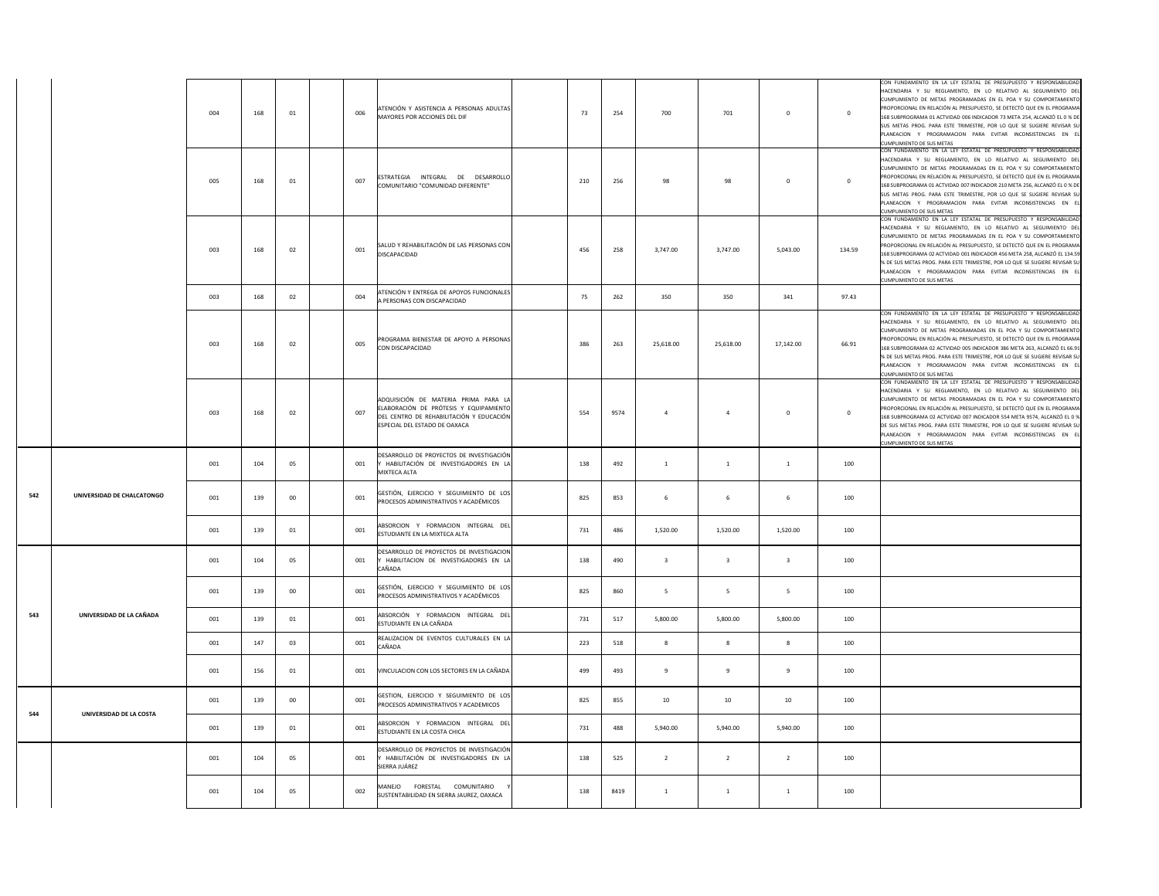|     |                            | 004 | 168 | $01\,$ | 006 | ATENCIÓN Y ASISTENCIA A PERSONAS ADULTAS<br>MAYORES POR ACCIONES DEL DIF                                                                                    | 73  | 254  | 700                     | 701                     | $\mathbf 0$             | $\mathbf 0$ | CON FUNDAMENTO EN LA LEY ESTATAL DE PRESUPUESTO Y RESPONSABILIDAD<br>HACENDARIA Y SU REGLAMENTO, EN LO RELATIVO AL SEGUIMIENTO DEL<br>CUMPLIMIENTO DE METAS PROGRAMADAS EN EL POA Y SU COMPORTAMIENTO<br>PROPORCIONAL EN RELACIÓN AL PRESUPUESTO, SE DETECTÓ QUE EN EL PROGRAMA<br>168 SUBPROGRAMA 01 ACTVIDAD 006 INDICADOR 73 META 254, ALCANZÓ EL 0 % DE<br>SUS METAS PROG. PARA ESTE TRIMESTRE, POR LO QUE SE SUGIERE REVISAR SU<br>PLANEACION Y PROGRAMACION PARA EVITAR INCONSISTENCIAS EN EL<br>CUMPLIMIENTO DE SUS METAS             |
|-----|----------------------------|-----|-----|--------|-----|-------------------------------------------------------------------------------------------------------------------------------------------------------------|-----|------|-------------------------|-------------------------|-------------------------|-------------|----------------------------------------------------------------------------------------------------------------------------------------------------------------------------------------------------------------------------------------------------------------------------------------------------------------------------------------------------------------------------------------------------------------------------------------------------------------------------------------------------------------------------------------------|
|     |                            | 005 | 168 | 01     | 007 | ESTRATEGIA INTEGRAL DE DESARROLLO<br>COMUNITARIO "COMUNIDAD DIFERENTE"                                                                                      | 210 | 256  | 98                      | 98                      | $\mathbf 0$             | $\mathbf 0$ | CON FUNDAMENTO EN LA LEY ESTATAL DE PRESUPUESTO Y RESPONSABILIDAD<br>HACENDARIA Y SU REGLAMENTO, EN LO RELATIVO AL SEGUIMIENTO DEL<br>CUMPLIMIENTO DE METAS PROGRAMADAS EN EL POA Y SU COMPORTAMIENTO<br>PROPORCIONAL EN RELACIÓN AL PRESUPUESTO, SE DETECTÓ QUE EN EL PROGRAMA<br>168 SUBPROGRAMA 01 ACTVIDAD 007 INDICADOR 210 META 256, ALCANZÓ EL 0 % DE<br>SUS METAS PROG. PARA ESTE TRIMESTRE, POR LO QUE SE SUGIERE REVISAR SU<br>PLANEACION Y PROGRAMACION PARA EVITAR INCONSISTENCIAS EN EL<br>CUMPLIMIENTO DE SUS METAS            |
|     |                            | 003 | 168 | 02     | 001 | SALUD Y REHABILITACIÓN DE LAS PERSONAS CON<br>DISCAPACIDAD                                                                                                  | 456 | 258  | 3,747.00                | 3,747.00                | 5,043.00                | 134.59      | CON FUNDAMENTO EN LA LEY ESTATAL DE PRESUPUESTO Y RESPONSABILIDAD<br>HACENDARIA Y SU REGLAMENTO, EN LO RELATIVO AL SEGUIMIENTO DEL<br>CUMPLIMIENTO DE METAS PROGRAMADAS EN EL POA Y SU COMPORTAMIENTO<br>PROPORCIONAL EN RELACIÓN AL PRESUPUESTO, SE DETECTÓ QUE EN EL PROGRAMA<br>168 SUBPROGRAMA 02 ACTVIDAD 001 INDICADOR 456 META 258, ALCANZÓ EL 134.59<br>% DE SUS METAS PROG. PARA ESTE TRIMESTRE, POR LO QUE SE SUGIERE REVISAR SU<br>PLANEACION Y PROGRAMACION PARA EVITAR INCONSISTENCIAS EN EL<br>CUMPLIMIENTO DE SUS METAS       |
|     |                            | 003 | 168 | 02     | 004 | ATENCIÓN Y ENTREGA DE APOYOS FUNCIONALES<br>A PERSONAS CON DISCAPACIDAD                                                                                     | 75  | 262  | 350                     | 350                     | 341                     | 97.43       |                                                                                                                                                                                                                                                                                                                                                                                                                                                                                                                                              |
|     |                            | 003 | 168 | 02     | 005 | PROGRAMA BIENESTAR DE APOYO A PERSONAS<br>CON DISCAPACIDAD                                                                                                  | 386 | 263  | 25,618.00               | 25,618.00               | 17,142.00               | 66.91       | CON FUNDAMENTO EN LA LEY ESTATAL DE PRESUPUESTO Y RESPONSABILIDAD<br>HACENDARIA Y SU REGLAMENTO, EN LO RELATIVO AL SEGUIMIENTO DEL<br>CUMPLIMIENTO DE METAS PROGRAMADAS EN EL POA Y SU COMPORTAMIENTO<br>PROPORCIONAL EN RELACIÓN AL PRESUPUESTO, SE DETECTÓ QUE EN EL PROGRAMA<br>168 SUBPROGRAMA 02 ACTVIDAD 005 INDICADOR 386 META 263, ALCANZÓ EL 66.91<br>% DE SUS METAS PROG. PARA ESTE TRIMESTRE, POR LO QUE SE SUGIERE REVISAR SU<br>PLANEACION Y PROGRAMACION PARA EVITAR INCONSISTENCIAS EN EL<br><b>CUMPLIMIENTO DE SUS METAS</b> |
|     |                            | 003 | 168 | 02     | 007 | ADQUISICIÓN DE MATERIA PRIMA PARA LA<br>ELABORACIÓN DE PRÓTESIS Y EQUIPAMIENTO<br>DEL CENTRO DE REHABILITACIÓN Y EDUCACIÓN<br>ESPECIAL DEL ESTADO DE OAXACA | 554 | 9574 | $\overline{a}$          | $\ddot{a}$              | $\mathbf 0$             | $\bf 0$     | CON FUNDAMENTO EN LA LEY ESTATAL DE PRESUPUESTO Y RESPONSABILIDAD<br>HACENDARIA Y SU REGLAMENTO, EN LO RELATIVO AL SEGUIMIENTO DEL<br>CUMPLIMIENTO DE METAS PROGRAMADAS EN EL POA Y SU COMPORTAMIENTO<br>PROPORCIONAL EN RELACIÓN AL PRESUPUESTO, SE DETECTÓ QUE EN EL PROGRAMA<br>168 SUBPROGRAMA 02 ACTVIDAD 007 INDICADOR 554 META 9574, ALCANZÓ EL 0 %<br>DE SUS METAS PROG. PARA ESTE TRIMESTRE, POR LO QUE SE SUGIERE REVISAR SU<br>PLANEACION Y PROGRAMACION PARA EVITAR INCONSISTENCIAS EN EL<br>CUMPLIMIENTO DE SUS METAS           |
|     |                            | 001 | 104 | 05     | 001 | DESARROLLO DE PROYECTOS DE INVESTIGACIÓN<br>Y HABILITACIÓN DE INVESTIGADORES EN LA<br>MIXTECA ALTA                                                          | 138 | 492  | $\mathbf{1}$            | $\mathbf{1}$            | <sup>1</sup>            | 100         |                                                                                                                                                                                                                                                                                                                                                                                                                                                                                                                                              |
| 542 | UNIVERSIDAD DE CHALCATONGO | 001 | 139 | 00     | 001 | GESTIÓN, EJERCICIO Y SEGUIMIENTO DE LOS<br>PROCESOS ADMINISTRATIVOS Y ACADÉMICOS                                                                            | 825 | 853  | 6                       | 6                       | 6                       | 100         |                                                                                                                                                                                                                                                                                                                                                                                                                                                                                                                                              |
|     |                            | 001 | 139 | 01     | 001 | ABSORCION Y FORMACION INTEGRAL DEL<br>ESTUDIANTE EN LA MIXTECA ALTA                                                                                         | 731 | 486  | 1,520.00                | 1,520.00                | 1,520.00                | 100         |                                                                                                                                                                                                                                                                                                                                                                                                                                                                                                                                              |
|     |                            | 001 | 104 | 05     | 001 | DESARROLLO DE PROYECTOS DE INVESTIGACION<br>Y HABILITACION DE INVESTIGADORES EN LA<br>CAÑADA                                                                | 138 | 490  | $\overline{\mathbf{3}}$ | $\overline{\mathbf{3}}$ | $\overline{\mathbf{3}}$ | 100         |                                                                                                                                                                                                                                                                                                                                                                                                                                                                                                                                              |
|     |                            | 001 | 139 | 00     | 001 | GESTIÓN, EJERCICIO Y SEGUIMIENTO DE LOS<br>PROCESOS ADMINISTRATIVOS Y ACADÉMICOS                                                                            | 825 | 860  | - 5                     | 5                       | - 5                     | 100         |                                                                                                                                                                                                                                                                                                                                                                                                                                                                                                                                              |
| 543 | UNIVERSIDAD DE LA CAÑADA   | 001 | 139 | 01     | 001 | ABSORCIÓN Y FORMACION INTEGRAL DEL<br>ESTUDIANTE EN LA CAÑADA                                                                                               | 731 | 517  | 5,800.00                | 5,800.00                | 5,800.00                | 100         |                                                                                                                                                                                                                                                                                                                                                                                                                                                                                                                                              |
|     |                            | 001 | 147 | 03     | 001 | REALIZACION DE EVENTOS CULTURALES EN LA<br>CAÑADA                                                                                                           | 223 | 518  | 8                       | 8                       | 8                       | 100         |                                                                                                                                                                                                                                                                                                                                                                                                                                                                                                                                              |
|     |                            | 001 | 156 | 01     | 001 | VINCULACION CON LOS SECTORES EN LA CAÑADA                                                                                                                   | 499 | 493  | $\,9$                   | $\boldsymbol{9}$        | $9\,$                   | 100         |                                                                                                                                                                                                                                                                                                                                                                                                                                                                                                                                              |
| 544 |                            | 001 | 139 | $00\,$ | 001 | GESTION, EJERCICIO Y SEGUIMIENTO DE LOS<br>PROCESOS ADMINISTRATIVOS Y ACADEMICOS                                                                            | 825 | 855  | $10\,$                  | $10\,$                  | $10\,$                  | 100         |                                                                                                                                                                                                                                                                                                                                                                                                                                                                                                                                              |
|     | UNIVERSIDAD DE LA COSTA    | 001 | 139 | 01     | 001 | ABSORCION Y FORMACION INTEGRAL DEL<br>ESTUDIANTE EN LA COSTA CHICA                                                                                          | 731 | 488  | 5,940.00                | 5,940.00                | 5,940.00                | 100         |                                                                                                                                                                                                                                                                                                                                                                                                                                                                                                                                              |
|     |                            | 001 | 104 | 05     | 001 | DESARROLLO DE PROYECTOS DE INVESTIGACIÓN<br>HABILITACIÓN DE INVESTIGADORES EN LA<br>SIERRA JUÁREZ                                                           | 138 | 525  | $\overline{2}$          | $\overline{2}$          | $\overline{2}$          | 100         |                                                                                                                                                                                                                                                                                                                                                                                                                                                                                                                                              |
|     |                            | 001 | 104 | 05     | 002 | MANEJO FORESTAL COMUNITARIO<br>SUSTENTABILIDAD EN SIERRA JAUREZ, OAXACA                                                                                     | 138 | 8419 | $\mathbf{1}$            | 1                       | $\,$ 1 $\,$             | 100         |                                                                                                                                                                                                                                                                                                                                                                                                                                                                                                                                              |
|     |                            |     |     |        |     |                                                                                                                                                             |     |      |                         |                         |                         |             |                                                                                                                                                                                                                                                                                                                                                                                                                                                                                                                                              |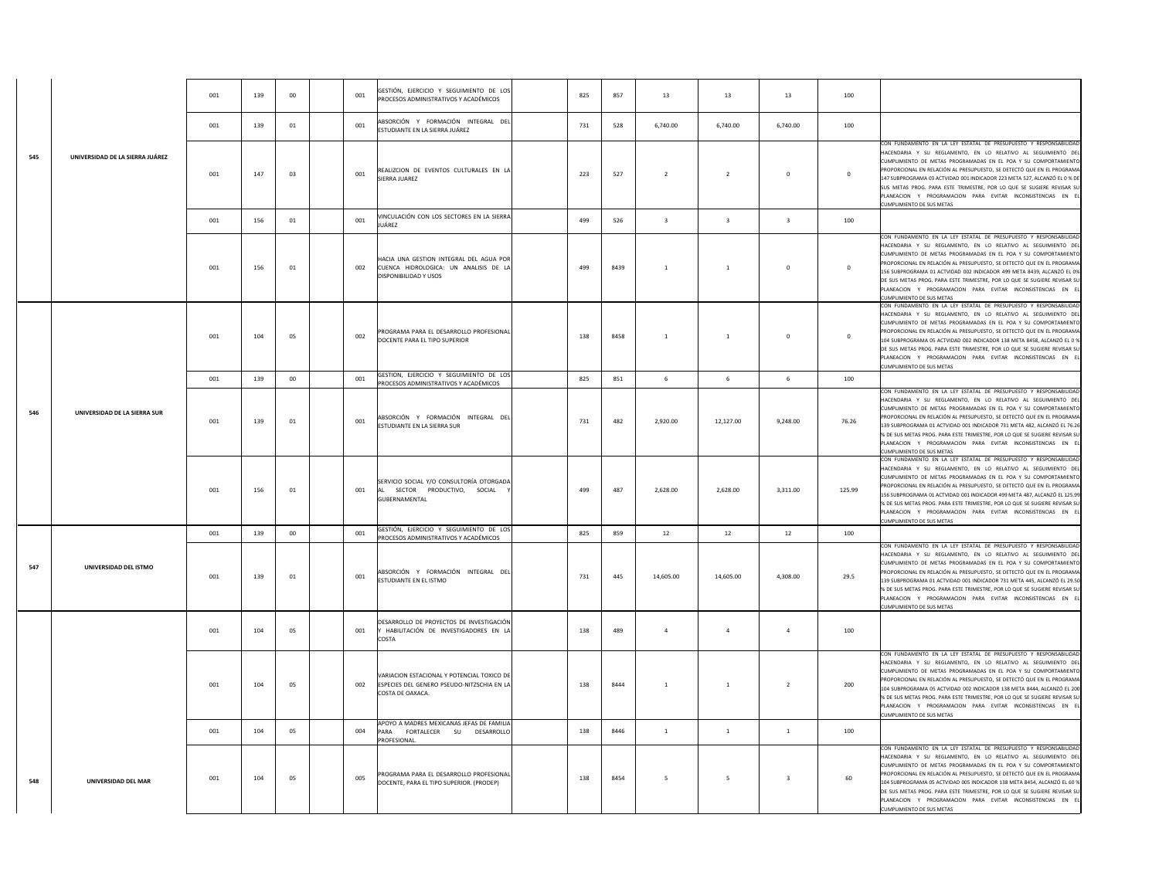|     |                                 | 001 | 139 | $00\,$ | 001 | GESTIÓN, EJERCICIO Y SEGUIMIENTO DE LOS<br>PROCESOS ADMINISTRATIVOS Y ACADÉMICOS                             | 825 | 857  | 13                      | 13                      | 13                      | 100          |                                                                                                                                                                                                                                                                                                                                                                                                                                                                                                                                        |
|-----|---------------------------------|-----|-----|--------|-----|--------------------------------------------------------------------------------------------------------------|-----|------|-------------------------|-------------------------|-------------------------|--------------|----------------------------------------------------------------------------------------------------------------------------------------------------------------------------------------------------------------------------------------------------------------------------------------------------------------------------------------------------------------------------------------------------------------------------------------------------------------------------------------------------------------------------------------|
|     |                                 | 001 | 139 | 01     | 001 | ABSORCIÓN Y FORMACIÓN INTEGRAL DEL<br>ESTUDIANTE EN LA SIERRA JUÁREZ                                         | 731 | 528  | 6.740.00                | 6,740.00                | 6,740.00                | 100          |                                                                                                                                                                                                                                                                                                                                                                                                                                                                                                                                        |
| 545 | UNIVERSIDAD DE LA SIERRA JUÁREZ | 001 | 147 | 03     | 001 | REALIZCION DE EVENTOS CULTURALES EN LA<br>SIERRA JUAREZ                                                      | 223 | 527  | $\overline{2}$          | $\overline{2}$          | $\mathbf 0$             | $\mathbf 0$  | CON FUNDAMENTO EN LA LEY ESTATAL DE PRESUPUESTO Y RESPONSABILIDAD<br>HACENDARIA Y SU REGLAMENTO. EN LO RELATIVO AL SEGUIMIENTO DEL<br>CUMPLIMIENTO DE METAS PROGRAMADAS EN EL POA Y SU COMPORTAMIENTO<br>PROPORCIONAL EN RELACIÓN AL PRESUPUESTO, SE DETECTÓ QUE EN EL PROGRAMA<br>147 SUBPROGRAMA 03 ACTVIDAD 001 INDICADOR 223 META 527, ALCANZÓ EL 0 % DE<br>SUS METAS PROG. PARA ESTE TRIMESTRE, POR LO QUE SE SUGIERE REVISAR SU<br>PLANEACION Y PROGRAMACION PARA EVITAR INCONSISTENCIAS EN EL<br>CUMPLIMIENTO DE SUS METAS      |
|     |                                 | 001 | 156 | 01     | 001 | VINCULACIÓN CON LOS SECTORES EN LA SIERRA<br>JUÁREZ                                                          | 499 | 526  | $\overline{\mathbf{3}}$ | $\overline{\mathbf{3}}$ | $\overline{\mathbf{3}}$ | 100          |                                                                                                                                                                                                                                                                                                                                                                                                                                                                                                                                        |
|     |                                 | 001 | 156 | 01     | 002 | HACIA UNA GESTION INTEGRAL DEL AGUA POR<br>CUENCA HIDROLOGICA: UN ANALISIS DE LA<br>DISPONIBILIDAD Y USOS    | 499 | 8439 | $\overline{1}$          | $\mathbf{1}$            | $\mathbf 0$             | $\mathbf{0}$ | CON FUNDAMENTO EN LA LEY ESTATAL DE PRESUPUESTO Y RESPONSABILIDAD<br>HACENDARIA Y SU REGLAMENTO, EN LO RELATIVO AL SEGUIMIENTO DEL<br>CUMPLIMIENTO DE METAS PROGRAMADAS EN EL POA Y SU COMPORTAMIENTO<br>ROPORCIONAL EN RELACIÓN AL PRESUPUESTO, SE DETECTÓ QUE EN EL PROGRAMA<br>156 SUBPROGRAMA 01 ACTVIDAD 002 INDICADOR 499 META 8439, ALCANZÓ EL 0%<br>DE SUS METAS PROG. PARA ESTE TRIMESTRE, POR LO QUE SE SUGIERE REVISAR SU<br>PLANEACION Y PROGRAMACION PARA EVITAR INCONSISTENCIAS EN EL<br>CUMPLIMIENTO DE SUS METAS       |
|     |                                 | 001 | 104 | 05     | 002 | PROGRAMA PARA EL DESARROLLO PROFESIONAL<br>DOCENTE PARA EL TIPO SUPERIOR                                     | 138 | 8458 | $\overline{1}$          | $\,$ 1 $\,$             | $\mathbf 0$             | $\mathbf 0$  | CON FUNDAMENTO EN LA LEY ESTATAL DE PRESUPUESTO Y RESPONSABILIDAD<br>HACENDARIA Y SU REGLAMENTO, EN LO RELATIVO AL SEGUIMIENTO DEL<br>CUMPLIMIENTO DE METAS PROGRAMADAS EN EL POA Y SU COMPORTAMIENTO<br>ROPORCIONAL EN RELACIÓN AL PRESUPUESTO, SE DETECTÓ QUE EN EL PROGRAMA<br>104 SUBPROGRAMA 05 ACTVIDAD 002 INDICADOR 138 META 8458, ALCANZÓ EL 0 %<br>DE SUS METAS PROG. PARA ESTE TRIMESTRE, POR LO QUE SE SUGIERE REVISAR SU<br>PLANEACION Y PROGRAMACION PARA EVITAR INCONSISTENCIAS EN EL<br>CUMPLIMIENTO DE SUS METAS      |
|     |                                 | 001 | 139 | $00\,$ | 001 | GESTION, EJERCICIO Y SEGUIMIENTO DE LOS<br>PROCESOS ADMINISTRATIVOS Y ACADÉMICOS                             | 825 | 851  | $\,$ 6                  | $\,$ 6 $\,$             | 6                       | 100          |                                                                                                                                                                                                                                                                                                                                                                                                                                                                                                                                        |
| 546 | UNIVERSIDAD DE LA SIERRA SUR    | 001 | 139 | 01     | 001 | ABSORCIÓN Y FORMACIÓN INTEGRAL DEL<br>ESTUDIANTE EN LA SIERRA SUR                                            | 731 | 482  | 2,920.00                | 12.127.00               | 9,248.00                | 76.26        | CON FUNDAMENTO EN LA LEY ESTATAL DE PRESUPUESTO Y RESPONSABILIDAD<br>HACENDARIA Y SU REGLAMENTO. EN LO RELATIVO AL SEGUIMIENTO DEL<br>CUMPLIMIENTO DE METAS PROGRAMADAS EN EL POA Y SU COMPORTAMIENTO<br>PROPORCIONAL EN RELACIÓN AL PRESUPUESTO, SE DETECTÓ QUE EN EL PROGRAMA<br>139 SUBPROGRAMA 01 ACTVIDAD 001 INDICADOR 731 META 482, ALCANZÓ EL 76.26<br>% DE SUS METAS PROG. PARA ESTE TRIMESTRE, POR LO QUE SE SUGIERE REVISAR SU<br>PLANEACION Y PROGRAMACION PARA EVITAR INCONSISTENCIAS EN EL<br>CUMPLIMIENTO DE SUS METAS  |
|     |                                 | 001 | 156 | 01     | 001 | SERVICIO SOCIAL Y/O CONSULTORÍA OTORGADA<br>AL SECTOR PRODUCTIVO, SOCIAL<br>GUBERNAMENTAL                    | 499 | 487  | 2.628.00                | 2.628.00                | 3.311.00                | 125.99       | CON FUNDAMENTO EN LA LEY ESTATAL DE PRESUPUESTO Y RESPONSABILIDAD<br>HACENDARIA Y SU REGLAMENTO, EN LO RELATIVO AL SEGUIMIENTO DEL<br>CUMPLIMIENTO DE METAS PROGRAMADAS EN EL POA Y SU COMPORTAMIENTO<br>PROPORCIONAL EN RELACIÓN AL PRESUPUESTO, SE DETECTÓ QUE EN EL PROGRAMA<br>156 SUBPROGRAMA 01 ACTVIDAD 001 INDICADOR 499 META 487, ALCANZÓ EL 125.99<br>6 DE SUS METAS PROG. PARA ESTE TRIMESTRE, POR LO QUE SE SUGIERE REVISAR SU<br>PLANEACION Y PROGRAMACION PARA EVITAR INCONSISTENCIAS EN EL<br>CUMPLIMIENTO DE SUS METAS |
|     |                                 | 001 | 139 | $00\,$ | 001 | GESTIÓN, EJERCICIO Y SEGUIMIENTO DE LOS<br>PROCESOS ADMINISTRATIVOS Y ACADÉMICOS                             | 825 | 859  | 12                      | 12                      | 12                      | 100          |                                                                                                                                                                                                                                                                                                                                                                                                                                                                                                                                        |
| 547 | UNIVERSIDAD DEL ISTMO           | 001 | 139 | 01     | 001 | ABSORCIÓN Y FORMACIÓN INTEGRAL DEL<br>ESTUDIANTE EN EL ISTMO                                                 | 731 | 445  | 14,605.00               | 14,605.00               | 4.308.00                | 29.5         | CON FUNDAMENTO EN LA LEY ESTATAL DE PRESUPUESTO Y RESPONSABILIDAD<br>HACENDARIA Y SU REGLAMENTO. EN LO RELATIVO AL SEGUIMIENTO DEL<br>CUMPLIMIENTO DE METAS PROGRAMADAS EN EL POA Y SU COMPORTAMIENTO<br>PROPORCIONAL EN RELACIÓN AL PRESUPUESTO, SE DETECTÓ QUE EN EL PROGRAMA<br>139 SUBPROGRAMA 01 ACTVIDAD 001 INDICADOR 731 META 445, ALCANZÓ EL 29.50<br>% DE SUS METAS PROG. PARA ESTE TRIMESTRE, POR LO QUE SE SUGIERE REVISAR SU<br>PLANEACION Y PROGRAMACION PARA EVITAR INCONSISTENCIAS EN EL<br>UMPLIMIENTO DE SUS METAS   |
|     |                                 | 001 | 104 | 05     | 001 | DESARROLLO DE PROYECTOS DE INVESTIGACIÓN<br>Y HABILITACIÓN DE INVESTIGADORES EN LA<br>COSTA                  | 138 | 489  | $\overline{a}$          | $\overline{a}$          | $\overline{a}$          | 100          |                                                                                                                                                                                                                                                                                                                                                                                                                                                                                                                                        |
|     |                                 | 001 | 104 | 05     | 002 | VARIACION ESTACIONAL Y POTENCIAL TOXICO DE<br>ESPECIES DEL GENERO PSEUDO-NITZSCHIA EN LA<br>COSTA DE OAXACA. | 138 | 8444 | <sup>1</sup>            | $\mathbf{1}$            | $\overline{2}$          | 200          | CON FUNDAMENTO EN LA LEY ESTATAL DE PRESUPUESTO Y RESPONSABILIDAD<br>HACENDARIA Y SU REGLAMENTO, EN LO RELATIVO AL SEGUIMIENTO DEL<br>CUMPLIMIENTO DE METAS PROGRAMADAS EN EL POA Y SU COMPORTAMIENTO<br>PROPORCIONAL EN RELACIÓN AL PRESUPUESTO. SE DETECTÓ QUE EN EL PROGRAMA<br>104 SUBPROGRAMA 05 ACTVIDAD 002 INDICADOR 138 META 8444, ALCANZÓ EL 200<br>% DE SUS METAS PROG. PARA ESTE TRIMESTRE, POR LO QUE SE SUGIERE REVISAR SU<br>LANEACION Y PROGRAMACION PARA EVITAR INCONSISTENCIAS EN EL<br>CUMPLIMIENTO DE SUS METAS    |
|     |                                 | 001 | 104 | 05     | 004 | APOYO A MADRES MEXICANAS JEFAS DE FAMILIA<br>PARA FORTALECER SU DESARROLLO<br>PROFESIONAL.                   | 138 | 8446 | $\overline{1}$          | $\mathbf{1}$            | $1\,$                   | 100          |                                                                                                                                                                                                                                                                                                                                                                                                                                                                                                                                        |
| 548 | <b>UNIVERSIDAD DEL MAR</b>      | 001 | 104 | 05     | 005 | PROGRAMA PARA EL DESARROLLO PROFESIONAL<br>DOCENTE, PARA EL TIPO SUPERIOR. (PRODEP)                          | 138 | 8454 | - 5                     | 5                       | $\overline{\mathbf{3}}$ | 60           | CON FUNDAMENTO EN LA LEY ESTATAL DE PRESUPUESTO Y RESPONSABILIDAD<br>HACENDARIA Y SU REGLAMENTO. EN LO RELATIVO AL SEGUIMIENTO DEL<br>CUMPLIMIENTO DE METAS PROGRAMADAS EN EL POA Y SU COMPORTAMIENTO<br>PROPORCIONAL EN RELACIÓN AL PRESUPUESTO. SE DETECTÓ QUE EN EL PROGRAMA<br>104 SUBPROGRAMA 05 ACTVIDAD 005 INDICADOR 138 META 8454, ALCANZÓ EL 60 %<br>DE SUS METAS PROG. PARA ESTE TRIMESTRE, POR LO QUE SE SUGIERE REVISAR SU<br>PLANEACION Y PROGRAMACION PARA EVITAR INCONSISTENCIAS EN EL<br>CUMPLIMIENTO DE SUS METAS    |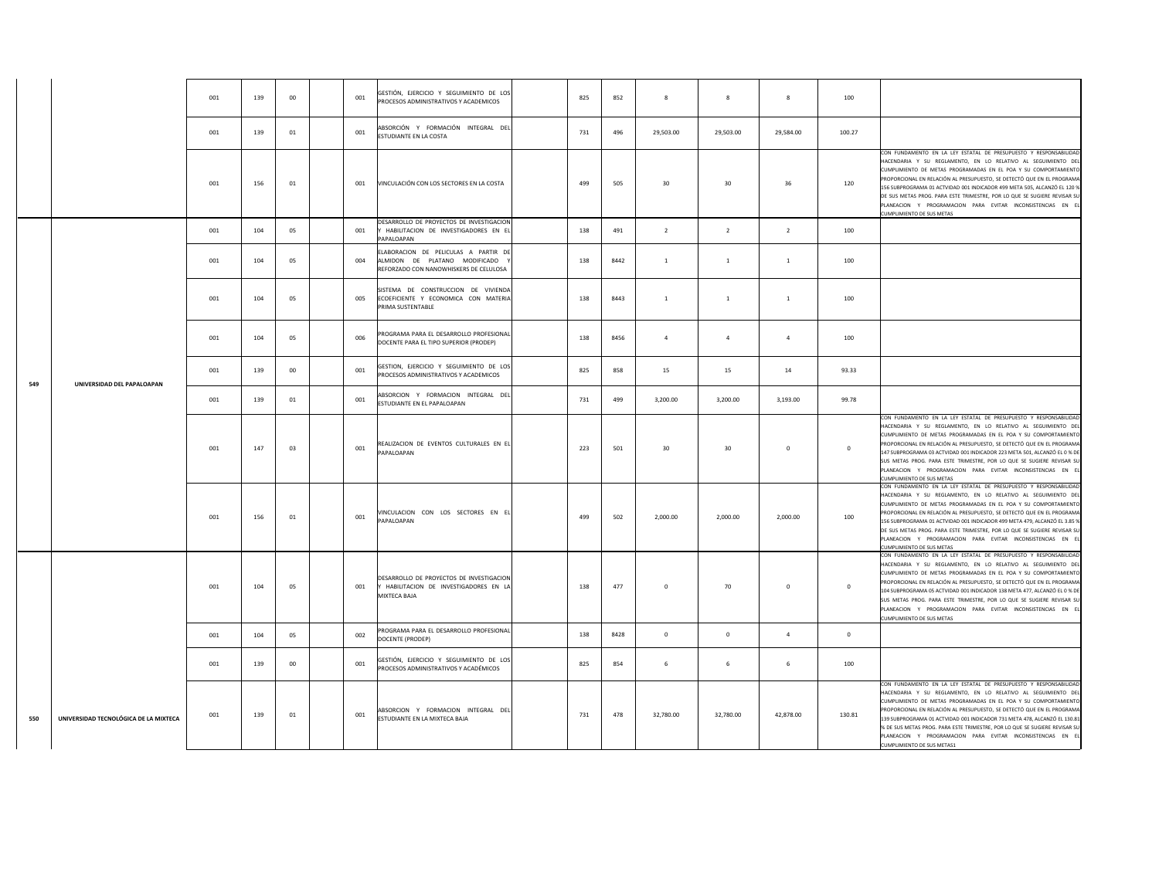|     |                                       | 001 | 139 | 00     | 001 | GESTIÓN, EJERCICIO Y SEGUIMIENTO DE LOS<br>PROCESOS ADMINISTRATIVOS Y ACADEMICOS                                | 825 | 852  | $_{\rm 8}$     | 8               | $\,$ 8         | 100         |                                                                                                                                                                                                                                                                                                                                                                                                                                                                                                                                               |
|-----|---------------------------------------|-----|-----|--------|-----|-----------------------------------------------------------------------------------------------------------------|-----|------|----------------|-----------------|----------------|-------------|-----------------------------------------------------------------------------------------------------------------------------------------------------------------------------------------------------------------------------------------------------------------------------------------------------------------------------------------------------------------------------------------------------------------------------------------------------------------------------------------------------------------------------------------------|
|     |                                       | 001 | 139 | 01     | 001 | ABSORCIÓN Y FORMACIÓN INTEGRAL DEL<br>ESTUDIANTE EN LA COSTA                                                    | 731 | 496  | 29,503.00      | 29,503.00       | 29,584.00      | 100.27      |                                                                                                                                                                                                                                                                                                                                                                                                                                                                                                                                               |
|     |                                       | 001 | 156 | 01     | 001 | VINCULACIÓN CON LOS SECTORES EN LA COSTA                                                                        | 499 | 505  | 30             | 30              | 36             | 120         | CON FUNDAMENTO EN LA LEY ESTATAL DE PRESUPUESTO Y RESPONSABILIDAD<br>HACENDARIA Y SU REGLAMENTO, EN LO RELATIVO AL SEGUIMIENTO DEI<br>CUMPLIMIENTO DE METAS PROGRAMADAS EN EL POA Y SU COMPORTAMIENTO<br>PROPORCIONAL EN RELACIÓN AL PRESUPUESTO, SE DETECTÓ QUE EN EL PROGRAM/<br>156 SUBPROGRAMA 01 ACTVIDAD 001 INDICADOR 499 META 505, ALCANZÓ EL 120 %<br>DE SUS METAS PROG. PARA ESTE TRIMESTRE, POR LO QUE SE SUGIERE REVISAR SI<br>PLANEACION Y PROGRAMACION PARA EVITAR INCONSISTENCIAS EN E<br>CUMPLIMIENTO DE SUS METAS            |
|     |                                       | 001 | 104 | 05     | 001 | DESARROLLO DE PROYECTOS DE INVESTIGACION<br>Y HABILITACION DE INVESTIGADORES EN EL<br>PAPALOAPAN                | 138 | 491  | $\overline{2}$ | $\overline{2}$  | $\overline{2}$ | 100         |                                                                                                                                                                                                                                                                                                                                                                                                                                                                                                                                               |
|     |                                       | 001 | 104 | 05     | 004 | ELABORACION DE PELICULAS A PARTIR DE<br>ALMIDON DE PLATANO MODIFICADO<br>REFORZADO CON NANOWHISKERS DE CELULOSA | 138 | 8442 | $\overline{1}$ | $\mathbf 1$     | $\,$ 1 $\,$    | 100         |                                                                                                                                                                                                                                                                                                                                                                                                                                                                                                                                               |
|     |                                       | 001 | 104 | 05     | 005 | SISTEMA DE CONSTRUCCION DE VIVIENDA<br>ECOEFICIENTE Y ECONOMICA CON MATERIA<br>PRIMA SUSTENTABLE                | 138 | 8443 | <sup>1</sup>   | $\mathbf{1}$    | $\,$ 1         | 100         |                                                                                                                                                                                                                                                                                                                                                                                                                                                                                                                                               |
|     |                                       | 001 | 104 | 05     | 006 | PROGRAMA PARA EL DESARROLLO PROFESIONAL<br>DOCENTE PARA EL TIPO SUPERIOR (PRODEP)                               | 138 | 8456 | $\overline{a}$ | $\overline{a}$  | $\overline{4}$ | 100         |                                                                                                                                                                                                                                                                                                                                                                                                                                                                                                                                               |
| 549 | UNIVERSIDAD DEL PAPALOAPAN            | 001 | 139 | $00\,$ | 001 | GESTION, EJERCICIO Y SEGUIMIENTO DE LOS<br>PROCESOS ADMINISTRATIVOS Y ACADEMICOS                                | 825 | 858  | 15             | 15              | 14             | 93.33       |                                                                                                                                                                                                                                                                                                                                                                                                                                                                                                                                               |
|     |                                       | 001 | 139 | 01     | 001 | ABSORCION Y FORMACION INTEGRAL DEL<br>ESTUDIANTE EN EL PAPALOAPAN                                               | 731 | 499  | 3,200.00       | 3,200.00        | 3,193.00       | 99.78       |                                                                                                                                                                                                                                                                                                                                                                                                                                                                                                                                               |
|     |                                       | 001 | 147 | 03     | 001 | REALIZACION DE EVENTOS CULTURALES EN EL<br>PAPALOAPAN                                                           | 223 | 501  | 30             | 30 <sup>°</sup> | $\mathbf 0$    | $\circ$     | CON FUNDAMENTO EN LA LEY ESTATAL DE PRESUPUESTO Y RESPONSABILIDA<br>HACENDARIA Y SU REGLAMENTO, EN LO RELATIVO AL SEGUIMIENTO DE<br>CUMPLIMIENTO DE METAS PROGRAMADAS EN EL POA Y SU COMPORTAMIENTO<br>PROPORCIONAL EN RELACIÓN AL PRESUPUESTO. SE DETECTÓ QUE EN EL PROGRAM<br>147 SUBPROGRAMA 03 ACTVIDAD 001 INDICADOR 223 META 501, ALCANZÓ EL 0 % DI<br>SUS METAS PROG. PARA ESTE TRIMESTRE, POR LO QUE SE SUGIERE REVISAR SL<br>PLANEACION Y PROGRAMACION PARA EVITAR INCONSISTENCIAS EN EI<br>CUMPLIMIENTO DE SUS METAS                |
|     |                                       | 001 | 156 | 01     | 001 | VINCULACION CON LOS SECTORES EN EL<br>PAPALOAPAN                                                                | 499 | 502  | 2,000.00       | 2,000.00        | 2,000.00       | 100         | CON FUNDAMENTO EN LA LEY ESTATAL DE PRESUPUESTO Y RESPONSABILIDAD<br>HACENDARIA Y SU REGLAMENTO. EN LO RELATIVO AL SEGUIMIENTO DE<br>CUMPLIMIENTO DE METAS PROGRAMADAS EN EL POA Y SU COMPORTAMIENTO<br>PROPORCIONAL EN RELACIÓN AL PRESUPUESTO, SE DETECTÓ QUE EN EL PROGRAMA<br>156 SUBPROGRAMA 01 ACTVIDAD 001 INDICADOR 499 META 479, ALCANZÓ EL 3.85 %<br>DE SUS METAS PROG. PARA ESTE TRIMESTRE, POR LO QUE SE SUGIERE REVISAR SU<br>PLANEACION Y PROGRAMACION PARA EVITAR INCONSISTENCIAS EN EL<br><b>CUMPLIMIENTO DE SUS METAS</b>    |
|     |                                       | 001 | 104 | 05     | 001 | DESARROLLO DE PROYECTOS DE INVESTIGACION<br>HABILITACION DE INVESTIGADORES EN LA<br>MIXTECA BAJA                | 138 | 477  | $\mathbf 0$    | 70              | $\mathbf 0$    | $\mathbf 0$ | CON FUNDAMENTO EN LA LEY ESTATAL DE PRESUPUESTO Y RESPONSABILIDAD<br>HACENDARIA Y SU REGLAMENTO, EN LO RELATIVO AL SEGUIMIENTO DE<br>CUMPLIMIENTO DE METAS PROGRAMADAS EN EL POA Y SU COMPORTAMIENTO<br>PROPORCIONAL EN RELACIÓN AL PRESUPUESTO, SE DETECTÓ QUE EN EL PROGRAMA<br>104 SUBPROGRAMA 05 ACTVIDAD 001 INDICADOR 138 META 477, ALCANZÓ EL 0 % DE<br>SUS METAS PROG. PARA ESTE TRIMESTRE, POR LO QUE SE SUGIERE REVISAR SU<br>PLANEACION Y PROGRAMACION PARA EVITAR INCONSISTENCIAS EN EL<br><b>CUMPLIMIENTO DE SUS METAS</b>       |
|     |                                       | 001 | 104 | 05     | 002 | PROGRAMA PARA EL DESARROLLO PROFESIONAL<br>DOCENTE (PRODEP)                                                     | 138 | 8428 | $\bf{0}$       | 0               | $\overline{a}$ | $\bf{0}$    |                                                                                                                                                                                                                                                                                                                                                                                                                                                                                                                                               |
|     |                                       | 001 | 139 | 00     | 001 | GESTIÓN, EJERCICIO Y SEGUIMIENTO DE LOS<br>PROCESOS ADMINISTRATIVOS Y ACADÉMICOS                                | 825 | 854  | 6              | 6               | 6              | 100         |                                                                                                                                                                                                                                                                                                                                                                                                                                                                                                                                               |
| 550 | UNIVERSIDAD TECNOLÓGICA DE LA MIXTECA | 001 | 139 | 01     | 001 | ABSORCION Y FORMACION INTEGRAL DEL<br>ESTUDIANTE EN LA MIXTECA BAJA                                             | 731 | 478  | 32,780.00      | 32,780.00       | 42,878.00      | 130.81      | CON FUNDAMENTO EN LA LEY ESTATAL DE PRESUPUESTO Y RESPONSABILIDAD<br>HACENDARIA Y SU REGLAMENTO, EN LO RELATIVO AL SEGUIMIENTO DE<br>CUMPLIMIENTO DE METAS PROGRAMADAS EN EL POA Y SU COMPORTAMIENTO<br>PROPORCIONAL EN RELACIÓN AL PRESUPUESTO, SE DETECTÓ QUE EN EL PROGRAMA<br>139 SUBPROGRAMA 01 ACTVIDAD 001 INDICADOR 731 META 478, ALCANZÓ EL 130.81<br>% DE SUS METAS PROG. PARA ESTE TRIMESTRE, POR LO QUE SE SUGIERE REVISAR SU<br>PLANEACION Y PROGRAMACION PARA EVITAR INCONSISTENCIAS EN EL<br><b>CUMPLIMIENTO DE SUS METAS1</b> |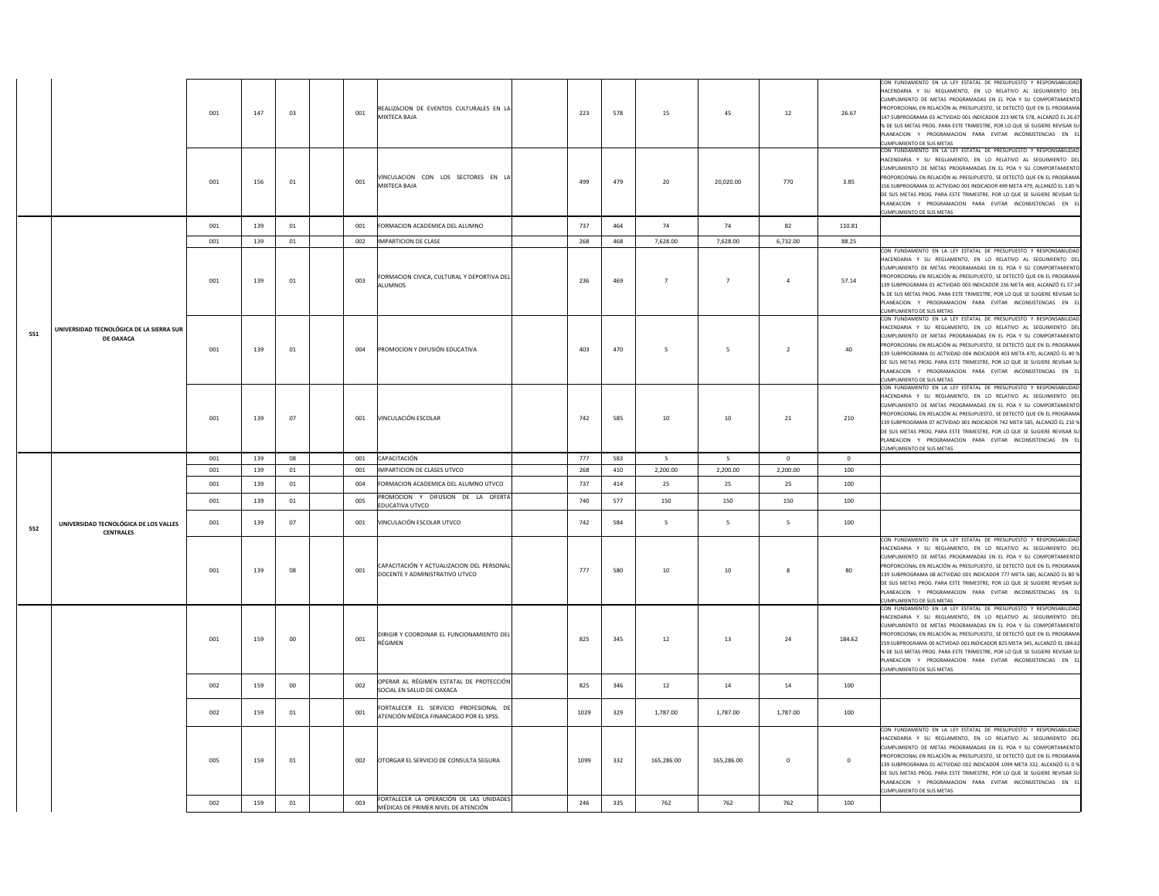|     |                                                       | 001 | 147 | 03     | 001 | REALIZACION DE EVENTOS CULTURALES EN LA<br>MIXTECA BAJA                           | 223  | 578 | 15             | 45             | $12\,$         | 26.67   | CON FUNDAMENTO EN LA LEY ESTATAL DE PRESUPUESTO Y RESPONSABILIDAD<br>HACENDARIA Y SU REGLAMENTO, EN LO RELATIVO AL SEGUIMIENTO DEL<br>CUMPLIMIENTO DE METAS PROGRAMADAS EN EL POA Y SU COMPORTAMIENTO<br>PROPORCIONAL EN RELACIÓN AL PRESUPUESTO, SE DETECTÓ QUE EN EL PROGRAMA<br>147 SUBPROGRAMA 03 ACTVIDAD 001 INDICADOR 223 META 578, ALCANZÓ EL 26.67<br>% DE SUS METAS PROG. PARA ESTE TRIMESTRE, POR LO QUE SE SUGIERE REVISAR SU<br>PLANEACION Y PROGRAMACION PARA EVITAR INCONSISTENCIAS EN EI<br>CUMPLIMIENTO DE SUS METAS |
|-----|-------------------------------------------------------|-----|-----|--------|-----|-----------------------------------------------------------------------------------|------|-----|----------------|----------------|----------------|---------|---------------------------------------------------------------------------------------------------------------------------------------------------------------------------------------------------------------------------------------------------------------------------------------------------------------------------------------------------------------------------------------------------------------------------------------------------------------------------------------------------------------------------------------|
|     |                                                       | 001 | 156 | $01\,$ | 001 | VINCULACION CON LOS SECTORES EN LA<br>MIXTECA BAJA                                | 499  | 479 | 20             | 20,020.00      | 770            | 3.85    | CON FUNDAMENTO EN LA LEY ESTATAL DE PRESUPUESTO Y RESPONSABILIDAD<br>HACENDARIA Y SU REGLAMENTO, EN LO RELATIVO AL SEGUIMIENTO DEL<br>CUMPLIMIENTO DE METAS PROGRAMADAS EN EL POA Y SU COMPORTAMIENTO<br>PROPORCIONAL EN RELACIÓN AL PRESUPUESTO, SE DETECTÓ QUE EN EL PROGRAMA<br>156 SUBPROGRAMA 01 ACTVIDAD 001 INDICADOR 499 META 479, ALCANZÓ EL 3.85 %<br>DE SUS METAS PROG. PARA ESTE TRIMESTRE, POR LO QUE SE SUGIERE REVISAR SU<br>PLANEACION Y PROGRAMACION PARA EVITAR INCONSISTENCIAS EN EL<br>UMPLIMIENTO DE SUS METAS   |
|     |                                                       | 001 | 139 | 01     | 001 | FORMACION ACADEMICA DEL ALUMNO                                                    | 737  | 464 | 74             | 74             | 82             | 110.81  |                                                                                                                                                                                                                                                                                                                                                                                                                                                                                                                                       |
|     |                                                       | 001 | 139 | 01     | 002 | <b>IMPARTICION DE CLASE</b>                                                       | 268  | 468 | 7,628.00       | 7,628.00       | 6,732.00       | 88.25   |                                                                                                                                                                                                                                                                                                                                                                                                                                                                                                                                       |
|     |                                                       | 001 | 139 | 01     | 003 | FORMACION CIVICA, CULTURAL Y DEPORTIVA DEL<br>ALUMNOS                             | 236  | 469 | $\overline{7}$ | $\overline{7}$ | $\sqrt{4}$     | 57.14   | CON FUNDAMENTO EN LA LEY ESTATAL DE PRESUPUESTO Y RESPONSABILIDAD<br>HACENDARIA Y SU REGLAMENTO, EN LO RELATIVO AL SEGUIMIENTO DEL<br>CUMPLIMIENTO DE METAS PROGRAMADAS EN EL POA Y SU COMPORTAMIENTO<br>PROPORCIONAL EN RELACIÓN AL PRESUPUESTO. SE DETECTÓ QUE EN EL PROGRAMA<br>139 SUBPROGRAMA 01 ACTVIDAD 003 INDICADOR 236 META 469, ALCANZÓ EL 57.14<br>% DE SUS METAS PROG. PARA ESTE TRIMESTRE, POR LO QUE SE SUGIERE REVISAR SU<br>PLANEACION Y PROGRAMACION PARA EVITAR INCONSISTENCIAS EN EL<br>CUMPLIMIENTO DE SUS METAS |
| 551 | UNIVERSIDAD TECNOLÓGICA DE LA SIERRA SUR<br>DE OAXACA | 001 | 139 | 01     | 004 | PROMOCION Y DIFUSIÓN EDUCATIVA                                                    | 403  | 470 | 5              | 5              | $\overline{2}$ | 40      | CON FUNDAMENTO EN LA LEY ESTATAL DE PRESUPUESTO Y RESPONSABILIDAD<br>HACENDARIA Y SU REGLAMENTO, EN LO RELATIVO AL SEGUIMIENTO DEL<br>CUMPLIMIENTO DE METAS PROGRAMADAS EN EL POA Y SU COMPORTAMIENTO<br>PROPORCIONAL EN RELACIÓN AL PRESUPUESTO, SE DETECTÓ QUE EN EL PROGRAMA<br>139 SUBPROGRAMA 01 ACTVIDAD 004 INDICADOR 403 META 470, ALCANZÓ EL 40 %<br>DE SUS METAS PROG. PARA ESTE TRIMESTRE, POR LO QUE SE SUGIERE REVISAR SU<br>PLANEACION Y PROGRAMACION PARA EVITAR INCONSISTENCIAS EN EL<br>CUMPLIMIENTO DE SUS METAS    |
|     |                                                       | 001 | 139 | 07     | 001 | VINCULACIÓN ESCOLAR                                                               | 742  | 585 | 10             | 10             | ${\bf 21}$     | 210     | CON FUNDAMENTO EN LA LEY ESTATAL DE PRESUPUESTO Y RESPONSABILIDAD<br>HACENDARIA Y SU REGLAMENTO, EN LO RELATIVO AL SEGUIMIENTO DEL<br>CUMPLIMIENTO DE METAS PROGRAMADAS EN EL POA Y SU COMPORTAMIENTO<br>PROPORCIONAL EN RELACIÓN AL PRESUPUESTO, SE DETECTÓ QUE EN EL PROGRAMA<br>139 SUBPROGRAMA 07 ACTVIDAD 001 INDICADOR 742 META 585, ALCANZÓ EL 210 %<br>DE SUS METAS PROG. PARA ESTE TRIMESTRE, POR LO QUE SE SUGIERE REVISAR SU<br>PLANEACION Y PROGRAMACION PARA EVITAR INCONSISTENCIAS EN EL<br>CUMPLIMIENTO DE SUS METAS   |
|     |                                                       | 001 |     |        |     |                                                                                   |      |     |                |                |                |         |                                                                                                                                                                                                                                                                                                                                                                                                                                                                                                                                       |
|     |                                                       |     | 139 | 08     | 001 | CAPACITACIÓN                                                                      | 777  | 583 | 5              | 5              | $\mathbf 0$    | $\circ$ |                                                                                                                                                                                                                                                                                                                                                                                                                                                                                                                                       |
|     |                                                       | 001 | 139 | 01     | 001 | IMPARTICION DE CLASES UTVCO                                                       | 268  | 410 | 2,200.00       | 2,200.00       | 2,200.00       | 100     |                                                                                                                                                                                                                                                                                                                                                                                                                                                                                                                                       |
|     |                                                       | 001 | 139 | 01     | 004 | FORMACION ACADEMICA DEL ALUMNO UTVCO                                              | 737  | 414 | 25             | 25             | 25             | 100     |                                                                                                                                                                                                                                                                                                                                                                                                                                                                                                                                       |
|     |                                                       | 001 | 139 | 01     | 005 | PROMOCION Y DIFUSION DE LA OFERTA                                                 | 740  | 577 | 150            | 150            | 150            | 100     |                                                                                                                                                                                                                                                                                                                                                                                                                                                                                                                                       |
| 552 | UNIVERSIDAD TECNOLÓGICA DE LOS VALLES                 | 001 | 139 | 07     | 001 | EDUCATIVA UTVCO<br>VINCULACIÓN ESCOLAR UTVCO                                      | 742  | 584 | 5              | -5             | 5              | 100     |                                                                                                                                                                                                                                                                                                                                                                                                                                                                                                                                       |
|     | <b>CENTRALES</b>                                      | 001 | 139 | 08     | 001 | CAPACITACIÓN Y ACTUALIZACION DEL PERSONAL<br>DOCENTE Y ADMINISTRATIVO UTVCO       | 777  | 580 | 10             | 10             | 8              | 80      | CON FUNDAMENTO EN LA LEY ESTATAL DE PRESUPUESTO Y RESPONSABILIDAD<br>HACENDARIA Y SU REGLAMENTO, EN LO RELATIVO AL SEGUIMIENTO DEL<br>CUMPLIMIENTO DE METAS PROGRAMADAS EN EL POA Y SU COMPORTAMIENTO<br>ROPORCIONAL EN RELACIÓN AL PRESUPUESTO, SE DETECTÓ QUE EN EL PROGRAMA<br>139 SUBPROGRAMA 08 ACTVIDAD 001 INDICADOR 777 META 580, ALCANZÓ EL 80 %<br>DE SUS METAS PROG. PARA ESTE TRIMESTRE, POR LO QUE SE SUGIERE REVISAR SU<br>PLANEACION Y PROGRAMACION PARA EVITAR INCONSISTENCIAS EN EI                                  |
|     |                                                       | 001 | 159 | 00     | 001 | DIRIGIR Y COORDINAR EL FUNCIONAMIENTO DEL<br>RÉGIMEN                              | 825  | 345 | 12             | 13             | 24             | 184.62  | CON FUNDAMENTO EN LA LEY ESTATAL DE PRESUPUESTO Y RESPONSABILIDAD<br>HACENDARIA Y SU REGLAMENTO, EN LO RELATIVO AL SEGUIMIENTO DEL<br>CUMPLIMIENTO DE METAS PROGRAMADAS EN EL POA Y SU COMPORTAMIENTO<br>PROPORCIONAL EN RELACIÓN AL PRESUPUESTO, SE DETECTÓ QUE EN EL PROGRAMA<br>159 SUBPROGRAMA 00 ACTVIDAD 001 INDICADOR 825 META 345, ALCANZÓ EL 184.62<br>% DE SUS METAS PROG. PARA ESTE TRIMESTRE, POR LO QUE SE SUGIERE REVISAR SU<br>PLANEACION Y PROGRAMACION PARA EVITAR INCONSISTENCIAS EN EL                             |
|     |                                                       | 002 | 159 | 00     | 002 | OPERAR AL RÉGIMEN ESTATAL DE PROTECCIÓN<br>SOCIAL EN SALUD DE OAXACA              | 825  | 346 | 12             | 14             | 14             | 100     | CUMPLIMIENTO DE SUS METAS                                                                                                                                                                                                                                                                                                                                                                                                                                                                                                             |
|     |                                                       | 002 | 159 | 01     | 001 | FORTALECER EL SERVICIO PROFESIONAL DE<br>ATENCIÓN MÉDICA FINANCIADO POR EL SPSS.  | 1029 | 329 | 1,787.00       | 1,787.00       | 1,787.00       | 100     |                                                                                                                                                                                                                                                                                                                                                                                                                                                                                                                                       |
|     |                                                       | 005 | 159 | $01\,$ | 002 | OTORGAR EL SERVICIO DE CONSULTA SEGURA<br>FORTALECER LA OPERACIÓN DE LAS UNIDADES | 1099 | 332 | 165,286.00     | 165,286.00     | $\,0\,$        | $\,0\,$ | CON FUNDAMENTO EN LA LEY ESTATAL DE PRESUPUESTO Y RESPONSABILIDAD<br>HACENDARIA Y SU REGLAMENTO, EN LO RELATIVO AL SEGUIMIENTO DEL<br>CUMPLIMIENTO DE METAS PROGRAMADAS EN EL POA Y SU COMPORTAMIENTO<br>ROPORCIONAL EN RELACIÓN AL PRESUPUESTO, SE DETECTÓ QUE EN EL PROGRAMA<br>139 SUBPROGRAMA 01 ACTVIDAD 002 INDICADOR 1099 META 332, ALCANZÓ EL 0 %<br>DE SUS METAS PROG. PARA ESTE TRIMESTRE, POR LO QUE SE SUGIERE REVISAR SU<br>PLANEACION Y PROGRAMACION PARA EVITAR INCONSISTENCIAS EN EL<br>CUMPLIMIENTO DE SUS METAS     |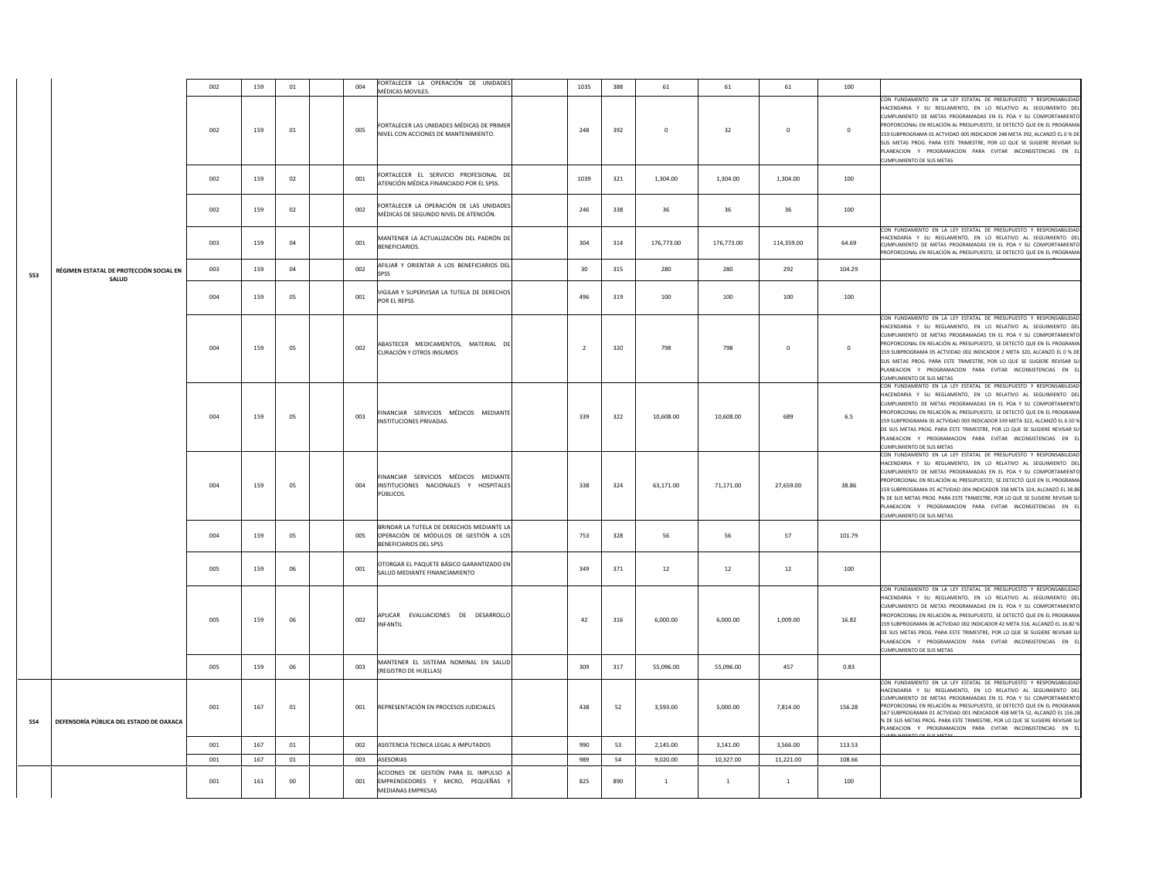|     |                                         | 002 | 159 | $01\,$ | 004 | FORTALECER LA OPERACIÓN DE UNIDADES<br>MÉDICAS MOVILES.                                                             | 1035           | 388 | 61             | 61           | 61           | 100         |                                                                                                                                                                                                                                                                                                                                                                                                                                                                                                                                             |
|-----|-----------------------------------------|-----|-----|--------|-----|---------------------------------------------------------------------------------------------------------------------|----------------|-----|----------------|--------------|--------------|-------------|---------------------------------------------------------------------------------------------------------------------------------------------------------------------------------------------------------------------------------------------------------------------------------------------------------------------------------------------------------------------------------------------------------------------------------------------------------------------------------------------------------------------------------------------|
|     |                                         | 002 | 159 | 01     | 005 | FORTALECER LAS UNIDADES MÉDICAS DE PRIMER<br>NIVEL CON ACCIONES DE MANTENIMIENTO.                                   | 248            | 392 | $\overline{0}$ | 32           | $\mathbf{0}$ | $\mathbf 0$ | CON FUNDAMENTO EN LA LEY ESTATAL DE PRESUPUESTO Y RESPONSABILIDAD<br>HACENDARIA Y SU REGLAMENTO. EN LO RELATIVO AL SEGUIMIENTO DEL<br>CUMPLIMIENTO DE METAS PROGRAMADAS EN EL POA Y SU COMPORTAMIENTO<br>PROPORCIONAL EN RELACIÓN AL PRESUPUESTO, SE DETECTÓ QUE EN EL PROGRAMA<br>159 SUBPROGRAMA 01 ACTVIDAD 005 INDICADOR 248 META 392, ALCANZÓ EL 0 % DE<br>JUS METAS PROG. PARA ESTE TRIMESTRE, POR LO QUE SE SUGIERE REVISAR SU<br>PLANEACION Y PROGRAMACION PARA EVITAR INCONSISTENCIAS EN EL<br>CUMPLIMIENTO DE SUS METAS           |
|     |                                         | 002 | 159 | 02     | 001 | FORTALECER EL SERVICIO PROFESIONAL DE<br>ATENCIÓN MÉDICA FINANCIADO POR EL SPSS.                                    | 1039           | 321 | 1,304.00       | 1,304.00     | 1,304.00     | 100         |                                                                                                                                                                                                                                                                                                                                                                                                                                                                                                                                             |
|     |                                         | 002 | 159 | 02     | 002 | FORTALECER LA OPERACIÓN DE LAS UNIDADES<br>MÉDICAS DE SEGUNDO NIVEL DE ATENCIÓN.                                    | 246            | 338 | 36             | 36           | 36           | 100         |                                                                                                                                                                                                                                                                                                                                                                                                                                                                                                                                             |
|     |                                         | 003 | 159 | 04     | 001 | MANTENER LA ACTUALIZACIÓN DEL PADRÓN DE<br><b>BENEFICIARIOS.</b>                                                    | 304            | 314 | 176,773.00     | 176,773.00   | 114,359.00   | 64.69       | CON FUNDAMENTO EN LA LEY ESTATAL DE PRESUPUESTO Y RESPONSABILIDAD<br>HACENDARIA Y SU REGLAMENTO, EN LO RELATIVO AL SEGUIMIENTO DEL<br>CUMPLIMIENTO DE METAS PROGRAMADAS EN EL POA Y SU COMPORTAMIENTO<br>PROPORCIONAL EN RELACIÓN AL PRESUPUESTO. SE DETECTÓ QUE EN EL PROGRAMA                                                                                                                                                                                                                                                             |
| 553 | RÉGIMEN ESTATAL DE PROTECCIÓN SOCIAL EN | 003 | 159 | 04     | 002 | AFILIAR Y ORIENTAR A LOS BENEFICIARIOS DEL<br>SPSS                                                                  | 30             | 315 | 280            | 280          | 292          | 104.29      |                                                                                                                                                                                                                                                                                                                                                                                                                                                                                                                                             |
|     | SALUD                                   | 004 | 159 | 05     | 001 | VIGILAR Y SUPERVISAR LA TUTELA DE DERECHOS<br>POR EL REPSS                                                          | 496            | 319 | 100            | 100          | 100          | 100         |                                                                                                                                                                                                                                                                                                                                                                                                                                                                                                                                             |
|     |                                         | 004 | 159 | 05     | 002 | ABASTECER MEDICAMENTOS, MATERIAL DE<br>CURACIÓN Y OTROS INSUMOS                                                     | $\overline{2}$ | 320 | 798            | 798          | $\mathbf 0$  | $\mathbf 0$ | CON FUNDAMENTO EN LA LEY ESTATAL DE PRESUPUESTO Y RESPONSABILIDAD<br>HACENDARIA Y SU REGLAMENTO, EN LO RELATIVO AL SEGUIMIENTO DEL<br>CUMPLIMIENTO DE METAS PROGRAMADAS EN EL POA Y SU COMPORTAMIENTO<br>PROPORCIONAL EN RELACIÓN AL PRESUPUESTO, SE DETECTÓ QUE EN EL PROGRAMA<br>159 SUBPROGRAMA 05 ACTVIDAD 002 INDICADOR 2 META 320, ALCANZÓ EL 0 % DE<br>SUS METAS PROG. PARA ESTE TRIMESTRE, POR LO QUE SE SUGIERE REVISAR SU<br>PLANEACION Y PROGRAMACION PARA EVITAR INCONSISTENCIAS EN EL<br>CUMPLIMIENTO DE SUS METAS             |
|     |                                         | 004 | 159 | 05     | 003 | FINANCIAR SERVICIOS MÉDICOS MEDIANTE<br>INSTITUCIONES PRIVADAS.                                                     | 339            | 322 | 10,608.00      | 10,608.00    | 689          | 6.5         | CON FUNDAMENTO EN LA LEY ESTATAL DE PRESUPUESTO Y RESPONSABILIDAD<br>HACENDARIA Y SU REGLAMENTO, EN LO RELATIVO AL SEGUIMIENTO DEL<br>CUMPLIMIENTO DE METAS PROGRAMADAS EN EL POA Y SU COMPORTAMIENTO<br>PROPORCIONAL EN RELACIÓN AL PRESUPUESTO, SE DETECTÓ QUE EN EL PROGRAMA<br>159 SUBPROGRAMA 05 ACTVIDAD 003 INDICADOR 339 META 322, ALCANZÓ EL 6.50 %<br>DE SUS METAS PROG. PARA ESTE TRIMESTRE, POR LO QUE SE SUGIERE REVISAR SU<br>PLANEACION Y PROGRAMACION PARA EVITAR INCONSISTENCIAS EN EL<br><b>CUMPLIMIENTO DE SUS METAS</b> |
|     |                                         | 004 | 159 | 05     | 004 | FINANCIAR SERVICIOS MÉDICOS MEDIANTE<br>INSTITUCIONES NACIONALES Y HOSPITALES<br>PÙBLICOS.                          | 338            | 324 | 63,171.00      | 71,171.00    | 27,659.00    | 38.86       | CON FUNDAMENTO EN LA LEY ESTATAL DE PRESUPUESTO Y RESPONSABILIDAD<br>HACENDARIA Y SU REGLAMENTO, EN LO RELATIVO AL SEGUIMIENTO DEL<br>CUMPLIMIENTO DE METAS PROGRAMADAS EN EL POA Y SU COMPORTAMIENTO<br>ROPORCIONAL EN RELACIÓN AL PRESUPUESTO, SE DETECTÓ QUE EN EL PROGRAMA<br>159 SUBPROGRAMA 05 ACTVIDAD 004 INDICADOR 338 META 324, ALCANZÓ EL 38.86<br>% DE SUS METAS PROG. PARA ESTE TRIMESTRE, POR LO QUE SE SUGIERE REVISAR SU<br>PLANEACION Y PROGRAMACION PARA EVITAR INCONSISTENCIAS EN EL<br>CUMPLIMIENTO DE SUS METAS        |
|     |                                         | 004 | 159 | 05     | 005 | BRINDAR LA TUTELA DE DERECHOS MEDIANTE LA<br>OPERACIÓN DE MÓDULOS DE GESTIÓN A LOS<br><b>BENEFICIARIOS DEL SPSS</b> | 753            | 328 | 56             | 56           | 57           | 101.79      |                                                                                                                                                                                                                                                                                                                                                                                                                                                                                                                                             |
|     |                                         | 005 | 159 | 06     | 001 | OTORGAR EL PAQUETE BÁSICO GARANTIZADO EN<br>SALUD MEDIANTE FINANCIAMIENTO                                           | 349            | 371 | 12             | 12           | 12           | 100         |                                                                                                                                                                                                                                                                                                                                                                                                                                                                                                                                             |
|     |                                         | 005 | 159 | 06     | 002 | APLICAR EVALUACIONES DE DESARROLLO<br><b>INFANTIL</b>                                                               | 42             | 316 | 6.000.00       | 6.000.00     | 1.009.00     | 16.82       | CON FUNDAMENTO EN LA LEY ESTATAL DE PRESUPUESTO Y RESPONSABILIDAD<br>HACENDARIA Y SU REGLAMENTO, EN LO RELATIVO AL SEGUIMIENTO DEL<br>CUMPLIMIENTO DE METAS PROGRAMADAS EN EL POA Y SU COMPORTAMIENTO<br>ROPORCIONAL EN RELACIÓN AL PRESUPUESTO, SE DETECTÓ QUE EN EL PROGRAMA<br>159 SUBPROGRAMA 06 ACTVIDAD 002 INDICADOR 42 META 316, ALCANZÓ EL 16.82 %<br>DE SUS METAS PROG. PARA ESTE TRIMESTRE, POR LO QUE SE SUGIERE REVISAR SU<br>PLANEACION Y PROGRAMACION PARA EVITAR INCONSISTENCIAS EN EL<br>CUMPLIMIENTO DE SUS METAS         |
|     |                                         | 005 | 159 | 06     | 003 | MANTENER EL SISTEMA NOMINAL EN SALUD<br>(REGISTRO DE HUELLAS)                                                       | 309            | 317 | 55.096.00      | 55.096.00    | 457          | 0.83        |                                                                                                                                                                                                                                                                                                                                                                                                                                                                                                                                             |
| 554 | DEFENSORÍA PÚBLICA DEL ESTADO DE OAXACA | 001 | 167 | 01     | 001 | REPRESENTACIÓN EN PROCESOS JUDICIALES                                                                               | 438            | 52  | 3,593.00       | 5,000.00     | 7,814.00     | 156.28      | CON FUNDAMENTO EN LA LEY ESTATAL DE PRESUPUESTO Y RESPONSABILIDAD<br>HACENDARIA Y SU REGLAMENTO, EN LO RELATIVO AL SEGUIMIENTO DEL<br>CUMPLIMIENTO DE METAS PROGRAMADAS EN EL POA Y SU COMPORTAMIENTO<br>PROPORCIONAL EN RELACIÓN AL PRESUPUESTO, SE DETECTÓ QUE EN EL PROGRAMA<br>167 SUBPROGRAMA 01 ACTVIDAD 001 INDICADOR 438 META 52, ALCANZÓ EL 156.28<br>% DE SUS METAS PROG. PARA ESTE TRIMESTRE, POR LO QUE SE SUGIERE REVISAR SU<br>PLANEACIÓN Y PROGRAMACIÓN PARA EVITAR INCONSISTENCIAS EN EL                                    |
|     |                                         | 001 | 167 | 01     | 002 | ASISTENCIA TECNICA LEGAL A IMPUTADOS                                                                                | 990            | 53  | 2,145.00       | 3,141.00     | 3,566.00     | 113.53      |                                                                                                                                                                                                                                                                                                                                                                                                                                                                                                                                             |
|     |                                         | 001 | 167 | 01     | 003 | <b>ASESORIAS</b>                                                                                                    | 989            | 54  | 9.020.00       | 10.327.00    | 11,221.00    | 108.66      |                                                                                                                                                                                                                                                                                                                                                                                                                                                                                                                                             |
|     |                                         | 001 | 161 | 00     | 001 | ACCIONES DE GESTIÓN PARA EL IMPULSO A<br>EMPRENDEDORES Y MICRO, PEQUEÑAS<br>MEDIANAS EMPRESAS                       | 825            | 890 | $\overline{1}$ | $\mathbf{1}$ | $\,1\,$      | 100         |                                                                                                                                                                                                                                                                                                                                                                                                                                                                                                                                             |